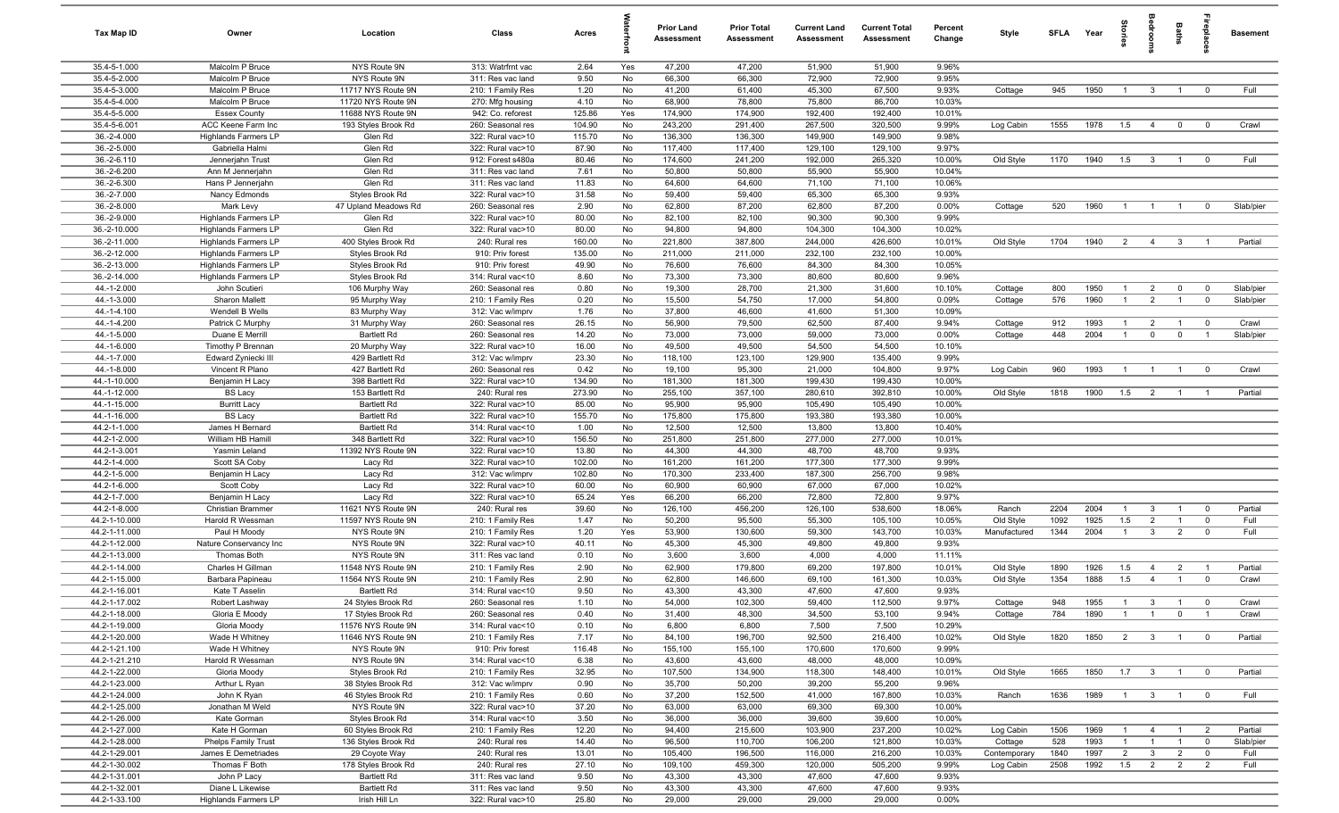| Tax Map ID                     | Owner                                      | Location                                 | Class                                  | Acres            |          | <b>Prior Land</b><br><b>Assessment</b> | <b>Prior Total</b><br>Assessment | <b>Current Land</b><br>Assessment | <b>Current Total</b><br><b>Assessment</b> | Percent<br>Change | Style        | SFLA       | Year         | å.                               |                                  | Baths                         | leb<br>19                 | <b>Basement</b> |
|--------------------------------|--------------------------------------------|------------------------------------------|----------------------------------------|------------------|----------|----------------------------------------|----------------------------------|-----------------------------------|-------------------------------------------|-------------------|--------------|------------|--------------|----------------------------------|----------------------------------|-------------------------------|---------------------------|-----------------|
| 35.4-5-1.000                   | Malcolm P Bruce                            | NYS Route 9N                             | 313: Watrfrnt vac                      | 2.64             | Yes      | 47,200                                 | 47,200                           | 51,900                            | 51,900                                    | 9.96%             |              |            |              |                                  |                                  |                               |                           |                 |
| 35.4-5-2.000                   | Malcolm P Bruce                            | NYS Route 9N                             | 311: Res vac land                      | 9.50             | No       | 66,300                                 | 66,300                           | 72,900                            | 72,900                                    | 9.95%             |              |            |              |                                  |                                  |                               |                           |                 |
| 35.4-5-3.000                   | Malcolm P Bruce                            | 11717 NYS Route 9N                       | 210: 1 Family Res                      | 1.20             | No       | 41,200                                 | 61,400                           | 45,300                            | 67,500                                    | 9.93%             | Cottage      | 945        | 1950         | $\overline{1}$                   | $\mathbf{3}$                     | $\overline{1}$                | $^{\circ}$                | Full            |
| 35.4-5-4.000                   | Malcolm P Bruce                            | 11720 NYS Route 9N                       | 270: Mfg housing                       | 4.10             | No       | 68,900                                 | 78,800                           | 75,800                            | 86,700                                    | 10.03%            |              |            |              |                                  |                                  |                               |                           |                 |
| 35.4-5-5.000                   | <b>Essex County</b>                        | 11688 NYS Route 9N                       | 942: Co. reforest                      | 125.86           | Yes      | 174,900                                | 174,900                          | 192,400                           | 192,400                                   | 10.01%            |              |            |              |                                  |                                  |                               |                           |                 |
| 35.4-5-6.001<br>36.-2-4.000    | ACC Keene Farm Inc<br>Highlands Farmers LP | 193 Styles Brook Rd<br>Glen Rd           | 260: Seasonal res<br>322: Rural vac>10 | 104.90<br>115.70 | No<br>No | 243,200<br>136,300                     | 291,400<br>136,300               | 267,500<br>149,900                | 320,500<br>149,900                        | 9.99%<br>9.98%    | Log Cabin    | 1555       | 1978         | 1.5                              | $\overline{4}$                   | $\mathbf 0$                   | $\overline{0}$            | Crawl           |
| 36.-2-5.000                    | Gabriella Halmi                            | Glen Rd                                  | 322: Rural vac>10                      | 87.90            | No       | 117,400                                | 117,400                          | 129,100                           | 129,100                                   | 9.97%             |              |            |              |                                  |                                  |                               |                           |                 |
| 36.-2-6.110                    | Jennerjahn Trust                           | Glen Rd                                  | 912: Forest s480a                      | 80.46            | No       | 174,600                                | 241,200                          | 192,000                           | 265,320                                   | 10.00%            | Old Style    | 1170       | 1940         | 1.5                              | $\mathbf{3}$                     | $\overline{1}$                | $^{\circ}$                | Full            |
| 36.-2-6.200                    | Ann M Jennerjahn                           | Glen Rd                                  | 311: Res vac land                      | 7.61             | No       | 50,800                                 | 50,800                           | 55,900                            | 55,900                                    | 10.04%            |              |            |              |                                  |                                  |                               |                           |                 |
| 36.-2-6.300                    | Hans P Jennerjahn                          | Glen Rd                                  | 311: Res vac land                      | 11.83            | No       | 64,600                                 | 64,600                           | 71,100                            | 71,100                                    | 10.06%            |              |            |              |                                  |                                  |                               |                           |                 |
| 36.-2-7.000                    | Nancy Edmonds                              | Styles Brook Rd                          | 322: Rural vac>10                      | 31.58            | No       | 59,400                                 | 59,400                           | 65,300                            | 65,300                                    | 9.93%             |              |            |              |                                  |                                  |                               |                           |                 |
| 36.-2-8.000                    | Mark Levy                                  | 47 Upland Meadows Rd                     | 260: Seasonal res                      | 2.90             | No       | 62,800                                 | 87,200                           | 62,800                            | 87,200                                    | 0.00%             | Cottage      | 520        | 1960         | $\overline{1}$                   | $\overline{1}$                   | $\overline{1}$                | $^{\circ}$                | Slab/pier       |
| 36.-2-9.000                    | Highlands Farmers LP                       | Glen Rd                                  | 322: Rural vac>10                      | 80.00            | No       | 82,100                                 | 82,100                           | 90,300                            | 90,300                                    | 9.99%             |              |            |              |                                  |                                  |                               |                           |                 |
| 36.-2-10.000                   | <b>Highlands Farmers LP</b>                | Glen Rd                                  | 322: Rural vac>10                      | 80.00            | No       | 94,800                                 | 94,800                           | 104,300                           | 104,300                                   | 10.02%            |              |            |              |                                  |                                  |                               |                           |                 |
| 36.-2-11.000                   | <b>Highlands Farmers LP</b>                | 400 Styles Brook Rd                      | 240: Rural res                         | 160.00           | No       | 221,800                                | 387,800                          | 244,000                           | 426,600                                   | 10.01%            | Old Style    | 1704       | 1940         | $\overline{2}$                   | $\overline{4}$                   | $\mathbf{3}$                  |                           | Partial         |
| 36.-2-12.000                   | <b>Highlands Farmers LP</b>                | Styles Brook Rd                          | 910: Priv forest                       | 135.00           | No       | 211,000                                | 211,000                          | 232,100                           | 232,100                                   | 10.00%            |              |            |              |                                  |                                  |                               |                           |                 |
| 36.-2-13.000                   | <b>Highlands Farmers LP</b>                | Styles Brook Rd                          | 910: Priv forest                       | 49.90            | No       | 76,600                                 | 76,600                           | 84,300                            | 84,300                                    | 10.05%            |              |            |              |                                  |                                  |                               |                           |                 |
| 36.-2-14.000                   | Highlands Farmers LP                       | Styles Brook Rd                          | 314: Rural vac<10                      | 8.60             | No       | 73,300                                 | 73,300                           | 80,600                            | 80,600                                    | 9.96%             |              |            |              |                                  |                                  |                               |                           |                 |
| 44.-1-2.000                    | John Scutieri                              | 106 Murphy Way                           | 260: Seasonal res<br>210: 1 Family Res | 0.80             | No       | 19,300                                 | 28,700                           | 21,300                            | 31,600                                    | 10.10%            | Cottage      | 800<br>576 | 1950<br>1960 | $\overline{1}$<br>$\overline{1}$ | $\overline{2}$<br>$\overline{2}$ | $\mathbf 0$<br>$\overline{1}$ | $^{\circ}$<br>$\mathbf 0$ | Slab/pier       |
| 44.-1-3.000<br>44.-1-4.100     | Sharon Mallett<br>Wendell B Wells          | 95 Murphy Way<br>83 Murphy Way           | 312: Vac w/imprv                       | 0.20<br>1.76     | No<br>No | 15,500<br>37,800                       | 54,750<br>46,600                 | 17,000<br>41,600                  | 54,800<br>51,300                          | 0.09%<br>10.09%   | Cottage      |            |              |                                  |                                  |                               |                           | Slab/pier       |
| 44.-1-4.200                    | Patrick C Murphy                           | 31 Murphy Way                            | 260: Seasonal res                      | 26.15            | No       | 56,900                                 | 79,500                           | 62,500                            | 87,400                                    | 9.94%             | Cottage      | 912        | 1993         | $\overline{1}$                   | $\overline{2}$                   | $\overline{1}$                | $\overline{0}$            | Crawl           |
| 44.-1-5.000                    | Duane E Merrill                            | <b>Bartlett Rd</b>                       | 260: Seasonal res                      | 14.20            | No       | 73,000                                 | 73,000                           | 59,000                            | 73,000                                    | 0.00%             | Cottage      | 448        | 2004         | $\overline{1}$                   | $\mathbf 0$                      | $\mathbf 0$                   | $\overline{1}$            | Slab/pier       |
| 44.-1-6.000                    | Timothy P Brennan                          | 20 Murphy Way                            | 322: Rural vac>10                      | 16.00            | No       | 49,500                                 | 49,500                           | 54,500                            | 54,500                                    | 10.10%            |              |            |              |                                  |                                  |                               |                           |                 |
| 44.-1-7.000                    | Edward Zyniecki III                        | 429 Bartlett Rd                          | 312: Vac w/imprv                       | 23.30            | No       | 118,100                                | 123,100                          | 129,900                           | 135,400                                   | 9.99%             |              |            |              |                                  |                                  |                               |                           |                 |
| 44.-1-8.000                    | Vincent R Plano                            | 427 Bartlett Rd                          | 260: Seasonal res                      | 0.42             | No       | 19,100                                 | 95,300                           | 21,000                            | 104,800                                   | 9.97%             | Log Cabin    | 960        | 1993         | $\overline{1}$                   | $\overline{1}$                   | $\overline{1}$                | $\overline{0}$            | Crawl           |
| 44.-1-10.000                   | Benjamin H Lacy                            | 398 Bartlett Rd                          | 322: Rural vac>10                      | 134.90           | No       | 181,300                                | 181,300                          | 199,430                           | 199,430                                   | 10.00%            |              |            |              |                                  |                                  |                               |                           |                 |
| 44.-1-12.000                   | <b>BS Lacy</b>                             | 153 Bartlett Rd                          | 240: Rural res                         | 273.90           | No       | 255,100                                | 357,100                          | 280,610                           | 392,810                                   | 10.00%            | Old Style    | 1818       | 1900         | 1.5                              | $\overline{2}$                   | $\overline{1}$                | - 1                       | Partial         |
| 44.-1-15.000                   | <b>Burritt Lacy</b>                        | <b>Bartlett Rd</b>                       | 322: Rural vac>10                      | 85.00            | No       | 95,900                                 | 95,900                           | 105,490                           | 105,490                                   | 10.00%            |              |            |              |                                  |                                  |                               |                           |                 |
| 44.-1-16.000                   | <b>BS Lacy</b>                             | <b>Bartlett Rd</b>                       | 322: Rural vac>10                      | 155.70           | No       | 175,800                                | 175,800                          | 193,380                           | 193,380                                   | 10.00%            |              |            |              |                                  |                                  |                               |                           |                 |
| 44.2-1-1.000                   | James H Bernard                            | <b>Bartlett Rd</b>                       | 314: Rural vac<10                      | 1.00             | No       | 12,500                                 | 12,500                           | 13,800                            | 13,800                                    | 10.40%            |              |            |              |                                  |                                  |                               |                           |                 |
| 44.2-1-2.000                   | William HB Hamill                          | 348 Bartlett Rd                          | 322: Rural vac>10                      | 156.50           | No       | 251,800                                | 251,800                          | 277,000                           | 277,000                                   | 10.01%            |              |            |              |                                  |                                  |                               |                           |                 |
| 44.2-1-3.001                   | Yasmin Leland                              | 11392 NYS Route 9N                       | 322: Rural vac>10                      | 13.80            | No       | 44,300                                 | 44,300                           | 48,700                            | 48,700                                    | 9.93%             |              |            |              |                                  |                                  |                               |                           |                 |
| 44.2-1-4.000<br>44.2-1-5.000   | Scott SA Coby                              | Lacy Rd                                  | 322: Rural vac>10<br>312: Vac w/imprv  | 102.00<br>102.80 | No<br>No | 161,200<br>170,300                     | 161,200<br>233,400               | 177,300<br>187,300                | 177,300<br>256,700                        | 9.99%<br>9.98%    |              |            |              |                                  |                                  |                               |                           |                 |
| 44.2-1-6.000                   | Benjamin H Lacy<br>Scott Coby              | Lacy Rd<br>Lacy Rd                       | 322: Rural vac>10                      | 60.00            | No       | 60,900                                 | 60,900                           | 67,000                            | 67,000                                    | 10.02%            |              |            |              |                                  |                                  |                               |                           |                 |
| 44.2-1-7.000                   | Benjamin H Lacy                            | Lacy Rd                                  | 322: Rural vac>10                      | 65.24            | Yes      | 66,200                                 | 66,200                           | 72,800                            | 72,800                                    | 9.97%             |              |            |              |                                  |                                  |                               |                           |                 |
| 44.2-1-8.000                   | Christian Brammer                          | 11621 NYS Route 9N                       | 240: Rural res                         | 39.60            | No       | 126,100                                | 456,200                          | 126,100                           | 538,600                                   | 18.06%            | Ranch        | 2204       | 2004         | $\overline{1}$                   | $\mathbf{3}$                     | $\overline{1}$                | $^{\circ}$                | Partial         |
| 44.2-1-10.000                  | Harold R Wessman                           | 11597 NYS Route 9N                       | 210: 1 Family Res                      | 1.47             | No       | 50,200                                 | 95,500                           | 55,300                            | 105,100                                   | 10.05%            | Old Style    | 1092       | 1925         | 1.5                              | $\overline{2}$                   | $\overline{1}$                | $^{\circ}$                | Full            |
| 44.2-1-11.000                  | Paul H Moody                               | NYS Route 9N                             | 210: 1 Family Res                      | 1.20             | Yes      | 53,900                                 | 130,600                          | 59,300                            | 143,700                                   | 10.03%            | Manufactured | 1344       | 2004         | $\overline{1}$                   | $\mathbf{3}$                     | $\overline{2}$                | $^{\circ}$                | Full            |
| 44.2-1-12.000                  | Nature Conservancy Inc                     | NYS Route 9N                             | 322: Rural vac>10                      | 40.11            | No       | 45,300                                 | 45,300                           | 49,800                            | 49,800                                    | 9.93%             |              |            |              |                                  |                                  |                               |                           |                 |
| 44.2-1-13.000                  | <b>Thomas Both</b>                         | NYS Route 9N                             | 311: Res vac land                      | 0.10             | No       | 3,600                                  | 3,600                            | 4,000                             | 4,000                                     | 11.11%            |              |            |              |                                  |                                  |                               |                           |                 |
| 44.2-1-14.000                  | Charles H Gillman                          | 11548 NYS Route 9N                       | 210: 1 Family Res                      | 2.90             | No       | 62,900                                 | 179,800                          | 69,200                            | 197,800                                   | 10.01%            | Old Style    | 1890       | 1926         | 1.5                              | $\overline{4}$                   | $\overline{2}$                | $\overline{1}$            | Partial         |
| 44.2-1-15.000                  | Barbara Papineau                           | 11564 NYS Route 9N                       | 210: 1 Family Res                      | 2.90             | No       | 62,800                                 | 146,600                          | 69,100                            | 161,300                                   | 10.03%            | Old Style    | 1354       | 1888         | 1.5                              | $\overline{4}$                   | $\overline{1}$                | $\Omega$                  | Crawl           |
| 44.2-1-16.001                  | Kate T Asselin                             | Bartlett Rd                              | 314: Rural vac<10                      | 9.50             | No       | 43,300                                 | 43,300                           | 47,600                            | 47,600                                    | 9.93%             |              |            |              |                                  |                                  |                               |                           |                 |
| 44.2-1-17.002                  | Robert Lashway                             | 24 Styles Brook Rd                       | 260: Seasonal res                      | 1.10             | No       | 54,000                                 | 102,300                          | 59,400                            | 112,500                                   | 9.97%             | Cottage      | 948        | 1955         | $\overline{1}$                   | $\mathbf{3}$                     | $\overline{1}$                |                           | Crawl           |
| 44.2-1-18.000                  | Gloria E Moody                             | 17 Styles Brook Rd                       | 260: Seasonal res                      | 0.40             | No       | 31,400                                 | 48,300                           | 34,500                            | 53,100                                    | 9.94%             | Cottage      | 784        | 1890         | $\overline{1}$                   | $\overline{1}$                   | $\overline{0}$                | $\overline{1}$            | Crawl           |
| 44.2-1-19.000                  | Gloria Moody                               | 11576 NYS Route 9N<br>11646 NYS Route 9N | 314: Rural vac<10                      | 0.10             | No       | 6,800                                  | 6,800                            | 7,500                             | 7,500                                     | 10.29%            |              |            |              |                                  |                                  |                               |                           |                 |
| 44.2-1-20.000<br>44.2-1-21.100 | Wade H Whitney<br>Wade H Whitney           | NYS Route 9N                             | 210: 1 Family Res<br>910: Priv forest  | 7.17<br>116.48   | No<br>No | 84,100<br>155,100                      | 196,700<br>155,100               | 92,500<br>170,600                 | 216,400<br>170,600                        | 10.02%<br>9.99%   | Old Style    | 1820       | 1850         | 2                                | $\overline{\mathbf{3}}$          | $\overline{1}$                | $\overline{0}$            | Partial         |
| 44.2-1-21.210                  | Harold R Wessman                           | NYS Route 9N                             | 314: Rural vac<10                      | 6.38             | No       | 43,600                                 | 43,600                           | 48,000                            | 48,000                                    | 10.09%            |              |            |              |                                  |                                  |                               |                           |                 |
| 44.2-1-22.000                  | Gloria Moody                               | Styles Brook Rd                          | 210: 1 Family Res                      | 32.95            | No       | 107,500                                | 134,900                          | 118,300                           | 148,400                                   | 10.01%            | Old Style    | 1665       | 1850         | 1.7                              | $\mathbf{3}$                     | $\overline{1}$                | $\overline{\mathbf{0}}$   | Partial         |
| 44.2-1-23.000                  | Arthur L Ryan                              | 38 Styles Brook Rd                       | 312: Vac w/imprv                       | 0.90             | No       | 35,700                                 | 50,200                           | 39,200                            | 55,200                                    | 9.96%             |              |            |              |                                  |                                  |                               |                           |                 |
| 44.2-1-24.000                  | John K Ryan                                | 46 Styles Brook Rd                       | 210: 1 Family Res                      | 0.60             | No       | 37,200                                 | 152,500                          | 41,000                            | 167,800                                   | 10.03%            | Ranch        | 1636       | 1989         | $\overline{1}$                   | $\mathbf{3}$                     | $\overline{1}$                | $\overline{0}$            | Full            |
| 44.2-1-25.000                  | Jonathan M Weld                            | NYS Route 9N                             | 322: Rural vac>10                      | 37.20            | No       | 63,000                                 | 63,000                           | 69,300                            | 69,300                                    | 10.00%            |              |            |              |                                  |                                  |                               |                           |                 |
| 44.2-1-26.000                  | Kate Gorman                                | Styles Brook Rd                          | 314: Rural vac<10                      | 3.50             | No       | 36,000                                 | 36,000                           | 39,600                            | 39,600                                    | 10.00%            |              |            |              |                                  |                                  |                               |                           |                 |
| 44.2-1-27.000                  | Kate H Gorman                              | 60 Styles Brook Rd                       | 210: 1 Family Res                      | 12.20            | No       | 94,400                                 | 215,600                          | 103,900                           | 237,200                                   | 10.02%            | Log Cabin    | 1506       | 1969         | $\overline{1}$                   | $\overline{4}$                   | $\overline{1}$                | $\overline{2}$            | Partial         |
| 44.2-1-28.000                  | <b>Phelps Family Trust</b>                 | 136 Styles Brook Rd                      | 240: Rural res                         | 14.40            | No       | 96,500                                 | 110,700                          | 106,200                           | 121,800                                   | 10.03%            | Cottage      | 528        | 1993         | $\overline{1}$                   | $\overline{1}$                   | $\overline{1}$                | $\overline{0}$            | Slab/pier       |
| 44.2-1-29.001                  | James E Demetriades                        | 29 Coyote Way                            | 240: Rural res                         | 13.01            | No       | 105,400                                | 196,500                          | 116,000                           | 216,200                                   | 10.03%            | Contemporary | 1840       | 1997         | $\overline{2}$                   | $\mathbf{3}$                     | $\overline{2}$                | $\overline{0}$            | Full            |
| 44.2-1-30.002                  | Thomas F Both                              | 178 Styles Brook Rd                      | 240: Rural res                         | 27.10            | No       | 109,100                                | 459,300                          | 120,000                           | 505,200                                   | 9.99%             | Log Cabin    | 2508       | 1992         | 1.5                              | $\overline{2}$                   | $\overline{2}$                | $\overline{2}$            | Full            |
| 44.2-1-31.001                  | John P Lacy                                | <b>Bartlett Rd</b>                       | 311: Res vac land                      | 9.50             | No       | 43,300                                 | 43,300                           | 47,600                            | 47,600                                    | 9.93%             |              |            |              |                                  |                                  |                               |                           |                 |
| 44.2-1-32.001                  | Diane L Likewise                           | <b>Bartlett Rd</b>                       | 311: Res vac land                      | 9.50             | No       | 43,300                                 | 43,300                           | 47,600                            | 47,600                                    | 9.93%             |              |            |              |                                  |                                  |                               |                           |                 |
| 44.2-1-33.100                  | <b>Highlands Farmers LP</b>                | Irish Hill Ln                            | 322: Rural vac>10                      | 25.80            | No       | 29,000                                 | 29,000                           | 29,000                            | 29,000                                    | 0.00%             |              |            |              |                                  |                                  |                               |                           |                 |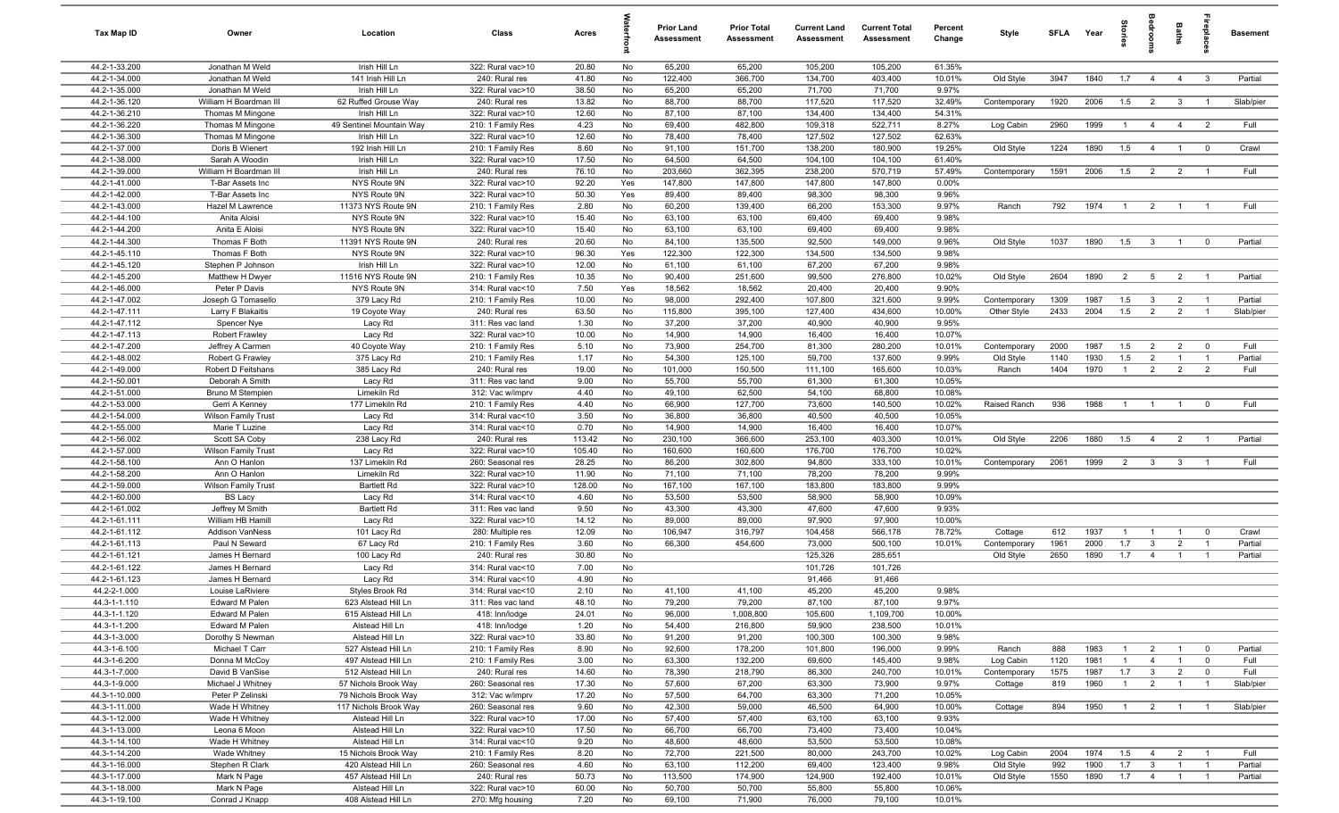| Tax Map ID                     | Owner                                        | Location                                  | Class                                  | Acres          |          | <b>Prior Land</b><br>Assessment | <b>Prior Total</b><br>Assessment | <b>Current Land</b><br>Assessment | <b>Current Total</b><br><b>Assessment</b> | Percent<br>Change | Style        | SFLA | Year | grie           | ă                       | Baths          | repla                   | <b>Basement</b> |
|--------------------------------|----------------------------------------------|-------------------------------------------|----------------------------------------|----------------|----------|---------------------------------|----------------------------------|-----------------------------------|-------------------------------------------|-------------------|--------------|------|------|----------------|-------------------------|----------------|-------------------------|-----------------|
| 44.2-1-33.200                  | Jonathan M Weld                              | Irish Hill Ln                             | 322: Rural vac>10                      | 20.80          | No       | 65,200                          | 65,200                           | 105,200                           | 105,200                                   | 61.35%            |              |      |      |                |                         |                |                         |                 |
| 44.2-1-34.000                  | Jonathan M Weld                              | 141 Irish Hill Ln                         | 240: Rural res                         | 41.80          | No       | 122,400                         | 366,700                          | 134,700                           | 403,400                                   | 10.01%            | Old Style    | 3947 | 1840 | 1.7            | $\overline{4}$          | $\overline{4}$ | $\mathbf{3}$            | Partial         |
| 44.2-1-35.000                  | Jonathan M Weld                              | Irish Hill Ln                             | 322: Rural vac>10                      | 38.50          | No       | 65,200                          | 65,200                           | 71,700                            | 71,700                                    | 9.97%             |              |      |      |                |                         |                |                         |                 |
| 44.2-1-36.120                  | William H Boardman III                       | 62 Ruffed Grouse Way                      | 240: Rural res                         | 13.82          | No       | 88,700                          | 88,700                           | 117,520                           | 117,520                                   | 32.49%            | Contemporary | 1920 | 2006 | 1.5            | $\overline{2}$          | $\mathbf{3}$   |                         | Slab/pier       |
| 44.2-1-36.210<br>44.2-1-36.220 | Thomas M Mingone<br>Thomas M Mingone         | Irish Hill Ln<br>49 Sentinel Mountain Way | 322: Rural vac>10<br>210: 1 Family Res | 12.60<br>4.23  | No<br>No | 87,100<br>69,400                | 87,100<br>482,800                | 134,400<br>109,318                | 134,400<br>522,711                        | 54.31%<br>8.27%   | Log Cabin    | 2960 | 1999 | $\overline{1}$ | 4                       | $\overline{4}$ | $\overline{2}$          | Full            |
| 44.2-1-36.300                  | Thomas M Mingone                             | Irish Hill Ln                             | 322: Rural vac>10                      | 12.60          | No       | 78,400                          | 78,400                           | 127,502                           | 127,502                                   | 62.63%            |              |      |      |                |                         |                |                         |                 |
| 44.2-1-37.000                  | Doris B Wienert                              | 192 Irish Hill Ln                         | 210: 1 Family Res                      | 8.60           | No       | 91,100                          | 151,700                          | 138,200                           | 180,900                                   | 19.25%            | Old Style    | 1224 | 1890 | 1.5            | $\overline{4}$          | $\overline{1}$ | $\overline{\mathbf{0}}$ | Crawl           |
| 44.2-1-38.000                  | Sarah A Woodin                               | Irish Hill Ln                             | 322: Rural vac>10                      | 17.50          | No       | 64,500                          | 64,500                           | 104,100                           | 104,100                                   | 61.40%            |              |      |      |                |                         |                |                         |                 |
| 44.2-1-39.000                  | William H Boardman III                       | Irish Hill Ln                             | 240: Rural res                         | 76.10          | No       | 203,660                         | 362,395                          | 238,200                           | 570,719                                   | 57.49%            | Contemporary | 1591 | 2006 | 1.5            | $\overline{2}$          | $\overline{2}$ | $\overline{1}$          | Full            |
| 44.2-1-41.000                  | T-Bar Assets Inc                             | NYS Route 9N                              | 322: Rural vac>10                      | 92.20          | Yes      | 147,800                         | 147,800                          | 147,800                           | 147,800                                   | 0.00%             |              |      |      |                |                         |                |                         |                 |
| 44.2-1-42.000                  | T-Bar Assets Inc                             | NYS Route 9N                              | 322: Rural vac>10                      | 50.30          | Yes      | 89,400                          | 89,400                           | 98,300                            | 98,300                                    | 9.96%             |              |      |      |                |                         |                |                         |                 |
| 44.2-1-43.000                  | Hazel M Lawrence                             | 11373 NYS Route 9N                        | 210: 1 Family Res                      | 2.80           | No       | 60,200                          | 139,400                          | 66,200                            | 153,300                                   | 9.97%             | Ranch        | 792  | 1974 | $\overline{1}$ | $\overline{2}$          | $\overline{1}$ | $\overline{1}$          | Full            |
| 44.2-1-44.100                  | Anita Aloisi                                 | NYS Route 9N                              | 322: Rural vac>10                      | 15.40          | No       | 63,100                          | 63,100                           | 69,400                            | 69,400                                    | 9.98%             |              |      |      |                |                         |                |                         |                 |
| 44.2-1-44.200                  | Anita E Aloisi                               | NYS Route 9N                              | 322: Rural vac>10                      | 15.40          | No       | 63,100                          | 63,100                           | 69,400                            | 69,400                                    | 9.98%             |              |      |      |                |                         |                |                         |                 |
| 44.2-1-44.300                  | Thomas F Both                                | 11391 NYS Route 9N                        | 240: Rural res                         | 20.60          | No       | 84,100                          | 135,500                          | 92,500                            | 149,000                                   | 9.96%             | Old Style    | 1037 | 1890 | 1.5            | $\overline{\mathbf{3}}$ | $\overline{1}$ | $\mathbf 0$             | Partial         |
| 44.2-1-45.110                  | Thomas F Both                                | NYS Route 9N                              | 322: Rural vac>10                      | 96.30          | Yes      | 122,300                         | 122,300                          | 134,500                           | 134,500                                   | 9.98%             |              |      |      |                |                         |                |                         |                 |
| 44.2-1-45.120<br>44.2-1-45.200 | Stephen P Johnson<br>Matthew H Dwyer         | Irish Hill Ln<br>11516 NYS Route 9N       | 322: Rural vac>10<br>210: 1 Family Res | 12.00<br>10.35 | No<br>No | 61,100<br>90,400                | 61,100<br>251,600                | 67,200<br>99,500                  | 67,200<br>276,800                         | 9.98%<br>10.02%   | Old Style    | 2604 | 1890 | $\overline{2}$ | $5\overline{5}$         | $\overline{2}$ | $\overline{1}$          | Partial         |
| 44.2-1-46.000                  | Peter P Davis                                | NYS Route 9N                              | 314: Rural vac<10                      | 7.50           | Yes      | 18,562                          | 18,562                           | 20,400                            | 20,400                                    | 9.90%             |              |      |      |                |                         |                |                         |                 |
| 44.2-1-47.002                  | Joseph G Tomasello                           | 379 Lacy Rd                               | 210: 1 Family Res                      | 10.00          | No       | 98,000                          | 292,400                          | 107,800                           | 321,600                                   | 9.99%             | Contemporary | 1309 | 1987 | 1.5            | $\mathbf{3}$            | $\overline{2}$ | $\overline{1}$          | Partial         |
| 44.2-1-47.111                  | Larry F Blakaitis                            | 19 Coyote Way                             | 240: Rural res                         | 63.50          | No       | 115,800                         | 395,100                          | 127,400                           | 434,600                                   | 10.00%            | Other Style  | 2433 | 2004 | 1.5            | $\overline{2}$          | $\overline{2}$ | $\overline{1}$          | Slab/pier       |
| 44.2-1-47.112                  | Spencer Nye                                  | Lacy Rd                                   | 311: Res vac land                      | 1.30           | No       | 37,200                          | 37,200                           | 40,900                            | 40,900                                    | 9.95%             |              |      |      |                |                         |                |                         |                 |
| 44.2-1-47.113                  | <b>Robert Frawley</b>                        | Lacy Rd                                   | 322: Rural vac>10                      | 10.00          | No       | 14,900                          | 14,900                           | 16,400                            | 16,400                                    | 10.07%            |              |      |      |                |                         |                |                         |                 |
| 44.2-1-47.200                  | Jeffrey A Carmen                             | 40 Coyote Way                             | 210: 1 Family Res                      | 5.10           | No       | 73,900                          | 254,700                          | 81,300                            | 280,200                                   | 10.01%            | Contemporary | 2000 | 1987 | 1.5            | $\overline{2}$          | 2              | $\mathbf 0$             | Full            |
| 44.2-1-48.002                  | Robert G Frawley                             | 375 Lacy Rd                               | 210: 1 Family Res                      | 1.17           | No       | 54,300                          | 125,100                          | 59,700                            | 137,600                                   | 9.99%             | Old Style    | 1140 | 1930 | 1.5            | $\overline{2}$          | $\overline{1}$ | $\overline{1}$          | Partial         |
| 44.2-1-49.000                  | Robert D Feitshans                           | 385 Lacy Rd                               | 240: Rural res                         | 19.00          | No       | 101,000                         | 150,500                          | 111,100                           | 165,600                                   | 10.03%            | Ranch        | 1404 | 1970 | $\overline{1}$ | $\overline{2}$          | $\overline{2}$ | $\overline{2}$          | Full            |
| 44.2-1-50.001                  | Deborah A Smith                              | Lacy Rd                                   | 311: Res vac land                      | 9.00           | No       | 55,700                          | 55,700                           | 61,300                            | 61,300                                    | 10.05%            |              |      |      |                |                         |                |                         |                 |
| 44.2-1-51.000                  | Bruno M Stempien                             | Limekiln Rd                               | 312: Vac w/imprv                       | 4.40           | No       | 49,100                          | 62,500                           | 54,100                            | 68,800                                    | 10.08%            |              |      |      |                |                         |                |                         |                 |
| 44.2-1-53.000                  | Gerri A Kenney                               | 177 Limekiln Rd                           | 210: 1 Family Res                      | 4.40           | No       | 66,900                          | 127,700                          | 73,600                            | 140,500                                   | 10.02%            | Raised Ranch | 936  | 1988 | $\overline{1}$ | $\overline{1}$          | $\overline{1}$ | $^{\circ}$              | Full            |
| 44.2-1-54.000<br>44.2-1-55.000 | <b>Wilson Family Trust</b><br>Marie T Luzine | Lacy Rd<br>Lacy Rd                        | 314: Rural vac<10<br>314: Rural vac<10 | 3.50<br>0.70   | No<br>No | 36,800<br>14,900                | 36,800<br>14,900                 | 40,500<br>16,400                  | 40,500<br>16,400                          | 10.05%<br>10.07%  |              |      |      |                |                         |                |                         |                 |
| 44.2-1-56.002                  | Scott SA Coby                                | 238 Lacy Rd                               | 240: Rural res                         | 113.42         | No       | 230,100                         | 366,600                          | 253,100                           | 403,300                                   | 10.01%            | Old Style    | 2206 | 1880 | 1.5            | $\overline{4}$          | $\overline{2}$ | $\overline{1}$          | Partial         |
| 44.2-1-57.000                  | <b>Wilson Family Trust</b>                   | Lacy Rd                                   | 322: Rural vac>10                      | 105.40         | No       | 160,600                         | 160,600                          | 176,700                           | 176,700                                   | 10.02%            |              |      |      |                |                         |                |                         |                 |
| 44.2-1-58.100                  | Ann O Hanlon                                 | 137 Limekiln Rd                           | 260: Seasonal res                      | 28.25          | No       | 86,200                          | 302,800                          | 94,800                            | 333,100                                   | 10.01%            | Contemporary | 2061 | 1999 | $\overline{2}$ | $\overline{\mathbf{3}}$ | $\mathbf{3}$   | $\overline{1}$          | Full            |
| 44.2-1-58.200                  | Ann O Hanlon                                 | Limekiln Rd                               | 322: Rural vac>10                      | 11.90          | No       | 71,100                          | 71,100                           | 78,200                            | 78,200                                    | 9.99%             |              |      |      |                |                         |                |                         |                 |
| 44.2-1-59.000                  | <b>Wilson Family Trust</b>                   | <b>Bartlett Rd</b>                        | 322: Rural vac>10                      | 128.00         | No       | 167,100                         | 167,100                          | 183,800                           | 183,800                                   | 9.99%             |              |      |      |                |                         |                |                         |                 |
| 44.2-1-60.000                  | <b>BS Lacy</b>                               | Lacy Rd                                   | 314: Rural vac<10                      | 4.60           | No       | 53,500                          | 53,500                           | 58,900                            | 58,900                                    | 10.09%            |              |      |      |                |                         |                |                         |                 |
| 44.2-1-61.002                  | Jeffrey M Smith                              | <b>Bartlett Rd</b>                        | 311: Res vac land                      | 9.50           | No       | 43,300                          | 43,300                           | 47,600                            | 47,600                                    | 9.93%             |              |      |      |                |                         |                |                         |                 |
| 44.2-1-61.111                  | William HB Hamill                            | Lacy Rd                                   | 322: Rural vac>10                      | 14.12          | No       | 89,000                          | 89,000                           | 97,900                            | 97,900                                    | 10.00%            |              |      |      |                |                         |                |                         |                 |
| 44.2-1-61.112                  | Addison VanNess                              | 101 Lacy Rd                               | 280: Multiple res                      | 12.09          | No       | 106,947                         | 316,797                          | 104,458                           | 566,178                                   | 78.72%            | Cottage      | 612  | 1937 | $\overline{1}$ | - 1                     | $\overline{1}$ | $\overline{\mathbf{0}}$ | Crawl           |
| 44.2-1-61.113                  | Paul N Seward                                | 67 Lacy Rd                                | 210: 1 Family Res                      | 3.60           | No       | 66,300                          | 454,600                          | 73,000                            | 500,100                                   | 10.01%            | Contemporary | 1961 | 2000 | 1.7            | $\mathbf{3}$            | $\overline{2}$ |                         | Partial         |
| 44.2-1-61.121<br>44.2-1-61.122 | James H Bernard<br>James H Bernard           | 100 Lacy Rd<br>Lacy Rd                    | 240: Rural res<br>314: Rural vac<10    | 30.80<br>7.00  | No<br>No |                                 |                                  | 125,326<br>101,726                | 285,651<br>101,726                        |                   | Old Style    | 2650 | 1890 | 1.7            | $\overline{4}$          |                |                         | Partial         |
| 44.2-1-61.123                  | James H Bernard                              | Lacy Rd                                   | 314: Rural vac<10                      | 4.90           | No       |                                 |                                  | 91,466                            | 91,466                                    |                   |              |      |      |                |                         |                |                         |                 |
| 44.2-2-1.000                   | Louise LaRiviere                             | Styles Brook Rd                           | 314: Rural vac<10                      | 2.10           | No       | 41,100                          | 41,100                           | 45,200                            | 45,200                                    | 9.98%             |              |      |      |                |                         |                |                         |                 |
| 44.3-1-1.110                   | Edward M Palen                               | 623 Alstead Hill Ln                       | 311: Res vac land                      | 48.10          | No       | 79,200                          | 79,200                           | 87,100                            | 87,100                                    | 9.97%             |              |      |      |                |                         |                |                         |                 |
| 44.3-1-1.120                   | Edward M Palen                               | 615 Alstead Hill Ln                       | 418: Inn/lodge                         | 24.01          | No       | 96,000                          | 1,008,800                        | 105,600                           | 1,109,700                                 | 10.00%            |              |      |      |                |                         |                |                         |                 |
| 44.3-1-1.200                   | Edward M Palen                               | Alstead Hill Ln                           | 418: Inn/lodge                         | 1.20           | No       | 54,400                          | 216,800                          | 59,900                            | 238,500                                   | 10.01%            |              |      |      |                |                         |                |                         |                 |
| 44.3-1-3.000                   | Dorothy S Newman                             | Alstead Hill Ln                           | 322: Rural vac>10                      | 33.80          | No       | 91,200                          | 91,200                           | 100,300                           | 100,300                                   | 9.98%             |              |      |      |                |                         |                |                         |                 |
| 44.3-1-6.100                   | Michael T Carr                               | 527 Alstead Hill Ln                       | 210: 1 Family Res                      | 8.90           | No       | 92,600                          | 178,200                          | 101,800                           | 196,000                                   | 9.99%             | Ranch        | 888  | 1983 | $\overline{1}$ | $\overline{2}$          | $\overline{1}$ | $\overline{0}$          | Partial         |
| 44.3-1-6.200                   | Donna M McCoy                                | 497 Alstead Hill Ln                       | 210: 1 Family Res                      | 3.00           | No       | 63,300                          | 132,200                          | 69,600                            | 145,400                                   | 9.98%             | Log Cabin    | 1120 | 1981 | $\overline{1}$ | $\overline{4}$          | $\overline{1}$ | $\overline{0}$          | Full            |
| 44.3-1-7.000                   | David B VanSise                              | 512 Alstead Hill Ln                       | 240: Rural res                         | 14.60          | No       | 78,390                          | 218,790                          | 86,300                            | 240,700                                   | 10.01%            | Contemporary | 1575 | 1987 | 1.7            | $\overline{\mathbf{3}}$ | $\overline{2}$ | $\overline{0}$          | Full            |
| 44.3-1-9.000                   | Michael J Whitney                            | 57 Nichols Brook Way                      | 260: Seasonal res                      | 17.30          | No       | 57,600                          | 67,200                           | 63,300                            | 73,900                                    | 9.97%             | Cottage      | 819  | 1960 | $\overline{1}$ | $\overline{2}$          | $\overline{1}$ |                         | Slab/pier       |
| 44.3-1-10.000<br>44.3-1-11.000 | Peter P Zelinski                             | 79 Nichols Brook Way                      | 312: Vac w/imprv                       | 17.20<br>9.60  | No<br>No | 57,500<br>42,300                | 64,700<br>59,000                 | 63,300<br>46,500                  | 71,200<br>64,900                          | 10.05%<br>10.00%  |              | 894  | 1950 |                |                         | $\overline{1}$ |                         | Slab/pier       |
| 44.3-1-12.000                  | Wade H Whitney<br>Wade H Whitney             | 117 Nichols Brook Way<br>Alstead Hill Ln  | 260: Seasonal res<br>322: Rural vac>10 | 17.00          | No       | 57,400                          | 57,400                           | 63,100                            | 63,100                                    | 9.93%             | Cottage      |      |      | $\overline{1}$ | $\overline{2}$          |                | $\overline{1}$          |                 |
| 44.3-1-13.000                  | Leona 6 Moon                                 | Alstead Hill Ln                           | 322: Rural vac>10                      | 17.50          | No       | 66,700                          | 66,700                           | 73,400                            | 73,400                                    | 10.04%            |              |      |      |                |                         |                |                         |                 |
| 44.3-1-14.100                  | Wade H Whitney                               | Alstead Hill Ln                           | 314: Rural vac<10                      | 9.20           | No       | 48,600                          | 48,600                           | 53,500                            | 53,500                                    | 10.08%            |              |      |      |                |                         |                |                         |                 |
| 44.3-1-14.200                  | Wade Whitney                                 | 15 Nichols Brook Way                      | 210: 1 Family Res                      | 8.20           | No       | 72,700                          | 221,500                          | 80,000                            | 243,700                                   | 10.02%            | Log Cabin    | 2004 | 1974 | 1.5            | $\overline{4}$          | $\overline{2}$ | $\overline{1}$          | Full            |
| 44.3-1-16.000                  | Stephen R Clark                              | 420 Alstead Hill Ln                       | 260: Seasonal res                      | 4.60           | No       | 63,100                          | 112,200                          | 69,400                            | 123,400                                   | 9.98%             | Old Style    | 992  | 1900 | 1.7            | $\mathbf{3}$            | $\overline{1}$ | $\overline{1}$          | Partial         |
| 44.3-1-17.000                  | Mark N Page                                  | 457 Alstead Hill Ln                       | 240: Rural res                         | 50.73          | No       | 113,500                         | 174,900                          | 124,900                           | 192,400                                   | 10.01%            | Old Style    | 1550 | 1890 | 1.7            | $\overline{4}$          | $\overline{1}$ | $\overline{1}$          | Partial         |
| 44.3-1-18.000                  | Mark N Page                                  | Alstead Hill Ln                           | 322: Rural vac>10                      | 60.00          | No       | 50,700                          | 50,700                           | 55,800                            | 55,800                                    | 10.06%            |              |      |      |                |                         |                |                         |                 |
| 44.3-1-19.100                  | Conrad J Knapp                               | 408 Alstead Hill Ln                       | 270: Mfg housing                       | 7.20           | No       | 69,100                          | 71,900                           | 76,000                            | 79,100                                    | 10.01%            |              |      |      |                |                         |                |                         |                 |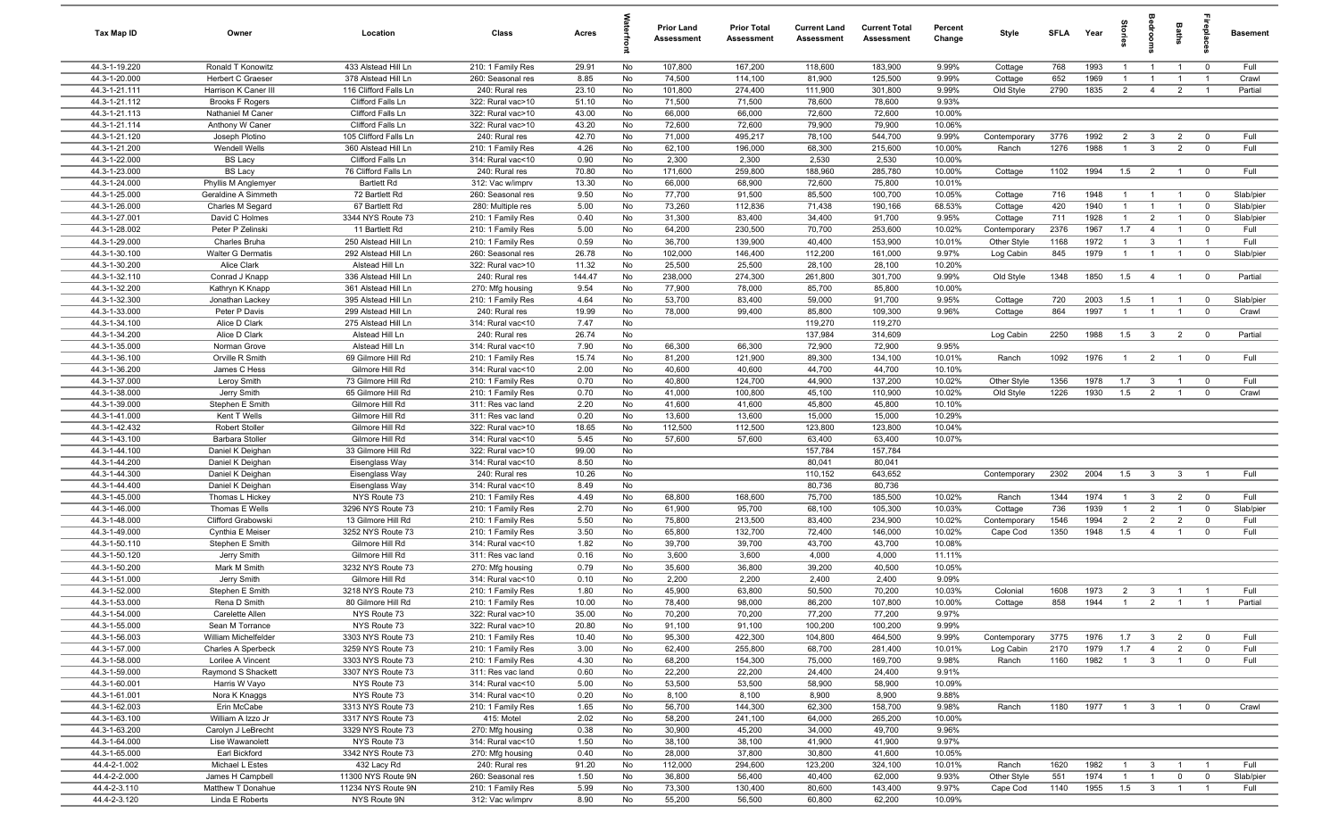| Tax Map ID                     | Owner                                | Location                                | Class                                  | Acres         |          | Prior Land<br>Assessment | <b>Prior Total</b><br>Assessment | <b>Current Land</b><br>Assessment | <b>Current Total</b><br>Assessment | Percent<br>Change | Style                       | <b>SFLA</b> | Year         | tories                           | <b>edrool</b>                    | Baths                            |                            | <b>Basement</b>   |
|--------------------------------|--------------------------------------|-----------------------------------------|----------------------------------------|---------------|----------|--------------------------|----------------------------------|-----------------------------------|------------------------------------|-------------------|-----------------------------|-------------|--------------|----------------------------------|----------------------------------|----------------------------------|----------------------------|-------------------|
| 44.3-1-19.220                  | Ronald T Konowitz                    | 433 Alstead Hill Ln                     | 210: 1 Family Res                      | 29.91         | No       | 107,800                  | 167,200                          | 118,600                           | 183,900                            | 9.99%             | Cottage                     | 768         | 1993         | $\overline{1}$                   | $\overline{1}$                   | $\overline{1}$                   | $\overline{0}$             | Full              |
| 44.3-1-20.000                  | Herbert C Graeser                    | 378 Alstead Hill Ln                     | 260: Seasonal res                      | 8.85          | No       | 74,500                   | 114,100                          | 81,900                            | 125,500                            | 9.99%             | Cottage                     | 652         | 1969         | $\mathbf{1}$                     | $\overline{1}$                   | $\overline{1}$                   | $\overline{1}$             | Crawl             |
| 44.3-1-21.111                  | Harrison K Caner III                 | 116 Clifford Falls Ln                   | 240: Rural res                         | 23.10         | No       | 101,800                  | 274,400                          | 111,900                           | 301,800                            | 9.99%             | Old Style                   | 2790        | 1835         | $\overline{2}$                   | $\overline{4}$                   | $\overline{2}$                   | $\overline{1}$             | Partial           |
| 44.3-1-21.112                  | <b>Brooks F Rogers</b>               | Clifford Falls Ln                       | 322: Rural vac>10                      | 51.10         | No       | 71,500                   | 71,500                           | 78,600                            | 78,600                             | 9.93%             |                             |             |              |                                  |                                  |                                  |                            |                   |
| 44.3-1-21.113                  | Nathaniel M Caner                    | Clifford Falls Ln                       | 322: Rural vac>10                      | 43.00         | No       | 66,000                   | 66,000                           | 72,600                            | 72,600                             | 10.00%            |                             |             |              |                                  |                                  |                                  |                            |                   |
| 44.3-1-21.114                  | Anthony W Caner                      | Clifford Falls Ln                       | 322: Rural vac>10                      | 43.20         | No       | 72,600                   | 72,600                           | 79,900                            | 79,900                             | 10.06%            |                             |             |              |                                  |                                  |                                  |                            |                   |
| 44.3-1-21.120                  | Joseph Plotino                       | 105 Clifford Falls Ln                   | 240: Rural res                         | 42.70         | No       | 71,000                   | 495,217                          | 78,100                            | 544,700                            | 9.99%             | Contemporary                | 3776        | 1992         | 2                                | 3                                | $\overline{2}$                   | $\Omega$                   | Full              |
| 44.3-1-21.200                  | Wendell Wells                        | 360 Alstead Hill Ln                     | 210: 1 Family Res                      | 4.26          | No       | 62,100                   | 196,000                          | 68,300                            | 215,600                            | 10.00%            | Ranch                       | 1276        | 1988         | $\overline{1}$                   | $\mathbf{3}$                     | $\overline{2}$                   | $\mathbf 0$                | Full              |
| 44.3-1-22.000                  | <b>BS Lacy</b>                       | Clifford Falls Ln                       | 314: Rural vac<10                      | 0.90          | No       | 2,300                    | 2,300                            | 2,530                             | 2,530                              | 10.00%            |                             |             |              |                                  |                                  |                                  |                            |                   |
| 44.3-1-23.000                  | <b>BS Lacy</b>                       | 76 Clifford Falls Ln                    | 240: Rural res                         | 70.80         | No       | 171,600                  | 259,800                          | 188,960                           | 285,780                            | 10.00%            | Cottage                     | 1102        | 1994         | 1.5                              | $\overline{2}$                   | $\overline{1}$                   | $\overline{0}$             | Full              |
| 44.3-1-24.000                  | Phyllis M Anglemyer                  | <b>Bartlett Rd</b>                      | 312: Vac w/imprv                       | 13.30         | No       | 66,000                   | 68,900                           | 72,600                            | 75,800                             | 10.01%            |                             |             |              |                                  |                                  |                                  |                            |                   |
| 44.3-1-25.000                  | Geraldine A Simmeth                  | 72 Bartlett Rd                          | 260: Seasonal res                      | 9.50          | No       | 77,700                   | 91,500                           | 85,500                            | 100,700                            | 10.05%            | Cottage                     | 716         | 1948         | $\overline{1}$<br>$\overline{1}$ | $\overline{1}$                   | $\overline{1}$                   | $\overline{0}$             | Slab/pier         |
| 44.3-1-26.000<br>44.3-1-27.001 | Charles M Segard                     | 67 Bartlett Rd                          | 280: Multiple res                      | 5.00          | No       | 73,260                   | 112,836                          | 71,438                            | 190,166                            | 68.53%            | Cottage                     | 420<br>711  | 1940         | $\overline{1}$                   | $\overline{1}$                   | $\overline{1}$<br>$\overline{1}$ | $^{\circ}$                 | Slab/pier         |
| 44.3-1-28.002                  | David C Holmes<br>Peter P Zelinski   | 3344 NYS Route 73                       | 210: 1 Family Res                      | 0.40<br>5.00  | No<br>No | 31,300<br>64,200         | 83,400<br>230,500                | 34,400<br>70,700                  | 91,700<br>253,600                  | 9.95%             | Cottage                     | 2376        | 1928<br>1967 | 1.7                              | $\overline{2}$<br>$\overline{4}$ | $\overline{1}$                   | $\mathbf 0$<br>$\mathbf 0$ | Slab/pier<br>Full |
| 44.3-1-29.000                  | Charles Bruha                        | 11 Bartlett Rd<br>250 Alstead Hill Ln   | 210: 1 Family Res<br>210: 1 Family Res | 0.59          | No       | 36,700                   | 139,900                          | 40,400                            | 153,900                            | 10.02%<br>10.01%  | Contemporary<br>Other Style | 1168        | 1972         | $\overline{1}$                   | $\mathbf{3}$                     | $\overline{1}$                   | $\overline{1}$             | Full              |
| 44.3-1-30.100                  | <b>Walter G Dermatis</b>             | 292 Alstead Hill Ln                     | 260: Seasonal res                      | 26.78         | No       | 102,000                  | 146,400                          | 112,200                           | 161,000                            | 9.97%             | Log Cabin                   | 845         | 1979         | -1                               | $\overline{1}$                   | $\mathbf{1}$                     | $\mathbf 0$                | Slab/pier         |
| 44.3-1-30.200                  | Alice Clark                          | Alstead Hill Ln                         | 322: Rural vac>10                      | 11.32         | No       | 25,500                   | 25,500                           | 28,100                            | 28,100                             | 10.20%            |                             |             |              |                                  |                                  |                                  |                            |                   |
| 44.3-1-32.110                  | Conrad J Knapp                       | 336 Alstead Hill Ln                     | 240: Rural res                         | 144.47        | No       | 238,000                  | 274,300                          | 261,800                           | 301,700                            | 9.99%             | Old Style                   | 1348        | 1850         | 1.5                              | $\overline{4}$                   | $\overline{1}$                   | $\mathbf 0$                | Partial           |
| 44.3-1-32.200                  | Kathryn K Knapp                      | 361 Alstead Hill Ln                     | 270: Mfg housing                       | 9.54          | No       | 77,900                   | 78,000                           | 85,700                            | 85,800                             | 10.00%            |                             |             |              |                                  |                                  |                                  |                            |                   |
| 44.3-1-32.300                  | Jonathan Lackey                      | 395 Alstead Hill Ln                     | 210: 1 Family Res                      | 4.64          | No       | 53,700                   | 83,400                           | 59,000                            | 91,700                             | 9.95%             | Cottage                     | 720         | 2003         | 1.5                              | $\overline{1}$                   | $\overline{1}$                   | $\overline{0}$             | Slab/pier         |
| 44.3-1-33.000                  | Peter P Davis                        | 299 Alstead Hill Ln                     | 240: Rural res                         | 19.99         | No       | 78,000                   | 99,400                           | 85,800                            | 109,300                            | 9.96%             | Cottage                     | 864         | 1997         | $\overline{1}$                   | $\overline{1}$                   | $\overline{1}$                   | $\overline{0}$             | Crawl             |
| 44.3-1-34.100                  | Alice D Clark                        | 275 Alstead Hill Ln                     | 314: Rural vac<10                      | 7.47          | No       |                          |                                  | 119,270                           | 119,270                            |                   |                             |             |              |                                  |                                  |                                  |                            |                   |
| 44.3-1-34.200                  | Alice D Clark                        | Alstead Hill Ln                         | 240: Rural res                         | 26.74         | No       |                          |                                  | 137,984                           | 314,609                            |                   | Log Cabin                   | 2250        | 1988         | 1.5                              | $\overline{\mathbf{3}}$          | $\overline{2}$                   | $\overline{0}$             | Partial           |
| 44.3-1-35.000                  | Norman Grove                         | Alstead Hill Ln                         | 314: Rural vac<10                      | 7.90          | No       | 66,300                   | 66,300                           | 72,900                            | 72,900                             | 9.95%             |                             |             |              |                                  |                                  |                                  |                            |                   |
| 44.3-1-36.100                  | Orville R Smith                      | 69 Gilmore Hill Rd                      | 210: 1 Family Res                      | 15.74         | No       | 81,200                   | 121,900                          | 89,300                            | 134,100                            | 10.01%            | Ranch                       | 1092        | 1976         | $\overline{1}$                   | $\overline{2}$                   | $\overline{1}$                   | $^{\circ}$                 | Full              |
| 44.3-1-36.200                  | James C Hess                         | Gilmore Hill Rd                         | 314: Rural vac<10                      | 2.00          | No       | 40,600                   | 40,600                           | 44,700                            | 44,700                             | 10.10%            |                             |             |              |                                  |                                  |                                  |                            |                   |
| 44.3-1-37.000                  | Leroy Smith                          | 73 Gilmore Hill Rd                      | 210: 1 Family Res                      | 0.70          | No       | 40,800                   | 124,700                          | 44,900                            | 137,200                            | 10.02%            | Other Style                 | 1356        | 1978         | 1.7                              | $\mathbf{3}$                     | -1                               | $\mathbf 0$                | Full              |
| 44.3-1-38.000                  | Jerry Smith                          | 65 Gilmore Hill Rd                      | 210: 1 Family Res                      | 0.70          | No       | 41,000                   | 100,800                          | 45,100                            | 110,900                            | 10.02%            | Old Style                   | 1226        | 1930         | 1.5                              | $\overline{2}$                   | $\overline{1}$                   | $\mathbf 0$                | Crawl             |
| 44.3-1-39.000                  | Stephen E Smith                      | Gilmore Hill Rd                         | 311: Res vac land                      | 2.20          | No       | 41,600                   | 41,600                           | 45,800                            | 45,800                             | 10.10%            |                             |             |              |                                  |                                  |                                  |                            |                   |
| 44.3-1-41.000                  | Kent T Wells                         | Gilmore Hill Rd                         | 311: Res vac land                      | 0.20          | No       | 13,600                   | 13,600                           | 15,000                            | 15,000                             | 10.29%            |                             |             |              |                                  |                                  |                                  |                            |                   |
| 44.3-1-42.432                  | Robert Stoller                       | Gilmore Hill Rd                         | 322: Rural vac>10                      | 18.65         | No       | 112,500                  | 112,500                          | 123,800                           | 123,800                            | 10.04%            |                             |             |              |                                  |                                  |                                  |                            |                   |
| 44.3-1-43.100                  | Barbara Stoller                      | Gilmore Hill Rd                         | 314: Rural vac<10                      | 5.45          | No       | 57,600                   | 57,600                           | 63,400                            | 63,400                             | 10.07%            |                             |             |              |                                  |                                  |                                  |                            |                   |
| 44.3-1-44.100                  | Daniel K Deighan                     | 33 Gilmore Hill Rd                      | 322: Rural vac>10                      | 99.00         | No       |                          |                                  | 157,784                           | 157,784                            |                   |                             |             |              |                                  |                                  |                                  |                            |                   |
| 44.3-1-44.200                  | Daniel K Deighan                     | Eisenglass Way                          | 314: Rural vac<10                      | 8.50          | No       |                          |                                  | 80,041                            | 80,041                             |                   |                             |             |              |                                  |                                  |                                  |                            |                   |
| 44.3-1-44.300                  | Daniel K Deighan                     | Eisenglass Way                          | 240: Rural res                         | 10.26         | No       |                          |                                  | 110,152                           | 643,652                            |                   | Contemporary                | 2302        | 2004         | 1.5                              | $\mathbf{3}$                     | $\mathbf{3}$                     | $\overline{1}$             | Full              |
| 44.3-1-44.400                  | Daniel K Deighan                     | Eisenglass Way                          | 314: Rural vac<10                      | 8.49          | No       |                          |                                  | 80,736                            | 80,736                             |                   |                             |             |              |                                  |                                  |                                  |                            |                   |
| 44.3-1-45.000                  | Thomas L Hickey                      | NYS Route 73                            | 210: 1 Family Res                      | 4.49          | No       | 68,800                   | 168,600                          | 75,700                            | 185,500                            | 10.02%<br>10.03%  | Ranch                       | 1344        | 1974         | $\overline{1}$<br>$\overline{1}$ | $\mathbf{3}$<br>$\overline{2}$   | $\overline{2}$<br>$\overline{1}$ | $\overline{0}$             | Full              |
| 44.3-1-46.000<br>44.3-1-48.000 | Thomas E Wells<br>Clifford Grabowski | 3296 NYS Route 73<br>13 Gilmore Hill Rd | 210: 1 Family Res<br>210: 1 Family Res | 2.70<br>5.50  | No<br>No | 61,900<br>75,800         | 95,700<br>213,500                | 68,100<br>83,400                  | 105,300<br>234,900                 | 10.02%            | Cottage                     | 736<br>1546 | 1939<br>1994 | $\overline{2}$                   | $\overline{2}$                   | $\overline{2}$                   | $\mathbf 0$<br>$\mathbf 0$ | Slab/pier<br>Full |
| 44.3-1-49.000                  | Cynthia E Meiser                     | 3252 NYS Route 73                       | 210: 1 Family Res                      | 3.50          | No       | 65,800                   | 132,700                          | 72,400                            | 146,000                            | 10.02%            | Contemporary<br>Cape Cod    | 1350        | 1948         | 1.5                              | $\overline{4}$                   | $\overline{1}$                   | $\mathbf 0$                | Full              |
| 44.3-1-50.110                  | Stephen E Smith                      | Gilmore Hill Rd                         | 314: Rural vac<10                      | 1.82          | No       | 39,700                   | 39,700                           | 43,700                            | 43,700                             | 10.08%            |                             |             |              |                                  |                                  |                                  |                            |                   |
| 44.3-1-50.120                  | Jerry Smith                          | Gilmore Hill Rd                         | 311: Res vac land                      | 0.16          | No       | 3,600                    | 3,600                            | 4,000                             | 4,000                              | 11.11%            |                             |             |              |                                  |                                  |                                  |                            |                   |
| 44.3-1-50.200                  | Mark M Smith                         | 3232 NYS Route 73                       | 270: Mfg housing                       | 0.79          | No       | 35,600                   | 36,800                           | 39,200                            | 40,500                             | 10.05%            |                             |             |              |                                  |                                  |                                  |                            |                   |
| 44.3-1-51.000                  | Jerry Smith                          | Gilmore Hill Rd                         | 314: Rural vac<10                      | 0.10          | No       | 2,200                    | 2,200                            | 2,400                             | 2,400                              | 9.09%             |                             |             |              |                                  |                                  |                                  |                            |                   |
| 44.3-1-52.000                  | Stephen E Smith                      | 3218 NYS Route 73                       | 210: 1 Family Res                      | 1.80          | No       | 45,900                   | 63,800                           | 50,500                            | 70,200                             | 10.03%            | Colonial                    | 1608        | 1973         | $\overline{2}$                   | $\mathbf{3}$                     | $\overline{1}$                   |                            | Full              |
| 44.3-1-53.000                  | Rena D Smith                         | 80 Gilmore Hill Rd                      | 210: 1 Family Res                      | 10.00         | No       | 78,400                   | 98,000                           | 86,200                            | 107,800                            | 10.00%            | Cottage                     | 858         | 1944         |                                  | $\mathcal{D}$                    |                                  |                            | Partial           |
| 44.3-1-54.000                  | Carelette Allen                      | NYS Route 73                            | 322: Rural vac>10                      | 35.00         | No       | 70,200                   | 70,200                           | 77,200                            | 77,200                             | 9.97%             |                             |             |              |                                  |                                  |                                  |                            |                   |
| 44.3-1-55.000                  | Sean M Torrance                      | NYS Route 73                            | 322: Rural vac>10                      | 20.80         | No       | 91,100                   | 91,100                           | 100,200                           | 100,200                            | 9.99%             |                             |             |              |                                  |                                  |                                  |                            |                   |
| 44.3-1-56.003                  | William Michelfelder                 | 3303 NYS Route 73                       | 210: 1 Family Res                      | 10.40         | No       | 95,300                   | 422,300                          | 104,800                           | 464,500                            | 9.99%             | Contemporary                | 3775        | 1976         | 1.7                              | $\mathbf{3}$                     | $\overline{2}$                   | $^{\circ}$                 | Full              |
| 44.3-1-57.000                  | Charles A Sperbeck                   | 3259 NYS Route 73                       | 210: 1 Family Res                      | 3.00          | No       | 62,400                   | 255,800                          | 68,700                            | 281,400                            | 10.01%            | Log Cabin                   | 2170        | 1979         | 1.7                              | $\overline{4}$                   | $\overline{2}$                   | $\mathbf 0$                | Full              |
| 44.3-1-58.000                  | Lorilee A Vincent                    | 3303 NYS Route 73                       | 210: 1 Family Res                      | 4.30          | No       | 68,200                   | 154,300                          | 75,000                            | 169,700                            | 9.98%             | Ranch                       | 1160        | 1982         | $\overline{1}$                   | $\mathbf{3}$                     | $\overline{1}$                   | $\mathbf 0$                | Full              |
| 44.3-1-59.000                  | Raymond S Shackett                   | 3307 NYS Route 73                       | 311: Res vac land                      | 0.60          | No       | 22,200                   | 22,200                           | 24,400                            | 24,400                             | 9.91%             |                             |             |              |                                  |                                  |                                  |                            |                   |
| 44.3-1-60.001                  | Harris W Vayo                        | NYS Route 73                            | 314: Rural vac<10                      | 5.00          | No       | 53,500                   | 53,500                           | 58,900                            | 58,900                             | 10.09%            |                             |             |              |                                  |                                  |                                  |                            |                   |
| 44.3-1-61.001                  | Nora K Knaggs                        | NYS Route 73                            | 314: Rural vac<10                      | 0.20          | No       | 8,100                    | 8,100                            | 8,900                             | 8,900                              | 9.88%             |                             |             |              |                                  |                                  |                                  |                            |                   |
| 44.3-1-62.003                  | Erin McCabe                          | 3313 NYS Route 73                       | 210: 1 Family Res                      | 1.65          | No       | 56,700                   | 144,300                          | 62,300                            | 158,700                            | 9.98%             | Ranch                       | 1180        | 1977         | $\overline{1}$                   | $\mathbf{3}$                     | $\overline{1}$                   | $\mathbf 0$                | Crawl             |
| 44.3-1-63.100                  | William A Izzo Jr                    | 3317 NYS Route 73                       | 415: Motel                             | 2.02          | No       | 58,200                   | 241,100                          | 64,000                            | 265,200                            | 10.00%            |                             |             |              |                                  |                                  |                                  |                            |                   |
| 44.3-1-63.200                  | Carolyn J LeBrecht                   | 3329 NYS Route 73                       | 270: Mfg housing                       | 0.38          | No       | 30,900                   | 45,200                           | 34,000                            | 49,700                             | 9.96%             |                             |             |              |                                  |                                  |                                  |                            |                   |
| 44.3-1-64.000                  | Lise Wawanolett                      | NYS Route 73                            | 314: Rural vac<10                      | 1.50          | No       | 38,100                   | 38,100                           | 41,900                            | 41,900                             | 9.97%             |                             |             |              |                                  |                                  |                                  |                            |                   |
| 44.3-1-65.000<br>44.4-2-1.002  | Earl Bickford<br>Michael L Estes     | 3342 NYS Route 73<br>432 Lacy Rd        | 270: Mfg housing<br>240: Rural res     | 0.40<br>91.20 | No<br>No | 28,000<br>112,000        | 37,800<br>294,600                | 30,800<br>123,200                 | 41,600<br>324,100                  | 10.05%<br>10.01%  | Ranch                       | 1620        | 1982         | $\overline{1}$                   | $\mathbf{3}$                     | $\overline{1}$                   | $\overline{1}$             | Full              |
| 44.4-2-2.000                   | James H Campbell                     | 11300 NYS Route 9N                      | 260: Seasonal res                      | 1.50          | No       | 36,800                   | 56,400                           | 40,400                            | 62,000                             | 9.93%             | Other Style                 | 551         | 1974         | $\overline{1}$                   | $\overline{1}$                   | $\overline{0}$                   | $\mathbf 0$                | Slab/pier         |
| 44.4-2-3.110                   | Matthew T Donahue                    | 11234 NYS Route 9N                      | 210: 1 Family Res                      | 5.99          | No       | 73,300                   | 130,400                          | 80,600                            | 143,400                            | 9.97%             | Cape Cod                    | 1140        | 1955         | 1.5                              | $\mathbf{3}$                     | $\overline{1}$                   | $\overline{1}$             | Full              |
| 44.4-2-3.120                   | Linda E Roberts                      | NYS Route 9N                            | 312: Vac w/imprv                       | 8.90          | No       | 55,200                   | 56,500                           | 60,800                            | 62,200                             | 10.09%            |                             |             |              |                                  |                                  |                                  |                            |                   |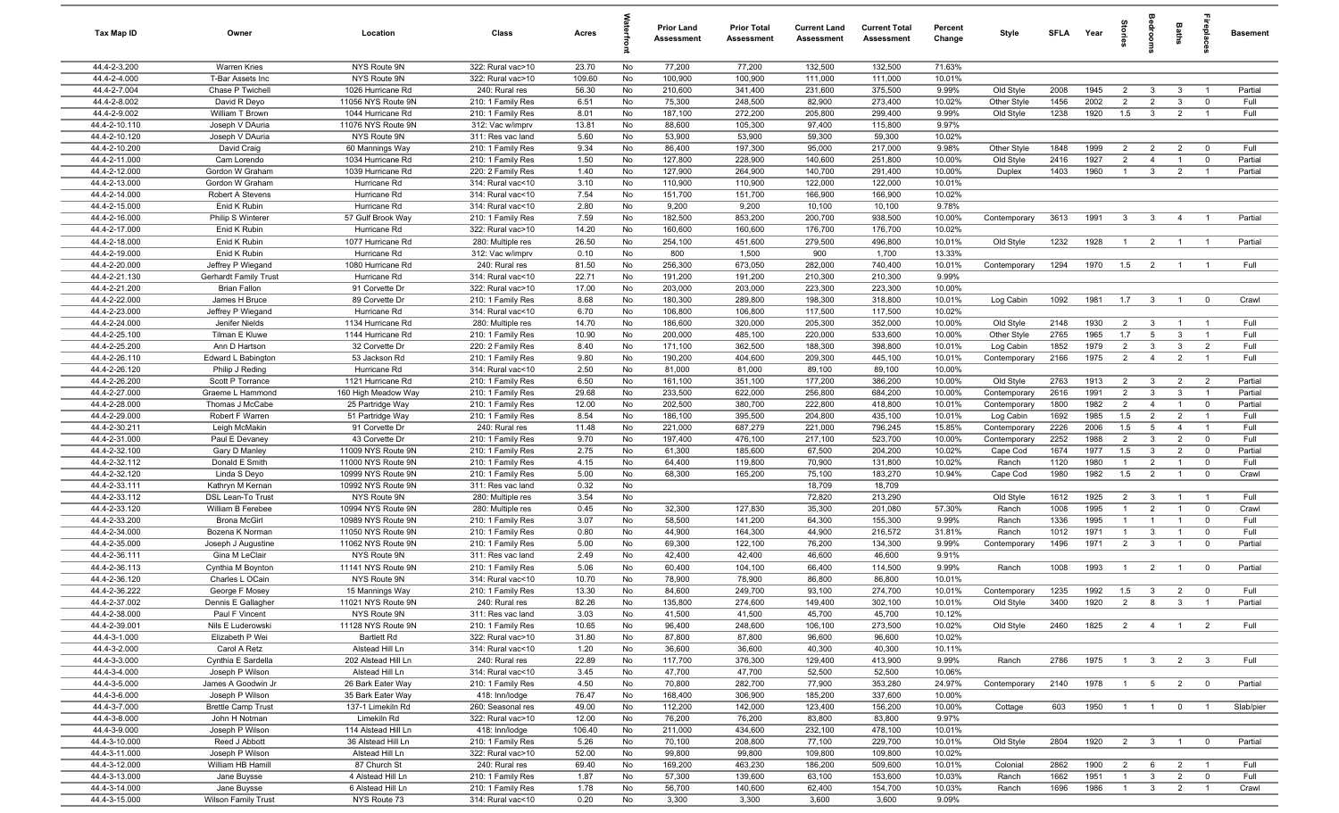| Tax Map ID                     | Owner                                     | Location                                 | Class                                  | Acres          |          | <b>Prior Land</b><br>Assessment | <b>Prior Total</b><br>Assessment | <b>Current Land</b><br>Assessment | <b>Current Total</b><br><b>Assessment</b> | Percent<br>Change | Style             | <b>SFLA</b>  | Year         | ğ                     | droo                           | Baths                            | epla                       | <b>Basement</b> |
|--------------------------------|-------------------------------------------|------------------------------------------|----------------------------------------|----------------|----------|---------------------------------|----------------------------------|-----------------------------------|-------------------------------------------|-------------------|-------------------|--------------|--------------|-----------------------|--------------------------------|----------------------------------|----------------------------|-----------------|
| 44.4-2-3.200                   | <b>Warren Kries</b>                       | NYS Route 9N                             | 322: Rural vac>10                      | 23.70          | No       | 77,200                          | 77,200                           | 132,500                           | 132,500                                   | 71.63%            |                   |              |              |                       |                                |                                  |                            |                 |
| 44.4-2-4.000                   | T-Bar Assets Inc                          | NYS Route 9N                             | 322: Rural vac>10                      | 109.60         | No       | 100,900                         | 100,900                          | 111,000                           | 111,000                                   | 10.01%            |                   |              |              |                       |                                |                                  |                            |                 |
| 44.4-2-7.004                   | Chase P Twichell                          | 1026 Hurricane Rd                        | 240: Rural res                         | 56.30          | No       | 210,600                         | 341,400                          | 231,600                           | 375,500                                   | 9.99%             | Old Style         | 2008         | 1945         | $\overline{2}$        | 3                              | $\mathbf{3}$                     |                            | Partial         |
| 44.4-2-8.002                   | David R Deyo                              | 11056 NYS Route 9N                       | 210: 1 Family Res                      | 6.51           | No       | 75,300                          | 248,500                          | 82,900                            | 273,400                                   | 10.02%            | Other Style       | 1456         | 2002         | $\overline{2}$        | $\overline{2}$                 | $\mathbf{3}$                     | $\mathbf 0$                | Full            |
| 44.4-2-9.002                   | William T Brown                           | 1044 Hurricane Rd                        | 210: 1 Family Res                      | 8.01           | No       | 187,100<br>88,600               | 272,200                          | 205,800                           | 299,400                                   | 9.99%<br>9.97%    | Old Style         | 1238         | 1920         | 1.5                   | $\mathbf{3}$                   | $\overline{2}$                   |                            | Full            |
| 44.4-2-10.110<br>44.4-2-10.120 | Joseph V DAuria<br>Joseph V DAuria        | 11076 NYS Route 9N<br>NYS Route 9N       | 312: Vac w/imprv<br>311: Res vac land  | 13.81<br>5.60  | No<br>No | 53,900                          | 105,300<br>53,900                | 97,400<br>59,300                  | 115,800<br>59,300                         | 10.02%            |                   |              |              |                       |                                |                                  |                            |                 |
| 44.4-2-10.200                  | David Craig                               | 60 Mannings Way                          | 210: 1 Family Res                      | 9.34           | No       | 86,400                          | 197,300                          | 95,000                            | 217,000                                   | 9.98%             | Other Style       | 1848         | 1999         | $\overline{2}$        | $\overline{2}$                 | $\overline{2}$                   | $\mathbf 0$                | Full            |
| 44.4-2-11.000                  | Cam Lorendo                               | 1034 Hurricane Rd                        | 210: 1 Family Res                      | 1.50           | No       | 127,800                         | 228,900                          | 140,600                           | 251,800                                   | 10.00%            | Old Style         | 2416         | 1927         | 2                     | $\overline{4}$                 | $\overline{1}$                   | $\mathbf 0$                | Partial         |
| 44.4-2-12.000                  | Gordon W Graham                           | 1039 Hurricane Rd                        | 220: 2 Family Res                      | 1.40           | No       | 127,900                         | 264,900                          | 140,700                           | 291,400                                   | 10.00%            | Duplex            | 1403         | 1960         | $\overline{1}$        | $\mathbf{3}$                   | $\overline{2}$                   | $\overline{1}$             | Partial         |
| 44.4-2-13.000                  | Gordon W Graham                           | Hurricane Rd                             | 314: Rural vac<10                      | 3.10           | No       | 110,900                         | 110,900                          | 122,000                           | 122,000                                   | 10.01%            |                   |              |              |                       |                                |                                  |                            |                 |
| 44.4-2-14.000                  | Robert A Stevens                          | Hurricane Rd                             | 314: Rural vac<10                      | 7.54           | No       | 151,700                         | 151,700                          | 166,900                           | 166,900                                   | 10.02%            |                   |              |              |                       |                                |                                  |                            |                 |
| 44.4-2-15.000                  | Enid K Rubin                              | Hurricane Rd                             | 314: Rural vac<10                      | 2.80           | No       | 9,200                           | 9,200                            | 10,100                            | 10,100                                    | 9.78%             |                   |              |              |                       |                                |                                  |                            |                 |
| 44.4-2-16.000                  | Philip S Winterer                         | 57 Gulf Brook Way                        | 210: 1 Family Res                      | 7.59           | No       | 182,500                         | 853,200                          | 200,700                           | 938,500                                   | 10.00%            | Contemporary      | 3613         | 1991         | 3                     | $\overline{\mathbf{3}}$        | $\overline{4}$                   | $\overline{1}$             | Partial         |
| 44.4-2-17.000                  | Enid K Rubin                              | Hurricane Rd                             | 322: Rural vac>10                      | 14.20          | No       | 160,600                         | 160,600                          | 176,700                           | 176,700                                   | 10.02%            |                   |              |              |                       |                                |                                  |                            |                 |
| 44.4-2-18.000                  | Enid K Rubin                              | 1077 Hurricane Rd                        | 280: Multiple res                      | 26.50          | No       | 254,100                         | 451,600                          | 279,500                           | 496,800                                   | 10.01%            | Old Style         | 1232         | 1928         | $\overline{1}$        | $\overline{2}$                 | $\overline{1}$                   |                            | Partial         |
| 44.4-2-19.000                  | Enid K Rubin                              | Hurricane Rd                             | 312: Vac w/imprv                       | 0.10           | No       | 800                             | 1,500                            | 900                               | 1,700                                     | 13.33%            |                   |              |              |                       |                                |                                  |                            |                 |
| 44.4-2-20.000                  | Jeffrey P Wiegand                         | 1080 Hurricane Rd                        | 240: Rural res                         | 81.50          | No       | 256,300                         | 673,050                          | 282,000                           | 740,400                                   | 10.01%            | Contemporary      | 1294         | 1970         | 1.5                   | $\overline{2}$                 | $\overline{1}$                   |                            | Full            |
| 44.4-2-21.130<br>44.4-2-21.200 | <b>Gerhardt Family Trust</b>              | Hurricane Rd<br>91 Corvette Dr           | 314: Rural vac<10<br>322: Rural vac>10 | 22.71<br>17.00 | No<br>No | 191,200<br>203,000              | 191,200<br>203,000               | 210,300<br>223,300                | 210,300<br>223,300                        | 9.99%<br>10.00%   |                   |              |              |                       |                                |                                  |                            |                 |
| 44.4-2-22.000                  | <b>Brian Fallon</b><br>James H Bruce      | 89 Corvette Dr                           | 210: 1 Family Res                      | 8.68           | No       | 180,300                         | 289,800                          | 198,300                           | 318,800                                   | 10.01%            | Log Cabin         | 1092         | 1981         | 1.7                   | $\overline{\mathbf{3}}$        | $\overline{1}$                   | $\overline{0}$             | Crawl           |
| 44.4-2-23.000                  | Jeffrey P Wiegand                         | Hurricane Rd                             | 314: Rural vac<10                      | 6.70           | No       | 106,800                         | 106,800                          | 117,500                           | 117,500                                   | 10.02%            |                   |              |              |                       |                                |                                  |                            |                 |
| 44.4-2-24.000                  | Jenifer Nields                            | 1134 Hurricane Rd                        | 280: Multiple res                      | 14.70          | No       | 186,600                         | 320,000                          | 205,300                           | 352,000                                   | 10.00%            | Old Style         | 2148         | 1930         | $\overline{2}$        | $\mathbf{3}$                   | $\overline{1}$                   | $\overline{1}$             | Full            |
| 44.4-2-25.100                  | Tilman E Kluwe                            | 1144 Hurricane Rd                        | 210: 1 Family Res                      | 10.90          | No       | 200,000                         | 485,100                          | 220,000                           | 533,600                                   | 10.00%            | Other Style       | 2765         | 1965         | 1.7                   | 5                              | $\mathbf{3}$                     | $\overline{1}$             | Full            |
| 44.4-2-25.200                  | Ann D Hartson                             | 32 Corvette Dr                           | 220: 2 Family Res                      | 8.40           | No       | 171,100                         | 362,500                          | 188,300                           | 398,800                                   | 10.01%            | Log Cabin         | 1852         | 1979         | $\overline{2}$        | $\mathbf{3}$                   | $\overline{3}$                   | $\overline{2}$             | Full            |
| 44.4-2-26.110                  | Edward L Babington                        | 53 Jackson Rd                            | 210: 1 Family Res                      | 9.80           | No       | 190,200                         | 404,600                          | 209,300                           | 445,100                                   | 10.01%            | Contemporary      | 2166         | 1975         | 2                     | $\overline{4}$                 | $\overline{2}$                   | $\overline{1}$             | Full            |
| 44.4-2-26.120                  | Philip J Reding                           | Hurricane Rd                             | 314: Rural vac<10                      | 2.50           | No       | 81,000                          | 81,000                           | 89,100                            | 89,100                                    | 10.00%            |                   |              |              |                       |                                |                                  |                            |                 |
| 44.4-2-26.200                  | Scott P Torrance                          | 1121 Hurricane Rd                        | 210: 1 Family Res                      | 6.50           | No       | 161,100                         | 351,100                          | 177,200                           | 386,200                                   | 10.00%            | Old Style         | 2763         | 1913         | $\overline{2}$        | $\mathbf{3}$                   | $\overline{2}$                   | $\overline{2}$             | Partial         |
| 44.4-2-27.000                  | Graeme L Hammond                          | 160 High Meadow Way                      | 210: 1 Family Res                      | 29.68          | No       | 233,500                         | 622,000                          | 256,800                           | 684,200                                   | 10.00%            | Contemporary      | 2616         | 1991         | 2                     | $\mathbf{3}$                   | $\overline{3}$                   | $\overline{1}$             | Partial         |
| 44.4-2-28.000                  | Thomas J McCabe                           | 25 Partridge Way                         | 210: 1 Family Res                      | 12.00          | No       | 202,500                         | 380,700                          | 222,800                           | 418,800                                   | 10.01%            | Contemporary      | 1800         | 1982         | $\overline{2}$        | $\overline{4}$                 | $\overline{1}$                   | $\mathbf 0$                | Partial         |
| 44.4-2-29.000                  | Robert F Warren                           | 51 Partridge Way                         | 210: 1 Family Res                      | 8.54           | No       | 186,100                         | 395,500                          | 204,800                           | 435,100                                   | 10.01%            | Log Cabin         | 1692         | 1985         | 1.5                   | $\overline{2}$                 | $\overline{2}$                   |                            | Full            |
| 44.4-2-30.211                  | Leigh McMakin                             | 91 Corvette Dr                           | 240: Rural res                         | 11.48          | No       | 221,000                         | 687,279                          | 221,000                           | 796,245                                   | 15.85%            | Contemporary      | 2226         | 2006         | 1.5                   | $5\overline{5}$                | $\overline{4}$                   | $\overline{1}$             | Full            |
| 44.4-2-31.000                  | Paul E Devaney                            | 43 Corvette Dr                           | 210: 1 Family Res                      | 9.70           | No       | 197,400                         | 476,100                          | 217,100                           | 523,700                                   | 10.00%            | Contemporary      | 2252         | 1988         | $\overline{2}$        | $\mathbf{3}$                   | $\overline{2}$                   | $\mathbf 0$                | Full            |
| 44.4-2-32.100<br>44.4-2-32.112 | Gary D Manley<br>Donald E Smith           | 11009 NYS Route 9N<br>11000 NYS Route 9N | 210: 1 Family Res<br>210: 1 Family Res | 2.75<br>4.15   | No<br>No | 61,300<br>64,400                | 185,600<br>119,800               | 67,500<br>70,900                  | 204,200<br>131,800                        | 10.02%<br>10.02%  | Cape Cod<br>Ranch | 1674<br>1120 | 1977<br>1980 | 1.5<br>$\overline{1}$ | $\mathbf{3}$<br>$\overline{2}$ | $\overline{2}$<br>$\overline{1}$ | $\mathbf 0$<br>$\mathbf 0$ | Partial<br>Full |
| 44.4-2-32.120                  | Linda S Deyo                              | 10999 NYS Route 9N                       | 210: 1 Family Res                      | 5.00           | No       | 68,300                          | 165,200                          | 75,100                            | 183,270                                   | 10.94%            | Cape Cod          | 1980         | 1982         | 1.5                   | $\overline{2}$                 | $\overline{1}$                   | $\mathbf 0$                | Crawl           |
| 44.4-2-33.111                  | Kathryn M Kernan                          | 10992 NYS Route 9N                       | 311: Res vac land                      | 0.32           | No       |                                 |                                  | 18,709                            | 18,709                                    |                   |                   |              |              |                       |                                |                                  |                            |                 |
| 44.4-2-33.112                  | <b>DSL Lean-To Trust</b>                  | NYS Route 9N                             | 280: Multiple res                      | 3.54           | No       |                                 |                                  | 72,820                            | 213,290                                   |                   | Old Style         | 1612         | 1925         | $\overline{2}$        | $\mathbf{3}$                   | $\overline{1}$                   | $\overline{1}$             | Full            |
| 44.4-2-33.120                  | William B Ferebee                         | 10994 NYS Route 9N                       | 280: Multiple res                      | 0.45           | No       | 32,300                          | 127,830                          | 35,300                            | 201,080                                   | 57.30%            | Ranch             | 1008         | 1995         | $\mathbf{1}$          | $\overline{2}$                 | $\overline{1}$                   | $\mathbf 0$                | Crawl           |
| 44.4-2-33.200                  | <b>Brona McGirl</b>                       | 10989 NYS Route 9N                       | 210: 1 Family Res                      | 3.07           | No       | 58,500                          | 141,200                          | 64,300                            | 155,300                                   | 9.99%             | Ranch             | 1336         | 1995         | $\mathbf{1}$          | $\mathbf{1}$                   | $\overline{1}$                   | $\mathbf 0$                | Full            |
| 44.4-2-34.000                  | Bozena K Norman                           | 11050 NYS Route 9N                       | 210: 1 Family Res                      | 0.80           | No       | 44,900                          | 164,300                          | 44,900                            | 216,572                                   | 31.81%            | Ranch             | 1012         | 1971         | $\overline{1}$        | 3                              | $\overline{1}$                   | $\overline{0}$             | Full            |
| 44.4-2-35.000                  | Joseph J Augustine                        | 11062 NYS Route 9N                       | 210: 1 Family Res                      | 5.00           | No       | 69,300                          | 122,100                          | 76,200                            | 134,300                                   | 9.99%             | Contemporary      | 1496         | 1971         | $\overline{2}$        | $\mathbf{3}$                   | $\overline{1}$                   | $\mathbf 0$                | Partial         |
| 44.4-2-36.111                  | Gina M LeClair                            | NYS Route 9N                             | 311: Res vac land                      | 2.49           | No       | 42,400                          | 42,400                           | 46,600                            | 46,600                                    | 9.91%             |                   |              |              |                       |                                |                                  |                            |                 |
| 44.4-2-36.113                  | Cynthia M Boynton                         | 11141 NYS Route 9N                       | 210: 1 Family Res                      | 5.06           | No       | 60,400                          | 104,100                          | 66,400                            | 114,500                                   | 9.99%             | Ranch             | 1008         | 1993         | $\overline{1}$        | $\overline{2}$                 | $\overline{1}$                   | $\overline{\mathbf{0}}$    | Partial         |
| 44.4-2-36.120                  | Charles L OCain                           | NYS Route 9N                             | 314: Rural vac<10                      | 10.70          | No       | 78,900                          | 78,900                           | 86,800                            | 86,800                                    | 10.01%            |                   |              |              |                       |                                |                                  |                            |                 |
| 44.4-2-36.222                  | George F Mosey                            | 15 Mannings Way                          | 210: 1 Family Res                      | 13.30          | No       | 84,600                          | 249,700                          | 93,100                            | 274,700                                   | 10.01%            | Contemporary      | 1235         | 1992         | 1.5                   | $\mathbf{3}$                   | $\overline{2}$                   | $\mathbf 0$                | Full            |
| 44.4-2-37.002<br>44.4-2-38.000 | Dennis E Gallagher                        | 11021 NYS Route 9N                       | 240: Rural res                         | 82.26          | No       | 135,800                         | 274,600                          | 149,400                           | 302,100                                   | 10.01%            | Old Style         | 3400         | 1920         | $\overline{2}$        | <b>R</b>                       | $\mathbf{R}$                     |                            | Partial         |
| 44.4-2-39.001                  | Paul F Vincent<br>Nils E Luderowski       | NYS Route 9N<br>11128 NYS Route 9N       | 311: Res vac land<br>210: 1 Family Res | 3.03<br>10.65  | No<br>No | 41,500<br>96,400                | 41,500<br>248,600                | 45,700<br>106,100                 | 45,700<br>273,500                         | 10.12%<br>10.02%  | Old Style         | 2460         | 1825         |                       | 2 4                            | $\blacksquare$ 1                 | $\overline{2}$             | Full            |
| 44.4-3-1.000                   | Elizabeth P Wei                           | <b>Bartlett Rd</b>                       | 322: Rural vac>10                      | 31.80          | No       | 87,800                          | 87,800                           | 96,600                            | 96,600                                    | 10.02%            |                   |              |              |                       |                                |                                  |                            |                 |
| 44.4-3-2.000                   | Carol A Retz                              | Alstead Hill Ln                          | 314: Rural vac<10                      | 1.20           | No       | 36,600                          | 36,600                           | 40,300                            | 40,300                                    | 10.11%            |                   |              |              |                       |                                |                                  |                            |                 |
| 44.4-3-3.000                   | Cynthia E Sardella                        | 202 Alstead Hill Ln                      | 240: Rural res                         | 22.89          | No       | 117,700                         | 376,300                          | 129,400                           | 413,900                                   | 9.99%             | Ranch             | 2786         | 1975         | $\overline{1}$        | $\overline{\mathbf{3}}$        | $\overline{2}$                   | $\overline{\mathbf{3}}$    | Full            |
| 44.4-3-4.000                   | Joseph P Wilson                           | Alstead Hill Ln                          | 314: Rural vac<10                      | 3.45           | No       | 47,700                          | 47,700                           | 52,500                            | 52,500                                    | 10.06%            |                   |              |              |                       |                                |                                  |                            |                 |
| 44.4-3-5.000                   | James A Goodwin Jr                        | 26 Bark Eater Way                        | 210: 1 Family Res                      | 4.50           | No       | 70,800                          | 282,700                          | 77,900                            | 353,280                                   | 24.97%            | Contemporary      | 2140         | 1978         | $\overline{1}$        | 5 <sub>5</sub>                 | $\overline{2}$                   | $\overline{\mathbf{0}}$    | Partial         |
| 44.4-3-6.000                   | Joseph P Wilson                           | 35 Bark Eater Way                        | 418: Inn/lodge                         | 76.47          | No       | 168,400                         | 306,900                          | 185,200                           | 337,600                                   | 10.00%            |                   |              |              |                       |                                |                                  |                            |                 |
| 44.4-3-7.000                   | <b>Brettle Camp Trust</b>                 | 137-1 Limekiln Rd                        | 260: Seasonal res                      | 49.00          | No       | 112,200                         | 142,000                          | 123,400                           | 156,200                                   | 10.00%            | Cottage           | 603          | 1950         | $\overline{1}$        | $\overline{1}$                 | $\overline{0}$                   | $\overline{1}$             | Slab/pier       |
| 44.4-3-8.000                   | John H Notman                             | Limekiln Rd                              | 322: Rural vac>10                      | 12.00          | No       | 76,200                          | 76,200                           | 83,800                            | 83,800                                    | 9.97%             |                   |              |              |                       |                                |                                  |                            |                 |
| 44.4-3-9.000                   | Joseph P Wilson                           | 114 Alstead Hill Ln                      | 418: Inn/lodge                         | 106.40         | No       | 211,000                         | 434,600                          | 232,100                           | 478,100                                   | 10.01%            |                   |              |              |                       |                                |                                  |                            |                 |
| 44.4-3-10.000                  | Reed J Abbott                             | 36 Alstead Hill Ln                       | 210: 1 Family Res                      | 5.26           | No       | 70,100                          | 208,800                          | 77,100                            | 229,700                                   | 10.01%            | Old Style         | 2804         | 1920         | $\overline{2}$        | $\overline{\mathbf{3}}$        | $\overline{1}$                   | $\overline{0}$             | Partial         |
| 44.4-3-11.000                  | Joseph P Wilson                           | Alstead Hill Ln                          | 322: Rural vac>10                      | 52.00          | No       | 99,800                          | 99,800                           | 109,800                           | 109,800                                   | 10.02%            |                   |              |              |                       |                                |                                  |                            |                 |
| 44.4-3-12.000                  | William HB Hamill                         | 87 Church St                             | 240: Rural res                         | 69.40          | No       | 169,200                         | 463,230                          | 186,200                           | 509,600                                   | 10.01%            | Colonial          | 2862         | 1900         | $\overline{2}$        | 6                              | $\overline{2}$                   | - 1                        | Full            |
| 44.4-3-13.000                  | Jane Buysse                               | 4 Alstead Hill Ln                        | 210: 1 Family Res                      | 1.87           | No       | 57,300                          | 139,600                          | 63,100                            | 153,600                                   | 10.03%            | Ranch             | 1662         | 1951         | $\overline{1}$        | $\mathbf{3}$                   | $\overline{2}$                   | $\mathbf 0$                | Full            |
| 44.4-3-14.000<br>44.4-3-15.000 | Jane Buysse<br><b>Wilson Family Trust</b> | 6 Alstead Hill Ln<br>NYS Route 73        | 210: 1 Family Res<br>314: Rural vac<10 | 1.78<br>0.20   | No<br>No | 56,700<br>3,300                 | 140,600<br>3,300                 | 62,400<br>3,600                   | 154,700<br>3,600                          | 10.03%<br>9.09%   | Ranch             | 1696         | 1986         | $\mathbf{1}$          | $\overline{\mathbf{3}}$        | $\overline{2}$                   | $\overline{1}$             | Crawl           |
|                                |                                           |                                          |                                        |                |          |                                 |                                  |                                   |                                           |                   |                   |              |              |                       |                                |                                  |                            |                 |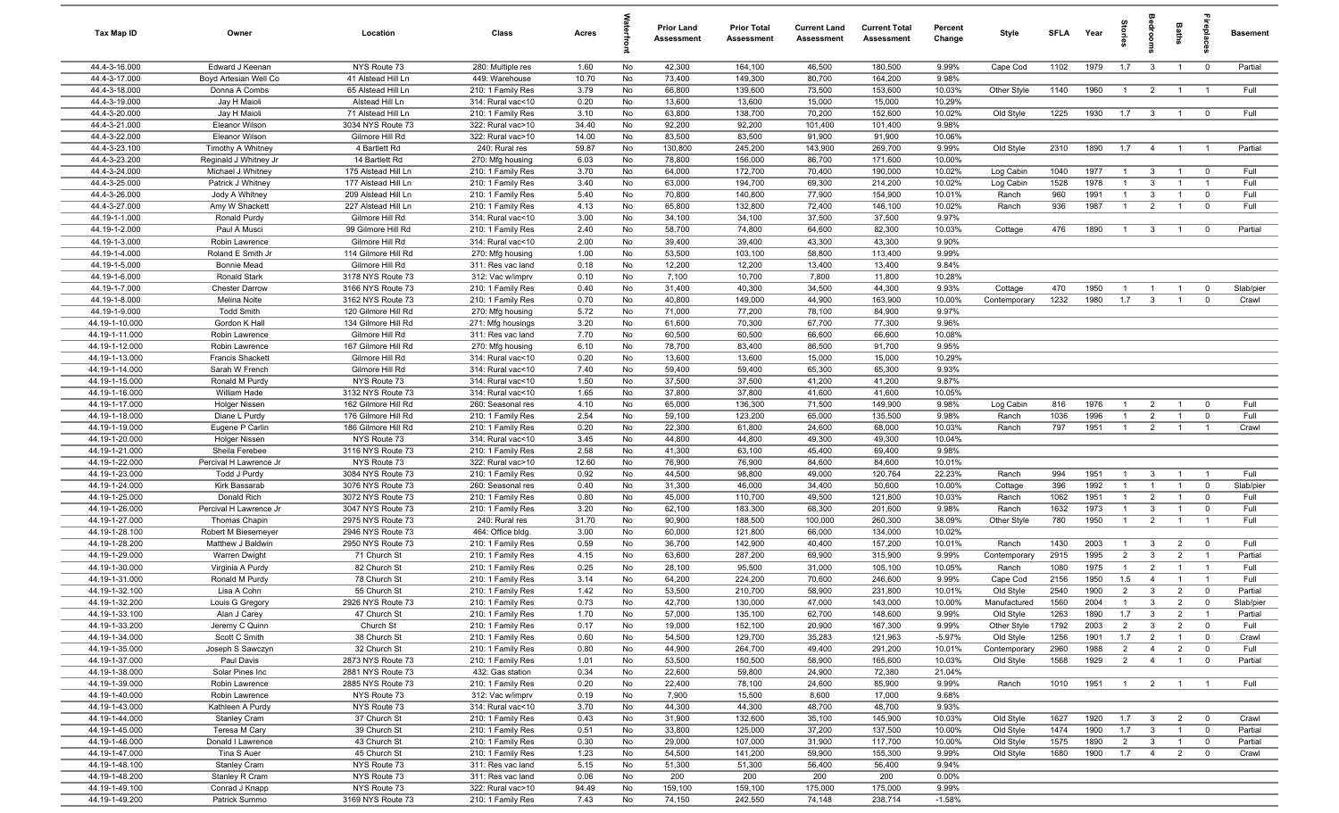| Tax Map ID                       | Owner                                  | Location                                 | Class                                  | Acres          |          | Prior Land<br><b>Assessment</b> | <b>Prior Total</b><br><b>Assessment</b> | <b>Current Land</b><br>Assessment | <b>Current Total</b><br><b>Assessment</b> | Percent<br>Change | Style                    | <b>SFLA</b>  | Year         | pig<br>a              | edrooi                         | Baths                            |                               | <b>Basement</b> |
|----------------------------------|----------------------------------------|------------------------------------------|----------------------------------------|----------------|----------|---------------------------------|-----------------------------------------|-----------------------------------|-------------------------------------------|-------------------|--------------------------|--------------|--------------|-----------------------|--------------------------------|----------------------------------|-------------------------------|-----------------|
| 44.4-3-16.000                    | Edward J Keenan                        | NYS Route 73                             | 280: Multiple res                      | 1.60           | No       | 42,300                          | 164,100                                 | 46,500                            | 180,500                                   | 9.99%             | Cape Cod                 | 1102         | 1979         | 1.7                   | $\overline{\mathbf{3}}$        | $\overline{1}$                   | $\overline{0}$                | Partial         |
| 44.4-3-17.000                    | Boyd Artesian Well Co                  | 41 Alstead Hill Ln                       | 449: Warehouse                         | 10.70          | No       | 73,400                          | 149,300                                 | 80,700                            | 164,200                                   | 9.98%             |                          |              |              |                       |                                |                                  |                               |                 |
| 44.4-3-18.000                    | Donna A Combs                          | 65 Alstead Hill Ln                       | 210: 1 Family Res                      | 3.79           | No       | 66,800                          | 139,600                                 | 73,500                            | 153,600                                   | 10.03%            | Other Style              | 1140         | 1960         | $\overline{1}$        | $\overline{2}$                 | $\overline{1}$                   | $\overline{1}$                | Full            |
| 44.4-3-19.000                    | Jay H Maioli                           | Alstead Hill Ln                          | 314: Rural vac<10                      | 0.20           | No       | 13,600                          | 13,600                                  | 15,000                            | 15,000                                    | 10.29%            |                          |              |              |                       |                                |                                  |                               |                 |
| 44.4-3-20.000                    | Jay H Maioli                           | 71 Alstead Hill Ln                       | 210: 1 Family Res                      | 3.10           | No       | 63,800                          | 138,700                                 | 70,200                            | 152,600                                   | 10.02%            | Old Style                | 1225         | 1930         | 1.7                   | $\overline{\mathbf{3}}$        | $\overline{1}$                   | $\overline{0}$                | Full            |
| 44.4-3-21.000<br>44.4-3-22.000   | Eleanor Wilson<br>Eleanor Wilson       | 3034 NYS Route 73<br>Gilmore Hill Rd     | 322: Rural vac>10<br>322: Rural vac>10 | 34.40<br>14.00 | No<br>No | 92,200<br>83,500                | 92,200<br>83,500                        | 101,400<br>91,900                 | 101,400<br>91,900                         | 9.98%<br>10.06%   |                          |              |              |                       |                                |                                  |                               |                 |
| 44.4-3-23.100                    | Timothy A Whitney                      | 4 Bartlett Rd                            | 240: Rural res                         | 59.87          | No       | 130,800                         | 245,200                                 | 143,900                           | 269,700                                   | 9.99%             | Old Style                | 2310         | 1890         | 1.7                   | $\overline{4}$                 | $\overline{1}$                   | $\overline{1}$                | Partial         |
| 44.4-3-23.200                    | Reginald J Whitney Jr                  | 14 Bartlett Rd                           | 270: Mfg housing                       | 6.03           | No       | 78,800                          | 156,000                                 | 86,700                            | 171,600                                   | 10.00%            |                          |              |              |                       |                                |                                  |                               |                 |
| 44.4-3-24.000                    | Michael J Whitney                      | 175 Alstead Hill Ln                      | 210: 1 Family Res                      | 3.70           | No       | 64,000                          | 172,700                                 | 70,400                            | 190,000                                   | 10.02%            | Log Cabin                | 1040         | 1977         | $\overline{1}$        | $\mathbf{3}$                   | $\overline{1}$                   | $\overline{0}$                | Full            |
| 44.4-3-25.000                    | Patrick J Whitney                      | 177 Alstead Hill Ln                      | 210: 1 Family Res                      | 3.40           | No       | 63,000                          | 194,700                                 | 69,300                            | 214,200                                   | 10.02%            | Log Cabin                | 1528         | 1978         | $\overline{1}$        | $\mathbf{3}$                   | $\overline{1}$                   | $\overline{1}$                | Full            |
| 44.4-3-26.000                    | Jody A Whitney                         | 209 Alstead Hill Ln                      | 210: 1 Family Res                      | 5.40           | No       | 70,800                          | 140,800                                 | 77,900                            | 154,900                                   | 10.01%            | Ranch                    | 960          | 1991         | $\overline{1}$        | $\mathbf{3}$                   | $\overline{1}$                   | $\mathbf 0$                   | Full            |
| 44.4-3-27.000                    | Amy W Shackett                         | 227 Alstead Hill Ln                      | 210: 1 Family Res                      | 4.13           | No       | 65,800                          | 132,800                                 | 72,400                            | 146,100                                   | 10.02%            | Ranch                    | 936          | 1987         | $\overline{1}$        | $\overline{2}$                 | $\overline{1}$                   | $\mathbf 0$                   | Full            |
| 44.19-1-1.000                    | Ronald Purdy                           | Gilmore Hill Rd                          | 314: Rural vac<10                      | 3.00           | No       | 34,100                          | 34,100                                  | 37,500                            | 37,500                                    | 9.97%             |                          |              |              |                       |                                |                                  |                               |                 |
| 44.19-1-2.000                    | Paul A Musci                           | 99 Gilmore Hill Rd                       | 210: 1 Family Res                      | 2.40           | No       | 58,700                          | 74,800                                  | 64,600                            | 82,300                                    | 10.03%            | Cottage                  | 476          | 1890         | -1                    | $\mathbf{3}$                   | $\overline{1}$                   | $\mathbf 0$                   | Partial         |
| 44.19-1-3.000                    | Robin Lawrence                         | Gilmore Hill Rd                          | 314: Rural vac<10                      | 2.00           | No       | 39,400                          | 39,400                                  | 43,300                            | 43,300                                    | 9.90%             |                          |              |              |                       |                                |                                  |                               |                 |
| 44.19-1-4.000                    | Roland E Smith Jr                      | 114 Gilmore Hill Rd                      | 270: Mfg housing                       | 1.00           | No       | 53,500                          | 103,100                                 | 58,800                            | 113,400                                   | 9.99%             |                          |              |              |                       |                                |                                  |                               |                 |
| 44.19-1-5.000                    | <b>Bonnie Mead</b>                     | Gilmore Hill Rd                          | 311: Res vac land                      | 0.18           | No       | 12,200                          | 12,200                                  | 13,400                            | 13,400                                    | 9.84%             |                          |              |              |                       |                                |                                  |                               |                 |
| 44.19-1-6.000                    | Ronald Stark                           | 3178 NYS Route 73                        | 312: Vac w/imprv                       | 0.10           | No       | 7,100                           | 10,700                                  | 7,800                             | 11,800                                    | 10.28%            |                          |              |              |                       |                                |                                  |                               |                 |
| 44.19-1-7.000                    | <b>Chester Darrow</b>                  | 3166 NYS Route 73                        | 210: 1 Family Res                      | 0.40           | No       | 31,400                          | 40,300                                  | 34,500                            | 44,300                                    | 9.93%             | Cottage                  | 470          | 1950         | $\overline{1}$        | $\overline{1}$                 | $\overline{1}$                   | $^{\circ}$                    | Slab/pier       |
| 44.19-1-8.000<br>44.19-1-9.000   | Melina Nolte                           | 3162 NYS Route 73<br>120 Gilmore Hill Rd | 210: 1 Family Res<br>270: Mfg housing  | 0.70           | No       | 40,800<br>71,000                | 149,000                                 | 44,900                            | 163,900<br>84,900                         | 10.00%<br>9.97%   | Contemporary             | 1232         | 1980         | 1.7                   | $\mathbf{3}$                   | $\overline{1}$                   | $\mathbf 0$                   | Crawl           |
| 44.19-1-10.000                   | <b>Todd Smith</b><br>Gordon K Hall     | 134 Gilmore Hill Rd                      | 271: Mfg housings                      | 5.72<br>3.20   | No<br>No | 61,600                          | 77,200<br>70,300                        | 78,100<br>67,700                  | 77,300                                    | 9.96%             |                          |              |              |                       |                                |                                  |                               |                 |
| 44.19-1-11.000                   | Robin Lawrence                         | Gilmore Hill Rd                          | 311: Res vac land                      | 7.70           | No       | 60,500                          | 60,500                                  | 66,600                            | 66,600                                    | 10.08%            |                          |              |              |                       |                                |                                  |                               |                 |
| 44.19-1-12.000                   | Robin Lawrence                         | 167 Gilmore Hill Rd                      | 270: Mfg housing                       | 6.10           | No       | 78,700                          | 83,400                                  | 86,500                            | 91,700                                    | 9.95%             |                          |              |              |                       |                                |                                  |                               |                 |
| 44.19-1-13.000                   | <b>Francis Shackett</b>                | Gilmore Hill Rd                          | 314: Rural vac<10                      | 0.20           | No       | 13,600                          | 13,600                                  | 15,000                            | 15,000                                    | 10.29%            |                          |              |              |                       |                                |                                  |                               |                 |
| 44.19-1-14.000                   | Sarah W French                         | Gilmore Hill Rd                          | 314: Rural vac<10                      | 7.40           | No       | 59,400                          | 59,400                                  | 65,300                            | 65,300                                    | 9.93%             |                          |              |              |                       |                                |                                  |                               |                 |
| 44.19-1-15.000                   | Ronald M Purdy                         | NYS Route 73                             | 314: Rural vac<10                      | 1.50           | No       | 37,500                          | 37,500                                  | 41,200                            | 41,200                                    | 9.87%             |                          |              |              |                       |                                |                                  |                               |                 |
| 44.19-1-16.000                   | William Hade                           | 3132 NYS Route 73                        | 314: Rural vac<10                      | 1.65           | No       | 37,800                          | 37,800                                  | 41,600                            | 41,600                                    | 10.05%            |                          |              |              |                       |                                |                                  |                               |                 |
| 44.19-1-17.000                   | Holger Nissen                          | 162 Gilmore Hill Rd                      | 260: Seasonal res                      | 4.10           | No       | 65,000                          | 136,300                                 | 71,500                            | 149,900                                   | 9.98%             | Log Cabin                | 816          | 1976         | -1                    | $\overline{2}$                 | $\overline{1}$                   | $\overline{\mathbf{0}}$       | Full            |
| 44.19-1-18.000                   | Diane L Purdy                          | 176 Gilmore Hill Rd                      | 210: 1 Family Res                      | 2.54           | No       | 59,100                          | 123,200                                 | 65,000                            | 135,500                                   | 9.98%             | Ranch                    | 1036         | 1996         |                       | $\overline{2}$                 | $\overline{1}$                   | 0                             | Full            |
| 44.19-1-19.000                   | Eugene P Carlin                        | 186 Gilmore Hill Rd                      | 210: 1 Family Res                      | 0.20           | No       | 22,300                          | 61,800                                  | 24,600                            | 68,000                                    | 10.03%            | Ranch                    | 797          | 1951         | $\overline{1}$        | $\overline{2}$                 | $\overline{1}$                   | $\overline{1}$                | Crawl           |
| 44.19-1-20.000                   | <b>Holger Nissen</b>                   | NYS Route 73                             | 314: Rural vac<10                      | 3.45           | No       | 44,800                          | 44,800                                  | 49,300                            | 49,300                                    | 10.04%            |                          |              |              |                       |                                |                                  |                               |                 |
| 44.19-1-21.000                   | Sheila Ferebee                         | 3116 NYS Route 73                        | 210: 1 Family Res                      | 2.58           | No       | 41,300                          | 63,100                                  | 45,400                            | 69,400                                    | 9.98%             |                          |              |              |                       |                                |                                  |                               |                 |
| 44.19-1-22.000<br>44.19-1-23.000 | Percival H Lawrence Jr<br>Todd J Purdy | NYS Route 73<br>3084 NYS Route 73        | 322: Rural vac>10                      | 12.60          | No       | 76,900<br>44,500                | 76,900<br>98,800                        | 84,600                            | 84,600<br>120,764                         | 10.01%<br>22.23%  | Ranch                    | 994          | 1951         | $\overline{1}$        | $\mathbf{3}$                   | $\overline{1}$                   | $\overline{1}$                | Full            |
| 44.19-1-24.000                   | Kirk Bassarab                          | 3076 NYS Route 73                        | 210: 1 Family Res<br>260: Seasonal res | 0.92<br>0.40   | No<br>No | 31,300                          | 46,000                                  | 49,000<br>34,400                  | 50,600                                    | 10.00%            | Cottage                  | 396          | 1992         |                       | $\overline{1}$                 | $\overline{1}$                   | $\mathbf 0$                   | Slab/pier       |
| 44.19-1-25.000                   | Donald Rich                            | 3072 NYS Route 73                        | 210: 1 Family Res                      | 0.80           | No       | 45,000                          | 110,700                                 | 49,500                            | 121,800                                   | 10.03%            | Ranch                    | 1062         | 1951         | -1                    | $\overline{2}$                 | $\overline{1}$                   | $\mathbf 0$                   | Full            |
| 44.19-1-26.000                   | Percival H Lawrence Jr                 | 3047 NYS Route 73                        | 210: 1 Family Res                      | 3.20           | No       | 62,100                          | 183,300                                 | 68,300                            | 201,600                                   | 9.98%             | Ranch                    | 1632         | 1973         | $\overline{1}$        | 3                              | $\overline{1}$                   | $\mathbf 0$                   | Full            |
| 44.19-1-27.000                   | Thomas Chapin                          | 2975 NYS Route 73                        | 240: Rural res                         | 31.70          | No       | 90,900                          | 188,500                                 | 100,000                           | 260,300                                   | 38.09%            | Other Style              | 780          | 1950         | $\overline{1}$        | $\overline{2}$                 | $\overline{1}$                   | $\overline{1}$                | Full            |
| 44.19-1-28.100                   | Robert M Biesemeyer                    | 2946 NYS Route 73                        | 464: Office bldg.                      | 3.00           | No       | 60,000                          | 121,800                                 | 66,000                            | 134,000                                   | 10.02%            |                          |              |              |                       |                                |                                  |                               |                 |
| 44.19-1-28.200                   | Matthew J Baldwin                      | 2950 NYS Route 73                        | 210: 1 Family Res                      | 0.59           | No       | 36,700                          | 142,900                                 | 40,400                            | 157,200                                   | 10.01%            | Ranch                    | 1430         | 2003         |                       | $\mathbf{3}$                   | $\overline{2}$                   | $\overline{\mathbf{0}}$       | Full            |
| 44.19-1-29.000                   | Warren Dwight                          | 71 Church St                             | 210: 1 Family Res                      | 4.15           | No       | 63,600                          | 287,200                                 | 69,900                            | 315,900                                   | 9.99%             | Contemporary             | 2915         | 1995         | $\overline{2}$        | $\mathbf{3}$                   | $\overline{2}$                   | $\overline{1}$                | Partial         |
| 44.19-1-30.000                   | Virginia A Purdy                       | 82 Church St                             | 210: 1 Family Res                      | 0.25           | No       | 28,100                          | 95,500                                  | 31,000                            | 105,100                                   | 10.05%            | Ranch                    | 1080         | 1975         | $\overline{1}$        | $\overline{2}$                 | $\overline{1}$                   | $\overline{1}$                | Full            |
| 44.19-1-31.000                   | Ronald M Purdy                         | 78 Church St                             | 210: 1 Family Res                      | 3.14           | No       | 64,200                          | 224,200                                 | 70,600                            | 246,600                                   | 9.99%             | Cape Cod                 | 2156         | 1950         | 1.5                   | $\overline{4}$                 | $\overline{1}$                   | $\overline{1}$                | Full            |
| 44.19-1-32.100                   | Lisa A Cohn                            | 55 Church St                             | 210: 1 Family Res                      | 1.42           | No       | 53,500                          | 210,700                                 | 58,900                            | 231,800                                   | 10.01%            | Old Style                | 2540         | 1900         | 2                     | $\mathbf{3}$                   | $\overline{2}$                   | $\mathbf 0$                   | Partial         |
| 44.19-1-32.200                   | Louis G Gregory                        | 2926 NYS Route 73                        | 210: 1 Family Res                      | 0.73           | No       | 42,700                          | 130,000                                 | 47,000                            | 143,000                                   | 10.00%            | Manufactured             | 1560         | 2004         | $\overline{1}$        | 3                              | 2                                | $\Omega$                      | Slab/pier       |
| 44.19-1-33.100<br>44.19-1-33.200 | Alan J Carey                           | 47 Church St                             | 210: 1 Family Res                      | 1.70           | No       | 57,000                          | 135,100                                 | 62,700                            | 148,600                                   | 9.99%             | Old Style                | 1263         | 1890         | 1.7                   | $\mathbf{3}$                   | $\overline{2}$                   | $\overline{1}$                | Partial         |
| 44.19-1-34.000                   | Jeremy C Quinn<br>Scott C Smith        | Church St<br>38 Church St                | 210: 1 Family Res<br>210: 1 Family Res | 0.17<br>0.60   | No<br>No | 19,000<br>54,500                | 152,100<br>129,700                      | 20,900<br>35,283                  | 167,300<br>121,963                        | 9.99%<br>$-5.97%$ | Other Style<br>Old Style | 1792<br>1256 | 2003<br>1901 | $\overline{2}$<br>1.7 | $\mathbf{3}$<br>$\overline{2}$ | $\overline{2}$<br>$\overline{1}$ | $\mathbf 0$<br>$\overline{0}$ | Full<br>Crawl   |
| 44.19-1-35.000                   | Joseph S Sawczyn                       | 32 Church St                             | 210: 1 Family Res                      | 0.80           | No       | 44,900                          | 264,700                                 | 49,400                            | 291,200                                   | 10.01%            | Contemporary             | 2960         | 1988         | $\overline{2}$        | $\overline{4}$                 | $\overline{2}$                   | $\mathbf 0$                   | Full            |
| 44.19-1-37.000                   | Paul Davis                             | 2873 NYS Route 73                        | 210: 1 Family Res                      | 1.01           | No       | 53,500                          | 150,500                                 | 58,900                            | 165,600                                   | 10.03%            | Old Style                | 1568         | 1929         | $\overline{2}$        | $\overline{4}$                 | $\overline{1}$                   | $\overline{0}$                | Partial         |
| 44.19-1-38.000                   | Solar Pines Inc                        | 2881 NYS Route 73                        | 432: Gas station                       | 0.34           | No       | 22,600                          | 59,800                                  | 24,900                            | 72,380                                    | 21.04%            |                          |              |              |                       |                                |                                  |                               |                 |
| 44.19-1-39.000                   | Robin Lawrence                         | 2885 NYS Route 73                        | 210: 1 Family Res                      | 0.20           | No       | 22,400                          | 78,100                                  | 24,600                            | 85,900                                    | 9.99%             | Ranch                    | 1010         | 1951         | $\overline{1}$        | $\overline{2}$                 | $\overline{1}$                   | $\overline{1}$                | Full            |
| 44.19-1-40.000                   | Robin Lawrence                         | NYS Route 73                             | 312: Vac w/imprv                       | 0.19           | No       | 7,900                           | 15,500                                  | 8,600                             | 17,000                                    | 9.68%             |                          |              |              |                       |                                |                                  |                               |                 |
| 44.19-1-43.000                   | Kathleen A Purdy                       | NYS Route 73                             | 314: Rural vac<10                      | 3.70           | No       | 44,300                          | 44,300                                  | 48,700                            | 48,700                                    | 9.93%             |                          |              |              |                       |                                |                                  |                               |                 |
| 44.19-1-44.000                   | <b>Stanley Cram</b>                    | 37 Church St                             | 210: 1 Family Res                      | 0.43           | No       | 31,900                          | 132,600                                 | 35,100                            | 145,900                                   | 10.03%            | Old Style                | 1627         | 1920         | 1.7                   | $\mathbf{3}$                   | $\overline{2}$                   | $\overline{0}$                | Crawl           |
| 44.19-1-45.000                   | Teresa M Cary                          | 39 Church St                             | 210: 1 Family Res                      | 0.51           | No       | 33,800                          | 125,000                                 | 37,200                            | 137,500                                   | 10.00%            | Old Style                | 1474         | 1900         | 1.7                   | $\mathbf{3}$                   | $\overline{1}$                   | $\overline{0}$                | Partial         |
| 44.19-1-46.000                   | Donald I Lawrence                      | 43 Church St                             | 210: 1 Family Res                      | 0.30           | No       | 29,000                          | 107,000                                 | 31,900                            | 117,700                                   | 10.00%            | Old Style                | 1575         | 1890         | $\overline{2}$        | $\mathbf{3}$                   | $\overline{1}$                   | $\overline{0}$                | Partial         |
| 44.19-1-47.000                   | Tina S Auer                            | 45 Church St                             | 210: 1 Family Res                      | 1.23           | No       | 54,500                          | 141,200                                 | 59,900                            | 155,300                                   | 9.99%             | Old Style                | 1680         | 1900         | 1.7                   | $\overline{4}$                 | $\overline{2}$                   | $\mathbf 0$                   | Crawl           |
| 44.19-1-48.100                   | Stanley Cram                           | NYS Route 73                             | 311: Res vac land                      | 5.15           | No       | 51,300                          | 51,300                                  | 56,400                            | 56,400                                    | 9.94%             |                          |              |              |                       |                                |                                  |                               |                 |
| 44.19-1-48.200                   | Stanley R Cram                         | NYS Route 73                             | 311: Res vac land                      | 0.06           | No       | 200                             | 200                                     | 200                               | 200                                       | 0.00%             |                          |              |              |                       |                                |                                  |                               |                 |
| 44.19-1-49.100                   | Conrad J Knapp                         | NYS Route 73                             | 322: Rural vac>10                      | 94.49          | No       | 159,100                         | 159,100                                 | 175,000                           | 175,000                                   | 9.99%             |                          |              |              |                       |                                |                                  |                               |                 |
| 44.19-1-49.200                   | Patrick Summo                          | 3169 NYS Route 73                        | 210: 1 Family Res                      | 7.43           | No       | 74,150                          | 242,550                                 | 74,148                            | 238,714                                   | $-1.58%$          |                          |              |              |                       |                                |                                  |                               |                 |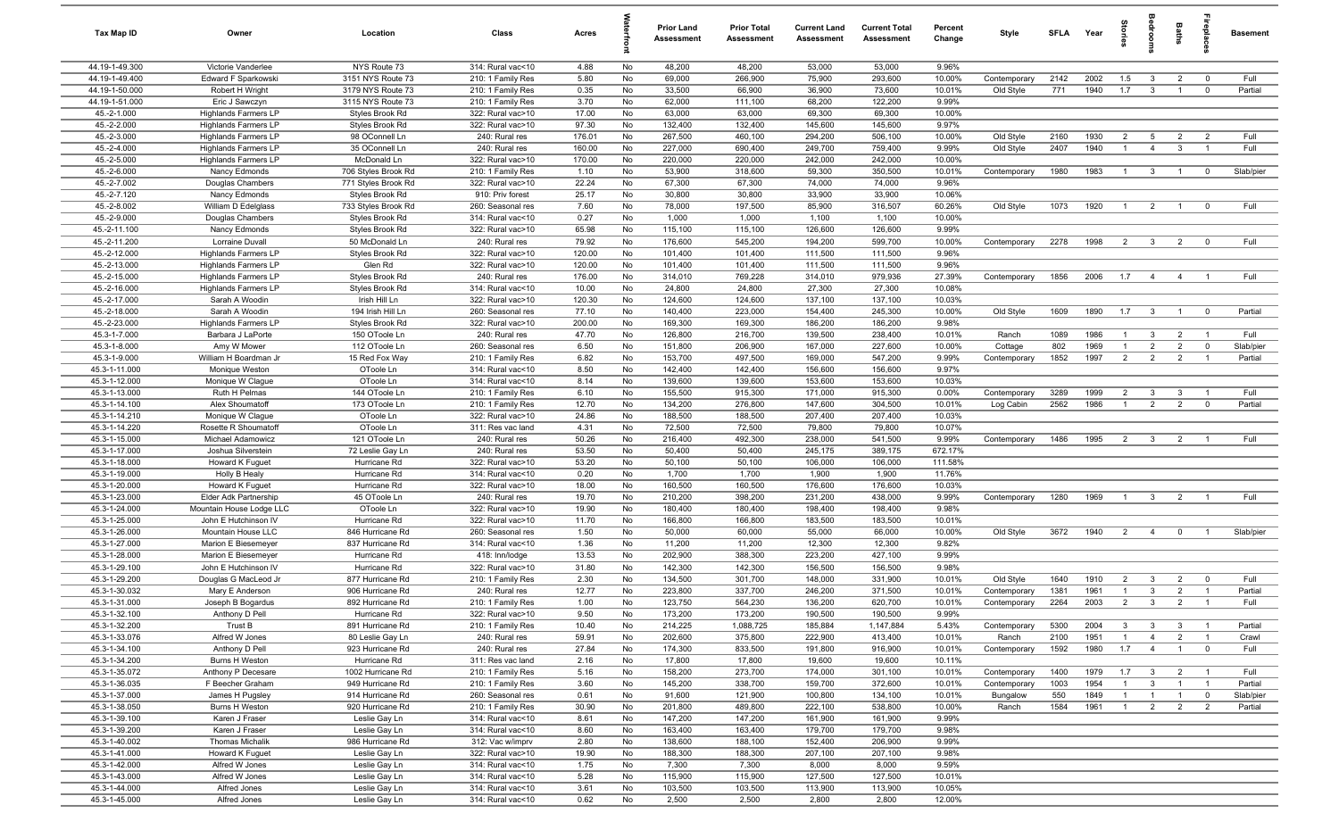| Tax Map ID                     | Owner                                    | Location                               | Class                                  | Acres          |          | Prior Land<br>Assessment | <b>Prior Total</b><br>Assessment | <b>Current Land</b><br>Assessment | <b>Current Total</b><br>Assessment | Percent<br>Change | Style        | <b>SFI A</b> | Year | ĝ.             | edrooms                 | Baths          |                         | <b>Basement</b> |
|--------------------------------|------------------------------------------|----------------------------------------|----------------------------------------|----------------|----------|--------------------------|----------------------------------|-----------------------------------|------------------------------------|-------------------|--------------|--------------|------|----------------|-------------------------|----------------|-------------------------|-----------------|
| 44.19-1-49.300                 | Victorie Vanderlee                       | NYS Route 73                           | 314: Rural vac<10                      | 4.88           | No       | 48,200                   | 48,200                           | 53,000                            | 53,000                             | 9.96%             |              |              |      |                |                         |                |                         |                 |
| 44.19-1-49.400                 | Edward F Sparkowski                      | 3151 NYS Route 73                      | 210: 1 Family Res                      | 5.80           | No       | 69,000                   | 266,900                          | 75,900                            | 293,600                            | 10.00%            | Contemporary | 2142         | 2002 | 1.5            | $\mathbf{3}$            | $\overline{2}$ | $\overline{0}$          | Full            |
| 44.19-1-50.000                 | Robert H Wright                          | 3179 NYS Route 73                      | 210: 1 Family Res                      | 0.35           | No       | 33,500                   | 66,900                           | 36,900                            | 73,600                             | 10.01%            | Old Style    | 771          | 1940 | 1.7            | $\mathbf{3}$            | $\overline{1}$ | $\mathbf 0$             | Partial         |
| 44.19-1-51.000                 | Eric J Sawczyn                           | 3115 NYS Route 73                      | 210: 1 Family Res                      | 3.70           | No       | 62,000                   | 111,100                          | 68,200                            | 122,200                            | 9.99%             |              |              |      |                |                         |                |                         |                 |
| 45.-2-1.000                    | Highlands Farmers LP                     | Styles Brook Rd                        | 322: Rural vac>10                      | 17.00          | No       | 63,000                   | 63,000                           | 69,300                            | 69,300                             | 10.00%            |              |              |      |                |                         |                |                         |                 |
| 45.-2-2.000                    | Highlands Farmers LP                     | Styles Brook Rd                        | 322: Rural vac>10                      | 97.30          | No       | 132,400                  | 132,400                          | 145,600                           | 145,600                            | 9.97%             |              |              |      |                |                         |                |                         |                 |
| 45.-2-3.000                    | <b>Highlands Farmers LP</b>              | 98 OConnell Ln                         | 240: Rural res                         | 176.01         | No       | 267,500                  | 460,100                          | 294,200                           | 506,100                            | 10.00%            | Old Style    | 2160         | 1930 | $\overline{2}$ | 5                       | $\overline{2}$ | $\overline{2}$          | Full            |
| 45.-2-4.000                    | Highlands Farmers LP                     | 35 OConnell Ln                         | 240: Rural res                         | 160.00         | No       | 227,000                  | 690,400                          | 249,700                           | 759,400                            | 9.99%             | Old Style    | 2407         | 1940 |                | $\overline{4}$          | $\mathbf{3}$   |                         | Full            |
| 45.-2-5.000                    | Highlands Farmers LP                     | McDonald Ln                            | 322: Rural vac>10                      | 170.00         | No       | 220,000                  | 220,000                          | 242,000                           | 242,000                            | 10.00%            |              |              |      |                |                         |                |                         |                 |
| 45.-2-6.000                    | Nancy Edmonds                            | 706 Styles Brook Rd                    | 210: 1 Family Res                      | 1.10           | No       | 53,900                   | 318,600                          | 59,300                            | 350,500                            | 10.01%            | Contemporary | 1980         | 1983 | $\overline{1}$ | $\mathbf{3}$            | $\overline{1}$ | $\mathbf 0$             | Slab/pier       |
| 45.-2-7.002                    | Douglas Chambers                         | 771 Styles Brook Rd                    | 322: Rural vac>10                      | 22.24          | No       | 67,300                   | 67,300                           | 74,000                            | 74,000                             | 9.96%             |              |              |      |                |                         |                |                         |                 |
| 45.-2-7.120<br>45.-2-8.002     | Nancy Edmonds                            | Styles Brook Rd                        | 910: Priv forest                       | 25.17          | No       | 30,800                   | 30,800                           | 33,900                            | 33,900                             | 10.06%            |              |              | 1920 | $\overline{1}$ |                         |                | $\mathbf 0$             | Full            |
| 45.-2-9.000                    | William D Edelglass                      | 733 Styles Brook Rd<br>Styles Brook Rd | 260: Seasonal res<br>314: Rural vac<10 | 7.60<br>0.27   | No<br>No | 78,000<br>1,000          | 197,500<br>1,000                 | 85,900<br>1,100                   | 316,507<br>1,100                   | 60.26%<br>10.00%  | Old Style    | 1073         |      |                | $\overline{2}$          | $\overline{1}$ |                         |                 |
| 45.-2-11.100                   | Douglas Chambers<br>Nancy Edmonds        | Styles Brook Rd                        | 322: Rural vac>10                      | 65.98          | No       | 115,100                  | 115,100                          | 126,600                           | 126,600                            | 9.99%             |              |              |      |                |                         |                |                         |                 |
| 45.-2-11.200                   | Lorraine Duvall                          | 50 McDonald Ln                         | 240: Rural res                         | 79.92          | No       | 176,600                  | 545,200                          | 194,200                           | 599,700                            | 10.00%            | Contemporary | 2278         | 1998 | $\overline{2}$ | $\overline{\mathbf{3}}$ | $\overline{2}$ | $\mathbf 0$             | Full            |
| 45.-2-12.000                   | Highlands Farmers LP                     | Styles Brook Rd                        | 322: Rural vac>10                      | 120.00         | No       | 101,400                  | 101,400                          | 111,500                           | 111,500                            | 9.96%             |              |              |      |                |                         |                |                         |                 |
| 45.-2-13.000                   | Highlands Farmers LP                     | Glen Rd                                | 322: Rural vac>10                      | 120.00         | No       | 101,400                  | 101,400                          | 111,500                           | 111,500                            | 9.96%             |              |              |      |                |                         |                |                         |                 |
| 45.-2-15.000                   | Highlands Farmers LP                     | Styles Brook Rd                        | 240: Rural res                         | 176.00         | No       | 314,010                  | 769,228                          | 314,010                           | 979,936                            | 27.39%            | Contemporary | 1856         | 2006 | 1.7            | $\overline{4}$          | $\overline{4}$ |                         | Full            |
| 45.-2-16.000                   | <b>Highlands Farmers LP</b>              | Styles Brook Rd                        | 314: Rural vac<10                      | 10.00          | No       | 24,800                   | 24,800                           | 27,300                            | 27,300                             | 10.08%            |              |              |      |                |                         |                |                         |                 |
| 45.-2-17.000                   | Sarah A Woodin                           | Irish Hill Ln                          | 322: Rural vac>10                      | 120.30         | No       | 124,600                  | 124,600                          | 137,100                           | 137,100                            | 10.03%            |              |              |      |                |                         |                |                         |                 |
| 45.-2-18.000                   | Sarah A Woodin                           | 194 Irish Hill Ln                      | 260: Seasonal res                      | 77.10          | No       | 140,400                  | 223,000                          | 154,400                           | 245,300                            | 10.00%            | Old Style    | 1609         | 1890 | 1.7            | $\overline{\mathbf{3}}$ | $\overline{1}$ | $\overline{\mathbf{0}}$ | Partial         |
| 45.-2-23.000                   | Highlands Farmers LP                     | Styles Brook Rd                        | 322: Rural vac>10                      | 200.00         | No       | 169,300                  | 169,300                          | 186,200                           | 186,200                            | 9.98%             |              |              |      |                |                         |                |                         |                 |
| 45.3-1-7.000                   | Barbara J LaPorte                        | 150 OToole Ln                          | 240: Rural res                         | 47.70          | No       | 126,800                  | 216,700                          | 139,500                           | 238,400                            | 10.01%            | Ranch        | 1089         | 1986 | $\overline{1}$ | $\mathbf{3}$            | $\overline{2}$ | $\overline{1}$          | Full            |
| 45.3-1-8.000                   | Amy W Mower                              | 112 OToole Ln                          | 260: Seasonal res                      | 6.50           | No       | 151,800                  | 206,900                          | 167,000                           | 227,600                            | 10.00%            | Cottage      | 802          | 1969 |                | $\overline{2}$          | 2              | $\overline{0}$          | Slab/pier       |
| 45.3-1-9.000                   | William H Boardman Jr                    | 15 Red Fox Way                         | 210: 1 Family Res                      | 6.82           | No       | 153,700                  | 497,500                          | 169,000                           | 547,200                            | 9.99%             | Contemporary | 1852         | 1997 | 2              | $\overline{2}$          | $\overline{2}$ | $\overline{1}$          | Partial         |
| 45.3-1-11.000                  | Monique Weston                           | OToole Ln                              | 314: Rural vac<10                      | 8.50           | No       | 142,400                  | 142,400                          | 156,600                           | 156,600                            | 9.97%             |              |              |      |                |                         |                |                         |                 |
| 45.3-1-12.000                  | Monique W Clague                         | OToole Ln                              | 314: Rural vac<10                      | 8.14           | No       | 139,600                  | 139,600                          | 153,600                           | 153,600                            | 10.03%            |              |              |      |                |                         |                |                         |                 |
| 45.3-1-13.000                  | Ruth H Pelmas                            | 144 OToole Ln                          | 210: 1 Family Res                      | 6.10           | No       | 155,500                  | 915,300                          | 171,000                           | 915,300                            | 0.00%             | Contemporary | 3289         | 1999 | $\overline{2}$ | $\mathbf{3}$            | $\mathbf{3}$   | $\overline{1}$          | Full            |
| 45.3-1-14.100                  | Alex Shoumatoff                          | 173 OToole Ln                          | 210: 1 Family Res                      | 12.70          | No       | 134,200                  | 276,800                          | 147,600                           | 304,500                            | 10.01%            | Log Cabin    | 2562         | 1986 |                | $\overline{2}$          | $\overline{2}$ | $\overline{0}$          | Partial         |
| 45.3-1-14.210                  | Monique W Clague                         | OToole Ln                              | 322: Rural vac>10                      | 24.86          | No       | 188,500                  | 188,500                          | 207,400                           | 207,400                            | 10.03%            |              |              |      |                |                         |                |                         |                 |
| 45.3-1-14.220                  | Rosette R Shoumatoff                     | OToole Ln                              | 311: Res vac land                      | 4.31           | No       | 72,500                   | 72,500                           | 79,800                            | 79,800                             | 10.07%            |              |              |      |                |                         |                |                         |                 |
| 45.3-1-15.000                  | Michael Adamowicz                        | 121 OToole Ln                          | 240: Rural res                         | 50.26          | No       | 216,400                  | 492,300                          | 238,000                           | 541,500                            | 9.99%             | Contemporary | 1486         | 1995 | $\overline{2}$ | $\mathbf{3}$            | $\overline{2}$ |                         | Full            |
| 45.3-1-17.000                  | Joshua Silverstein                       | 72 Leslie Gay Ln                       | 240: Rural res                         | 53.50          | No       | 50,400                   | 50,400                           | 245,175                           | 389,175                            | 672.17%           |              |              |      |                |                         |                |                         |                 |
| 45.3-1-18.000                  | Howard K Fuguet                          | Hurricane Rd                           | 322: Rural vac>10                      | 53.20          | No       | 50,100                   | 50,100                           | 106,000                           | 106,000                            | 111.58%           |              |              |      |                |                         |                |                         |                 |
| 45.3-1-19.000                  | Holly B Healy                            | Hurricane Rd                           | 314: Rural vac<10                      | 0.20           | No       | 1,700                    | 1,700                            | 1,900                             | 1,900                              | 11.76%            |              |              |      |                |                         |                |                         |                 |
| 45.3-1-20.000<br>45.3-1-23.000 | Howard K Fuguet<br>Elder Adk Partnership | Hurricane Rd<br>45 OToole Ln           | 322: Rural vac>10<br>240: Rural res    | 18.00<br>19.70 | No<br>No | 160,500<br>210,200       | 160,500<br>398,200               | 176,600<br>231,200                | 176,600<br>438,000                 | 10.03%<br>9.99%   | Contemporary | 1280         | 1969 | $\overline{1}$ | $\mathbf{3}$            | $\overline{2}$ | $\overline{1}$          | Full            |
| 45.3-1-24.000                  | Mountain House Lodge LLC                 | OToole Ln                              | 322: Rural vac>10                      | 19.90          | No       | 180,400                  | 180,400                          | 198,400                           | 198,400                            | 9.98%             |              |              |      |                |                         |                |                         |                 |
| 45.3-1-25.000                  | John E Hutchinson IV                     | Hurricane Rd                           | 322: Rural vac>10                      | 11.70          | No       | 166,800                  | 166,800                          | 183,500                           | 183,500                            | 10.01%            |              |              |      |                |                         |                |                         |                 |
| 45.3-1-26.000                  | Mountain House LLC                       | 846 Hurricane Rd                       | 260: Seasonal res                      | 1.50           | No       | 50,000                   | 60,000                           | 55,000                            | 66,000                             | 10.00%            | Old Style    | 3672         | 1940 | $\overline{2}$ | $\overline{4}$          | $\overline{0}$ |                         | Slab/pier       |
| 45.3-1-27.000                  | Marion E Biesemeyer                      | 837 Hurricane Rd                       | 314: Rural vac<10                      | 1.36           | No       | 11,200                   | 11,200                           | 12,300                            | 12,300                             | 9.82%             |              |              |      |                |                         |                |                         |                 |
| 45.3-1-28.000                  | Marion E Biesemeyer                      | Hurricane Rd                           | 418: Inn/lodge                         | 13.53          | No       | 202,900                  | 388,300                          | 223,200                           | 427,100                            | 9.99%             |              |              |      |                |                         |                |                         |                 |
| 45.3-1-29.100                  | John E Hutchinson IV                     | Hurricane Rd                           | 322: Rural vac>10                      | 31.80          | No       | 142,300                  | 142,300                          | 156,500                           | 156,500                            | 9.98%             |              |              |      |                |                         |                |                         |                 |
| 45.3-1-29.200                  | Douglas G MacLeod Jr                     | 877 Hurricane Rd                       | 210: 1 Family Res                      | 2.30           | No       | 134,500                  | 301,700                          | 148,000                           | 331,900                            | 10.01%            | Old Style    | 1640         | 1910 | $\overline{2}$ | 3                       | $\overline{2}$ | $\mathbf 0$             | Full            |
| 45.3-1-30.032                  | Mary E Anderson                          | 906 Hurricane Rd                       | 240: Rural res                         | 12.77          | No       | 223,800                  | 337,700                          | 246,200                           | 371,500                            | 10.01%            | Contemporary | 1381         | 1961 |                | $\mathbf{3}$            | $\overline{2}$ | $\overline{1}$          | Partial         |
| 45.3-1-31.000                  | Joseph B Bogardus                        | 892 Hurricane Rd                       | 210: 1 Family Res                      | 1.00           | No       | 123,750                  | 564,230                          | 136,200                           | 620,700                            | 10.01%            | Contemporary | 2264         | 2003 | 2              | $\mathbf{3}$            | $\overline{2}$ |                         | Full            |
| 45.3-1-32.100                  | Anthony D Pell                           | Hurricane Rd                           | 322: Rural vac>10                      | 9.50           | No       | 173,200                  | 173,200                          | 190,500                           | 190,500                            | 9.99%             |              |              |      |                |                         |                |                         |                 |
| 45.3-1-32.200                  | Trust B                                  | 891 Hurricane Rd                       | 210: 1 Family Res                      | 10.40          | No       | 214,225                  | 1,088,725                        | 185,884                           | 1,147,884                          | 5.43%             | Contemporary | 5300         | 2004 | $\mathbf{3}$   | $\mathbf{3}$            | $\mathbf{3}$   | $\overline{1}$          | Partial         |
| 45.3-1-33.076                  | Alfred W Jones                           | 80 Leslie Gay Ln                       | 240: Rural res                         | 59.91          | No       | 202,600                  | 375,800                          | 222,900                           | 413,400                            | 10.01%            | Ranch        | 2100         | 1951 |                | $\overline{4}$          | $\overline{2}$ | $\overline{1}$          | Crawl           |
| 45.3-1-34.100                  | Anthony D Pell                           | 923 Hurricane Rd                       | 240: Rural res                         | 27.84          | No       | 174,300                  | 833,500                          | 191,800                           | 916,900                            | 10.01%            | Contemporary | 1592         | 1980 | 1.7            | $\overline{4}$          | $\overline{1}$ | $\mathbf 0$             | Full            |
| 45.3-1-34.200                  | Burns H Weston                           | Hurricane Rd                           | 311: Res vac land                      | 2.16           | No       | 17,800                   | 17,800                           | 19,600                            | 19,600                             | 10.11%            |              |              |      |                |                         |                |                         |                 |
| 45.3-1-35.072                  | Anthony P Decesare                       | 1002 Hurricane Rd                      | 210: 1 Family Res                      | 5.16           | No       | 158,200                  | 273,700                          | 174,000                           | 301,100                            | 10.01%            | Contemporary | 1400         | 1979 | 1.7            | 3 <sup>3</sup>          | $\overline{2}$ | $\overline{1}$          | Full            |
| 45.3-1-36.035                  | F Beecher Graham                         | 949 Hurricane Rd                       | 210: 1 Family Res                      | 3.60           | No       | 145,200                  | 338,700                          | 159,700                           | 372,600                            | 10.01%            | Contemporary | 1003         | 1954 |                | $\mathbf{3}$            | $\overline{1}$ | $\overline{1}$          | Partial         |
| 45.3-1-37.000                  | James H Pugsley                          | 914 Hurricane Rd                       | 260: Seasonal res                      | 0.61           | No       | 91,600                   | 121,900                          | 100,800                           | 134,100                            | 10.01%            | Bungalow     | 550          | 1849 |                | $\overline{1}$          | $\overline{1}$ | $\overline{0}$          | Slab/pier       |
| 45.3-1-38.050                  | Burns H Weston                           | 920 Hurricane Rd                       | 210: 1 Family Res                      | 30.90          | No       | 201,800                  | 489,800                          | 222,100                           | 538,800                            | 10.00%            | Ranch        | 1584         | 1961 |                | $\overline{2}$          | $\overline{2}$ | $\overline{2}$          | Partial         |
| 45.3-1-39.100<br>45.3-1-39.200 | Karen J Fraser                           | Leslie Gay Ln                          | 314: Rural vac<10<br>314: Rural vac<10 | 8.61           | No       | 147,200<br>163,400       | 147,200<br>163,400               | 161,900                           | 161,900                            | 9.99%<br>9.98%    |              |              |      |                |                         |                |                         |                 |
| 45.3-1-40.002                  | Karen J Fraser<br><b>Thomas Michalik</b> | Leslie Gay Ln<br>986 Hurricane Rd      | 312: Vac w/imprv                       | 8.60<br>2.80   | No<br>No | 138,600                  | 188,100                          | 179,700<br>152,400                | 179,700<br>206,900                 | 9.99%             |              |              |      |                |                         |                |                         |                 |
| 45.3-1-41.000                  | Howard K Fuguet                          | Leslie Gay Ln                          | 322: Rural vac>10                      | 19.90          | No       | 188,300                  | 188,300                          | 207,100                           | 207,100                            | 9.98%             |              |              |      |                |                         |                |                         |                 |
| 45.3-1-42.000                  | Alfred W Jones                           | Leslie Gay Ln                          | 314: Rural vac<10                      | 1.75           | No       | 7,300                    | 7,300                            | 8,000                             | 8,000                              | 9.59%             |              |              |      |                |                         |                |                         |                 |
| 45.3-1-43.000                  | Alfred W Jones                           | Leslie Gay Ln                          | 314: Rural vac<10                      | 5.28           | No       | 115,900                  | 115,900                          | 127,500                           | 127,500                            | 10.01%            |              |              |      |                |                         |                |                         |                 |
| 45.3-1-44.000                  | Alfred Jones                             | Leslie Gay Ln                          | 314: Rural vac<10                      | 3.61           | No       | 103,500                  | 103,500                          | 113,900                           | 113,900                            | 10.05%            |              |              |      |                |                         |                |                         |                 |
| 45.3-1-45.000                  | Alfred Jones                             | Leslie Gay Ln                          | 314: Rural vac<10                      | 0.62           | No       | 2,500                    | 2,500                            | 2,800                             | 2,800                              | 12.00%            |              |              |      |                |                         |                |                         |                 |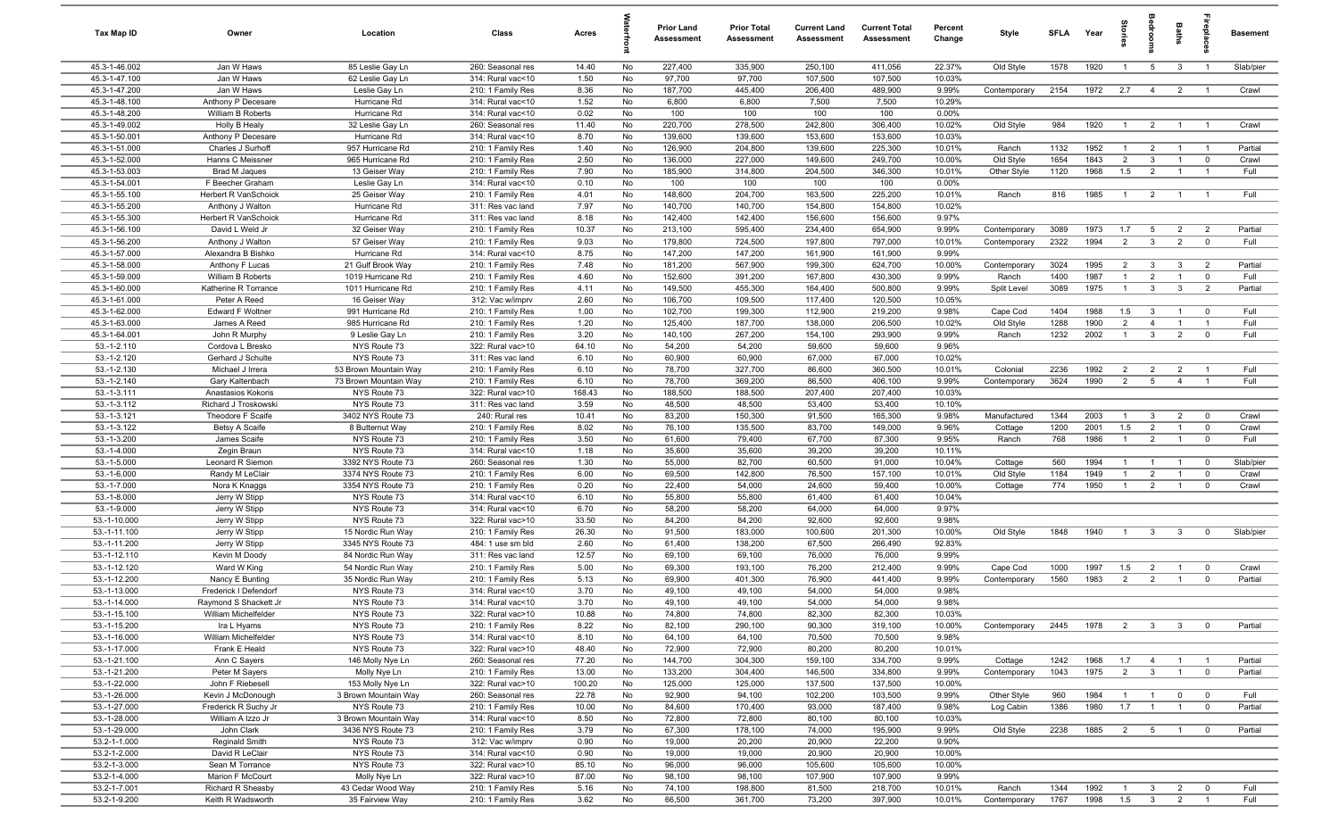| Tax Map ID                     | Owner                                   | Location                         | Class                                  | Acres           |          | Prior Land<br>Assessment | <b>Prior Total</b><br>Assessment | <b>Current Land</b><br>Assessment | <b>Current Total</b><br>Assessment | Percent<br>Change | Style        | <b>SFLA</b> | Year | ŝ.             | edroo                          | Baths          |                | <b>Basement</b> |
|--------------------------------|-----------------------------------------|----------------------------------|----------------------------------------|-----------------|----------|--------------------------|----------------------------------|-----------------------------------|------------------------------------|-------------------|--------------|-------------|------|----------------|--------------------------------|----------------|----------------|-----------------|
| 45.3-1-46.002                  | Jan W Haws                              | 85 Leslie Gay Ln                 | 260: Seasonal res                      | 14.40           | No       | 227,400                  | 335,900                          | 250,100                           | 411,056                            | 22.37%            | Old Style    | 1578        | 1920 | $\overline{1}$ | 5 <sup>5</sup>                 | $\mathbf{3}$   | $\overline{1}$ | Slab/pier       |
| 45.3-1-47.100                  | Jan W Haws                              | 62 Leslie Gay Ln                 | 314: Rural vac<10                      | 1.50            | No       | 97,700                   | 97,700                           | 107,500                           | 107,500                            | 10.03%            |              |             |      |                |                                |                |                |                 |
| 45.3-1-47.200                  | Jan W Haws                              | Leslie Gay Ln                    | 210: 1 Family Res                      | 8.36            | No       | 187,700                  | 445,400                          | 206,400                           | 489,900                            | 9.99%             | Contemporary | 2154        | 1972 | 2.7            | $\overline{4}$                 | $\overline{2}$ | $\overline{1}$ | Crawl           |
| 45.3-1-48.100                  | Anthony P Decesare                      | Hurricane Rd                     | 314: Rural vac<10                      | 1.52            | No       | 6,800                    | 6,800                            | 7,500                             | 7,500                              | 10.29%            |              |             |      |                |                                |                |                |                 |
| 45.3-1-48.200                  | William B Roberts                       | Hurricane Rd                     | 314: Rural vac<10                      | 0.02            | No       | 100                      | 100                              | 100                               | 100                                | 0.00%             |              |             |      |                |                                |                |                |                 |
| 45.3-1-49.002                  | <b>Holly B Healy</b>                    | 32 Leslie Gay Ln                 | 260: Seasonal res                      | 11.40           | No       | 220,700                  | 278,500                          | 242,800                           | 306,400                            | 10.02%            | Old Style    | 984         | 1920 | $\overline{1}$ | $\overline{2}$                 | $\overline{1}$ | $\overline{1}$ | Crawl           |
| 45.3-1-50.001<br>45.3-1-51.000 | Anthony P Decesare<br>Charles J Surhoff | Hurricane Rd<br>957 Hurricane Rd | 314: Rural vac<10                      | 8.70<br>1.40    | No<br>No | 139,600<br>126,900       | 139,600<br>204,800               | 153,600<br>139,600                | 153,600<br>225,300                 | 10.03%<br>10.01%  | Ranch        | 1132        | 1952 |                |                                | $\overline{1}$ | $\overline{1}$ | Partial         |
| 45.3-1-52.000                  | Hanns C Meissner                        | 965 Hurricane Rd                 | 210: 1 Family Res<br>210: 1 Family Res | 2.50            | No       | 136,000                  | 227,000                          | 149,600                           | 249,700                            | 10.00%            | Old Style    | 1654        | 1843 | $\overline{2}$ | $\overline{2}$<br>$\mathbf{3}$ | $\overline{1}$ | $\overline{0}$ | Crawl           |
| 45.3-1-53.003                  | <b>Brad M Jaques</b>                    | 13 Geiser Way                    | 210: 1 Family Res                      | 7.90            | No       | 185,900                  | 314,800                          | 204,500                           | 346,300                            | 10.01%            | Other Style  | 1120        | 1968 | 1.5            | $\overline{2}$                 | $\overline{1}$ | $\overline{1}$ | Full            |
| 45.3-1-54.001                  | F Beecher Graham                        | Leslie Gay Ln                    | 314: Rural vac<10                      | 0.10            | No       | 100                      | 100                              | 100                               | 100                                | 0.00%             |              |             |      |                |                                |                |                |                 |
| 45.3-1-55.100                  | Herbert R VanSchoick                    | 25 Geiser Way                    | 210: 1 Family Res                      | 4.01            | No       | 148,600                  | 204,700                          | 163,500                           | 225,200                            | 10.01%            | Ranch        | 816         | 1985 | $\overline{1}$ | $\overline{2}$                 | $\overline{1}$ | $\overline{1}$ | Full            |
| 45.3-1-55.200                  | Anthony J Walton                        | Hurricane Rd                     | 311: Res vac land                      | 7.97            | No       | 140,700                  | 140,700                          | 154,800                           | 154,800                            | 10.02%            |              |             |      |                |                                |                |                |                 |
| 45.3-1-55.300                  | Herbert R VanSchoick                    | Hurricane Rd                     | 311: Res vac land                      | 8.18            | No       | 142,400                  | 142,400                          | 156,600                           | 156,600                            | 9.97%             |              |             |      |                |                                |                |                |                 |
| 45.3-1-56.100                  | David L Weld Jr                         | 32 Geiser Way                    | 210: 1 Family Res                      | 10.37           | No       | 213,100                  | 595,400                          | 234,400                           | 654,900                            | 9.99%             | Contemporary | 3089        | 1973 | 1.7            | 5                              | $\overline{2}$ | $\overline{2}$ | Partial         |
| 45.3-1-56.200                  | Anthony J Walton                        | 57 Geiser Way                    | 210: 1 Family Res                      | 9.03            | No       | 179,800                  | 724,500                          | 197,800                           | 797,000                            | 10.01%            | Contemporary | 2322        | 1994 | $\overline{2}$ | $\mathbf{3}$                   | $\overline{2}$ | $\mathbf 0$    | Full            |
| 45.3-1-57.000                  | Alexandra B Bishko                      | Hurricane Rd                     | 314: Rural vac<10                      | 8.75            | No       | 147,200                  | 147,200                          | 161,900                           | 161,900                            | 9.99%             |              |             |      |                |                                |                |                |                 |
| 45.3-1-58.000                  | Anthony F Lucas                         | 21 Gulf Brook Way                | 210: 1 Family Res                      | 7.48            | No       | 181,200                  | 567,900                          | 199,300                           | 624,700                            | 10.00%            | Contemporary | 3024        | 1995 | $\overline{2}$ | 3                              | $\mathbf{3}$   | $\overline{2}$ | Partial         |
| 45.3-1-59.000                  | William B Roberts                       | 1019 Hurricane Rd                | 210: 1 Family Res                      | 4.60            | No       | 152,600                  | 391,200                          | 167,800                           | 430,300                            | 9.99%             | Ranch        | 1400        | 1987 |                | $\overline{2}$                 | $\overline{1}$ | $\mathbf 0$    | Full            |
| 45.3-1-60.000                  | Katherine R Torrance                    | 1011 Hurricane Rd                | 210: 1 Family Res                      | 4.11            | No       | 149,500                  | 455,300                          | 164,400                           | 500,800                            | 9.99%             | Split Level  | 3089        | 1975 |                | $\mathbf{3}$                   | $\mathbf{3}$   | $\overline{2}$ | Partial         |
| 45.3-1-61.000                  | Peter A Reed                            | 16 Geiser Way                    | 312: Vac w/imprv                       | 2.60            | No       | 106,700                  | 109,500                          | 117,400                           | 120,500                            | 10.05%            |              |             |      |                |                                |                |                |                 |
| 45.3-1-62.000                  | Edward F Woltner                        | 991 Hurricane Rd                 | 210: 1 Family Res                      | 1.00            | No       | 102,700                  | 199,300                          | 112,900                           | 219,200                            | 9.98%             | Cape Cod     | 1404        | 1988 | 1.5            | $\mathbf{3}$                   | $\overline{1}$ | $\overline{0}$ | Full            |
| 45.3-1-63.000                  | James A Reed                            | 985 Hurricane Rd                 | 210: 1 Family Res                      | 1.20            | No       | 125,400                  | 187,700                          | 138,000                           | 206,500                            | 10.02%            | Old Style    | 1288        | 1900 | 2              | $\overline{4}$                 | $\overline{1}$ | $\overline{1}$ | Full            |
| 45.3-1-64.001<br>$53.-1-2.110$ | John R Murphy                           | 9 Leslie Gay Ln<br>NYS Route 73  | 210: 1 Family Res<br>322: Rural vac>10 | 3.20            | No<br>No | 140,100                  | 267,200                          | 154,100<br>59,600                 | 293,900                            | 9.99%             | Ranch        | 1232        | 2002 | $\overline{1}$ | $\mathbf{3}$                   | $\overline{2}$ | $\mathbf 0$    | Full            |
| 53.-1-2.120                    | Cordova L Bresko<br>Gerhard J Schulte   | NYS Route 73                     | 311: Res vac land                      | 64.10<br>6.10   | No       | 54,200<br>60,900         | 54,200<br>60,900                 | 67,000                            | 59,600<br>67,000                   | 9.96%<br>10.02%   |              |             |      |                |                                |                |                |                 |
| $53.-1-2.130$                  | Michael J Irrera                        | 53 Brown Mountain Way            | 210: 1 Family Res                      | 6.10            | No       | 78,700                   | 327,700                          | 86,600                            | 360,500                            | 10.01%            | Colonial     | 2236        | 1992 | $\overline{2}$ | $\overline{2}$                 | $\overline{2}$ | $\overline{1}$ | Full            |
| $53.-1-2.140$                  | Gary Kaltenbach                         | 73 Brown Mountain Way            | 210: 1 Family Res                      | 6.10            | No       | 78,700                   | 369,200                          | 86,500                            | 406,100                            | 9.99%             | Contemporary | 3624        | 1990 | 2              | $5\overline{5}$                | $\overline{4}$ | $\overline{1}$ | Full            |
| $53.-1-3.111$                  | Anastasios Kokoris                      | NYS Route 73                     | 322: Rural vac>10                      | 168.43          | No       | 188,500                  | 188,500                          | 207,400                           | 207,400                            | 10.03%            |              |             |      |                |                                |                |                |                 |
| 53.-1-3.112                    | Richard J Troskowski                    | NYS Route 73                     | 311: Res vac land                      | 3.59            | No       | 48,500                   | 48,500                           | 53,400                            | 53,400                             | 10.10%            |              |             |      |                |                                |                |                |                 |
| $53.-1-3.121$                  | Theodore F Scaife                       | 3402 NYS Route 73                | 240: Rural res                         | 10.41           | No       | 83,200                   | 150,300                          | 91,500                            | 165,300                            | 9.98%             | Manufactured | 1344        | 2003 |                | 3                              | $\overline{2}$ | $\overline{0}$ | Crawl           |
| 53.-1-3.122                    | Betsy A Scaife                          | 8 Butternut Way                  | 210: 1 Family Res                      | 8.02            | No       | 76,100                   | 135,500                          | 83,700                            | 149,000                            | 9.96%             | Cottage      | 1200        | 2001 | 1.5            | $\overline{2}$                 | $\overline{1}$ | $\mathbf 0$    | Crawl           |
| 53.-1-3.200                    | James Scaife                            | NYS Route 73                     | 210: 1 Family Res                      | 3.50            | No       | 61,600                   | 79,400                           | 67,700                            | 87,300                             | 9.95%             | Ranch        | 768         | 1986 | $\overline{1}$ | $\overline{2}$                 | $\overline{1}$ | $\mathbf 0$    | Full            |
| $53.-1-4.000$                  | Zegin Braun                             | NYS Route 73                     | 314: Rural vac<10                      | 1.18            | No       | 35,600                   | 35,600                           | 39,200                            | 39,200                             | 10.11%            |              |             |      |                |                                |                |                |                 |
| $53.-1-5.000$                  | Leonard R Siemon                        | 3392 NYS Route 73                | 260: Seasonal res                      | 1.30            | No       | 55,000                   | 82,700                           | 60,500                            | 91,000                             | 10.04%            | Cottage      | 560         | 1994 | $\overline{1}$ | $\overline{1}$                 | $\overline{1}$ | $\overline{0}$ | Slab/pier       |
| 53.-1-6.000                    | Randy M LeClair                         | 3374 NYS Route 73                | 210: 1 Family Res                      | 6.00            | No       | 69,500                   | 142,800                          | 76,500                            | 157,100                            | 10.01%            | Old Style    | 1184        | 1949 | $\overline{1}$ | $\overline{2}$                 | $\overline{1}$ | $\mathbf 0$    | Crawl           |
| 53.-1-7.000                    | Nora K Knaggs                           | 3354 NYS Route 73                | 210: 1 Family Res                      | 0.20            | No       | 22,400                   | 54,000                           | 24,600                            | 59,400                             | 10.00%            | Cottage      | 774         | 1950 | $\overline{1}$ | $\overline{2}$                 | $\overline{1}$ | $\mathbf 0$    | Crawl           |
| $53.-1-8.000$                  | Jerry W Stipp                           | NYS Route 73                     | 314: Rural vac<10                      | 6.10            | No       | 55,800                   | 55,800                           | 61,400                            | 61,400                             | 10.04%            |              |             |      |                |                                |                |                |                 |
| 53.-1-9.000<br>53.-1-10.000    | Jerry W Stipp                           | NYS Route 73<br>NYS Route 73     | 314: Rural vac<10<br>322: Rural vac>10 | 6.70<br>33.50   | No<br>No | 58,200                   | 58,200<br>84,200                 | 64,000<br>92,600                  | 64,000<br>92,600                   | 9.97%             |              |             |      |                |                                |                |                |                 |
| 53.-1-11.100                   | Jerry W Stipp<br>Jerry W Stipp          | 15 Nordic Run Way                | 210: 1 Family Res                      | 26.30           | No       | 84,200<br>91,500         | 183,000                          | 100,600                           | 201,300                            | 9.98%<br>10.00%   | Old Style    | 1848        | 1940 | $\overline{1}$ | $\mathbf{3}$                   | $\mathbf{3}$   | $\mathbf{0}$   | Slab/pier       |
| 53.-1-11.200                   | Jerry W Stipp                           | 3345 NYS Route 73                | 484: 1 use sm bld                      | 2.60            | No       | 61,400                   | 138,200                          | 67,500                            | 266,490                            | 92.83%            |              |             |      |                |                                |                |                |                 |
| 53.-1-12.110                   | Kevin M Doody                           | 84 Nordic Run Way                | 311: Res vac land                      | 12.57           | No       | 69,100                   | 69,100                           | 76,000                            | 76,000                             | 9.99%             |              |             |      |                |                                |                |                |                 |
| 53.-1-12.120                   | Ward W King                             | 54 Nordic Run Way                | 210: 1 Family Res                      | 5.00            | No       | 69,300                   | 193,100                          | 76,200                            | 212,400                            | 9.99%             | Cape Cod     | 1000        | 1997 | 1.5            | $\overline{2}$                 | $\overline{1}$ | $\overline{0}$ | Crawl           |
| 53.-1-12.200                   | Nancy E Bunting                         | 35 Nordic Run Way                | 210: 1 Family Res                      | 5.13            | No       | 69,900                   | 401,300                          | 76,900                            | 441,400                            | 9.99%             | Contemporary | 1560        | 1983 | $\overline{2}$ | $\overline{2}$                 | $\overline{1}$ | $\mathbf 0$    | Partial         |
| 53.-1-13.000                   | Frederick I Defendorf                   | NYS Route 73                     | 314: Rural vac<10                      | 3.70            | No       | 49,100                   | 49,100                           | 54,000                            | 54,000                             | 9.98%             |              |             |      |                |                                |                |                |                 |
| 53.-1-14.000                   | Raymond S Shackett Jr                   | NYS Route 73                     | 314: Rural vac<10                      | 3.70            | No       | 49,100                   | 49,100                           | 54,000                            | 54,000                             | 9.98%             |              |             |      |                |                                |                |                |                 |
| 53.-1-15.100                   | William Michelfelder                    | NYS Route 73                     | 322: Rural vac>10                      | 10.88           | No       | 74,800                   | 74,800                           | 82,300                            | 82,300                             | 10.03%            |              |             |      |                |                                |                |                |                 |
| 53.-1-15.200                   | Ira L Hyams                             | NYS Route 73                     | 210: 1 Family Res                      | 8.22            | No       | 82,100                   | 290,100                          | 90,300                            | 319,100                            | 10.00%            | Contemporary | 2445        | 1978 | 2              | $\overline{\mathbf{3}}$        | $\mathbf{3}$   | $\overline{0}$ | Partial         |
| 53.-1-16.000                   | William Michelfelder                    | NYS Route 73                     | 314: Rural vac<10                      | 8.10            | No       | 64,100                   | 64,100                           | 70,500                            | 70,500                             | 9.98%             |              |             |      |                |                                |                |                |                 |
| 53.-1-17.000                   | Frank E Heald                           | NYS Route 73                     | 322: Rural vac>10                      | 48.40           | No       | 72,900                   | 72,900                           | 80,200                            | 80,200                             | 10.01%            |              |             |      |                |                                |                |                |                 |
| 53.-1-21.100                   | Ann C Sayers                            | 146 Molly Nye Ln                 | 260: Seasonal res                      | 77.20           | No       | 144,700                  | 304,300                          | 159,100                           | 334,700                            | 9.99%             | Cottage      | 1242        | 1968 | 1.7            | $\overline{4}$                 | $\overline{1}$ | $\overline{1}$ | Partial         |
| 53.-1-21.200<br>53.-1-22.000   | Peter M Sayers<br>John F Riebesell      | Molly Nye Ln<br>153 Molly Nye Ln | 210: 1 Family Res<br>322: Rural vac>10 | 13.00<br>100.20 | No<br>No | 133,200<br>125,000       | 304,400<br>125,000               | 146,500<br>137,500                | 334,800<br>137,500                 | 9.99%<br>10.00%   | Contemporary | 1043        | 1975 | $\overline{2}$ | $\overline{\mathbf{3}}$        | $\overline{1}$ | $\mathbf 0$    | Partial         |
| 53.-1-26.000                   | Kevin J McDonough                       | 3 Brown Mountain Way             | 260: Seasonal res                      | 22.78           | No       | 92,900                   | 94,100                           | 102,200                           | 103,500                            | 9.99%             | Other Style  | 960         | 1984 | $\overline{1}$ | $\overline{1}$                 | $\overline{0}$ | $\overline{0}$ | Full            |
| 53.-1-27.000                   | Frederick R Suchy Jr                    | NYS Route 73                     | 210: 1 Family Res                      | 10.00           | No       | 84,600                   | 170,400                          | 93,000                            | 187,400                            | 9.98%             | Log Cabin    | 1386        | 1980 | 1.7            | $\overline{1}$                 | $\overline{1}$ | $\overline{0}$ | Partial         |
| 53.-1-28.000                   | William A Izzo Jr                       | 3 Brown Mountain Way             | 314: Rural vac<10                      | 8.50            | No       | 72,800                   | 72,800                           | 80,100                            | 80,100                             | 10.03%            |              |             |      |                |                                |                |                |                 |
| 53.-1-29.000                   | John Clark                              | 3436 NYS Route 73                | 210: 1 Family Res                      | 3.79            | No       | 67,300                   | 178,100                          | 74,000                            | 195,900                            | 9.99%             | Old Style    | 2238        | 1885 | $\overline{2}$ | $5\overline{5}$                | $\overline{1}$ | $\overline{0}$ | Partial         |
| 53.2-1-1.000                   | Reginald Smith                          | NYS Route 73                     | 312: Vac w/imprv                       | 0.90            | No       | 19,000                   | 20,200                           | 20,900                            | 22,200                             | 9.90%             |              |             |      |                |                                |                |                |                 |
| 53.2-1-2.000                   | David R LeClair                         | NYS Route 73                     | 314: Rural vac<10                      | 0.90            | No       | 19,000                   | 19,000                           | 20,900                            | 20,900                             | 10.00%            |              |             |      |                |                                |                |                |                 |
| 53.2-1-3.000                   | Sean M Torrance                         | NYS Route 73                     | 322: Rural vac>10                      | 85.10           | No       | 96,000                   | 96,000                           | 105,600                           | 105,600                            | 10.00%            |              |             |      |                |                                |                |                |                 |
| 53.2-1-4.000                   | Marion F McCourt                        | Molly Nye Ln                     | 322: Rural vac>10                      | 87.00           | No       | 98,100                   | 98,100                           | 107,900                           | 107,900                            | 9.99%             |              |             |      |                |                                |                |                |                 |
| 53.2-1-7.001                   | Richard R Sheasby                       | 43 Cedar Wood Way                | 210: 1 Family Res                      | 5.16            | No       | 74,100                   | 198,800                          | 81,500                            | 218,700                            | 10.01%            | Ranch        | 1344        | 1992 | $\overline{1}$ | $\mathbf{3}$                   | $\overline{2}$ | $\mathbf 0$    | Full            |
| 53.2-1-9.200                   | Keith R Wadsworth                       | 35 Fairview Way                  | 210: 1 Family Res                      | 3.62            | No       | 66,500                   | 361,700                          | 73,200                            | 397,900                            | 10.01%            | Contemporary | 1767        | 1998 | 1.5            | $\overline{\textbf{3}}$        | $\overline{2}$ | $\overline{1}$ | Full            |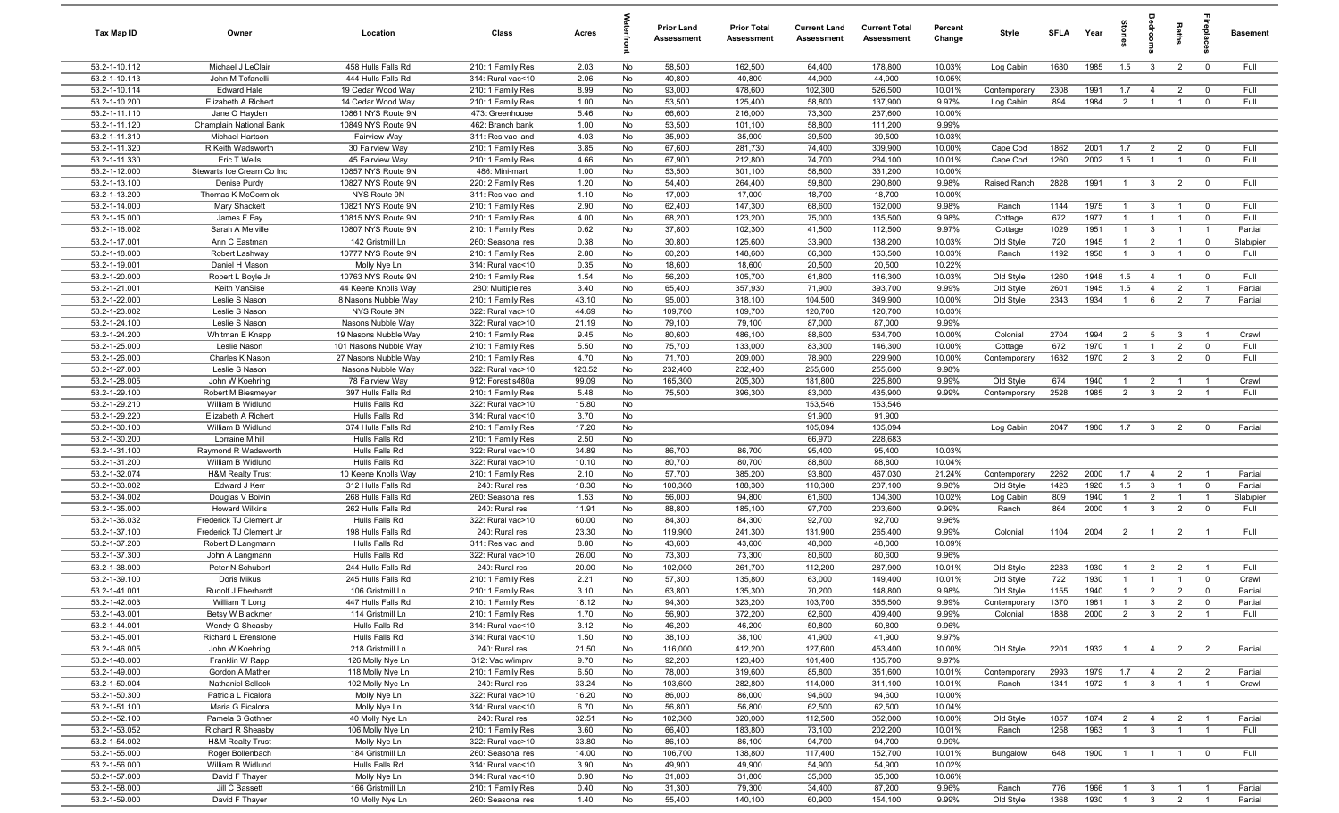| Tax Map ID                     | Owner                                            | Location                               | Class                                  | Acres          | 크        | <b>Prior Land</b><br>Assessment | <b>Prior Total</b><br>Assessment | <b>Current Land</b><br>Assessment | <b>Current Total</b><br>Assessment | Percent<br>Change | Style        | <b>SFLA</b> | Year | 훜              | edroo                          | Baths          |                         | <b>Basement</b> |
|--------------------------------|--------------------------------------------------|----------------------------------------|----------------------------------------|----------------|----------|---------------------------------|----------------------------------|-----------------------------------|------------------------------------|-------------------|--------------|-------------|------|----------------|--------------------------------|----------------|-------------------------|-----------------|
| 53.2-1-10.112                  | Michael J LeClair                                | 458 Hulls Falls Rd                     | 210: 1 Family Res                      | 2.03           | No       | 58,500                          | 162,500                          | 64,400                            | 178,800                            | 10.03%            | Log Cabin    | 1680        | 1985 | 1.5            | $\mathbf{3}$                   | $\overline{2}$ | $\overline{0}$          | Full            |
| 53.2-1-10.113                  | John M Tofanelli                                 | 444 Hulls Falls Rd                     | 314: Rural vac<10                      | 2.06           | No       | 40,800                          | 40,800                           | 44,900                            | 44,900                             | 10.05%            |              |             |      |                |                                |                |                         |                 |
| 53.2-1-10.114                  | Edward Hale                                      | 19 Cedar Wood Way                      | 210: 1 Family Res                      | 8.99           | No       | 93,000                          | 478,600                          | 102,300                           | 526,500                            | 10.01%            | Contemporary | 2308        | 1991 | 1.7            | $\overline{4}$                 | $\overline{2}$ | $\overline{0}$          | Full            |
| 53.2-1-10.200                  | Elizabeth A Richert                              | 14 Cedar Wood Way                      | 210: 1 Family Res                      | 1.00           | No       | 53,500                          | 125,400                          | 58,800                            | 137,900                            | 9.97%             | Log Cabin    | 894         | 1984 | $\overline{2}$ | $\overline{1}$                 | $\overline{1}$ | $\mathbf 0$             | Full            |
| 53.2-1-11.110                  | Jane O Hayden                                    | 10861 NYS Route 9N                     | 473: Greenhouse                        | 5.46           | No       | 66,600                          | 216,000                          | 73,300                            | 237,600                            | 10.00%            |              |             |      |                |                                |                |                         |                 |
| 53.2-1-11.120                  | Champlain National Bank                          | 10849 NYS Route 9N                     | 462: Branch bank                       | 1.00           | No       | 53,500                          | 101,100                          | 58,800                            | 111,200                            | 9.99%             |              |             |      |                |                                |                |                         |                 |
| 53.2-1-11.310<br>53.2-1-11.320 | Michael Hartson<br>R Keith Wadsworth             | <b>Fairview Way</b><br>30 Fairview Way | 311: Res vac land<br>210: 1 Family Res | 4.03<br>3.85   | No<br>No | 35,900<br>67,600                | 35,900<br>281,730                | 39,500<br>74,400                  | 39,500<br>309,900                  | 10.03%<br>10.00%  | Cape Cod     | 1862        | 2001 | 1.7            | $\overline{2}$                 | $\overline{2}$ | $\mathbf 0$             | Full            |
| 53.2-1-11.330                  | Eric T Wells                                     | 45 Fairview Way                        | 210: 1 Family Res                      | 4.66           | No       | 67,900                          | 212,800                          | 74,700                            | 234,100                            | 10.01%            | Cape Cod     | 1260        | 2002 | 1.5            | $\overline{1}$                 | $\overline{1}$ | $\overline{0}$          | Full            |
| 53.2-1-12.000                  | Stewarts Ice Cream Co Inc                        | 10857 NYS Route 9N                     | 486: Mini-mart                         | 1.00           | No       | 53,500                          | 301,100                          | 58,800                            | 331,200                            | 10.00%            |              |             |      |                |                                |                |                         |                 |
| 53.2-1-13.100                  | Denise Purdy                                     | 10827 NYS Route 9N                     | 220: 2 Family Res                      | 1.20           | No       | 54,400                          | 264,400                          | 59,800                            | 290,800                            | 9.98%             | Raised Ranch | 2828        | 1991 | $\overline{1}$ | $\mathbf{3}$                   | $\overline{2}$ | $\overline{\mathbf{0}}$ | Full            |
| 53.2-1-13.200                  | Thomas K McCormick                               | NYS Route 9N                           | 311: Res vac land                      | 1.10           | No       | 17,000                          | 17,000                           | 18,700                            | 18,700                             | 10.00%            |              |             |      |                |                                |                |                         |                 |
| 53.2-1-14.000                  | Mary Shackett                                    | 10821 NYS Route 9N                     | 210: 1 Family Res                      | 2.90           | No       | 62,400                          | 147,300                          | 68,600                            | 162,000                            | 9.98%             | Ranch        | 1144        | 1975 | $\overline{1}$ | 3                              | $\overline{1}$ | $^{\circ}$              | Full            |
| 53.2-1-15.000                  | James F Fay                                      | 10815 NYS Route 9N                     | 210: 1 Family Res                      | 4.00           | No       | 68,200                          | 123,200                          | 75,000                            | 135,500                            | 9.98%             | Cottage      | 672         | 1977 | $\mathbf{1}$   | $\mathbf{1}$                   | $\overline{1}$ | $\mathbf 0$             | Full            |
| 53.2-1-16.002                  | Sarah A Melville                                 | 10807 NYS Route 9N                     | 210: 1 Family Res                      | 0.62           | No       | 37,800                          | 102,300                          | 41,500                            | 112,500                            | 9.97%             | Cottage      | 1029        | 1951 | $\mathbf{1}$   | $\mathbf{3}$                   | $\overline{1}$ | $\overline{1}$          | Partial         |
| 53.2-1-17.001                  | Ann C Eastman                                    | 142 Gristmill Ln                       | 260: Seasonal res                      | 0.38           | No       | 30,800                          | 125,600                          | 33,900                            | 138,200                            | 10.03%            | Old Style    | 720         | 1945 | $\overline{1}$ | $\overline{2}$                 | $\overline{1}$ | $\mathbf 0$             | Slab/pier       |
| 53.2-1-18.000                  | Robert Lashway                                   | 10777 NYS Route 9N                     | 210: 1 Family Res                      | 2.80           | No       | 60,200                          | 148,600                          | 66,300                            | 163,500                            | 10.03%            | Ranch        | 1192        | 1958 | $\overline{1}$ | 3                              | -1             | $\mathbf 0$             | Full            |
| 53.2-1-19.001                  | Daniel H Mason                                   | Molly Nye Ln                           | 314: Rural vac<10                      | 0.35           | No       | 18,600                          | 18,600                           | 20,500                            | 20,500                             | 10.22%            |              |             |      |                |                                |                |                         |                 |
| 53.2-1-20.000                  | Robert L Boyle Jr                                | 10763 NYS Route 9N                     | 210: 1 Family Res                      | 1.54           | No       | 56,200                          | 105,700                          | 61,800                            | 116,300                            | 10.03%            | Old Style    | 1260        | 1948 | 1.5            | -4                             | $\overline{1}$ | $\overline{0}$          | Full            |
| 53.2-1-21.001                  | Keith VanSise                                    | 44 Keene Knolls Way                    | 280: Multiple res                      | 3.40           | No       | 65,400                          | 357,930                          | 71,900                            | 393,700                            | 9.99%             | Old Style    | 2601        | 1945 | 1.5            | $\overline{4}$                 | $\overline{2}$ | $\overline{1}$          | Partial         |
| 53.2-1-22.000<br>53.2-1-23.002 | Leslie S Nason<br>Leslie S Nason                 | 8 Nasons Nubble Way<br>NYS Route 9N    | 210: 1 Family Res<br>322: Rural vac>10 | 43.10<br>44.69 | No<br>No | 95,000<br>109,700               | 318,100<br>109,700               | 104,500<br>120,700                | 349,900<br>120,700                 | 10.00%<br>10.03%  | Old Style    | 2343        | 1934 | $\overline{1}$ | 6                              | $\overline{2}$ | $\overline{7}$          | Partial         |
| 53.2-1-24.100                  | Leslie S Nason                                   | Nasons Nubble Way                      | 322: Rural vac>10                      | 21.19          | No       | 79,100                          | 79,100                           | 87,000                            | 87,000                             | 9.99%             |              |             |      |                |                                |                |                         |                 |
| 53.2-1-24.200                  | Whitman E Knapp                                  | 19 Nasons Nubble Way                   | 210: 1 Family Res                      | 9.45           | No       | 80,600                          | 486,100                          | 88,600                            | 534,700                            | 10.00%            | Colonial     | 2704        | 1994 | 2              | $5\overline{5}$                | -3             | $\overline{1}$          | Crawl           |
| 53.2-1-25.000                  | Leslie Nason                                     | 101 Nasons Nubble Way                  | 210: 1 Family Res                      | 5.50           | No       | 75,700                          | 133,000                          | 83,300                            | 146,300                            | 10.00%            | Cottage      | 672         | 1970 | $\overline{1}$ | $\overline{1}$                 | 2              | $\mathbf 0$             | Full            |
| 53.2-1-26.000                  | Charles K Nason                                  | 27 Nasons Nubble Way                   | 210: 1 Family Res                      | 4.70           | No       | 71,700                          | 209,000                          | 78,900                            | 229,900                            | 10.00%            | Contemporary | 1632        | 1970 | 2              | $\mathbf{3}$                   | $\overline{2}$ | $\overline{\mathbf{0}}$ | Full            |
| 53.2-1-27.000                  | Leslie S Nason                                   | Nasons Nubble Way                      | 322: Rural vac>10                      | 123.52         | No       | 232,400                         | 232,400                          | 255,600                           | 255,600                            | 9.98%             |              |             |      |                |                                |                |                         |                 |
| 53.2-1-28.005                  | John W Koehring                                  | 78 Fairview Way                        | 912: Forest s480a                      | 99.09          | No       | 165,300                         | 205,300                          | 181,800                           | 225,800                            | 9.99%             | Old Style    | 674         | 1940 | -1             | $\overline{2}$                 | $\overline{1}$ | - 1                     | Crawl           |
| 53.2-1-29.100                  | Robert M Biesmeyer                               | 397 Hulls Falls Rd                     | 210: 1 Family Res                      | 5.48           | No       | 75,500                          | 396,300                          | 83,000                            | 435,900                            | 9.99%             | Contemporary | 2528        | 1985 | $\overline{2}$ | $\mathbf{3}$                   | 2              | $\overline{1}$          | Full            |
| 53.2-1-29.210                  | William B Widlund                                | Hulls Falls Rd                         | 322: Rural vac>10                      | 15.80          | No       |                                 |                                  | 153,546                           | 153,546                            |                   |              |             |      |                |                                |                |                         |                 |
| 53.2-1-29.220                  | Elizabeth A Richert                              | Hulls Falls Rd                         | 314: Rural vac<10                      | 3.70           | No       |                                 |                                  | 91,900                            | 91,900                             |                   |              |             |      |                |                                |                |                         |                 |
| 53.2-1-30.100                  | William B Widlund                                | 374 Hulls Falls Rd                     | 210: 1 Family Res                      | 17.20          | No       |                                 |                                  | 105,094                           | 105,094                            |                   | Log Cabin    | 2047        | 1980 | 1.7            | $\mathbf{3}$                   | $\overline{2}$ | $^{\circ}$              | Partial         |
| 53.2-1-30.200                  | Lorraine Mihill                                  | Hulls Falls Rd                         | 210: 1 Family Res                      | 2.50           | No       |                                 |                                  | 66,970                            | 228,683                            |                   |              |             |      |                |                                |                |                         |                 |
| 53.2-1-31.100<br>53.2-1-31.200 | Raymond R Wadsworth                              | Hulls Falls Rd                         | 322: Rural vac>10                      | 34.89          | No       | 86,700                          | 86,700<br>80,700                 | 95,400                            | 95,400                             | 10.03%<br>10.04%  |              |             |      |                |                                |                |                         |                 |
| 53.2-1-32.074                  | William B Widlund<br><b>H&amp;M Realty Trust</b> | Hulls Falls Rd<br>10 Keene Knolls Way  | 322: Rural vac>10<br>210: 1 Family Res | 10.10<br>2.10  | No<br>No | 80,700<br>57,700                | 385,200                          | 88,800<br>93,800                  | 88,800<br>467,030                  | 21.24%            | Contemporary | 2262        | 2000 | 1.7            | $\overline{4}$                 | $\overline{2}$ | $\overline{1}$          | Partial         |
| 53.2-1-33.002                  | Edward J Kerr                                    | 312 Hulls Falls Rd                     | 240: Rural res                         | 18.30          | No       | 100,300                         | 188,300                          | 110,300                           | 207,100                            | 9.98%             | Old Style    | 1423        | 1920 | 1.5            | $\mathbf{3}$                   | $\overline{1}$ | $\mathbf 0$             | Partial         |
| 53.2-1-34.002                  | Douglas V Boivin                                 | 268 Hulls Falls Rd                     | 260: Seasonal res                      | 1.53           | No       | 56,000                          | 94,800                           | 61,600                            | 104,300                            | 10.02%            | Log Cabin    | 809         | 1940 | $\overline{1}$ | $\overline{2}$                 | $\overline{1}$ | $\overline{1}$          | Slab/pier       |
| 53.2-1-35.000                  | <b>Howard Wilkins</b>                            | 262 Hulls Falls Rd                     | 240: Rural res                         | 11.91          | No       | 88,800                          | 185,100                          | 97,700                            | 203,600                            | 9.99%             | Ranch        | 864         | 2000 | $\overline{1}$ | $\mathbf{3}$                   | $\overline{2}$ | $\mathbf 0$             | Full            |
| 53.2-1-36.032                  | Frederick TJ Clement Jr                          | Hulls Falls Rd                         | 322: Rural vac>10                      | 60.00          | No       | 84,300                          | 84,300                           | 92,700                            | 92,700                             | 9.96%             |              |             |      |                |                                |                |                         |                 |
| 53.2-1-37.100                  | Frederick TJ Clement Jr                          | 198 Hulls Falls Rd                     | 240: Rural res                         | 23.30          | No       | 119,900                         | 241,300                          | 131,900                           | 265,400                            | 9.99%             | Colonial     | 1104        | 2004 | $\overline{2}$ | $\overline{1}$                 | $\overline{2}$ | $\overline{1}$          | Full            |
| 53.2-1-37.200                  | Robert D Langmann                                | Hulls Falls Rd                         | 311: Res vac land                      | 8.80           | No       | 43,600                          | 43,600                           | 48,000                            | 48,000                             | 10.09%            |              |             |      |                |                                |                |                         |                 |
| 53.2-1-37.300                  | John A Langmann                                  | Hulls Falls Rd                         | 322: Rural vac>10                      | 26.00          | No       | 73,300                          | 73,300                           | 80,600                            | 80,600                             | 9.96%             |              |             |      |                |                                |                |                         |                 |
| 53.2-1-38.000                  | Peter N Schubert                                 | 244 Hulls Falls Rd                     | 240: Rural res                         | 20.00          | No       | 102,000                         | 261,700                          | 112,200                           | 287,900                            | 10.01%            | Old Style    | 2283        | 1930 | $\overline{1}$ | $\overline{2}$                 | $\overline{2}$ | $\overline{1}$          | Full            |
| 53.2-1-39.100                  | Doris Mikus                                      | 245 Hulls Falls Rd                     | 210: 1 Family Res                      | 2.21           | No       | 57,300                          | 135,800                          | 63,000                            | 149,400                            | 10.01%            | Old Style    | 722         | 1930 |                | $\mathbf{1}$                   | $\mathbf{1}$   | $\Omega$                | Crawl           |
| 53.2-1-41.001                  | Rudolf J Eberhardt                               | 106 Gristmill Ln                       | 210: 1 Family Res                      | 3.10           | No       | 63,800                          | 135,300                          | 70,200                            | 148,800                            | 9.98%             | Old Style    | 1155        | 1940 | $\overline{1}$ | $\overline{2}$                 | $\overline{2}$ | 0                       | Partial         |
| 53.2-1-42.003                  | William T Long                                   | 447 Hulls Falls Rd                     | 210: 1 Family Res                      | 18.12          | No       | 94,300                          | 323,200                          | 103,700                           | 355,500                            | 9.99%             | Contemporary | 1370        | 1961 |                | $\mathbf{3}$                   | $\overline{2}$ | $\overline{0}$          | Partial         |
| 53.2-1-43.001<br>53.2-1-44.001 | Betsy W Blackmer<br>Wendy G Sheasby              | 114 Gristmill Ln<br>Hulls Falls Rd     | 210: 1 Family Res<br>314: Rural vac<10 | 1.70<br>3.12   | No<br>No | 56,900<br>46,200                | 372,200<br>46,200                | 62,600<br>50,800                  | 409,400<br>50,800                  | 9.99%<br>9.96%    | Colonial     | 1888        | 2000 |                | $2 \t 3$                       | $\overline{2}$ | $\overline{1}$          | Full            |
| 53.2-1-45.001                  | Richard L Erenstone                              | Hulls Falls Rd                         | 314: Rural vac<10                      | 1.50           | No       | 38,100                          | 38,100                           | 41,900                            | 41,900                             | 9.97%             |              |             |      |                |                                |                |                         |                 |
| 53.2-1-46.005                  | John W Koehring                                  | 218 Gristmill Ln                       | 240: Rural res                         | 21.50          | No       | 116,000                         | 412,200                          | 127,600                           | 453,400                            | 10.00%            | Old Style    | 2201        | 1932 | $\overline{1}$ | $\overline{4}$                 | $\overline{2}$ | $\overline{2}$          | Partial         |
| 53.2-1-48.000                  | Franklin W Rapp                                  | 126 Molly Nye Ln                       | 312: Vac w/imprv                       | 9.70           | No       | 92,200                          | 123,400                          | 101,400                           | 135,700                            | 9.97%             |              |             |      |                |                                |                |                         |                 |
| 53.2-1-49.000                  | Gordon A Mather                                  | 118 Molly Nye Ln                       | 210: 1 Family Res                      | 6.50           | No       | 78,000                          | 319,600                          | 85,800                            | 351,600                            | 10.01%            | Contemporary | 2993        | 1979 | 1.7            | $\overline{4}$                 | $\overline{2}$ | $\overline{2}$          | Partial         |
| 53.2-1-50.004                  | <b>Nathaniel Selleck</b>                         | 102 Molly Nye Ln                       | 240: Rural res                         | 33.24          | No       | 103,600                         | 282,800                          | 114,000                           | 311,100                            | 10.01%            | Ranch        | 1341        | 1972 | $\overline{1}$ | $\overline{\mathbf{3}}$        | $\overline{1}$ | $\overline{1}$          | Crawl           |
| 53.2-1-50.300                  | Patricia L Ficalora                              | Molly Nye Ln                           | 322: Rural vac>10                      | 16.20          | No       | 86,000                          | 86,000                           | 94,600                            | 94,600                             | 10.00%            |              |             |      |                |                                |                |                         |                 |
| 53.2-1-51.100                  | Maria G Ficalora                                 | Molly Nye Ln                           | 314: Rural vac<10                      | 6.70           | No       | 56,800                          | 56,800                           | 62,500                            | 62,500                             | 10.04%            |              |             |      |                |                                |                |                         |                 |
| 53.2-1-52.100                  | Pamela S Gothner                                 | 40 Molly Nye Ln                        | 240: Rural res                         | 32.51          | No       | 102,300                         | 320,000                          | 112,500                           | 352,000                            | 10.00%            | Old Style    | 1857        | 1874 | $\overline{2}$ | $\overline{4}$                 | $\overline{2}$ | $\overline{1}$          | Partial         |
| 53.2-1-53.052                  | Richard R Sheasby                                | 106 Molly Nye Ln                       | 210: 1 Family Res                      | 3.60           | No       | 66,400                          | 183,800                          | 73,100                            | 202,200                            | 10.01%            | Ranch        | 1258        | 1963 | $\overline{1}$ | $\mathbf{3}$                   | $\overline{1}$ | $\overline{1}$          | Full            |
| 53.2-1-54.002                  | <b>H&amp;M Realty Trust</b>                      | Molly Nye Ln                           | 322: Rural vac>10                      | 33.80          | No       | 86,100                          | 86,100                           | 94,700                            | 94,700                             | 9.99%             |              |             |      |                |                                |                |                         |                 |
| 53.2-1-55.000                  | Roger Bollenbach                                 | 184 Gristmill Ln                       | 260: Seasonal res                      | 14.00          | No       | 106,700                         | 138,800                          | 117,400                           | 152,700                            | 10.01%            | Bungalow     | 648         | 1900 | $\overline{1}$ | $\overline{1}$                 | $\overline{1}$ | $\overline{\mathbf{0}}$ | Full            |
| 53.2-1-56.000                  | William B Widlund                                | Hulls Falls Rd                         | 314: Rural vac<10                      | 3.90           | No       | 49,900                          | 49,900                           | 54,900                            | 54,900                             | 10.02%            |              |             |      |                |                                |                |                         |                 |
| 53.2-1-57.000<br>53.2-1-58.000 | David F Thayer<br>Jill C Bassett                 | Molly Nye Ln<br>166 Gristmill Ln       | 314: Rural vac<10<br>210: 1 Family Res | 0.90<br>0.40   | No<br>No | 31,800<br>31,300                | 31,800<br>79,300                 | 35,000<br>34,400                  | 35,000<br>87,200                   | 10.06%<br>9.96%   | Ranch        | 776         | 1966 | $\overline{1}$ |                                | $\overline{1}$ |                         | Partial         |
| 53.2-1-59.000                  | David F Thayer                                   | 10 Molly Nye Ln                        | 260: Seasonal res                      | 1.40           | No       | 55,400                          | 140,100                          | 60,900                            | 154,100                            | 9.99%             | Old Style    | 1368        | 1930 | $\overline{1}$ | $\mathbf{3}$<br>3 <sup>3</sup> | 2              | $\overline{1}$          | Partial         |
|                                |                                                  |                                        |                                        |                |          |                                 |                                  |                                   |                                    |                   |              |             |      |                |                                |                |                         |                 |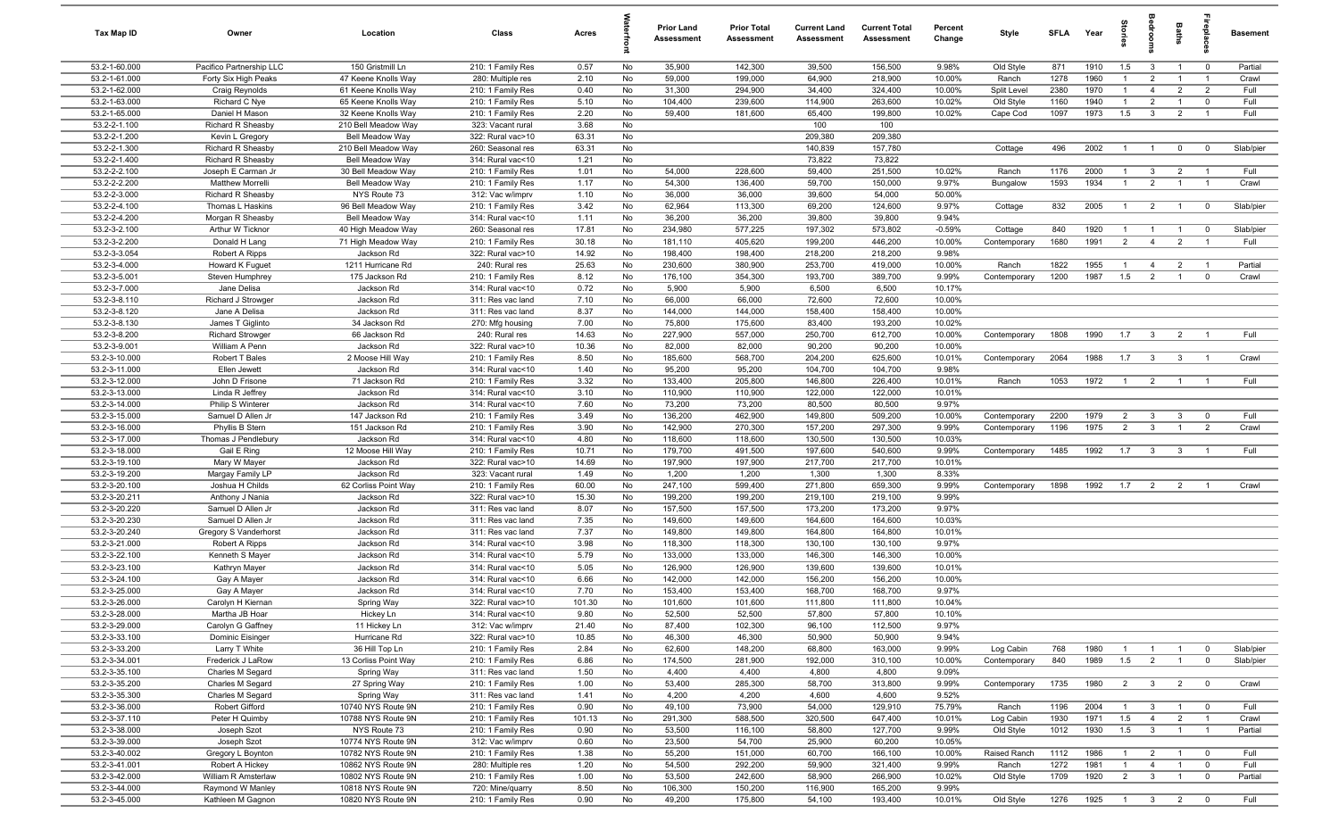| Tax Map ID                     | Owner                                 | Location                                   | Class                                  | Acres         |          | <b>Prior Land</b><br>Assessment | <b>Prior Total</b><br>Assessment | <b>Current Land</b><br>Assessment | <b>Current Total</b><br><b>Assessment</b> | Percent<br>Change | Style        | <b>SFLA</b> | Year         | iories              | edrooi                  | Baths          |                         | <b>Basement</b> |
|--------------------------------|---------------------------------------|--------------------------------------------|----------------------------------------|---------------|----------|---------------------------------|----------------------------------|-----------------------------------|-------------------------------------------|-------------------|--------------|-------------|--------------|---------------------|-------------------------|----------------|-------------------------|-----------------|
| 53.2-1-60.000                  | Pacifico Partnership LLC              | 150 Gristmill Ln                           | 210: 1 Family Res                      | 0.57          | No       | 35,900                          | 142,300                          | 39,500                            | 156,500                                   | 9.98%             | Old Style    | 871         | 1910         | 1.5                 | $\mathbf{3}$            | $\overline{1}$ | $\overline{0}$          | Partial         |
| 53.2-1-61.000                  | Forty Six High Peaks                  | 47 Keene Knolls Way                        | 280: Multiple res                      | 2.10          | No       | 59,000                          | 199,000                          | 64,900                            | 218,900                                   | 10.00%            | Ranch        | 1278        | 1960         |                     | $\overline{2}$          | $\overline{1}$ | $\overline{1}$          | Crawl           |
| 53.2-1-62.000                  | Craig Reynolds                        | 61 Keene Knolls Way                        | 210: 1 Family Res                      | 0.40          | No       | 31,300                          | 294,900                          | 34,400                            | 324,400                                   | 10.00%            | Split Level  | 2380        | 1970         | $\mathbf{1}$        | $\overline{4}$          | $\overline{2}$ | $\overline{2}$          | Full            |
| 53.2-1-63.000                  | Richard C Nye                         | 65 Keene Knolls Way                        | 210: 1 Family Res                      | 5.10          | No       | 104,400                         | 239,600                          | 114,900                           | 263,600                                   | 10.02%            | Old Style    | 1160        | 1940         | $\overline{1}$      | $\overline{2}$          | $\overline{1}$ | $\mathbf 0$             | Full            |
| 53.2-1-65.000<br>53.2-2-1.100  | Daniel H Mason<br>Richard R Sheasby   | 32 Keene Knolls Way<br>210 Bell Meadow Way | 210: 1 Family Res<br>323: Vacant rural | 2.20<br>3.68  | No<br>No | 59,400                          | 181,600                          | 65,400<br>100                     | 199,800<br>100                            | 10.02%            | Cape Cod     | 1097        | 1973         | 1.5                 | $\mathbf{3}$            | $\overline{2}$ | $\overline{1}$          | Full            |
| 53.2-2-1.200                   | Kevin L Gregory                       | Bell Meadow Way                            | 322: Rural vac>10                      | 63.31         | No       |                                 |                                  | 209,380                           | 209,380                                   |                   |              |             |              |                     |                         |                |                         |                 |
| 53.2-2-1.300                   | Richard R Sheasby                     | 210 Bell Meadow Way                        | 260: Seasonal res                      | 63.31         | No       |                                 |                                  | 140,839                           | 157,780                                   |                   | Cottage      | 496         | 2002         | $\overline{1}$      | $\overline{1}$          | $\overline{0}$ | $\mathbf 0$             | Slab/pier       |
| 53.2-2-1.400                   | Richard R Sheasby                     | Bell Meadow Way                            | 314: Rural vac<10                      | 1.21          | No       |                                 |                                  | 73,822                            | 73,822                                    |                   |              |             |              |                     |                         |                |                         |                 |
| 53.2-2-2.100                   | Joseph E Carman Jr                    | 30 Bell Meadow Way                         | 210: 1 Family Res                      | 1.01          | No       | 54,000                          | 228,600                          | 59,400                            | 251,500                                   | 10.02%            | Ranch        | 1176        | 2000         | $\overline{1}$      | $\overline{\mathbf{3}}$ | $\overline{2}$ | $\overline{1}$          | Full            |
| 53.2-2-2.200                   | Matthew Morrelli                      | Bell Meadow Way                            | 210: 1 Family Res                      | 1.17          | No       | 54,300                          | 136,400                          | 59,700                            | 150,000                                   | 9.97%             | Bungalow     | 1593        | 1934         | $\overline{1}$      | $\overline{2}$          | $\overline{1}$ | $\overline{1}$          | Crawl           |
| 53.2-2-3.000                   | Richard R Sheasby                     | NYS Route 73                               | 312: Vac w/imprv                       | 1.10          | No       | 36,000                          | 36,000                           | 39,600                            | 54,000                                    | 50.00%            |              |             |              |                     |                         |                |                         |                 |
| 53.2-2-4.100                   | Thomas L Haskins                      | 96 Bell Meadow Way                         | 210: 1 Family Res                      | 3.42          | No       | 62,964                          | 113,300                          | 69,200                            | 124,600                                   | 9.97%             | Cottage      | 832         | 2005         | $\overline{1}$      | $\overline{2}$          | $\overline{1}$ | $\overline{0}$          | Slab/pier       |
| 53.2-2-4.200                   | Morgan R Sheasby                      | Bell Meadow Way                            | 314: Rural vac<10                      | 1.11          | No       | 36,200                          | 36,200                           | 39,800                            | 39,800                                    | 9.94%             |              |             |              |                     |                         |                |                         |                 |
| 53.2-3-2.100                   | Arthur W Ticknor                      | 40 High Meadow Way                         | 260: Seasonal res                      | 17.81         | No       | 234,980                         | 577,225                          | 197,302                           | 573,802                                   | $-0.59%$          | Cottage      | 840         | 1920         | $\overline{1}$      | $\overline{1}$          | $\overline{1}$ | $\overline{0}$          | Slab/pier       |
| 53.2-3-2.200                   | Donald H Lang                         | 71 High Meadow Way                         | 210: 1 Family Res                      | 30.18         | No       | 181,110                         | 405,620                          | 199,200                           | 446,200                                   | 10.00%            | Contemporary | 1680        | 1991         | $\overline{2}$      | $\overline{4}$          | $\overline{2}$ | $\overline{1}$          | Full            |
| 53.2-3-3.054                   | Robert A Ripps                        | Jackson Rd                                 | 322: Rural vac>10                      | 14.92         | No       | 198,400                         | 198,400                          | 218,200                           | 218,200                                   | 9.98%             |              |             |              |                     |                         |                |                         |                 |
| 53.2-3-4.000                   | Howard K Fuguet                       | 1211 Hurricane Rd                          | 240: Rural res                         | 25.63         | No<br>No | 230,600                         | 380,900                          | 253,700                           | 419,000                                   | 10.00%            | Ranch        | 1822        | 1955<br>1987 | $\mathbf{1}$        | $\overline{4}$          | $\overline{2}$ | $\overline{1}$          | Partial         |
| 53.2-3-5.001<br>53.2-3-7.000   | Steven Humphrey<br>Jane Delisa        | 175 Jackson Rd<br>Jackson Rd               | 210: 1 Family Res<br>314: Rural vac<10 | 8.12<br>0.72  | No       | 176,100<br>5,900                | 354,300<br>5,900                 | 193,700<br>6,500                  | 389,700<br>6,500                          | 9.99%<br>10.17%   | Contemporary | 1200        |              | 1.5                 | $\overline{2}$          | $\overline{1}$ | $\mathbf 0$             | Crawl           |
| 53.2-3-8.110                   | Richard J Strowger                    | Jackson Rd                                 | 311: Res vac land                      | 7.10          | No       | 66,000                          | 66,000                           | 72,600                            | 72,600                                    | 10.00%            |              |             |              |                     |                         |                |                         |                 |
| 53.2-3-8.120                   | Jane A Delisa                         | Jackson Rd                                 | 311: Res vac land                      | 8.37          | No       | 144,000                         | 144,000                          | 158,400                           | 158,400                                   | 10.00%            |              |             |              |                     |                         |                |                         |                 |
| 53.2-3-8.130                   | James T Giglinto                      | 34 Jackson Rd                              | 270: Mfg housing                       | 7.00          | No       | 75,800                          | 175,600                          | 83,400                            | 193,200                                   | 10.02%            |              |             |              |                     |                         |                |                         |                 |
| 53.2-3-8.200                   | <b>Richard Strowger</b>               | 66 Jackson Rd                              | 240: Rural res                         | 14.63         | No       | 227,900                         | 557,000                          | 250,700                           | 612,700                                   | 10.00%            | Contemporary | 1808        | 1990         | 1.7                 | $\overline{\mathbf{3}}$ | $\overline{2}$ | $\overline{1}$          | Full            |
| 53.2-3-9.001                   | William A Penn                        | Jackson Rd                                 | 322: Rural vac>10                      | 10.36         | No       | 82,000                          | 82,000                           | 90,200                            | 90,200                                    | 10.00%            |              |             |              |                     |                         |                |                         |                 |
| 53.2-3-10.000                  | Robert T Bales                        | 2 Moose Hill Way                           | 210: 1 Family Res                      | 8.50          | No       | 185,600                         | 568,700                          | 204,200                           | 625,600                                   | 10.01%            | Contemporary | 2064        | 1988         | 1.7                 | $\overline{\mathbf{3}}$ | $\mathbf{3}$   | $\overline{1}$          | Crawl           |
| 53.2-3-11.000                  | Ellen Jewett                          | Jackson Rd                                 | 314: Rural vac<10                      | 1.40          | No       | 95,200                          | 95,200                           | 104,700                           | 104,700                                   | 9.98%             |              |             |              |                     |                         |                |                         |                 |
| 53.2-3-12.000                  | John D Frisone                        | 71 Jackson Rd                              | 210: 1 Family Res                      | 3.32          | No       | 133,400                         | 205,800                          | 146,800                           | 226,400                                   | 10.01%            | Ranch        | 1053        | 1972         | $\overline{1}$      | $\overline{2}$          | $\overline{1}$ |                         | Full            |
| 53.2-3-13.000                  | Linda R Jeffrey                       | Jackson Rd                                 | 314: Rural vac<10                      | 3.10          | No       | 110,900                         | 110,900                          | 122,000                           | 122,000                                   | 10.01%            |              |             |              |                     |                         |                |                         |                 |
| 53.2-3-14.000                  | Philip S Winterer                     | Jackson Rd                                 | 314: Rural vac<10                      | 7.60          | No       | 73,200                          | 73,200                           | 80,500                            | 80,500                                    | 9.97%             |              |             |              |                     |                         |                |                         |                 |
| 53.2-3-15.000                  | Samuel D Allen Jr                     | 147 Jackson Rd                             | 210: 1 Family Res                      | 3.49          | No       | 136,200                         | 462,900                          | 149,800                           | 509,200                                   | 10.00%            | Contemporary | 2200        | 1979         | $\overline{2}$      | $\mathbf{3}$            | $\mathbf{3}$   | $\overline{0}$          | Full            |
| 53.2-3-16.000                  | Phyllis B Stern                       | 151 Jackson Rd                             | 210: 1 Family Res                      | 3.90          | No       | 142,900                         | 270,300                          | 157,200                           | 297,300                                   | 9.99%             | Contemporary | 1196        | 1975         | $\overline{2}$      | $\overline{\mathbf{3}}$ | $\overline{1}$ | $\overline{2}$          | Crawl           |
| 53.2-3-17.000<br>53.2-3-18.000 | Thomas J Pendlebury<br>Gail E Ring    | Jackson Rd<br>12 Moose Hill Way            | 314: Rural vac<10<br>210: 1 Family Res | 4.80<br>10.71 | No<br>No | 118,600<br>179,700              | 118,600<br>491,500               | 130,500<br>197,600                | 130,500<br>540,600                        | 10.03%<br>9.99%   | Contemporary | 1485        | 1992         | 1.7                 | $\mathbf{3}$            | $\mathbf{3}$   | $\overline{1}$          | Full            |
| 53.2-3-19.100                  | Mary W Mayer                          | Jackson Rd                                 | 322: Rural vac>10                      | 14.69         | No       | 197,900                         | 197,900                          | 217,700                           | 217,700                                   | 10.01%            |              |             |              |                     |                         |                |                         |                 |
| 53.2-3-19.200                  | Margay Family LP                      | Jackson Rd                                 | 323: Vacant rural                      | 1.49          | No       | 1,200                           | 1,200                            | 1,300                             | 1,300                                     | 8.33%             |              |             |              |                     |                         |                |                         |                 |
| 53.2-3-20.100                  | Joshua H Childs                       | 62 Corliss Point Way                       | 210: 1 Family Res                      | 60.00         | No       | 247,100                         | 599,400                          | 271,800                           | 659,300                                   | 9.99%             | Contemporary | 1898        | 1992         | 1.7                 | $\overline{2}$          | $\overline{2}$ |                         | Crawl           |
| 53.2-3-20.211                  | Anthony J Nania                       | Jackson Rd                                 | 322: Rural vac>10                      | 15.30         | No       | 199,200                         | 199,200                          | 219,100                           | 219,100                                   | 9.99%             |              |             |              |                     |                         |                |                         |                 |
| 53.2-3-20.220                  | Samuel D Allen Jr                     | Jackson Rd                                 | 311: Res vac land                      | 8.07          | No       | 157,500                         | 157,500                          | 173,200                           | 173,200                                   | 9.97%             |              |             |              |                     |                         |                |                         |                 |
| 53.2-3-20.230                  | Samuel D Allen Jr                     | Jackson Rd                                 | 311: Res vac land                      | 7.35          | No       | 149,600                         | 149,600                          | 164,600                           | 164,600                                   | 10.03%            |              |             |              |                     |                         |                |                         |                 |
| 53.2-3-20.240                  | Gregory S Vanderhorst                 | Jackson Rd                                 | 311: Res vac land                      | 7.37          | No       | 149,800                         | 149,800                          | 164,800                           | 164,800                                   | 10.01%            |              |             |              |                     |                         |                |                         |                 |
| 53.2-3-21.000                  | Robert A Ripps                        | Jackson Rd                                 | 314: Rural vac<10                      | 3.98          | No       | 118,300                         | 118,300                          | 130,100                           | 130,100                                   | 9.97%             |              |             |              |                     |                         |                |                         |                 |
| 53.2-3-22.100                  | Kenneth S Mayer                       | Jackson Rd                                 | 314: Rural vac<10                      | 5.79          | No       | 133,000                         | 133,000                          | 146,300                           | 146,300                                   | 10.00%            |              |             |              |                     |                         |                |                         |                 |
| 53.2-3-23.100                  | Kathryn Mayer                         | Jackson Rd                                 | 314: Rural vac<10                      | 5.05          | No       | 126,900                         | 126,900                          | 139,600                           | 139,600                                   | 10.01%            |              |             |              |                     |                         |                |                         |                 |
| 53.2-3-24.100                  | Gay A Mayer                           | Jackson Rd                                 | 314: Rural vac<10                      | 6.66          | No       | 142,000                         | 142,000                          | 156,200                           | 156,200                                   | 10.00%            |              |             |              |                     |                         |                |                         |                 |
| 53.2-3-25.000                  | Gay A Mayer                           | Jackson Rd                                 | 314: Rural vac<10                      | 7.70          | No       | 153,400                         | 153,400                          | 168,700                           | 168,700                                   | 9.97%             |              |             |              |                     |                         |                |                         |                 |
| 53.2-3-26.000                  | Carolyn H Kiernan                     | Spring Way                                 | 322: Rural vac>10                      | 101.30        | No       | 101,600                         | 101,600                          | 111,800                           | 111,800                                   | 10.04%            |              |             |              |                     |                         |                |                         |                 |
| 53.2-3-28.000<br>53.2-3-29.000 | Martha JB Hoar<br>Carolyn G Gaffney   | Hickey Ln<br>11 Hickey Ln                  | 314: Rural vac<10<br>312: Vac w/imprv  | 9.80<br>21.40 | No<br>No | 52,500<br>87,400                | 52,500<br>102,300                | 57,800<br>96,100                  | 57,800<br>112,500                         | 10.10%<br>9.97%   |              |             |              |                     |                         |                |                         |                 |
| 53.2-3-33.100                  | Dominic Eisinger                      | Hurricane Rd                               | 322: Rural vac>10                      | 10.85         | No       | 46,300                          | 46,300                           | 50,900                            | 50,900                                    | 9.94%             |              |             |              |                     |                         |                |                         |                 |
| 53.2-3-33.200                  | Larry T White                         | 36 Hill Top Ln                             | 210: 1 Family Res                      | 2.84          | No       | 62,600                          | 148,200                          | 68,800                            | 163,000                                   | 9.99%             | Log Cabin    | 768         | 1980         | $\overline{1}$      | $\overline{1}$          | $\overline{1}$ | $\overline{0}$          | Slab/pier       |
| 53.2-3-34.001                  | Frederick J LaRow                     | 13 Corliss Point Way                       | 210: 1 Family Res                      | 6.86          | No       | 174,500                         | 281,900                          | 192,000                           | 310,100                                   | 10.00%            | Contemporary | 840         | 1989         | 1.5                 | $\overline{2}$          | $\overline{1}$ | $\overline{0}$          | Slab/pier       |
| 53.2-3-35.100                  | Charles M Segard                      | Spring Way                                 | 311: Res vac land                      | 1.50          | No       | 4,400                           | 4,400                            | 4,800                             | 4,800                                     | 9.09%             |              |             |              |                     |                         |                |                         |                 |
| 53.2-3-35.200                  | Charles M Segard                      | 27 Spring Way                              | 210: 1 Family Res                      | 1.00          | No       | 53,400                          | 285,300                          | 58,700                            | 313,800                                   | 9.99%             | Contemporary | 1735        | 1980         | $\overline{2}$      | $\mathbf{3}$            | $\overline{2}$ | $\overline{0}$          | Crawl           |
| 53.2-3-35.300                  | Charles M Segard                      | Spring Way                                 | 311: Res vac land                      | 1.41          | No       | 4,200                           | 4,200                            | 4,600                             | 4,600                                     | 9.52%             |              |             |              |                     |                         |                |                         |                 |
| 53.2-3-36.000                  | <b>Robert Gifford</b>                 | 10740 NYS Route 9N                         | 210: 1 Family Res                      | 0.90          | No       | 49,100                          | 73,900                           | 54,000                            | 129,910                                   | 75.79%            | Ranch        | 1196        | 2004         | $\overline{1}$      | $\mathbf{3}$            | $\overline{1}$ | $\overline{\mathbf{0}}$ | Full            |
| 53.2-3-37.110                  | Peter H Quimby                        | 10788 NYS Route 9N                         | 210: 1 Family Res                      | 101.13        | No       | 291,300                         | 588,500                          | 320,500                           | 647,400                                   | 10.01%            | Log Cabin    | 1930        | 1971         | 1.5                 | $\overline{4}$          | $\overline{2}$ | $\overline{1}$          | Crawl           |
| 53.2-3-38.000                  | Joseph Szot                           | NYS Route 73                               | 210: 1 Family Res                      | 0.90          | No       | 53,500                          | 116,100                          | 58,800                            | 127,700                                   | 9.99%             | Old Style    | 1012        | 1930         | 1.5                 | $\overline{\mathbf{3}}$ | $\overline{1}$ | $\overline{1}$          | Partial         |
| 53.2-3-39.000                  | Joseph Szot                           | 10774 NYS Route 9N                         | 312: Vac w/imprv                       | 0.60          | No       | 23,500                          | 54,700                           | 25,900                            | 60,200                                    | 10.05%            |              |             |              |                     |                         |                |                         |                 |
| 53.2-3-40.002                  | Gregory L Boynton                     | 10782 NYS Route 9N                         | 210: 1 Family Res                      | 1.38          | No       | 55,200                          | 151,000                          | 60,700                            | 166,100                                   | 10.00%            | Raised Ranch | 1112        | 1986         | $\overline{1}$      | $\overline{2}$          | $\overline{1}$ | $\overline{\mathbf{0}}$ | Full            |
| 53.2-3-41.001                  | Robert A Hickey                       | 10862 NYS Route 9N                         | 280: Multiple res                      | 1.20          | No       | 54,500                          | 292,200                          | 59,900                            | 321,400                                   | 9.99%             | Ranch        | 1272        | 1981         | $\overline{1}$      | $\overline{4}$          | $\overline{1}$ | $\overline{0}$          | Full            |
| 53.2-3-42.000<br>53.2-3-44.000 | William R Amsterlaw                   | 10802 NYS Route 9N                         | 210: 1 Family Res                      | 1.00<br>8.50  | No       | 53,500<br>106,300               | 242,600<br>150,200               | 58,900                            | 266,900<br>165,200                        | 10.02%<br>9.99%   | Old Style    | 1709        | 1920         | $\overline{2}$      | $\overline{\mathbf{3}}$ | $\overline{1}$ | $\overline{0}$          | Partial         |
| 53.2-3-45.000                  | Raymond W Manley<br>Kathleen M Gagnon | 10818 NYS Route 9N<br>10820 NYS Route 9N   | 720: Mine/quarry<br>210: 1 Family Res  | 0.90          | No<br>No | 49,200                          | 175,800                          | 116,900<br>54,100                 | 193,400                                   | 10.01%            | Old Style    | 1276        | 1925         | $1 \quad 3 \quad 2$ |                         |                | $\overline{\mathbf{0}}$ | Full            |
|                                |                                       |                                            |                                        |               |          |                                 |                                  |                                   |                                           |                   |              |             |              |                     |                         |                |                         |                 |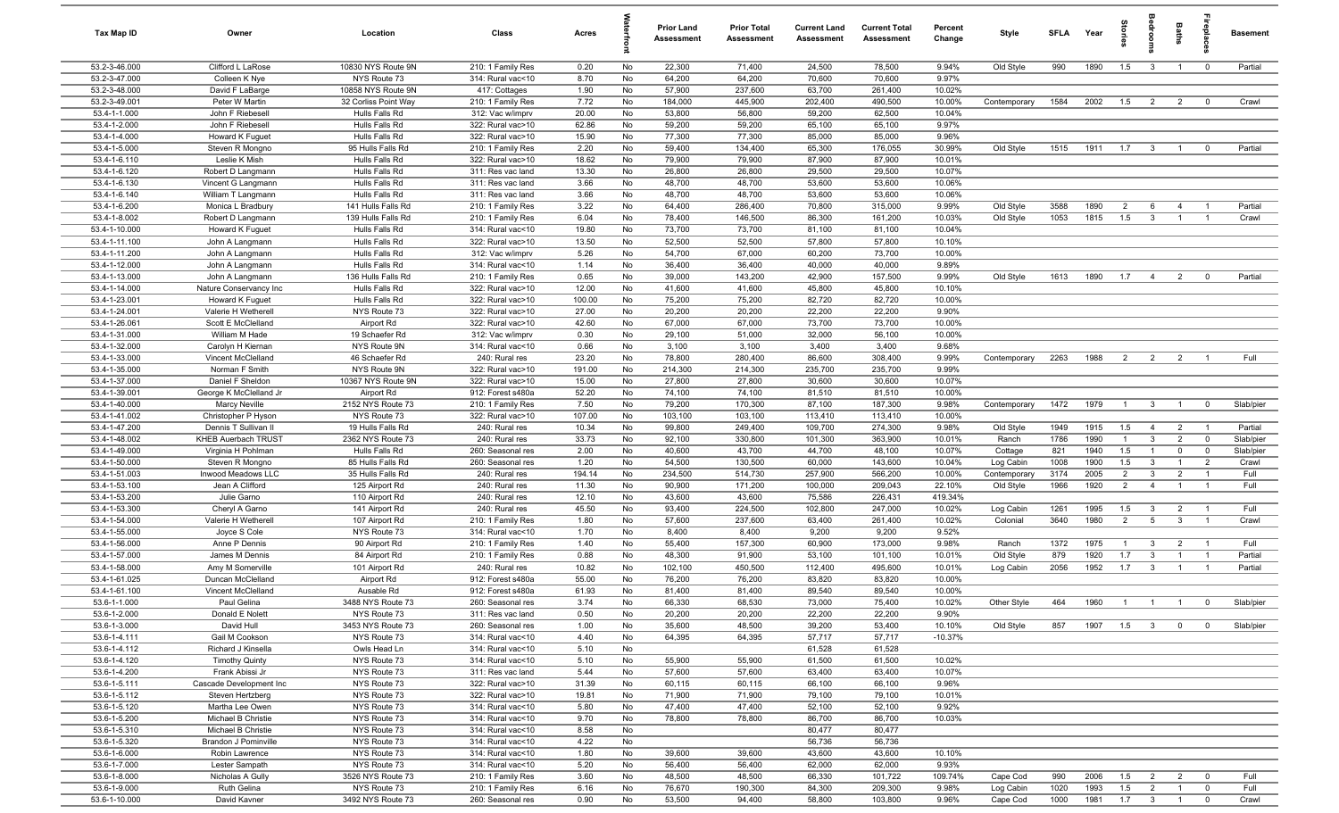| Tax Map ID                     | Owner                                     | Location                            | Class                                  | Acres          |          | <b>Prior Land</b><br>Assessment | <b>Prior Total</b><br>Assessment | <b>Current Land</b><br>Assessment | <b>Current Total</b><br><b>Assessment</b> | Percent<br>Change | <b>Style</b> | <b>SFLA</b> | Year         | grie           | edroo                   | Baths          | 응                                | <b>Basement</b> |
|--------------------------------|-------------------------------------------|-------------------------------------|----------------------------------------|----------------|----------|---------------------------------|----------------------------------|-----------------------------------|-------------------------------------------|-------------------|--------------|-------------|--------------|----------------|-------------------------|----------------|----------------------------------|-----------------|
| 53.2-3-46.000                  | Clifford L LaRose                         | 10830 NYS Route 9N                  | 210: 1 Family Res                      | 0.20           | No       | 22,300                          | 71,400                           | 24,500                            | 78,500                                    | 9.94%             | Old Style    | 990         | 1890         | 1.5            | $\overline{\mathbf{3}}$ | $\overline{1}$ | $\overline{0}$                   | Partial         |
| 53.2-3-47.000                  | Colleen K Nye                             | NYS Route 73                        | 314: Rural vac<10                      | 8.70           | No       | 64,200                          | 64,200                           | 70,600                            | 70,600                                    | 9.97%             |              |             |              |                |                         |                |                                  |                 |
| 53.2-3-48.000                  | David F LaBarge                           | 10858 NYS Route 9N                  | 417: Cottages                          | 1.90           | No       | 57,900                          | 237,600                          | 63,700                            | 261,400                                   | 10.02%            |              |             |              |                |                         |                |                                  |                 |
| 53.2-3-49.001                  | Peter W Martin                            | 32 Corliss Point Way                | 210: 1 Family Res                      | 7.72           | No       | 184,000                         | 445,900                          | 202,400                           | 490,500                                   | 10.00%            | Contemporary | 1584        | 2002         | 1.5            | $\overline{2}$          | $\overline{2}$ | $^{\circ}$                       | Crawl           |
| 53.4-1-1.000                   | John F Riebesell                          | Hulls Falls Rd                      | 312: Vac w/imprv                       | 20.00          | No       | 53,800                          | 56,800                           | 59,200                            | 62,500                                    | 10.04%            |              |             |              |                |                         |                |                                  |                 |
| 53.4-1-2.000                   | John F Riebesell                          | Hulls Falls Rd                      | 322: Rural vac>10                      | 62.86          | No       | 59,200                          | 59,200                           | 65,100                            | 65,100                                    | 9.97%             |              |             |              |                |                         |                |                                  |                 |
| 53.4-1-4.000<br>53.4-1-5.000   | Howard K Fuguet<br>Steven R Mongno        | Hulls Falls Rd                      | 322: Rural vac>10                      | 15.90          | No<br>No | 77,300<br>59,400                | 77,300                           | 85,000                            | 85,000                                    | 9.96%             |              |             |              |                |                         |                |                                  | Partial         |
| 53.4-1-6.110                   | Leslie K Mish                             | 95 Hulls Falls Rd<br>Hulls Falls Rd | 210: 1 Family Res<br>322: Rural vac>10 | 2.20<br>18.62  | No       | 79,900                          | 134,400<br>79,900                | 65,300<br>87,900                  | 176,055<br>87,900                         | 30.99%<br>10.01%  | Old Style    | 1515        | 1911         | 1.7            | $\overline{\mathbf{3}}$ | $\overline{1}$ | $\mathbf 0$                      |                 |
| 53.4-1-6.120                   | Robert D Langmann                         | Hulls Falls Rd                      | 311: Res vac land                      | 13.30          | No       | 26,800                          | 26,800                           | 29,500                            | 29,500                                    | 10.07%            |              |             |              |                |                         |                |                                  |                 |
| 53.4-1-6.130                   | Vincent G Langmann                        | Hulls Falls Rd                      | 311: Res vac land                      | 3.66           | No       | 48,700                          | 48,700                           | 53,600                            | 53,600                                    | 10.06%            |              |             |              |                |                         |                |                                  |                 |
| 53.4-1-6.140                   | William T Langmann                        | Hulls Falls Rd                      | 311: Res vac land                      | 3.66           | No       | 48,700                          | 48,700                           | 53,600                            | 53,600                                    | 10.06%            |              |             |              |                |                         |                |                                  |                 |
| 53.4-1-6.200                   | Monica L Bradbury                         | 141 Hulls Falls Rd                  | 210: 1 Family Res                      | 3.22           | No       | 64,400                          | 286,400                          | 70,800                            | 315,000                                   | 9.99%             | Old Style    | 3588        | 1890         | $\overline{2}$ | 6                       | $\overline{4}$ | $\overline{1}$                   | Partial         |
| 53.4-1-8.002                   | Robert D Langmann                         | 139 Hulls Falls Rd                  | 210: 1 Family Res                      | 6.04           | No       | 78,400                          | 146,500                          | 86,300                            | 161,200                                   | 10.03%            | Old Style    | 1053        | 1815         | 1.5            | $\mathbf{3}$            | $\overline{1}$ | $\overline{1}$                   | Crawl           |
| 53.4-1-10.000                  | Howard K Fuguet                           | Hulls Falls Rd                      | 314: Rural vac<10                      | 19.80          | No       | 73,700                          | 73,700                           | 81,100                            | 81,100                                    | 10.04%            |              |             |              |                |                         |                |                                  |                 |
| 53.4-1-11.100                  | John A Langmann                           | Hulls Falls Rd                      | 322: Rural vac>10                      | 13.50          | No       | 52,500                          | 52,500                           | 57,800                            | 57,800                                    | 10.10%            |              |             |              |                |                         |                |                                  |                 |
| 53.4-1-11.200                  | John A Langmann                           | Hulls Falls Rd                      | 312: Vac w/imprv                       | 5.26           | No       | 54,700                          | 67,000                           | 60,200                            | 73,700                                    | 10.00%            |              |             |              |                |                         |                |                                  |                 |
| 53.4-1-12.000                  | John A Langmann                           | Hulls Falls Rd                      | 314: Rural vac<10                      | 1.14           | No       | 36,400                          | 36,400                           | 40,000                            | 40,000                                    | 9.89%             |              |             |              |                |                         |                |                                  |                 |
| 53.4-1-13.000                  | John A Langmann                           | 136 Hulls Falls Rd                  | 210: 1 Family Res                      | 0.65           | No       | 39,000                          | 143,200                          | 42,900                            | 157,500                                   | 9.99%             | Old Style    | 1613        | 1890         | 1.7            | $\overline{4}$          | $\overline{2}$ | $^{\circ}$                       | Partial         |
| 53.4-1-14.000                  | Nature Conservancy Inc                    | Hulls Falls Rd                      | 322: Rural vac>10                      | 12.00          | No       | 41,600                          | 41,600                           | 45,800                            | 45,800                                    | 10.10%            |              |             |              |                |                         |                |                                  |                 |
| 53.4-1-23.001<br>53.4-1-24.001 | Howard K Fuguet                           | Hulls Falls Rd                      | 322: Rural vac>10                      | 100.00         | No       | 75,200                          | 75,200                           | 82,720                            | 82,720                                    | 10.00%<br>9.90%   |              |             |              |                |                         |                |                                  |                 |
| 53.4-1-26.061                  | Valerie H Wetherell<br>Scott E McClelland | NYS Route 73<br>Airport Rd          | 322: Rural vac>10<br>322: Rural vac>10 | 27.00<br>42.60 | No<br>No | 20,200<br>67,000                | 20,200<br>67,000                 | 22,200<br>73,700                  | 22,200<br>73,700                          | 10.00%            |              |             |              |                |                         |                |                                  |                 |
| 53.4-1-31.000                  | William M Hade                            | 19 Schaefer Rd                      | 312: Vac w/imprv                       | 0.30           | No       | 29,100                          | 51,000                           | 32,000                            | 56,100                                    | 10.00%            |              |             |              |                |                         |                |                                  |                 |
| 53.4-1-32.000                  | Carolyn H Kiernan                         | NYS Route 9N                        | 314: Rural vac<10                      | 0.66           | No       | 3,100                           | 3,100                            | 3,400                             | 3,400                                     | 9.68%             |              |             |              |                |                         |                |                                  |                 |
| 53.4-1-33.000                  | Vincent McClelland                        | 46 Schaefer Rd                      | 240: Rural res                         | 23.20          | No       | 78,800                          | 280,400                          | 86,600                            | 308,400                                   | 9.99%             | Contemporary | 2263        | 1988         | 2              | $\overline{2}$          | $\overline{2}$ | $\overline{1}$                   | Full            |
| 53.4-1-35.000                  | Norman F Smith                            | NYS Route 9N                        | 322: Rural vac>10                      | 191.00         | No       | 214,300                         | 214,300                          | 235,700                           | 235,700                                   | 9.99%             |              |             |              |                |                         |                |                                  |                 |
| 53.4-1-37.000                  | Daniel F Sheldon                          | 10367 NYS Route 9N                  | 322: Rural vac>10                      | 15.00          | No       | 27,800                          | 27,800                           | 30,600                            | 30,600                                    | 10.07%            |              |             |              |                |                         |                |                                  |                 |
| 53.4-1-39.001                  | George K McClelland Jr                    | Airport Rd                          | 912: Forest s480a                      | 52.20          | No       | 74,100                          | 74,100                           | 81,510                            | 81,510                                    | 10.00%            |              |             |              |                |                         |                |                                  |                 |
| 53.4-1-40.000                  | Marcy Neville                             | 2152 NYS Route 73                   | 210: 1 Family Res                      | 7.50           | No       | 79,200                          | 170,300                          | 87,100                            | 187,300                                   | 9.98%             | Contemporary | 1472        | 1979         |                | $\mathbf{3}$            | $\overline{1}$ | $\mathbf 0$                      | Slab/pier       |
| 53.4-1-41.002                  | Christopher P Hyson                       | NYS Route 73                        | 322: Rural vac>10                      | 107.00         | No       | 103,100                         | 103,100                          | 113,410                           | 113,410                                   | 10.00%            |              |             |              |                |                         |                |                                  |                 |
| 53.4-1-47.200                  | Dennis T Sullivan II                      | 19 Hulls Falls Rd                   | 240: Rural res                         | 10.34          | No       | 99,800                          | 249,400                          | 109,700                           | 274,300                                   | 9.98%             | Old Style    | 1949        | 1915         | 1.5            | $\overline{4}$          | $\overline{2}$ | $\overline{1}$                   | Partial         |
| 53.4-1-48.002                  | KHEB Auerbach TRUST                       | 2362 NYS Route 73                   | 240: Rural res                         | 33.73          | No       | 92,100                          | 330,800                          | 101,300                           | 363,900                                   | 10.01%            | Ranch        | 1786        | 1990         | $\overline{1}$ | $\mathbf{3}$            | $\overline{2}$ | $\overline{0}$                   | Slab/pier       |
| 53.4-1-49.000                  | Virginia H Pohlman                        | Hulls Falls Rd                      | 260: Seasonal res                      | 2.00           | No       | 40,600                          | 43,700                           | 44,700                            | 48,100                                    | 10.07%            | Cottage      | 821         | 1940         | 1.5            | $\overline{1}$          | $\mathbf 0$    | $\mathbf 0$                      | Slab/pier       |
| 53.4-1-50.000                  | Steven R Mongno                           | 85 Hulls Falls Rd                   | 260: Seasonal res                      | 1.20           | No       | 54,500                          | 130,500                          | 60,000                            | 143,600                                   | 10.04%            | Log Cabin    | 1008        | 1900         | 1.5            | $\mathbf{3}$            | $\overline{1}$ | $\overline{2}$                   | Crawl           |
| 53.4-1-51.003                  | Inwood Meadows LLC                        | 35 Hulls Falls Rd                   | 240: Rural res                         | 194.14         | No       | 234,500                         | 514,730                          | 257,900                           | 566,200                                   | 10.00%            | Contemporary | 3174        | 2005<br>1920 | $\overline{2}$ | $\mathbf{3}$            | $\overline{2}$ | $\overline{1}$<br>$\overline{1}$ | Full            |
| 53.4-1-53.100<br>53.4-1-53.200 | Jean A Clifford<br>Julie Garno            | 125 Airport Rd<br>110 Airport Rd    | 240: Rural res<br>240: Rural res       | 11.30<br>12.10 | No<br>No | 90,900<br>43,600                | 171,200<br>43,600                | 100,000<br>75,586                 | 209,043<br>226,431                        | 22.10%<br>419.34% | Old Style    | 1966        |              | 2              | $\overline{4}$          | $\overline{1}$ |                                  | Full            |
| 53.4-1-53.300                  | Cheryl A Garno                            | 141 Airport Rd                      | 240: Rural res                         | 45.50          | No       | 93,400                          | 224,500                          | 102,800                           | 247,000                                   | 10.02%            | Log Cabin    | 1261        | 1995         | 1.5            | $\mathbf{3}$            | $\overline{2}$ | $\overline{1}$                   | Full            |
| 53.4-1-54.000                  | Valerie H Wetherell                       | 107 Airport Rd                      | 210: 1 Family Res                      | 1.80           | No       | 57,600                          | 237,600                          | 63,400                            | 261,400                                   | 10.02%            | Colonial     | 3640        | 1980         | $\overline{2}$ | $5\overline{)}$         | $\mathbf{3}$   | $\overline{1}$                   | Crawl           |
| 53.4-1-55.000                  | Joyce S Cole                              | NYS Route 73                        | 314: Rural vac<10                      | 1.70           | No       | 8,400                           | 8,400                            | 9,200                             | 9,200                                     | 9.52%             |              |             |              |                |                         |                |                                  |                 |
| 53.4-1-56.000                  | Anne P Dennis                             | 90 Airport Rd                       | 210: 1 Family Res                      | 1.40           | No       | 55,400                          | 157,300                          | 60,900                            | 173,000                                   | 9.98%             | Ranch        | 1372        | 1975         | $\overline{1}$ | $\mathbf{3}$            | $\overline{2}$ | $\overline{1}$                   | Full            |
| 53.4-1-57.000                  | James M Dennis                            | 84 Airport Rd                       | 210: 1 Family Res                      | 0.88           | No       | 48,300                          | 91,900                           | 53,100                            | 101,100                                   | 10.01%            | Old Style    | 879         | 1920         | 1.7            | 3                       | $\overline{1}$ | $\overline{1}$                   | Partial         |
| 53.4-1-58.000                  | Amy M Somerville                          | 101 Airport Rd                      | 240: Rural res                         | 10.82          | No       | 102,100                         | 450,500                          | 112,400                           | 495,600                                   | 10.01%            | Log Cabin    | 2056        | 1952         | 1.7            | $\mathbf{3}$            | $\overline{1}$ | $\overline{1}$                   | Partial         |
| 53.4-1-61.025                  | Duncan McClelland                         | Airport Rd                          | 912: Forest s480a                      | 55.00          | No       | 76,200                          | 76,200                           | 83,820                            | 83,820                                    | 10.00%            |              |             |              |                |                         |                |                                  |                 |
| 53.4-1-61.100                  | Vincent McClelland                        | Ausable Rd                          | 912: Forest s480a                      | 61.93          | No       | 81,400                          | 81,400                           | 89,540                            | 89,540                                    | 10.00%            |              |             |              |                |                         |                |                                  |                 |
| 53.6-1-1.000                   | Paul Gelina                               | 3488 NYS Route 73                   | 260: Seasonal res                      | 3.74           | No       | 66,330                          | 68,530                           | 73,000                            | 75,400                                    | 10.02%            | Other Style  | 464         | 1960         |                |                         |                |                                  | Slab/pier       |
| 53.6-1-2.000                   | Donald E Nolett                           | NYS Route 73                        | 311: Res vac land                      | 0.50           | No       | 20,200                          | 20,200                           | 22,200                            | 22,200                                    | 9.90%             |              |             |              |                |                         |                |                                  |                 |
| 53.6-1-3.000                   | David Hull                                | 3453 NYS Route 73                   | 260: Seasonal res                      | 1.00           | No       | 35,600                          | 48,500                           | 39,200                            | 53,400                                    | 10.10%            | Old Style    | 857         | 1907         | 1.5            | $\overline{\mathbf{3}}$ | $\overline{0}$ | $\overline{0}$                   | Slab/pier       |
| 53.6-1-4.111                   | Gail M Cookson                            | NYS Route 73                        | 314: Rural vac<10                      | 4.40           | No       | 64,395                          | 64,395                           | 57,717                            | 57,717                                    | $-10.37%$         |              |             |              |                |                         |                |                                  |                 |
| 53.6-1-4.112                   | Richard J Kinsella                        | Owls Head Ln                        | 314: Rural vac<10                      | 5.10           | No       |                                 |                                  | 61,528                            | 61,528                                    |                   |              |             |              |                |                         |                |                                  |                 |
| 53.6-1-4.120<br>53.6-1-4.200   | <b>Timothy Quinty</b><br>Frank Abissi Jr  | NYS Route 73<br>NYS Route 73        | 314: Rural vac<10<br>311: Res vac land | 5.10<br>5.44   | No<br>No | 55,900<br>57,600                | 55,900<br>57,600                 | 61,500<br>63,400                  | 61,500<br>63,400                          | 10.02%<br>10.07%  |              |             |              |                |                         |                |                                  |                 |
| 53.6-1-5.111                   | Cascade Development Inc                   | NYS Route 73                        | 322: Rural vac>10                      | 31.39          | No       | 60,115                          | 60,115                           | 66,100                            | 66,100                                    | 9.96%             |              |             |              |                |                         |                |                                  |                 |
| 53.6-1-5.112                   | Steven Hertzberg                          | NYS Route 73                        | 322: Rural vac>10                      | 19.81          | No       | 71,900                          | 71,900                           | 79,100                            | 79,100                                    | 10.01%            |              |             |              |                |                         |                |                                  |                 |
| 53.6-1-5.120                   | Martha Lee Owen                           | NYS Route 73                        | 314: Rural vac<10                      | 5.80           | No       | 47,400                          | 47,400                           | 52,100                            | 52,100                                    | 9.92%             |              |             |              |                |                         |                |                                  |                 |
| 53.6-1-5.200                   | Michael B Christie                        | NYS Route 73                        | 314: Rural vac<10                      | 9.70           | No       | 78,800                          | 78,800                           | 86,700                            | 86,700                                    | 10.03%            |              |             |              |                |                         |                |                                  |                 |
| 53.6-1-5.310                   | Michael B Christie                        | NYS Route 73                        | 314: Rural vac<10                      | 8.58           | No       |                                 |                                  | 80,477                            | 80,477                                    |                   |              |             |              |                |                         |                |                                  |                 |
| 53.6-1-5.320                   | Brandon J Pominville                      | NYS Route 73                        | 314: Rural vac<10                      | 4.22           | No       |                                 |                                  | 56,736                            | 56,736                                    |                   |              |             |              |                |                         |                |                                  |                 |
| 53.6-1-6.000                   | Robin Lawrence                            | NYS Route 73                        | 314: Rural vac<10                      | 1.80           | No       | 39,600                          | 39,600                           | 43,600                            | 43,600                                    | 10.10%            |              |             |              |                |                         |                |                                  |                 |
| 53.6-1-7.000                   | Lester Sampath                            | NYS Route 73                        | 314: Rural vac<10                      | 5.20           | No       | 56,400                          | 56,400                           | 62,000                            | 62,000                                    | 9.93%             |              |             |              |                |                         |                |                                  |                 |
| 53.6-1-8.000                   | Nicholas A Gully                          | 3526 NYS Route 73                   | 210: 1 Family Res                      | 3.60           | No       | 48,500                          | 48,500                           | 66,330                            | 101,722                                   | 109.74%           | Cape Cod     | 990         | 2006         | 1.5            | $\overline{2}$          | $\overline{2}$ | $\overline{0}$                   | Full            |
| 53.6-1-9.000                   | Ruth Gelina                               | NYS Route 73                        | 210: 1 Family Res                      | 6.16           | No       | 76,670                          | 190,300                          | 84,300                            | 209,300                                   | 9.98%             | Log Cabin    | 1020        | 1993         | 1.5            | $\overline{2}$          | $\overline{1}$ | $\overline{0}$                   | Full            |
| 53.6-1-10.000                  | David Kavner                              | 3492 NYS Route 73                   | 260: Seasonal res                      | 0.90           | No       | 53,500                          | 94,400                           | 58,800                            | 103,800                                   | 9.96%             | Cape Cod     | 1000        | 1981         | $1.7 \t 3$     |                         | $\blacksquare$ | $\overline{0}$                   | Crawl           |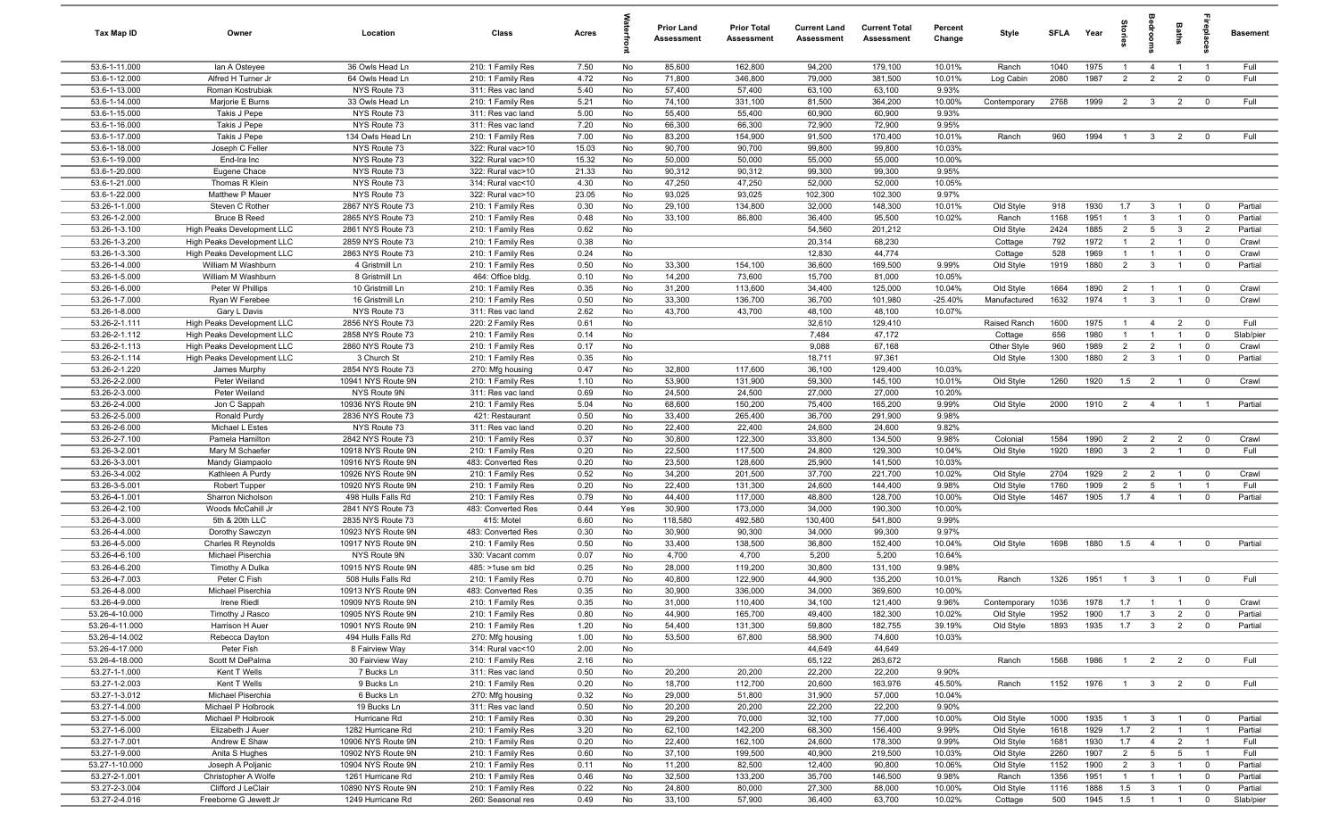| Tax Map ID                       | Owner                               | Location                                 | Class                                   | Acres         |          | Prior Land<br>Assessment | <b>Prior Total</b><br>Assessment | <b>Current Land</b><br>Assessment | <b>Current Total</b><br>Assessment | Percent<br>Change   | Style                  | <b>SFLA</b>  | Year         | par            |                              | Baths                            | repla                         | <b>Basement</b>    |
|----------------------------------|-------------------------------------|------------------------------------------|-----------------------------------------|---------------|----------|--------------------------|----------------------------------|-----------------------------------|------------------------------------|---------------------|------------------------|--------------|--------------|----------------|------------------------------|----------------------------------|-------------------------------|--------------------|
| 53.6-1-11.000                    | lan A Osteyee                       | 36 Owls Head Ln                          | 210: 1 Family Res                       | 7.50          | No       | 85,600                   | 162,800                          | 94,200                            | 179,100                            | 10.01%              | Ranch                  | 1040         | 1975         | $\overline{1}$ | 4                            | $\overline{1}$                   | - 1                           | Full               |
| 53.6-1-12.000                    | Alfred H Turner Jr                  | 64 Owls Head Ln                          | 210: 1 Family Res                       | 4.72          | No       | 71,800                   | 346,800                          | 79,000                            | 381,500                            | 10.01%              | Log Cabin              | 2080         | 1987         | $\overline{2}$ | 2                            | $\overline{2}$                   | $\mathbf 0$                   | Full               |
| 53.6-1-13.000                    | Roman Kostrubiak                    | NYS Route 73                             | 311: Res vac land                       | 5.40          | No       | 57,400                   | 57,400                           | 63,100                            | 63,100                             | 9.93%               |                        |              |              |                |                              |                                  |                               |                    |
| 53.6-1-14.000                    | Marjorie E Burns                    | 33 Owls Head Ln                          | 210: 1 Family Res                       | 5.21          | No       | 74,100                   | 331,100                          | 81,500                            | 364,200                            | 10.00%              | Contemporary           | 2768         | 1999         | $\overline{2}$ | $\overline{\mathbf{3}}$      | $\overline{2}$                   | $\overline{0}$                | Full               |
| 53.6-1-15.000                    | Takis J Pepe                        | NYS Route 73                             | 311: Res vac land                       | 5.00          | No       | 55,400                   | 55,400                           | 60,900                            | 60,900                             | 9.93%               |                        |              |              |                |                              |                                  |                               |                    |
| 53.6-1-16.000                    | Takis J Pepe                        | NYS Route 73                             | 311: Res vac land                       | 7.20          | No       | 66,300                   | 66,300                           | 72,900                            | 72,900                             | 9.95%               |                        |              |              | $\overline{1}$ |                              |                                  | $\Omega$                      |                    |
| 53.6-1-17.000<br>53.6-1-18.000   | Takis J Pepe<br>Joseph C Feller     | 134 Owls Head Ln<br>NYS Route 73         | 210: 1 Family Res<br>322: Rural vac>10  | 7.00<br>15.03 | No<br>No | 83,200<br>90,700         | 154,900<br>90,700                | 91,500<br>99,800                  | 170,400<br>99,800                  | 10.01%<br>10.03%    | Ranch                  | 960          | 1994         |                | $\mathbf{3}$                 | $\overline{2}$                   |                               | Full               |
| 53.6-1-19.000                    | End-Ira Inc                         | NYS Route 73                             | 322: Rural vac>10                       | 15.32         | No       | 50,000                   | 50,000                           | 55,000                            | 55,000                             | 10.00%              |                        |              |              |                |                              |                                  |                               |                    |
| 53.6-1-20.000                    | Eugene Chace                        | NYS Route 73                             | 322: Rural vac>10                       | 21.33         | No       | 90,312                   | 90,312                           | 99,300                            | 99,300                             | 9.95%               |                        |              |              |                |                              |                                  |                               |                    |
| 53.6-1-21.000                    | Thomas R Klein                      | NYS Route 73                             | 314: Rural vac<10                       | 4.30          | No       | 47,250                   | 47,250                           | 52,000                            | 52,000                             | 10.05%              |                        |              |              |                |                              |                                  |                               |                    |
| 53.6-1-22.000                    | Matthew P Mauer                     | NYS Route 73                             | 322: Rural vac>10                       | 23.05         | No       | 93,025                   | 93,025                           | 102,300                           | 102,300                            | 9.97%               |                        |              |              |                |                              |                                  |                               |                    |
| 53.26-1-1.000                    | Steven C Rother                     | 2867 NYS Route 73                        | 210: 1 Family Res                       | 0.30          | No       | 29,100                   | 134,800                          | 32,000                            | 148,300                            | 10.01%              | Old Style              | 918          | 1930         | 1.7            | $\mathbf{3}$                 | $\overline{1}$                   | $\overline{0}$                | Partial            |
| 53.26-1-2.000                    | <b>Bruce B Reed</b>                 | 2865 NYS Route 73                        | 210: 1 Family Res                       | 0.48          | No       | 33,100                   | 86,800                           | 36,400                            | 95,500                             | 10.02%              | Ranch                  | 1168         | 1951         |                | 3                            | $\overline{1}$                   | $^{\circ}$                    | Partial            |
| 53.26-1-3.100                    | High Peaks Development LLC          | 2861 NYS Route 73                        | 210: 1 Family Res                       | 0.62          | No       |                          |                                  | 54,560                            | 201,212                            |                     | Old Style              | 2424         | 1885         | $\overline{2}$ | $5\overline{5}$              | $\mathbf{3}$                     | $\overline{2}$                | Partial            |
| 53.26-1-3.200                    | High Peaks Development LLC          | 2859 NYS Route 73                        | 210: 1 Family Res                       | 0.38          | No       |                          |                                  | 20,314                            | 68,230                             |                     | Cottage                | 792          | 1972         | $\overline{1}$ | $\overline{2}$               | $\overline{1}$                   | $\overline{0}$                | Crawl              |
| 53.26-1-3.300                    | High Peaks Development LLC          | 2863 NYS Route 73                        | 210: 1 Family Res                       | 0.24          | No       |                          |                                  | 12,830                            | 44,774                             |                     | Cottage                | 528          | 1969         | $\overline{1}$ | $\overline{1}$               | $\overline{1}$                   | $\mathbf 0$                   | Crawl              |
| 53.26-1-4.000                    | William M Washburn                  | 4 Gristmill Ln                           | 210: 1 Family Res                       | 0.50          | No       | 33,300                   | 154,100                          | 36,600                            | 169,500                            | 9.99%               | Old Style              | 1919         | 1880         | $\overline{2}$ | $\mathbf{3}$                 | $\overline{1}$                   | $\overline{0}$                | Partial            |
| 53.26-1-5.000                    | William M Washburn                  | 8 Gristmill Ln                           | 464: Office bldg.                       | 0.10          | No       | 14,200                   | 73,600                           | 15,700                            | 81,000                             | 10.05%              |                        |              |              |                |                              |                                  |                               |                    |
| 53.26-1-6.000                    | Peter W Phillips                    | 10 Gristmill Ln                          | 210: 1 Family Res                       | 0.35          | No       | 31,200                   | 113,600                          | 34,400                            | 125,000                            | 10.04%              | Old Style              | 1664         | 1890         | $\overline{2}$ | $\overline{1}$               | $\overline{1}$                   | $^{\circ}$                    | Crawl              |
| 53.26-1-7.000<br>53.26-1-8.000   | Ryan W Ferebee<br>Gary L Davis      | 16 Gristmill Ln<br>NYS Route 73          | 210: 1 Family Res<br>311: Res vac land  | 0.50<br>2.62  | No<br>No | 33,300<br>43,700         | 136,700<br>43,700                | 36,700<br>48,100                  | 101,980<br>48,100                  | $-25.40%$<br>10.07% | Manufactured           | 1632         | 1974         | $\overline{1}$ | $\mathbf{3}$                 | $\overline{1}$                   | $\mathbf 0$                   | Crawl              |
| 53.26-2-1.111                    | High Peaks Development LLC          | 2856 NYS Route 73                        | 220: 2 Family Res                       | 0.61          | No       |                          |                                  | 32,610                            | 129,410                            |                     | Raised Ranch           | 1600         | 1975         | $\overline{1}$ | $\overline{4}$               | $\overline{2}$                   | $\mathbf 0$                   | Full               |
| 53.26-2-1.112                    | High Peaks Development LLC          | 2858 NYS Route 73                        | 210: 1 Family Res                       | 0.14          | No       |                          |                                  | 7,484                             | 47,172                             |                     | Cottage                | 656          | 1980         | $\overline{1}$ | $\overline{1}$               | $\overline{1}$                   | $^{\circ}$                    | Slab/pier          |
| 53.26-2-1.113                    | High Peaks Development LLC          | 2860 NYS Route 73                        | 210: 1 Family Res                       | 0.17          | No       |                          |                                  | 9,088                             | 67,168                             |                     | Other Style            | 960          | 1989         | $\overline{2}$ | $\overline{2}$               | $\overline{1}$                   | $\mathbf 0$                   | Crawl              |
| 53.26-2-1.114                    | High Peaks Development LLC          | 3 Church St                              | 210: 1 Family Res                       | 0.35          | No       |                          |                                  | 18,711                            | 97,361                             |                     | Old Style              | 1300         | 1880         | $\overline{2}$ | $\mathbf{3}$                 |                                  | $\mathbf 0$                   | Partial            |
| 53.26-2-1.220                    | James Murphy                        | 2854 NYS Route 73                        | 270: Mfg housing                        | 0.47          | No       | 32,800                   | 117,600                          | 36,100                            | 129,400                            | 10.03%              |                        |              |              |                |                              |                                  |                               |                    |
| 53.26-2-2.000                    | Peter Weiland                       | 10941 NYS Route 9N                       | 210: 1 Family Res                       | 1.10          | No       | 53,900                   | 131,900                          | 59,300                            | 145,100                            | 10.01%              | Old Style              | 1260         | 1920         | 1.5            | $\overline{2}$               | $\overline{1}$                   | $\overline{\mathbf{0}}$       | Crawl              |
| 53.26-2-3.000                    | Peter Weiland                       | NYS Route 9N                             | 311: Res vac land                       | 0.69          | No       | 24,500                   | 24,500                           | 27,000                            | 27,000                             | 10.20%              |                        |              |              |                |                              |                                  |                               |                    |
| 53.26-2-4.000                    | Jon C Sappah                        | 10936 NYS Route 9N                       | 210: 1 Family Res                       | 5.04          | No       | 68,600                   | 150,200                          | 75,400                            | 165,200                            | 9.99%               | Old Style              | 2000         | 1910         | $\overline{2}$ | $\overline{4}$               | $\overline{1}$                   | $\overline{1}$                | Partial            |
| 53.26-2-5.000                    | Ronald Purdy                        | 2836 NYS Route 73                        | 421: Restaurant                         | 0.50          | No       | 33,400                   | 265,400                          | 36,700                            | 291,900                            | 9.98%               |                        |              |              |                |                              |                                  |                               |                    |
| 53.26-2-6.000                    | Michael L Estes                     | NYS Route 73                             | 311: Res vac land                       | 0.20          | No       | 22,400                   | 22,400                           | 24,600                            | 24,600                             | 9.82%               |                        |              |              |                |                              |                                  |                               |                    |
| 53.26-2-7.100                    | Pamela Hamilton                     | 2842 NYS Route 73                        | 210: 1 Family Res                       | 0.37          | No       | 30,800                   | 122,300                          | 33,800                            | 134,500                            | 9.98%               | Colonial               | 1584         | 1990         | $\overline{2}$ | $\overline{2}$               | $\overline{2}$                   | $\mathbf 0$                   | Crawl              |
| 53.26-3-2.001                    | Mary M Schaefer                     | 10918 NYS Route 9N                       | 210: 1 Family Res                       | 0.20          | No       | 22,500                   | 117,500                          | 24,800                            | 129,300                            | 10.04%              | Old Style              | 1920         | 1890         | $\mathbf{3}$   | $\overline{2}$               | $\overline{1}$                   | $\mathbf 0$                   | Full               |
| 53.26-3-3.001<br>53.26-3-4.002   | Mandy Giampaolo<br>Kathleen A Purdy | 10916 NYS Route 9N<br>10926 NYS Route 9N | 483: Converted Res<br>210: 1 Family Res | 0.20<br>0.52  | No<br>No | 23,500<br>34,200         | 128,600<br>201,500               | 25,900<br>37,700                  | 141,500<br>221,700                 | 10.03%<br>10.02%    | Old Style              | 2704         | 1929         | $\overline{2}$ | $\overline{2}$               | $\overline{1}$                   | $\overline{0}$                | Crawl              |
| 53.26-3-5.001                    | <b>Robert Tupper</b>                | 10920 NYS Route 9N                       | 210: 1 Family Res                       | 0.20          | No       | 22,400                   | 131,300                          | 24,600                            | 144,400                            | 9.98%               | Old Style              | 1760         | 1909         | $\overline{2}$ | 5                            | $\overline{1}$                   | - 1                           | Full               |
| 53.26-4-1.001                    | Sharron Nicholson                   | 498 Hulls Falls Rd                       | 210: 1 Family Res                       | 0.79          | No       | 44,400                   | 117,000                          | 48,800                            | 128,700                            | 10.00%              | Old Style              | 1467         | 1905         | 1.7            | $\overline{4}$               | $\overline{1}$                   | $\mathbf 0$                   | Partial            |
| 53.26-4-2.100                    | Woods McCahill Jr                   | 2841 NYS Route 73                        | 483: Converted Res                      | 0.44          | Yes      | 30,900                   | 173,000                          | 34,000                            | 190,300                            | 10.00%              |                        |              |              |                |                              |                                  |                               |                    |
| 53.26-4-3.000                    | 5th & 20th LLC                      | 2835 NYS Route 73                        | 415: Motel                              | 6.60          | No       | 118,580                  | 492,580                          | 130,400                           | 541,800                            | 9.99%               |                        |              |              |                |                              |                                  |                               |                    |
| 53.26-4-4.000                    | Dorothy Sawczyn                     | 10923 NYS Route 9N                       | 483: Converted Res                      | 0.30          | No       | 30,900                   | 90,300                           | 34,000                            | 99,300                             | 9.97%               |                        |              |              |                |                              |                                  |                               |                    |
| 53.26-4-5.000                    | Charles R Reynolds                  | 10917 NYS Route 9N                       | 210: 1 Family Res                       | 0.50          | No       | 33,400                   | 138,500                          | 36,800                            | 152,400                            | 10.04%              | Old Style              | 1698         | 1880         | 1.5            | $\overline{4}$               | $\overline{1}$                   | $^{\circ}$                    | Partial            |
| 53.26-4-6.100                    | Michael Piserchia                   | NYS Route 9N                             | 330: Vacant comm                        | 0.07          | No       | 4,700                    | 4,700                            | 5,200                             | 5,200                              | 10.64%              |                        |              |              |                |                              |                                  |                               |                    |
| 53.26-4-6.200                    | Timothy A Dulka                     | 10915 NYS Route 9N                       | 485: >1use sm bld                       | 0.25          | No       | 28,000                   | 119,200                          | 30,800                            | 131,100                            | 9.98%               |                        |              |              |                |                              |                                  |                               |                    |
| 53.26-4-7.003                    | Peter C Fish                        | 508 Hulls Falls Rd                       | 210: 1 Family Res                       | 0.70          | No       | 40,800                   | 122,900                          | 44,900                            | 135,200                            | 10.01%              | Ranch                  | 1326         | 1951         | $\overline{1}$ | $\mathbf{3}$                 | $\overline{1}$                   | $\mathbf 0$                   | Full               |
| 53.26-4-8.000                    | Michael Piserchia                   | 10913 NYS Route 9N                       | 483: Converted Res                      | 0.35          | No       | 30,900                   | 336,000                          | 34,000                            | 369,600                            | 10.00%              |                        |              |              |                |                              |                                  |                               |                    |
| 53.26-4-9.000                    | Irene Riedl                         | 10909 NYS Route 9N                       | 210: 1 Family Res                       | 0.35          | No       | 31,000                   | 110,400                          | 34,100                            | 121,400                            | 9.96%               | Contemporary           | 1036         | 1978         | 1.7            | $\overline{1}$               |                                  |                               | Crawl              |
| 53.26-4-10.000<br>53.26-4-11.000 | Timothy J Rasco                     | 10905 NYS Route 9N                       | 210: 1 Family Res                       | 0.80          | No<br>No | 44,900<br>54,400         | 165,700                          | 49,400                            | 182,300                            | 10.02%<br>39.19%    | Old Style<br>Old Style | 1952<br>1893 | 1900<br>1935 | 1.7<br>1.7     | $\mathbf{3}$<br>$\mathbf{3}$ | $\overline{2}$<br>$\overline{2}$ | $\overline{0}$<br>$\mathbf 0$ | Partial<br>Partial |
| 53.26-4-14.002                   | Harrison H Auer<br>Rebecca Dayton   | 10901 NYS Route 9N<br>494 Hulls Falls Rd | 210: 1 Family Res<br>270: Mfg housing   | 1.20<br>1.00  | No       | 53,500                   | 131,300<br>67,800                | 59,800<br>58,900                  | 182,755<br>74,600                  | 10.03%              |                        |              |              |                |                              |                                  |                               |                    |
| 53.26-4-17.000                   | Peter Fish                          | 8 Fairview Way                           | 314: Rural vac<10                       | 2.00          | No       |                          |                                  | 44,649                            | 44,649                             |                     |                        |              |              |                |                              |                                  |                               |                    |
| 53.26-4-18.000                   | Scott M DePalma                     | 30 Fairview Way                          | 210: 1 Family Res                       | 2.16          | No       |                          |                                  | 65,122                            | 263,672                            |                     | Ranch                  | 1568         | 1986         | $\overline{1}$ | $\overline{2}$               | $\overline{2}$                   | $\overline{0}$                | Full               |
| 53.27-1-1.000                    | Kent T Wells                        | 7 Bucks Ln                               | 311: Res vac land                       | 0.50          | No       | 20,200                   | 20,200                           | 22,200                            | 22,200                             | 9.90%               |                        |              |              |                |                              |                                  |                               |                    |
| 53.27-1-2.003                    | Kent T Wells                        | 9 Bucks Ln                               | 210: 1 Family Res                       | 0.20          | No       | 18,700                   | 112,700                          | 20,600                            | 163,976                            | 45.50%              | Ranch                  | 1152         | 1976         | $\overline{1}$ | $\mathbf{3}$                 | $\overline{2}$                   | $\overline{\mathbf{0}}$       | Full               |
| 53.27-1-3.012                    | Michael Piserchia                   | 6 Bucks Ln                               | 270: Mfg housing                        | 0.32          | No       | 29,000                   | 51,800                           | 31,900                            | 57,000                             | 10.04%              |                        |              |              |                |                              |                                  |                               |                    |
| 53.27-1-4.000                    | Michael P Holbrook                  | 19 Bucks Ln                              | 311: Res vac land                       | 0.50          | No       | 20,200                   | 20,200                           | 22,200                            | 22,200                             | 9.90%               |                        |              |              |                |                              |                                  |                               |                    |
| 53.27-1-5.000                    | Michael P Holbrook                  | Hurricane Rd                             | 210: 1 Family Res                       | 0.30          | No       | 29,200                   | 70,000                           | 32,100                            | 77,000                             | 10.00%              | Old Style              | 1000         | 1935         | $\overline{1}$ | $\mathbf{3}$                 | $\overline{1}$                   | $\overline{0}$                | Partial            |
| 53.27-1-6.000                    | Elizabeth J Auer                    | 1282 Hurricane Rd                        | 210: 1 Family Res                       | 3.20          | No       | 62,100                   | 142,200                          | 68,300                            | 156,400                            | 9.99%               | Old Style              | 1618         | 1929         | 1.7            | $\overline{2}$               | $\overline{1}$                   | $\overline{1}$                | Partial            |
| 53.27-1-7.001                    | Andrew E Shaw                       | 10906 NYS Route 9N                       | 210: 1 Family Res                       | 0.20          | No       | 22,400                   | 162,100                          | 24,600                            | 178,300                            | 9.99%               | Old Style              | 1681         | 1930         | 1.7            | $\overline{4}$               | $\overline{2}$                   | $\overline{1}$                | Full               |
| 53.27-1-9.000                    | Anita S Hughes                      | 10902 NYS Route 9N                       | 210: 1 Family Res                       | 0.60          | No       | 37,100                   | 199,500                          | 40,900                            | 219,500                            | 10.03%              | Old Style              | 2260         | 1907         | $\overline{2}$ | 5 <sup>5</sup>               | $5\overline{5}$                  | $\overline{1}$                | Full               |
| 53.27-1-10.000                   | Joseph A Poljanic                   | 10904 NYS Route 9N                       | 210: 1 Family Res                       | 0.11          | No       | 11,200                   | 82,500                           | 12,400                            | 90,800                             | 10.06%              | Old Style              | 1152         | 1900         | $\overline{2}$ | $\mathbf{3}$                 | $\overline{1}$                   | $\overline{0}$                | Partial            |
| 53.27-2-1.001                    | Christopher A Wolfe                 | 1261 Hurricane Rd                        | 210: 1 Family Res                       | 0.46          | No       | 32,500                   | 133,200                          | 35,700                            | 146,500                            | 9.98%               | Ranch                  | 1356         | 1951         | $\overline{1}$ | $\overline{1}$               | $\overline{1}$                   | $\overline{\mathbf{0}}$       | Partial            |
| 53.27-2-3.004                    | Clifford J LeClair                  | 10890 NYS Route 9N                       | 210: 1 Family Res                       | 0.22          | No       | 24,800                   | 80,000                           | 27,300                            | 88,000                             | 10.00%              | Old Style              | 1116         | 1888         | 1.5            | $\mathbf{3}$                 | $\overline{1}$                   | $\mathbf 0$                   | Partial            |
| 53.27-2-4.016                    | Freeborne G Jewett Jr               | 1249 Hurricane Rd                        | 260: Seasonal res                       | 0.49          | No       | 33,100                   | 57,900                           | 36,400                            | 63,700                             | 10.02%              | Cottage                | 500          | 1945         | 1.5            | $\overline{1}$               | $\overline{1}$                   | $\overline{0}$                | Slab/pier          |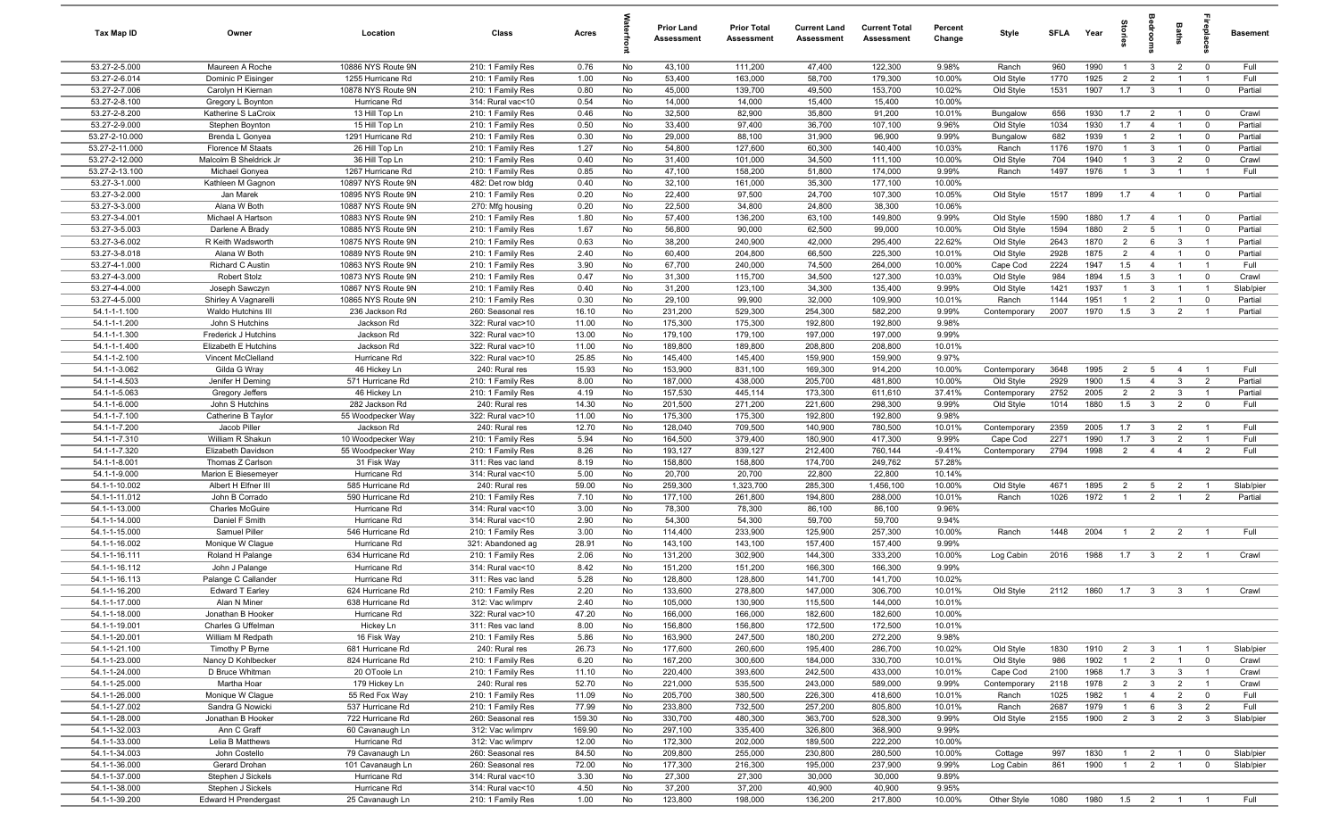| <b>Tax Map ID</b>               | Owner                                  | Location                                | Class                                  | Acres         |          | Prior Land<br>Assessment | <b>Prior Total</b><br>Assessment | <b>Current Land</b><br>Assessment | <b>Current Total</b><br><b>Assessment</b> | Percent<br>Change | Style                    | <b>SFLA</b>  | Year         | iories                | edrooi                                    | Baths                            |                                  | <b>Basement</b> |
|---------------------------------|----------------------------------------|-----------------------------------------|----------------------------------------|---------------|----------|--------------------------|----------------------------------|-----------------------------------|-------------------------------------------|-------------------|--------------------------|--------------|--------------|-----------------------|-------------------------------------------|----------------------------------|----------------------------------|-----------------|
| 53.27-2-5.000                   | Maureen A Roche                        | 10886 NYS Route 9N                      | 210: 1 Family Res                      | 0.76          | No       | 43,100                   | 111,200                          | 47,400                            | 122,300                                   | 9.98%             | Ranch                    | 960          | 1990         | $\overline{1}$        | $\mathbf{3}$                              | $\overline{2}$                   | $\overline{0}$                   | Full            |
| 53.27-2-6.014                   | Dominic P Eisinger                     | 1255 Hurricane Rd                       | 210: 1 Family Res                      | 1.00          | No       | 53,400                   | 163,000                          | 58,700                            | 179,300                                   | 10.00%            | Old Style                | 1770         | 1925         | $\overline{2}$        | $\overline{2}$                            | $\overline{\mathbf{1}}$          | $\overline{1}$                   | Full            |
| 53.27-2-7.006                   | Carolyn H Kiernan                      | 10878 NYS Route 9N                      | 210: 1 Family Res                      | 0.80          | No       | 45,000                   | 139,700                          | 49,500                            | 153,700                                   | 10.02%            | Old Style                | 1531         | 1907         | 1.7                   | $\overline{\mathbf{3}}$                   | $\overline{1}$                   | $\overline{0}$                   | Partial         |
| 53.27-2-8.100                   | Gregory L Boynton                      | Hurricane Rd                            | 314: Rural vac<10                      | 0.54          | No       | 14,000                   | 14,000                           | 15,400                            | 15,400                                    | 10.00%            |                          |              |              |                       |                                           |                                  |                                  |                 |
| 53.27-2-8.200                   | Katherine S LaCroix                    | 13 Hill Top Ln                          | 210: 1 Family Res                      | 0.46          | No       | 32,500                   | 82,900                           | 35,800                            | 91,200                                    | 10.01%            | Bungalow                 | 656          | 1930         | 1.7                   | $\overline{2}$                            | $\overline{1}$                   | $\overline{0}$                   | Crawl           |
| 53.27-2-9.000                   | Stephen Boynton                        | 15 Hill Top Ln                          | 210: 1 Family Res                      | 0.50          | No       | 33,400                   | 97,400                           | 36,700                            | 107,100                                   | 9.96%             | Old Style                | 1034         | 1930         | 1.7                   | $\overline{4}$                            | $\overline{1}$                   | $\overline{0}$                   | Partial         |
| 53.27-2-10.000                  | Brenda L Gonyea                        | 1291 Hurricane Rd                       | 210: 1 Family Res                      | 0.30          | No       | 29,000                   | 88,100                           | 31,900                            | 96,900                                    | 9.99%             | Bungalow                 | 682          | 1939         | $\overline{1}$        | $\overline{2}$                            | $\overline{1}$                   | $\overline{\mathbf{0}}$          | Partial         |
| 53.27-2-11.000                  | Florence M Staats                      | 26 Hill Top Ln                          | 210: 1 Family Res                      | 1.27          | No       | 54,800                   | 127,600                          | 60,300                            | 140,400                                   | 10.03%            | Ranch                    | 1176         | 1970         | $\overline{1}$        | $\mathbf{3}$                              | $\overline{1}$                   | $\mathbf 0$                      | Partial         |
| 53.27-2-12.000                  | Malcolm B Sheldrick Jr                 | 36 Hill Top Ln                          | 210: 1 Family Res                      | 0.40          | No       | 31,400                   | 101,000                          | 34,500                            | 111,100                                   | 10.00%            | Old Style                | 704          | 1940         | $\overline{1}$        | 3                                         | $\overline{2}$                   | $\mathbf 0$                      | Crawl           |
| 53.27-2-13.100<br>53.27-3-1.000 | Michael Gonyea<br>Kathleen M Gagnon    | 1267 Hurricane Rd<br>10897 NYS Route 9N | 210: 1 Family Res<br>482: Det row bldg | 0.85<br>0.40  | No<br>No | 47,100<br>32,100         | 158,200<br>161,000               | 51,800<br>35,300                  | 174,000<br>177,100                        | 9.99%<br>10.00%   | Ranch                    | 1497         | 1976         | $\overline{1}$        | $\mathbf{3}$                              | $\overline{1}$                   | $\overline{1}$                   | Full            |
| 53.27-3-2.000                   | Jan Marek                              | 10895 NYS Route 9N                      | 210: 1 Family Res                      | 0.20          | No       | 22,400                   | 97,500                           | 24,700                            | 107,300                                   | 10.05%            | Old Style                | 1517         | 1899         | 1.7                   | $\overline{4}$                            | $\overline{1}$                   | $\overline{0}$                   | Partial         |
| 53.27-3-3.000                   | Alana W Both                           | 10887 NYS Route 9N                      | 270: Mfg housing                       | 0.20          | No       | 22,500                   | 34,800                           | 24,800                            | 38,300                                    | 10.06%            |                          |              |              |                       |                                           |                                  |                                  |                 |
| 53.27-3-4.001                   | Michael A Hartson                      | 10883 NYS Route 9N                      | 210: 1 Family Res                      | 1.80          | No       | 57,400                   | 136,200                          | 63,100                            | 149,800                                   | 9.99%             | Old Style                | 1590         | 1880         | 1.7                   | $\overline{4}$                            | $\overline{1}$                   | $\overline{0}$                   | Partial         |
| 53.27-3-5.003                   | Darlene A Brady                        | 10885 NYS Route 9N                      | 210: 1 Family Res                      | 1.67          | No       | 56,800                   | 90,000                           | 62,500                            | 99,000                                    | 10.00%            | Old Style                | 1594         | 1880         | $\overline{2}$        | $5\overline{5}$                           | $\overline{1}$                   | $\mathbf 0$                      | Partial         |
| 53.27-3-6.002                   | R Keith Wadsworth                      | 10875 NYS Route 9N                      | 210: 1 Family Res                      | 0.63          | No       | 38,200                   | 240,900                          | 42,000                            | 295,400                                   | 22.62%            | Old Style                | 2643         | 1870         | $\overline{2}$        | 6                                         | $\mathbf{3}$                     | $\overline{1}$                   | Partial         |
| 53.27-3-8.018                   | Alana W Both                           | 10889 NYS Route 9N                      | 210: 1 Family Res                      | 2.40          | No       | 60,400                   | 204,800                          | 66,500                            | 225,300                                   | 10.01%            | Old Style                | 2928         | 1875         | $\overline{2}$        | $\overline{4}$                            | $\overline{1}$                   | 0                                | Partial         |
| 53.27-4-1.000                   | Richard C Austin                       | 10863 NYS Route 9N                      | 210: 1 Family Res                      | 3.90          | No       | 67,700                   | 240,000                          | 74,500                            | 264,000                                   | 10.00%            | Cape Cod                 | 2224         | 1947         | 1.5                   | $\overline{4}$                            | $\overline{1}$                   | $\overline{1}$                   | Full            |
| 53.27-4-3.000                   | Robert Stolz                           | 10873 NYS Route 9N                      | 210: 1 Family Res                      | 0.47          | No       | 31,300                   | 115,700                          | 34,500                            | 127,300                                   | 10.03%            | Old Style                | 984          | 1894         | 1.5                   | $\mathbf{3}$                              | $\overline{1}$                   | $\mathbf 0$                      | Crawl           |
| 53.27-4-4.000                   | Joseph Sawczyn                         | 10867 NYS Route 9N                      | 210: 1 Family Res                      | 0.40          | No       | 31,200                   | 123,100                          | 34,300                            | 135,400                                   | 9.99%             | Old Style                | 1421         | 1937         | $\overline{1}$        | $\mathbf{3}$                              | $\overline{1}$                   | $\overline{1}$                   | Slab/pier       |
| 53.27-4-5.000                   | Shirley A Vagnarelli                   | 10865 NYS Route 9N                      | 210: 1 Family Res                      | 0.30          | No       | 29,100                   | 99,900                           | 32,000                            | 109,900                                   | 10.01%            | Ranch                    | 1144         | 1951         | $\overline{1}$        | $\overline{2}$                            | $\overline{1}$                   | $\mathbf 0$                      | Partial         |
| 54.1-1-1.100                    | Waldo Hutchins III                     | 236 Jackson Rd                          | 260: Seasonal res                      | 16.10         | No       | 231,200                  | 529,300                          | 254,300                           | 582,200                                   | 9.99%             | Contemporary             | 2007         | 1970         | 1.5                   | 3                                         | $\overline{2}$                   | $\overline{1}$                   | Partial         |
| 54.1-1-1.200                    | John S Hutchins                        | Jackson Rd                              | 322: Rural vac>10                      | 11.00         | No       | 175,300                  | 175,300                          | 192,800                           | 192,800                                   | 9.98%             |                          |              |              |                       |                                           |                                  |                                  |                 |
| 54.1-1-1.300                    | Frederick J Hutchins                   | Jackson Rd                              | 322: Rural vac>10                      | 13.00         | No       | 179,100                  | 179,100                          | 197,000                           | 197,000                                   | 9.99%             |                          |              |              |                       |                                           |                                  |                                  |                 |
| 54.1-1-1.400                    | Elizabeth E Hutchins                   | Jackson Rd                              | 322: Rural vac>10                      | 11.00         | No       | 189,800                  | 189,800                          | 208,800                           | 208,800                                   | 10.01%            |                          |              |              |                       |                                           |                                  |                                  |                 |
| 54.1-1-2.100                    | Vincent McClelland                     | Hurricane Rd                            | 322: Rural vac>10                      | 25.85         | No       | 145,400                  | 145,400                          | 159,900                           | 159,900                                   | 9.97%             |                          |              |              |                       |                                           |                                  |                                  |                 |
| 54.1-1-3.062                    | Gilda G Wray                           | 46 Hickey Ln                            | 240: Rural res                         | 15.93         | No       | 153,900                  | 831,100                          | 169,300                           | 914,200                                   | 10.00%            | Contemporary             | 3648         | 1995         | $\overline{2}$        | 5                                         | $\overline{4}$                   | $\overline{1}$                   | Full            |
| 54.1-1-4.503                    | Jenifer H Deming                       | 571 Hurricane Rd                        | 210: 1 Family Res                      | 8.00          | No       | 187,000                  | 438,000                          | 205,700                           | 481,800                                   | 10.00%            | Old Style                | 2929         | 1900         | 1.5                   | $\overline{4}$                            | $\mathbf{3}$                     | $\overline{2}$                   | Partial         |
| 54.1-1-5.063                    | Gregory Jeffers                        | 46 Hickey Ln                            | 210: 1 Family Res                      | 4.19          | No       | 157,530                  | 445,114                          | 173,300                           | 611,610                                   | 37.41%            | Contemporary             | 2752         | 2005         | $\overline{2}$        | $\overline{2}$                            | $\mathbf{3}$                     | $\overline{1}$                   | Partial         |
| 54.1-1-6.000                    | John S Hutchins                        | 282 Jackson Rd                          | 240: Rural res                         | 14.30         | No       | 201,500                  | 271,200                          | 221,600                           | 298,300                                   | 9.99%             | Old Style                | 1014         | 1880         | 1.5                   | $\mathbf{3}$                              | $\overline{2}$                   | $\mathbf 0$                      | Full            |
| 54.1-1-7.100                    | Catherine B Taylor                     | 55 Woodpecker Way                       | 322: Rural vac>10                      | 11.00         | No       | 175,300                  | 175,300                          | 192,800                           | 192,800                                   | 9.98%             |                          |              |              |                       |                                           |                                  |                                  |                 |
| 54.1-1-7.200<br>54.1-1-7.310    | Jacob Piller                           | Jackson Rd                              | 240: Rural res                         | 12.70         | No       | 128,040                  | 709,500                          | 140,900                           | 780,500                                   | 10.01%<br>9.99%   | Contemporary             | 2359<br>2271 | 2005<br>1990 | 1.7<br>1.7            | $\mathbf{3}$<br>3                         | $\overline{2}$<br>$\overline{2}$ | $\overline{1}$<br>$\overline{1}$ | Full<br>Full    |
| 54.1-1-7.320                    | William R Shakun<br>Elizabeth Davidson | 10 Woodpecker Way<br>55 Woodpecker Way  | 210: 1 Family Res<br>210: 1 Family Res | 5.94<br>8.26  | No<br>No | 164,500<br>193,127       | 379,400<br>839,127               | 180,900<br>212,400                | 417,300<br>760,144                        | $-9.41%$          | Cape Cod<br>Contemporary | 2794         | 1998         | $\overline{2}$        | $\overline{4}$                            | $\overline{4}$                   | $\overline{2}$                   | Full            |
| 54.1-1-8.001                    | Thomas Z Carlson                       | 31 Fisk Way                             | 311: Res vac land                      | 8.19          | No       | 158,800                  | 158,800                          | 174,700                           | 249,762                                   | 57.28%            |                          |              |              |                       |                                           |                                  |                                  |                 |
| 54.1-1-9.000                    | Marion E Biesemeyer                    | Hurricane Rd                            | 314: Rural vac<10                      | 5.00          | No       | 20,700                   | 20,700                           | 22,800                            | 22,800                                    | 10.14%            |                          |              |              |                       |                                           |                                  |                                  |                 |
| 54.1-1-10.002                   | Albert H Elfner III                    | 585 Hurricane Rd                        | 240: Rural res                         | 59.00         | No       | 259,300                  | 1,323,700                        | 285,300                           | 1,456,100                                 | 10.00%            | Old Style                | 4671         | 1895         | 2                     | $5\overline{5}$                           | $\overline{2}$                   | $\overline{1}$                   | Slab/pier       |
| 54.1-1-11.012                   | John B Corrado                         | 590 Hurricane Rd                        | 210: 1 Family Res                      | 7.10          | No       | 177,100                  | 261,800                          | 194,800                           | 288,000                                   | 10.01%            | Ranch                    | 1026         | 1972         | $\overline{1}$        | $\overline{2}$                            | $\overline{1}$                   | $\overline{2}$                   | Partial         |
| 54.1-1-13.000                   | <b>Charles McGuire</b>                 | Hurricane Rd                            | 314: Rural vac<10                      | 3.00          | No       | 78,300                   | 78,300                           | 86,100                            | 86,100                                    | 9.96%             |                          |              |              |                       |                                           |                                  |                                  |                 |
| 54.1-1-14.000                   | Daniel F Smith                         | Hurricane Rd                            | 314: Rural vac<10                      | 2.90          | No       | 54,300                   | 54,300                           | 59,700                            | 59,700                                    | 9.94%             |                          |              |              |                       |                                           |                                  |                                  |                 |
| 54.1-1-15.000                   | Samuel Piller                          | 546 Hurricane Rd                        | 210: 1 Family Res                      | 3.00          | No       | 114,400                  | 233,900                          | 125,900                           | 257,300                                   | 10.00%            | Ranch                    | 1448         | 2004         | $\overline{1}$        | $\overline{2}$                            | $\overline{2}$                   |                                  | Full            |
| 54.1-1-16.002                   | Monique W Clague                       | Hurricane Rd                            | 321: Abandoned ag                      | 28.91         | No       | 143,100                  | 143,100                          | 157,400                           | 157,400                                   | 9.99%             |                          |              |              |                       |                                           |                                  |                                  |                 |
| 54.1-1-16.111                   | Roland H Palange                       | 634 Hurricane Rd                        | 210: 1 Family Res                      | 2.06          | No       | 131,200                  | 302,900                          | 144,300                           | 333,200                                   | 10.00%            | Log Cabin                | 2016         | 1988         | 1.7                   | $\overline{\mathbf{3}}$                   | $\overline{2}$                   | - 1                              | Crawl           |
| 54.1-1-16.112                   | John J Palange                         | Hurricane Rd                            | 314: Rural vac<10                      | 8.42          | No       | 151,200                  | 151,200                          | 166,300                           | 166,300                                   | 9.99%             |                          |              |              |                       |                                           |                                  |                                  |                 |
| 54.1-1-16.113                   | Palange C Callander                    | Hurricane Rd                            | 311: Res vac land                      | 5.28          | No       | 128,800                  | 128,800                          | 141,700                           | 141,700                                   | 10.02%            |                          |              |              |                       |                                           |                                  |                                  |                 |
| 54.1-1-16.200                   | Edward T Earley                        | 624 Hurricane Rd                        | 210: 1 Family Res                      | 2.20          | No       | 133,600                  | 278,800                          | 147,000                           | 306,700                                   | 10.01%            | Old Style                | 2112         | 1860         | 1.7                   | $\overline{\mathbf{3}}$                   | $\mathbf{3}$                     |                                  | Crawl           |
| 54.1-1-17.000                   | Alan N Miner                           | 638 Hurricane Rd                        | 312: Vac w/imprv                       | 2.40          | No       | 105,000                  | 130,900                          | 115,500                           | 144,000                                   | 10.01%            |                          |              |              |                       |                                           |                                  |                                  |                 |
| 54.1-1-18.000                   | Jonathan B Hooker                      | Hurricane Rd                            | 322: Rural vac>10                      | 47.20         | No       | 166,000                  | 166,000                          | 182,600                           | 182,600                                   | 10.00%            |                          |              |              |                       |                                           |                                  |                                  |                 |
| 54.1-1-19.001                   | Charles G Uffelman                     | Hickey Ln                               | 311: Res vac land                      | 8.00          | No       | 156,800                  | 156,800                          | 172,500                           | 172,500                                   | 10.01%            |                          |              |              |                       |                                           |                                  |                                  |                 |
| 54.1-1-20.001                   | William M Redpath                      | 16 Fisk Way                             | 210: 1 Family Res                      | 5.86          | No       | 163,900                  | 247,500                          | 180,200                           | 272,200                                   | 9.98%             |                          |              |              |                       |                                           |                                  |                                  |                 |
| 54.1-1-21.100<br>54.1-1-23.000  | Timothy P Byrne                        | 681 Hurricane Rd                        | 240: Rural res                         | 26.73         | No       | 177,600                  | 260,600                          | 195,400                           | 286,700                                   | 10.02%            | Old Style                | 1830         | 1910         | $\overline{2}$        | $\mathbf{3}$                              | $\overline{1}$                   | $\overline{1}$                   | Slab/pier       |
| 54.1-1-24.000                   | Nancy D Kohlbecker<br>D Bruce Whitman  | 824 Hurricane Rd<br>20 OToole Ln        | 210: 1 Family Res<br>210: 1 Family Res | 6.20<br>11.10 | No<br>No | 167,200<br>220,400       | 300,600<br>393,600               | 184,000<br>242,500                | 330,700<br>433,000                        | 10.01%<br>10.01%  | Old Style<br>Cape Cod    | 986<br>2100  | 1902<br>1968 | $\overline{1}$<br>1.7 | $\overline{2}$<br>$\overline{\mathbf{3}}$ | $\overline{1}$<br>$\mathbf{3}$   | $\overline{0}$<br>$\overline{1}$ | Crawl<br>Crawl  |
| 54.1-1-25.000                   | Martha Hoar                            | 179 Hickey Ln                           | 240: Rural res                         | 52.70         | No       | 221,000                  | 535,500                          | 243,000                           | 589,000                                   | 9.99%             | Contemporary             | 2118         | 1978         | $\overline{2}$        | $\mathbf{3}$                              | $\overline{2}$                   | $\overline{1}$                   | Crawl           |
| 54.1-1-26.000                   | Monique W Clague                       | 55 Red Fox Way                          | 210: 1 Family Res                      | 11.09         | No       | 205,700                  | 380,500                          | 226,300                           | 418,600                                   | 10.01%            | Ranch                    | 1025         | 1982         | $\overline{1}$        | $\overline{4}$                            | $\overline{2}$                   | $\overline{0}$                   | Full            |
| 54.1-1-27.002                   | Sandra G Nowicki                       | 537 Hurricane Rd                        | 210: 1 Family Res                      | 77.99         | No       | 233,800                  | 732,500                          | 257,200                           | 805,800                                   | 10.01%            | Ranch                    | 2687         | 1979         | $\overline{1}$        | 6                                         | $\mathbf{3}$                     | $\overline{2}$                   | Full            |
| 54.1-1-28.000                   | Jonathan B Hooker                      | 722 Hurricane Rd                        | 260: Seasonal res                      | 159.30        | No       | 330,700                  | 480,300                          | 363,700                           | 528,300                                   | 9.99%             | Old Style                | 2155         | 1900         | $\overline{2}$        | $\overline{\mathbf{3}}$                   | $\overline{2}$                   | $\overline{3}$                   | Slab/pier       |
| 54.1-1-32.003                   | Ann C Graff                            | 60 Cavanaugh Ln                         | 312: Vac w/imprv                       | 169.90        | No       | 297,100                  | 335,400                          | 326,800                           | 368,900                                   | 9.99%             |                          |              |              |                       |                                           |                                  |                                  |                 |
| 54.1-1-33.000                   | Lelia B Matthews                       | Hurricane Rd                            | 312: Vac w/imprv                       | 12.00         | No       | 172,300                  | 202,000                          | 189,500                           | 222,200                                   | 10.00%            |                          |              |              |                       |                                           |                                  |                                  |                 |
| 54.1-1-34.003                   | John Costello                          | 79 Cavanaugh Ln                         | 260: Seasonal res                      | 84.50         | No       | 209,800                  | 255,000                          | 230,800                           | 280,500                                   | 10.00%            | Cottage                  | 997          | 1830         | $\overline{1}$        | $\overline{2}$                            | $\overline{1}$                   | $\overline{0}$                   | Slab/pier       |
| 54.1-1-36.000                   | Gerard Drohan                          | 101 Cavanaugh Ln                        | 260: Seasonal res                      | 72.00         | No       | 177,300                  | 216,300                          | 195,000                           | 237,900                                   | 9.99%             | Log Cabin                | 861          | 1900         | $\overline{1}$        | 2                                         | $\overline{1}$                   | $\mathbf 0$                      | Slab/pier       |
| 54.1-1-37.000                   | Stephen J Sickels                      | Hurricane Rd                            | 314: Rural vac<10                      | 3.30          | No       | 27,300                   | 27,300                           | 30,000                            | 30,000                                    | 9.89%             |                          |              |              |                       |                                           |                                  |                                  |                 |
| 54.1-1-38.000                   | Stephen J Sickels                      | Hurricane Rd                            | 314: Rural vac<10                      | 4.50          | No       | 37,200                   | 37,200                           | 40,900                            | 40,900                                    | 9.95%             |                          |              |              |                       |                                           |                                  |                                  |                 |
| 54.1-1-39.200                   | Edward H Prendergast                   | 25 Cavanaugh Ln                         | 210: 1 Family Res                      | 1.00          | No       | 123,800                  | 198,000                          | 136,200                           | 217,800                                   | 10.00%            | Other Style              | 1080         | 1980         | $1.5$ 2 1             |                                           |                                  | $\overline{1}$                   | Full            |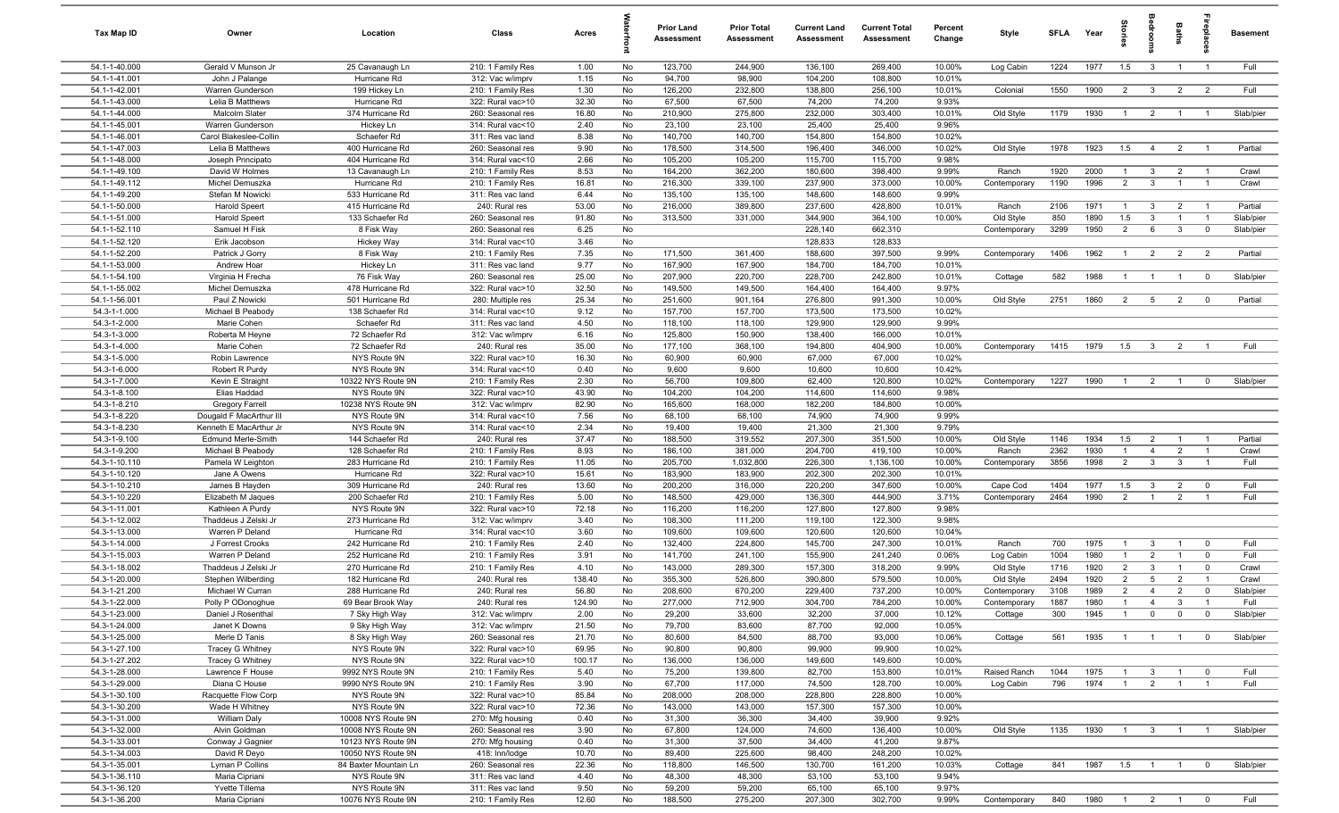| Tax Map ID                     | Owner                                             | Location                             | Class                                  | Acres          |          | Prior Land<br><b>Assessment</b> | <b>Prior Total</b><br>Assessment | <b>Current Land</b><br>Assessment | <b>Current Total</b><br><b>Assessment</b> | Percent<br>Change | Style                  | <b>SFLA</b>  | Year         | arie                             | edroo                          | Baths                            |                            | <b>Basement</b> |
|--------------------------------|---------------------------------------------------|--------------------------------------|----------------------------------------|----------------|----------|---------------------------------|----------------------------------|-----------------------------------|-------------------------------------------|-------------------|------------------------|--------------|--------------|----------------------------------|--------------------------------|----------------------------------|----------------------------|-----------------|
| 54.1-1-40.000                  | Gerald V Munson Jr                                | 25 Cavanaugh Ln                      | 210: 1 Family Res                      | 1.00           | No       | 123,700                         | 244,900                          | 136,100                           | 269,400                                   | 10.00%            | Log Cabin              | 1224         | 1977         | 1.5                              | $\overline{\mathbf{3}}$        | $\overline{1}$                   | $\overline{1}$             | Full            |
| 54.1-1-41.001                  | John J Palange                                    | Hurricane Rd                         | 312: Vac w/imprv                       | 1.15           | No       | 94,700                          | 98,900                           | 104,200                           | 108,800                                   | 10.01%            |                        |              |              |                                  |                                |                                  |                            |                 |
| 54.1-1-42.001                  | Warren Gunderson                                  | 199 Hickey Ln                        | 210: 1 Family Res                      | 1.30           | No       | 126,200                         | 232,800                          | 138,800                           | 256,100                                   | 10.01%            | Colonial               | 1550         | 1900         | $\overline{2}$                   | $3^{\circ}$                    | $\overline{2}$                   | $\overline{\mathbf{2}}$    | Full            |
| 54.1-1-43.000                  | Lelia B Matthews                                  | Hurricane Rd                         | 322: Rural vac>10                      | 32.30          | No       | 67,500                          | 67,500                           | 74,200                            | 74,200                                    | 9.93%             |                        |              |              |                                  |                                |                                  |                            |                 |
| 54.1-1-44.000                  | Malcolm Slater                                    | 374 Hurricane Rd                     | 260: Seasonal res                      | 16.80          | No       | 210,900                         | 275,800                          | 232,000                           | 303,400                                   | 10.01%            | Old Style              | 1179         | 1930         |                                  | $\overline{2}$                 | $\overline{1}$                   |                            | Slab/pier       |
| 54.1-1-45.001<br>54.1-1-46.001 | Warren Gunderson<br>Carol Blakeslee-Collin        | Hickey Ln<br>Schaefer Rd             | 314: Rural vac<10<br>311: Res vac land | 2.40<br>8.38   | No<br>No | 23,100<br>140,700               | 23,100<br>140,700                | 25,400<br>154,800                 | 25,400<br>154,800                         | 9.96%<br>10.02%   |                        |              |              |                                  |                                |                                  |                            |                 |
| 54.1-1-47.003                  | Lelia B Matthews                                  | 400 Hurricane Rd                     | 260: Seasonal res                      | 9.90           | No       | 178,500                         | 314,500                          | 196,400                           | 346,000                                   | 10.02%            | Old Style              | 1978         | 1923         | 1.5                              | $\overline{4}$                 | $\overline{2}$                   | $\overline{1}$             | Partial         |
| 54.1-1-48.000                  | Joseph Principato                                 | 404 Hurricane Rd                     | 314: Rural vac<10                      | 2.66           | No       | 105,200                         | 105,200                          | 115,700                           | 115,700                                   | 9.98%             |                        |              |              |                                  |                                |                                  |                            |                 |
| 54.1-1-49.100                  | David W Holmes                                    | 13 Cavanaugh Ln                      | 210: 1 Family Res                      | 8.53           | No       | 164,200                         | 362,200                          | 180,600                           | 398,400                                   | 9.99%             | Ranch                  | 1920         | 2000         | $\overline{1}$                   | $\mathbf{3}$                   | $\overline{2}$                   | $\overline{1}$             | Crawl           |
| 54.1-1-49.112                  | Michel Demuszka                                   | Hurricane Rd                         | 210: 1 Family Res                      | 16.81          | No       | 216,300                         | 339,100                          | 237,900                           | 373,000                                   | 10.00%            | Contemporary           | 1190         | 1996         | 2                                | $\mathbf{3}$                   | $\mathbf{1}$                     | $\overline{1}$             | Crawl           |
| 54.1-1-49.200                  | Stefan M Nowicki                                  | 533 Hurricane Rd                     | 311: Res vac land                      | 6.44           | No       | 135,100                         | 135,100                          | 148,600                           | 148,600                                   | 9.99%             |                        |              |              |                                  |                                |                                  |                            |                 |
| 54.1-1-50.000                  | <b>Harold Speert</b>                              | 415 Hurricane Rd                     | 240: Rural res                         | 53.00          | No       | 216,000                         | 389,800                          | 237,600                           | 428,800                                   | 10.01%            | Ranch                  | 2106         | 1971         | $\overline{1}$                   | $\mathbf{3}$                   | $\overline{2}$                   | - 1                        | Partial         |
| 54.1-1-51.000                  | <b>Harold Speert</b>                              | 133 Schaefer Rd                      | 260: Seasonal res                      | 91.80          | No       | 313,500                         | 331,000                          | 344,900                           | 364,100                                   | 10.00%            | Old Style              | 850          | 1890         | 1.5                              | 3                              |                                  | $\overline{1}$             | Slab/pier       |
| 54.1-1-52.110                  | Samuel H Fisk                                     | 8 Fisk Way                           | 260: Seasonal res                      | 6.25           | No       |                                 |                                  | 228,140                           | 662,310                                   |                   | Contemporary           | 3299         | 1950         | $\overline{2}$                   | 6                              | $\mathbf{3}$                     | $\overline{0}$             | Slab/pier       |
| 54.1-1-52.120                  | Erik Jacobson                                     | Hickey Way                           | 314: Rural vac<10                      | 3.46           | No       |                                 |                                  | 128,833                           | 128,833                                   |                   |                        |              |              |                                  |                                |                                  |                            |                 |
| 54.1-1-52.200                  | Patrick J Gorry                                   | 8 Fisk Way                           | 210: 1 Family Res                      | 7.35           | No       | 171,500                         | 361,400                          | 188,600                           | 397,500                                   | 9.99%             | Contemporary           | 1406         | 1962         |                                  | $\overline{2}$                 | $\overline{2}$                   | $\overline{2}$             | Partial         |
| 54.1-1-53.000<br>54.1-1-54.100 | Andrew Hoar<br>Virginia H Frecha                  | Hickey Ln<br>76 Fisk Way             | 311: Res vac land<br>260: Seasonal res | 9.77<br>25.00  | No<br>No | 167,900<br>207,900              | 167,900<br>220,700               | 184,700<br>228,700                | 184,700<br>242,800                        | 10.01%<br>10.01%  | Cottage                | 582          | 1988         | $\overline{1}$                   | $\overline{1}$                 | $\overline{1}$                   | $\overline{\mathbf{0}}$    | Slab/pier       |
| 54.1-1-55.002                  | Michel Demuszka                                   | 478 Hurricane Rd                     | 322: Rural vac>10                      | 32.50          | No       | 149,500                         | 149,500                          | 164,400                           | 164,400                                   | 9.97%             |                        |              |              |                                  |                                |                                  |                            |                 |
| 54.1-1-56.001                  | Paul Z Nowicki                                    | 501 Hurricane Rd                     | 280: Multiple res                      | 25.34          | No       | 251,600                         | 901,164                          | 276,800                           | 991,300                                   | 10.00%            | Old Style              | 2751         | 1860         | $\overline{2}$                   | 5                              | $\overline{2}$                   | $\mathbf 0$                | Partial         |
| 54.3-1-1.000                   | Michael B Peabody                                 | 138 Schaefer Rd                      | 314: Rural vac<10                      | 9.12           | No       | 157,700                         | 157,700                          | 173,500                           | 173,500                                   | 10.02%            |                        |              |              |                                  |                                |                                  |                            |                 |
| 54.3-1-2.000                   | Marie Cohen                                       | Schaefer Rd                          | 311: Res vac land                      | 4.50           | No       | 118,100                         | 118,100                          | 129,900                           | 129,900                                   | 9.99%             |                        |              |              |                                  |                                |                                  |                            |                 |
| 54.3-1-3.000                   | Roberta M Heyne                                   | 72 Schaefer Rd                       | 312: Vac w/imprv                       | 6.16           | No       | 125,800                         | 150,900                          | 138,400                           | 166,000                                   | 10.01%            |                        |              |              |                                  |                                |                                  |                            |                 |
| 54.3-1-4.000                   | Marie Cohen                                       | 72 Schaefer Rd                       | 240: Rural res                         | 35.00          | No       | 177,100                         | 368,100                          | 194,800                           | 404,900                                   | 10.00%            | Contemporary           | 1415         | 1979         | 1.5                              | $\overline{\mathbf{3}}$        | $\overline{2}$                   | $\overline{1}$             | Full            |
| 54.3-1-5.000                   | Robin Lawrence                                    | NYS Route 9N                         | 322: Rural vac>10                      | 16.30          | No       | 60,900                          | 60,900                           | 67,000                            | 67,000                                    | 10.02%            |                        |              |              |                                  |                                |                                  |                            |                 |
| 54.3-1-6.000                   | Robert R Purdy                                    | NYS Route 9N                         | 314: Rural vac<10                      | 0.40           | No       | 9,600                           | 9,600                            | 10,600                            | 10,600                                    | 10.42%            |                        |              |              |                                  |                                |                                  |                            |                 |
| 54.3-1-7.000                   | Kevin E Straight                                  | 10322 NYS Route 9N                   | 210: 1 Family Res                      | 2.30           | No       | 56,700                          | 109,800                          | 62,400                            | 120,800                                   | 10.02%            | Contemporary           | 1227         | 1990         |                                  | $\overline{2}$                 | $\overline{1}$                   | $^{\circ}$                 | Slab/pier       |
| 54.3-1-8.100                   | Elias Haddad                                      | NYS Route 9N                         | 322: Rural vac>10                      | 43.90          | No       | 104,200                         | 104,200                          | 114,600                           | 114,600                                   | 9.98%             |                        |              |              |                                  |                                |                                  |                            |                 |
| 54.3-1-8.210                   | <b>Gregory Farrell</b>                            | 10238 NYS Route 9N                   | 312: Vac w/imprv                       | 82.90          | No       | 165,600                         | 168,000                          | 182,200                           | 184,800                                   | 10.00%            |                        |              |              |                                  |                                |                                  |                            |                 |
| 54.3-1-8.220<br>54.3-1-8.230   | Dougald F MacArthur III<br>Kenneth E MacArthur Jr | NYS Route 9N<br>NYS Route 9N         | 314: Rural vac<10<br>314: Rural vac<10 | 7.56<br>2.34   | No<br>No | 68,100<br>19,400                | 68,100<br>19,400                 | 74,900<br>21,300                  | 74,900<br>21,300                          | 9.99%<br>9.79%    |                        |              |              |                                  |                                |                                  |                            |                 |
| 54.3-1-9.100                   | Edmund Merle-Smith                                | 144 Schaefer Rd                      | 240: Rural res                         | 37.47          | No       | 188,500                         | 319,552                          | 207,300                           | 351,500                                   | 10.00%            | Old Style              | 1146         | 1934         | 1.5                              | $\overline{2}$                 | $\overline{1}$                   | $\overline{1}$             | Partial         |
| 54.3-1-9.200                   | Michael B Peabody                                 | 128 Schaefer Rd                      | 210: 1 Family Res                      | 8.93           | No       | 186,100                         | 381,000                          | 204,700                           | 419,100                                   | 10.00%            | Ranch                  | 2362         | 1930         | $\overline{1}$                   | $\overline{4}$                 | $\overline{2}$                   | $\overline{1}$             | Crawl           |
| 54.3-1-10.110                  | Pamela W Leighton                                 | 283 Hurricane Rd                     | 210: 1 Family Res                      | 11.05          | No       | 205,700                         | 1,032,800                        | 226,300                           | 1,136,100                                 | 10.00%            | Contemporary           | 3856         | 1998         | 2                                | $\mathbf{3}$                   | $\mathbf{3}$                     | $\overline{1}$             | Full            |
| 54.3-1-10.120                  | Jane A Owens                                      | Hurricane Rd                         | 322: Rural vac>10                      | 15.61          | No       | 183,900                         | 183,900                          | 202,300                           | 202,300                                   | 10.01%            |                        |              |              |                                  |                                |                                  |                            |                 |
| 54.3-1-10.210                  | James B Hayden                                    | 309 Hurricane Rd                     | 240: Rural res                         | 13.60          | No       | 200,200                         | 316,000                          | 220,200                           | 347,600                                   | 10.00%            | Cape Cod               | 1404         | 1977         | 1.5                              | 3                              | $\overline{2}$                   | $\mathbf 0$                | Full            |
| 54.3-1-10.220                  | Elizabeth M Jaques                                | 200 Schaefer Rd                      | 210: 1 Family Res                      | 5.00           | No       | 148,500                         | 429,000                          | 136,300                           | 444,900                                   | 3.71%             | Contemporary           | 2464         | 1990         | $\overline{2}$                   | $\overline{1}$                 | $\overline{2}$                   | $\overline{1}$             | Full            |
| 54.3-1-11.001                  | Kathleen A Purdy                                  | NYS Route 9N                         | 322: Rural vac>10                      | 72.18          | No       | 116,200                         | 116,200                          | 127,800                           | 127,800                                   | 9.98%             |                        |              |              |                                  |                                |                                  |                            |                 |
| 54.3-1-12.002                  | Thaddeus J Zelski Jr                              | 273 Hurricane Rd                     | 312: Vac w/imprv                       | 3.40           | No       | 108,300                         | 111,200                          | 119,100                           | 122,300                                   | 9.98%             |                        |              |              |                                  |                                |                                  |                            |                 |
| 54.3-1-13.000                  | Warren P Deland                                   | Hurricane Rd                         | 314: Rural vac<10                      | 3.60           | No       | 109,600                         | 109,600                          | 120,600                           | 120,600                                   | 10.04%            |                        |              |              |                                  |                                |                                  |                            |                 |
| 54.3-1-14.000                  | J Forrest Crooks                                  | 242 Hurricane Rd                     | 210: 1 Family Res                      | 2.40           | No       | 132,400                         | 224,800                          | 145,700                           | 247,300                                   | 10.01%            | Ranch                  | 700          | 1975         |                                  | 3                              | - 1                              | $\mathbf 0$                | Full            |
| 54.3-1-15.003<br>54.3-1-18.002 | Warren P Deland<br>Thaddeus J Zelski Jr           | 252 Hurricane Rd<br>270 Hurricane Rd | 210: 1 Family Res<br>210: 1 Family Res | 3.91<br>4.10   | No<br>No | 141,700<br>143,000              | 241,100<br>289,300               | 155,900<br>157,300                | 241,240<br>318,200                        | 0.06%<br>9.99%    | Log Cabin<br>Old Style | 1004<br>1716 | 1980<br>1920 | $\overline{1}$<br>$\overline{2}$ | $\overline{2}$<br>$\mathbf{3}$ | $\overline{1}$<br>$\overline{1}$ | $\mathbf 0$<br>$\mathbf 0$ | Full<br>Crawl   |
| 54.3-1-20.000                  | Stephen Wilberding                                | 182 Hurricane Rd                     | 240: Rural res                         | 138.40         | No       | 355,300                         | 526,800                          | 390,800                           | 579,500                                   | 10.00%            | Old Style              | 2494         | 1920         | 2                                | $5\overline{)}$                | $\overline{2}$                   | $\overline{1}$             | Crawl           |
| 54.3-1-21.200                  | Michael W Curran                                  | 288 Hurricane Rd                     | 240: Rural res                         | 56.80          | No       | 208,600                         | 670,200                          | 229,400                           | 737,200                                   | 10.00%            | Contemporary           | 3108         | 1989         | $\overline{2}$                   | $\overline{4}$                 | $\overline{2}$                   | $\mathbf 0$                | Slab/pier       |
| 54.3-1-22.000                  | Polly P ODonoghue                                 | 69 Bear Brook Way                    | 240: Rural res                         | 124.90         | No       | 277,000                         | 712,900                          | 304,700                           | 784,200                                   | 10.00%            | Contemporary           | 1887         | 1980         | $\overline{1}$                   | $\overline{4}$                 | $\mathcal{R}$                    |                            | Full            |
| 54.3-1-23.000                  | Daniel J Rosenthal                                | 7 Sky High Way                       | 312: Vac w/imprv                       | 2.00           | No       | 29,200                          | 33,600                           | 32,200                            | 37,000                                    | 10.12%            | Cottage                | 300          | 1945         | $\overline{1}$                   | $\mathbf 0$                    | $\overline{0}$                   | $\overline{\mathbf{0}}$    | Slab/pier       |
| 54.3-1-24.000                  | Janet K Downs                                     | 9 Sky High Way                       | 312: Vac w/imprv                       | 21.50          | No       | 79,700                          | 83,600                           | 87,700                            | 92,000                                    | 10.05%            |                        |              |              |                                  |                                |                                  |                            |                 |
| 54.3-1-25.000                  | Merle D Tanis                                     | 8 Sky High Way                       | 260: Seasonal res                      | 21.70          | No       | 80,600                          | 84,500                           | 88,700                            | 93,000                                    | 10.06%            | Cottage                | 561          | 1935         | $\overline{1}$                   | $\overline{1}$                 | $\overline{1}$                   | $\overline{0}$             | Slab/pier       |
| 54.3-1-27.100                  | <b>Tracey G Whitney</b>                           | NYS Route 9N                         | 322: Rural vac>10                      | 69.95          | No       | 90,800                          | 90,800                           | 99,900                            | 99,900                                    | 10.02%            |                        |              |              |                                  |                                |                                  |                            |                 |
| 54.3-1-27.202                  | <b>Tracey G Whitney</b>                           | NYS Route 9N                         | 322: Rural vac>10                      | 100.17         | No       | 136,000                         | 136,000                          | 149,600                           | 149,600                                   | 10.00%            |                        |              |              |                                  |                                |                                  |                            |                 |
| 54.3-1-28.000                  | Lawrence F House                                  | 9992 NYS Route 9N                    | 210: 1 Family Res                      | 5.40           | No       | 75,200                          | 139,800                          | 82,700                            | 153,800                                   | 10.01%            | Raised Ranch           | 1044         | 1975         |                                  | $\mathbf{3}$                   | $\overline{1}$                   | $\mathbf 0$                | Full            |
| 54.3-1-29.000                  | Diana C House                                     | 9990 NYS Route 9N                    | 210: 1 Family Res                      | 3.90           | No       | 67,700                          | 117,000                          | 74,500                            | 128,700                                   | 10.00%            | Log Cabin              | 796          | 1974         |                                  | $\overline{2}$                 | $\overline{1}$                   |                            | Full            |
| 54.3-1-30.100<br>54.3-1-30.200 | Racquette Flow Corp<br>Wade H Whitney             | NYS Route 9N<br>NYS Route 9N         | 322: Rural vac>10<br>322: Rural vac>10 | 85.84<br>72.36 | No<br>No | 208,000<br>143,000              | 208,000<br>143,000               | 228,800<br>157,300                | 228,800<br>157,300                        | 10.00%<br>10.00%  |                        |              |              |                                  |                                |                                  |                            |                 |
| 54.3-1-31.000                  | William Daly                                      | 10008 NYS Route 9N                   | 270: Mfg housing                       | 0.40           | No       | 31,300                          | 36,300                           | 34,400                            | 39,900                                    | 9.92%             |                        |              |              |                                  |                                |                                  |                            |                 |
| 54.3-1-32.000                  | Alvin Goldman                                     | 10008 NYS Route 9N                   | 260: Seasonal res                      | 3.90           | No       | 67,800                          | 124,000                          | 74,600                            | 136,400                                   | 10.00%            | Old Style              | 1135         | 1930         | $\overline{1}$                   | $\mathbf{3}$                   | $\overline{1}$                   | $\overline{1}$             | Slab/pier       |
| 54.3-1-33.001                  | Conway J Gagnier                                  | 10123 NYS Route 9N                   | 270: Mfg housing                       | 0.40           | No       | 31,300                          | 37,500                           | 34,400                            | 41,200                                    | 9.87%             |                        |              |              |                                  |                                |                                  |                            |                 |
| 54.3-1-34.003                  | David R Deyo                                      | 10050 NYS Route 9N                   | 418: Inn/lodge                         | 10.70          | No       | 89,400                          | 225,600                          | 98,400                            | 248,200                                   | 10.02%            |                        |              |              |                                  |                                |                                  |                            |                 |
| 54.3-1-35.001                  | Lyman P Collins                                   | 84 Baxter Mountain Ln                | 260: Seasonal res                      | 22.36          | No       | 118,800                         | 146,500                          | 130,700                           | 161,200                                   | 10.03%            | Cottage                | 841          | 1987         | 1.5                              | $\overline{1}$                 | $\overline{1}$                   | $\mathbf 0$                | Slab/pier       |
| 54.3-1-36.110                  | Maria Cipriani                                    | NYS Route 9N                         | 311: Res vac land                      | 4.40           | No       | 48,300                          | 48,300                           | 53,100                            | 53,100                                    | 9.94%             |                        |              |              |                                  |                                |                                  |                            |                 |
| 54.3-1-36.120                  | Yvette Tillema                                    | NYS Route 9N                         | 311: Res vac land                      | 9.50           | No       | 59,200                          | 59,200                           | 65,100                            | 65,100                                    | 9.97%             |                        |              |              |                                  |                                |                                  |                            |                 |
| 54.3-1-36.200                  | Maria Cipriani                                    | 10076 NYS Route 9N                   | 210: 1 Family Res                      | 12.60          | No       | 188,500                         | 275,200                          | 207,300                           | 302,700                                   | 9.99%             | Contemporary           | 840          | 1980         | $\overline{1}$                   | $\overline{2}$                 | $\overline{1}$                   | $\overline{0}$             | Full            |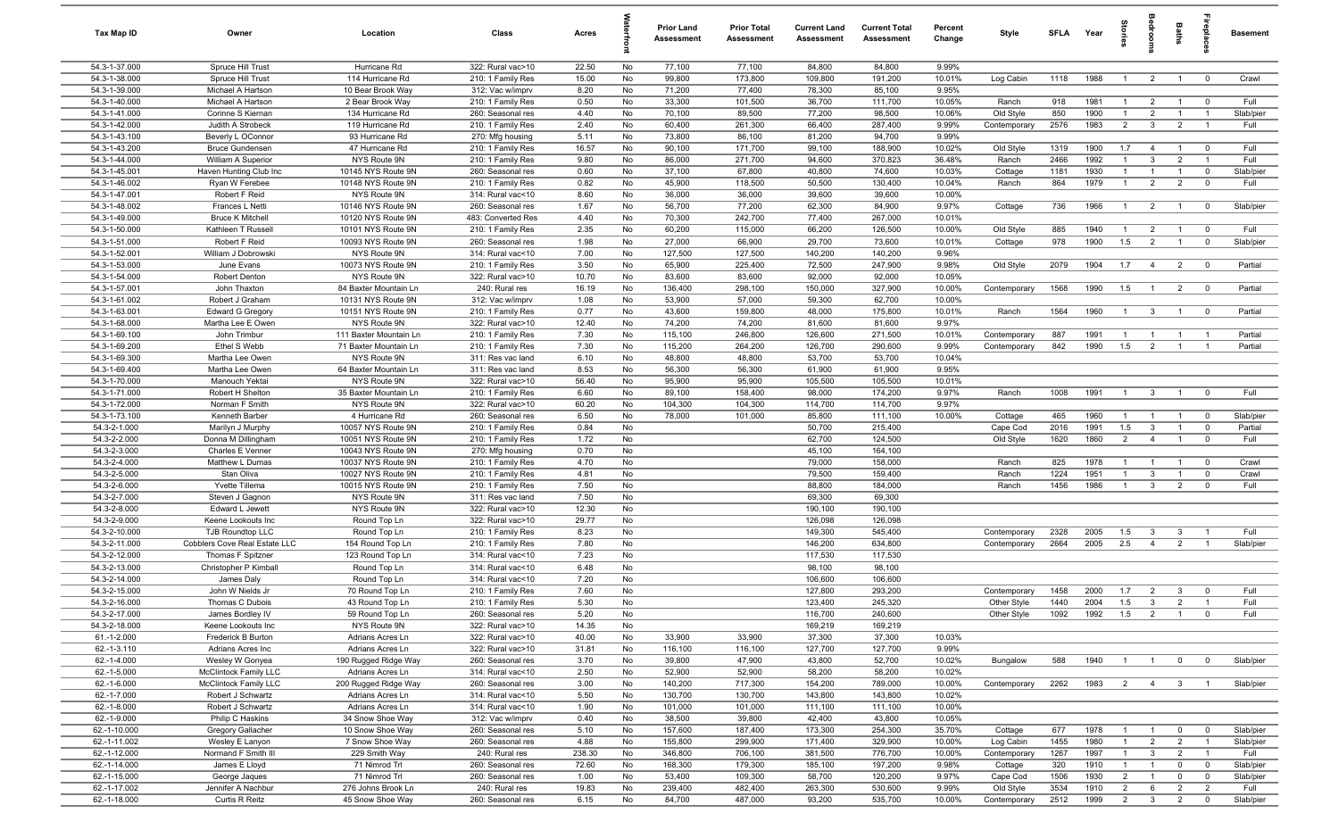| Tax Map ID                     | Owner                                        | Location                                 | Class                                  | Acres        | 크        | <b>Prior Land</b><br>Assessment | <b>Prior Total</b><br>Assessment | <b>Current Land</b><br><b>Assessment</b> | <b>Current Total</b><br>Assessment | Percent<br>Change | Style                 | <b>SFLA</b>  | Year         | ŝ.                             | e<br>So                        | Baths                            | epla                             | <b>Basement</b>   |
|--------------------------------|----------------------------------------------|------------------------------------------|----------------------------------------|--------------|----------|---------------------------------|----------------------------------|------------------------------------------|------------------------------------|-------------------|-----------------------|--------------|--------------|--------------------------------|--------------------------------|----------------------------------|----------------------------------|-------------------|
| 54.3-1-37.000                  | Spruce Hill Trust                            | Hurricane Rd                             | 322: Rural vac>10                      | 22.50        | No       | 77,100                          | 77,100                           | 84,800                                   | 84,800                             | 9.99%             |                       |              |              |                                |                                |                                  |                                  |                   |
| 54.3-1-38.000                  | Spruce Hill Trust                            | 114 Hurricane Rd                         | 210: 1 Family Res                      | 15.00        | No       | 99,800                          | 173,800                          | 109,800                                  | 191,200                            | 10.01%            | Log Cabin             | 1118         | 1988         | $\overline{1}$                 | $\overline{2}$                 | $\overline{1}$                   | $\mathbf 0$                      | Crawl             |
| 54.3-1-39.000                  | Michael A Hartson                            | 10 Bear Brook Way                        | 312: Vac w/imprv                       | 8.20         | No       | 71,200                          | 77,400                           | 78,300                                   | 85,100                             | 9.95%             |                       |              |              |                                |                                |                                  |                                  |                   |
| 54.3-1-40.000                  | Michael A Hartson                            | 2 Bear Brook Way                         | 210: 1 Family Res                      | 0.50         | No       | 33,300                          | 101,500                          | 36,700                                   | 111,700                            | 10.05%            | Ranch                 | 918          | 1981         | $\overline{1}$                 | $\overline{2}$                 | $\overline{1}$                   | $^{\circ}$                       | Full              |
| 54.3-1-41.000                  | Corinne S Kiernan                            | 134 Hurricane Rd                         | 260: Seasonal res                      | 4.40         | No       | 70,100                          | 89,500                           | 77,200                                   | 98,500                             | 10.06%            | Old Style             | 850          | 1900         | $\overline{1}$                 | $\overline{2}$                 | $\overline{1}$                   | -1                               | Slab/pier         |
| 54.3-1-42.000                  | Judith A Strobeck                            | 119 Hurricane Rd                         | 210: 1 Family Res                      | 2.40         | No       | 60,400                          | 261,300                          | 66,400                                   | 287,400                            | 9.99%             | Contemporary          | 2576         | 1983         | $\overline{2}$                 | $\mathbf{3}$                   | $\overline{2}$                   |                                  | Full              |
| 54.3-1-43.100                  | Beverly L OConnor                            | 93 Hurricane Rd                          | 270: Mfg housing                       | 5.11         | No       | 73,800                          | 86,100                           | 81,200                                   | 94,700                             | 9.99%             |                       |              |              |                                |                                |                                  |                                  |                   |
| 54.3-1-43.200                  | <b>Bruce Gundensen</b><br>William A Superior | 47 Hurricane Rd                          | 210: 1 Family Res                      | 16.57        | No       | 90,100                          | 171,700                          | 99,100                                   | 188,900                            | 10.02%            | Old Style             | 1319         | 1900         | 1.7                            | $\overline{4}$                 | $\overline{1}$                   | $\overline{0}$                   | Full              |
| 54.3-1-44.000<br>54.3-1-45.001 | Haven Hunting Club Inc                       | NYS Route 9N<br>10145 NYS Route 9N       | 210: 1 Family Res<br>260: Seasonal res | 9.80<br>0.60 | No<br>No | 86,000<br>37,100                | 271,700<br>67,800                | 94,600<br>40,800                         | 370,823<br>74,600                  | 36.48%<br>10.03%  | Ranch<br>Cottage      | 2466<br>1181 | 1992<br>1930 | $\mathbf{1}$<br>$\overline{1}$ | $\mathbf{3}$<br>$\overline{1}$ | $\overline{2}$<br>$\overline{1}$ | $\overline{1}$<br>$\mathbf 0$    | Full<br>Slab/pier |
| 54.3-1-46.002                  | Ryan W Ferebee                               | 10148 NYS Route 9N                       | 210: 1 Family Res                      | 0.82         | No       | 45,900                          | 118,500                          | 50,500                                   | 130,400                            | 10.04%            | Ranch                 | 864          | 1979         | $\overline{1}$                 | $\overline{2}$                 | $\overline{2}$                   | $\mathbf 0$                      | Full              |
| 54.3-1-47.001                  | Robert F Reid                                | NYS Route 9N                             | 314: Rural vac<10                      | 8.60         | No       | 36,000                          | 36,000                           | 39,600                                   | 39,600                             | 10.00%            |                       |              |              |                                |                                |                                  |                                  |                   |
| 54.3-1-48.002                  | Frances L Netti                              | 10146 NYS Route 9N                       | 260: Seasonal res                      | 1.67         | No       | 56,700                          | 77,200                           | 62,300                                   | 84,900                             | 9.97%             | Cottage               | 736          | 1966         | $\overline{1}$                 | $\overline{2}$                 | $\overline{1}$                   | $\mathbf{0}$                     | Slab/pier         |
| 54.3-1-49.000                  | <b>Bruce K Mitchell</b>                      | 10120 NYS Route 9N                       | 483: Converted Res                     | 4.40         | No       | 70,300                          | 242,700                          | 77,400                                   | 267,000                            | 10.01%            |                       |              |              |                                |                                |                                  |                                  |                   |
| 54.3-1-50.000                  | Kathleen T Russell                           | 10101 NYS Route 9N                       | 210: 1 Family Res                      | 2.35         | No       | 60,200                          | 115,000                          | 66,200                                   | 126,500                            | 10.00%            | Old Style             | 885          | 1940         | $\overline{1}$                 | $\overline{2}$                 | $\overline{1}$                   | $\mathbf{0}$                     | Full              |
| 54.3-1-51.000                  | Robert F Reid                                | 10093 NYS Route 9N                       | 260: Seasonal res                      | 1.98         | No       | 27,000                          | 66,900                           | 29,700                                   | 73,600                             | 10.01%            | Cottage               | 978          | 1900         | 1.5                            | $\overline{2}$                 | $\overline{1}$                   | $\mathbf 0$                      | Slab/pier         |
| 54.3-1-52.001                  | William J Dobrowski                          | NYS Route 9N                             | 314: Rural vac<10                      | 7.00         | No       | 127,500                         | 127,500                          | 140,200                                  | 140,200                            | 9.96%             |                       |              |              |                                |                                |                                  |                                  |                   |
| 54.3-1-53.000                  | June Evans                                   | 10073 NYS Route 9N                       | 210: 1 Family Res                      | 3.50         | No       | 65,900                          | 225,400                          | 72,500                                   | 247,900                            | 9.98%             | Old Style             | 2079         | 1904         | 1.7                            | $\overline{4}$                 | $\overline{2}$                   | $\overline{0}$                   | Partial           |
| 54.3-1-54.000                  | <b>Robert Denton</b>                         | NYS Route 9N                             | 322: Rural vac>10                      | 10.70        | No       | 83,600                          | 83,600                           | 92,000                                   | 92,000                             | 10.05%            |                       |              |              |                                |                                |                                  |                                  |                   |
| 54.3-1-57.001                  | John Thaxton                                 | 84 Baxter Mountain Ln                    | 240: Rural res                         | 16.19        | No       | 136,400                         | 298,100                          | 150,000                                  | 327,900                            | 10.00%            | Contemporary          | 1568         | 1990         | 1.5                            | $\overline{1}$                 | $\overline{2}$                   | $\overline{\mathbf{0}}$          | Partial           |
| 54.3-1-61.002                  | Robert J Graham                              | 10131 NYS Route 9N                       | 312: Vac w/imprv                       | 1.08         | No       | 53,900                          | 57,000                           | 59,300                                   | 62,700                             | 10.00%            |                       |              |              |                                |                                |                                  |                                  |                   |
| 54.3-1-63.001                  | <b>Edward G Gregory</b>                      | 10151 NYS Route 9N                       | 210: 1 Family Res                      | 0.77         | No       | 43,600                          | 159,800                          | 48,000                                   | 175,800                            | 10.01%            | Ranch                 | 1564         | 1960         | $\overline{1}$                 | $\overline{\mathbf{3}}$        | $\overline{1}$                   | $\overline{\mathbf{0}}$          | Partial           |
| 54.3-1-68.000                  | Martha Lee E Owen                            | NYS Route 9N                             | 322: Rural vac>10                      | 12.40        | No       | 74,200                          | 74,200                           | 81,600                                   | 81,600                             | 9.97%             |                       |              |              |                                |                                |                                  |                                  |                   |
| 54.3-1-69.100                  | John Trimbur                                 | 111 Baxter Mountain Ln                   | 210: 1 Family Res                      | 7.30         | No       | 115,100                         | 246,800                          | 126,600                                  | 271,500                            | 10.01%            | Contemporary          | 887          | 1991         | $\overline{1}$                 | $\overline{1}$                 | $\overline{1}$                   |                                  | Partial           |
| 54.3-1-69.200                  | Ethel S Webb                                 | 71 Baxter Mountain Ln                    | 210: 1 Family Res                      | 7.30         | No       | 115,200                         | 264,200                          | 126,700                                  | 290,600                            | 9.99%             | Contemporary          | 842          | 1990         | 1.5                            | $\overline{2}$                 | $\overline{1}$                   | $\overline{1}$                   | Partial           |
| 54.3-1-69.300                  | Martha Lee Owen                              | NYS Route 9N                             | 311: Res vac land                      | 6.10         | No       | 48,800                          | 48,800                           | 53,700                                   | 53,700                             | 10.04%            |                       |              |              |                                |                                |                                  |                                  |                   |
| 54.3-1-69.400                  | Martha Lee Owen                              | 64 Baxter Mountain Ln                    | 311: Res vac land                      | 8.53         | No       | 56,300                          | 56,300                           | 61,900                                   | 61,900                             | 9.95%             |                       |              |              |                                |                                |                                  |                                  |                   |
| 54.3-1-70.000                  | Manouch Yektai                               | NYS Route 9N                             | 322: Rural vac>10                      | 56.40        | No       | 95,900                          | 95,900                           | 105,500                                  | 105,500                            | 10.01%            |                       |              |              |                                |                                |                                  |                                  |                   |
| 54.3-1-71.000                  | Robert H Shelton                             | 35 Baxter Mountain Ln                    | 210: 1 Family Res                      | 6.60         | No       | 89,100                          | 158,400                          | 98,000                                   | 174,200                            | 9.97%             | Ranch                 | 1008         | 1991         | $\overline{1}$                 | $\overline{\mathbf{3}}$        | $\overline{1}$                   | $\mathbf 0$                      | Full              |
| 54.3-1-72.000                  | Norman F Smith                               | NYS Route 9N                             | 322: Rural vac>10                      | 60.20        | No       | 104,300                         | 104,300                          | 114,700                                  | 114,700                            | 9.97%             |                       |              |              |                                |                                |                                  |                                  |                   |
| 54.3-1-73.100                  | Kenneth Barber                               | 4 Hurricane Rd                           | 260: Seasonal res                      | 6.50         | No       | 78,000                          | 101,000                          | 85,800                                   | 111,100                            | 10.00%            | Cottage               | 465          | 1960<br>1991 | $\overline{1}$                 | $\overline{1}$                 | $\overline{1}$                   | $\overline{0}$                   | Slab/pier         |
| 54.3-2-1.000<br>54.3-2-2.000   | Marilyn J Murphy<br>Donna M Dillingham       | 10057 NYS Route 9N<br>10051 NYS Route 9N | 210: 1 Family Res<br>210: 1 Family Res | 0.84<br>1.72 | No<br>No |                                 |                                  | 50,700<br>62,700                         | 215,400<br>124,500                 |                   | Cape Cod<br>Old Style | 2016<br>1620 | 1860         | 1.5<br>$\overline{2}$          | $\mathbf{3}$<br>$\overline{4}$ | $\mathbf{1}$<br>$\overline{1}$   | $\overline{0}$<br>$\overline{0}$ | Partial<br>Full   |
| 54.3-2-3.000                   | Charles E Venner                             | 10043 NYS Route 9N                       | 270: Mfg housing                       | 0.70         | No       |                                 |                                  | 45,100                                   | 164,100                            |                   |                       |              |              |                                |                                |                                  |                                  |                   |
| 54.3-2-4.000                   | Matthew L Dumas                              | 10037 NYS Route 9N                       | 210: 1 Family Res                      | 4.70         | No       |                                 |                                  | 79,000                                   | 158,000                            |                   | Ranch                 | 825          | 1978         | $\overline{1}$                 | $\overline{1}$                 | $\overline{1}$                   | $\mathbf 0$                      | Crawl             |
| 54.3-2-5.000                   | Stan Oliva                                   | 10027 NYS Route 9N                       | 210: 1 Family Res                      | 4.81         | No       |                                 |                                  | 79,500                                   | 159,400                            |                   | Ranch                 | 1224         | 1951         | $\overline{1}$                 | $\mathbf{3}$                   | $\overline{1}$                   | $\mathbf 0$                      | Crawl             |
| 54.3-2-6.000                   | Yvette Tillema                               | 10015 NYS Route 9N                       | 210: 1 Family Res                      | 7.50         | No       |                                 |                                  | 88,800                                   | 184,000                            |                   | Ranch                 | 1456         | 1986         | $\overline{1}$                 | $\mathbf{3}$                   | 2                                | $\overline{0}$                   | Full              |
| 54.3-2-7.000                   | Steven J Gagnon                              | NYS Route 9N                             | 311: Res vac land                      | 7.50         | No       |                                 |                                  | 69,300                                   | 69,300                             |                   |                       |              |              |                                |                                |                                  |                                  |                   |
| 54.3-2-8.000                   | Edward L Jewett                              | NYS Route 9N                             | 322: Rural vac>10                      | 12.30        | No       |                                 |                                  | 190,100                                  | 190,100                            |                   |                       |              |              |                                |                                |                                  |                                  |                   |
| 54.3-2-9.000                   | Keene Lookouts Inc                           | Round Top Ln                             | 322: Rural vac>10                      | 29.77        | No       |                                 |                                  | 126,098                                  | 126,098                            |                   |                       |              |              |                                |                                |                                  |                                  |                   |
| 54.3-2-10.000                  | TJB Roundtop LLC                             | Round Top Ln                             | 210: 1 Family Res                      | 8.23         | No       |                                 |                                  | 149,300                                  | 545,400                            |                   | Contemporary          | 2328         | 2005         | 1.5                            | $\overline{\mathbf{3}}$        | $\mathbf{3}$                     | -1                               | Full              |
| 54.3-2-11.000                  | Cobblers Cove Real Estate LLC                | 154 Round Top Ln                         | 210: 1 Family Res                      | 7.80         | No       |                                 |                                  | 146,200                                  | 634,800                            |                   | Contemporary          | 2664         | 2005         | 2.5                            | $\overline{4}$                 | $\overline{2}$                   |                                  | Slab/pier         |
| 54.3-2-12.000                  | Thomas F Spitzner                            | 123 Round Top Ln                         | 314: Rural vac<10                      | 7.23         | No       |                                 |                                  | 117,530                                  | 117,530                            |                   |                       |              |              |                                |                                |                                  |                                  |                   |
| 54.3-2-13.000                  | Christopher P Kimball                        | Round Top Ln                             | 314: Rural vac<10                      | 6.48         | No       |                                 |                                  | 98,100                                   | 98,100                             |                   |                       |              |              |                                |                                |                                  |                                  |                   |
| 54.3-2-14.000                  | James Daly                                   | Round Top Ln                             | 314: Rural vac<10                      | 7.20         | No       |                                 |                                  | 106,600                                  | 106,600                            |                   |                       |              |              |                                |                                |                                  |                                  |                   |
| 54.3-2-15.000                  | John W Nields Jr                             | 70 Round Top Ln                          | 210: 1 Family Res                      | 7.60         | No       |                                 |                                  | 127,800                                  | 293,200                            |                   | Contemporary          | 1458         | 2000         | 1.7                            | $\overline{2}$                 | $\mathbf{3}$                     | $\mathbf 0$                      | Full              |
| 54.3-2-16.000                  | Thomas C Dubois                              | 43 Round Top Ln                          | 210: 1 Family Res                      | 5.30         | No       |                                 |                                  | 123,400                                  | 245,320                            |                   | Other Style           | 1440         | 2004         | 1.5                            | $\mathbf{3}$                   | $\overline{2}$                   |                                  | Full              |
| 54.3-2-17.000                  | James Bordley IV                             | 59 Round Top Ln                          | 260: Seasonal res                      | 5.20         | No       |                                 |                                  | 116,700                                  | 240,600                            |                   | Other Style           | 1092         |              | 1992  1.5  2                   |                                | $-1$                             | $\overline{\mathbf{0}}$          | Full              |
| 54.3-2-18.000                  | Keene Lookouts Inc                           | NYS Route 9N                             | 322: Rural vac>10                      | 14.35        | No       |                                 |                                  | 169,219                                  | 169,219                            |                   |                       |              |              |                                |                                |                                  |                                  |                   |
| 61.-1-2.000                    | Frederick B Burton                           | Adrians Acres Ln                         | 322: Rural vac>10                      | 40.00        | No       | 33,900                          | 33,900                           | 37,300                                   | 37,300                             | 10.03%            |                       |              |              |                                |                                |                                  |                                  |                   |
| 62.-1-3.110                    | <b>Adrians Acres Inc</b>                     | Adrians Acres Ln                         | 322: Rural vac>10                      | 31.81        | No       | 116,100                         | 116,100                          | 127,700                                  | 127,700                            | 9.99%             |                       |              |              |                                |                                |                                  | $\overline{0}$                   |                   |
| 62.-1-4.000                    | Wesley W Gonyea<br>McClintock Family LLC     | 190 Rugged Ridge Way<br>Adrians Acres Ln | 260: Seasonal res                      | 3.70         | No       | 39,800                          | 47,900                           | 43,800                                   | 52,700                             | 10.02%            | Bungalow              | 588          | 1940         | $\overline{1}$                 | $\overline{1}$                 | $\overline{0}$                   |                                  | Slab/pier         |
| 62.-1-5.000<br>62.-1-6.000     | <b>McClintock Family LLC</b>                 | 200 Rugged Ridge Way                     | 314: Rural vac<10<br>260: Seasonal res | 2.50<br>3.00 | No<br>No | 52,900<br>140,200               | 52,900<br>717,300                | 58,200<br>154,200                        | 58,200<br>789,000                  | 10.02%<br>10.00%  | Contemporary          | 2262         | 1983         | 2                              | $\overline{4}$                 | $\overline{\mathbf{3}}$          |                                  | Slab/pier         |
| 62.-1-7.000                    | Robert J Schwartz                            | Adrians Acres Ln                         | 314: Rural vac<10                      | 5.50         | No       | 130,700                         | 130,700                          | 143,800                                  | 143,800                            | 10.02%            |                       |              |              |                                |                                |                                  |                                  |                   |
| 62.-1-8.000                    | Robert J Schwartz                            | Adrians Acres Ln                         | 314: Rural vac<10                      | 1.90         | No       | 101,000                         | 101,000                          | 111,100                                  | 111,100                            | 10.00%            |                       |              |              |                                |                                |                                  |                                  |                   |
| 62.-1-9.000                    | Philip C Haskins                             | 34 Snow Shoe Way                         | 312: Vac w/imprv                       | 0.40         | No       | 38,500                          | 39,800                           | 42,400                                   | 43,800                             | 10.05%            |                       |              |              |                                |                                |                                  |                                  |                   |
| 62.-1-10.000                   | Gregory Gallacher                            | 10 Snow Shoe Way                         | 260: Seasonal res                      | 5.10         | No       | 157,600                         | 187,400                          | 173,300                                  | 254,300                            | 35.70%            | Cottage               | 677          | 1978         | $\mathbf{1}$                   |                                | $\mathbf 0$                      | $\mathbf 0$                      | Slab/pier         |
| 62.-1-11.002                   | Wesley E Lanyon                              | 7 Snow Shoe Way                          | 260: Seasonal res                      | 4.88         | No       | 155,800                         | 299,900                          | 171,400                                  | 329,900                            | 10.00%            | Log Cabin             | 1455         | 1980         | $\mathbf{1}$                   | $\overline{2}$                 | $\overline{2}$                   | $\overline{1}$                   | Slab/pier         |
| 62.-1-12.000                   | Normand F Smith III                          | 229 Smith Way                            | 240: Rural res                         | 238.30       | No       | 346,800                         | 706,100                          | 381,500                                  | 776,700                            | 10.00%            | Contemporary          | 1267         | 1997         | $\overline{1}$                 | $\mathbf{3}$                   | $\overline{2}$                   | $\overline{1}$                   | Full              |
| 62.-1-14.000                   | James E Lloyd                                | 71 Nimrod Trl                            | 260: Seasonal res                      | 72.60        | No       | 168,300                         | 179,300                          | 185,100                                  | 197,200                            | 9.98%             | Cottage               | 320          | 1910         | $\overline{1}$                 | $\overline{1}$                 | $\mathbf 0$                      | $\overline{0}$                   | Slab/pier         |
| 62.-1-15.000                   | George Jaques                                | 71 Nimrod Trl                            | 260: Seasonal res                      | 1.00         | No       | 53,400                          | 109,300                          | 58,700                                   | 120,200                            | 9.97%             | Cape Cod              | 1506         | 1930         | $\overline{2}$                 | $\overline{1}$                 | $\overline{0}$                   | $\overline{0}$                   | Slab/pier         |
| 62.-1-17.002                   | Jennifer A Nachbur                           | 276 Johns Brook Ln                       | 240: Rural res                         | 19.83        | No       | 239,400                         | 482,400                          | 263,300                                  | 530,600                            | 9.99%             | Old Style             | 3534         | 1910         | $\overline{2}$                 | 6                              | $\overline{2}$                   | $\overline{2}$                   | Full              |
| 62.-1-18.000                   | Curtis R Reitz                               | 45 Snow Shoe Way                         | 260: Seasonal res                      | 6.15         | No       | 84,700                          | 487,000                          | 93,200                                   | 535,700                            | 10.00%            | Contemporary          | 2512         | 1999         | $\overline{2}$                 | $\overline{3}$                 | $\overline{2}$                   | $\mathbf 0$                      | Slab/pier         |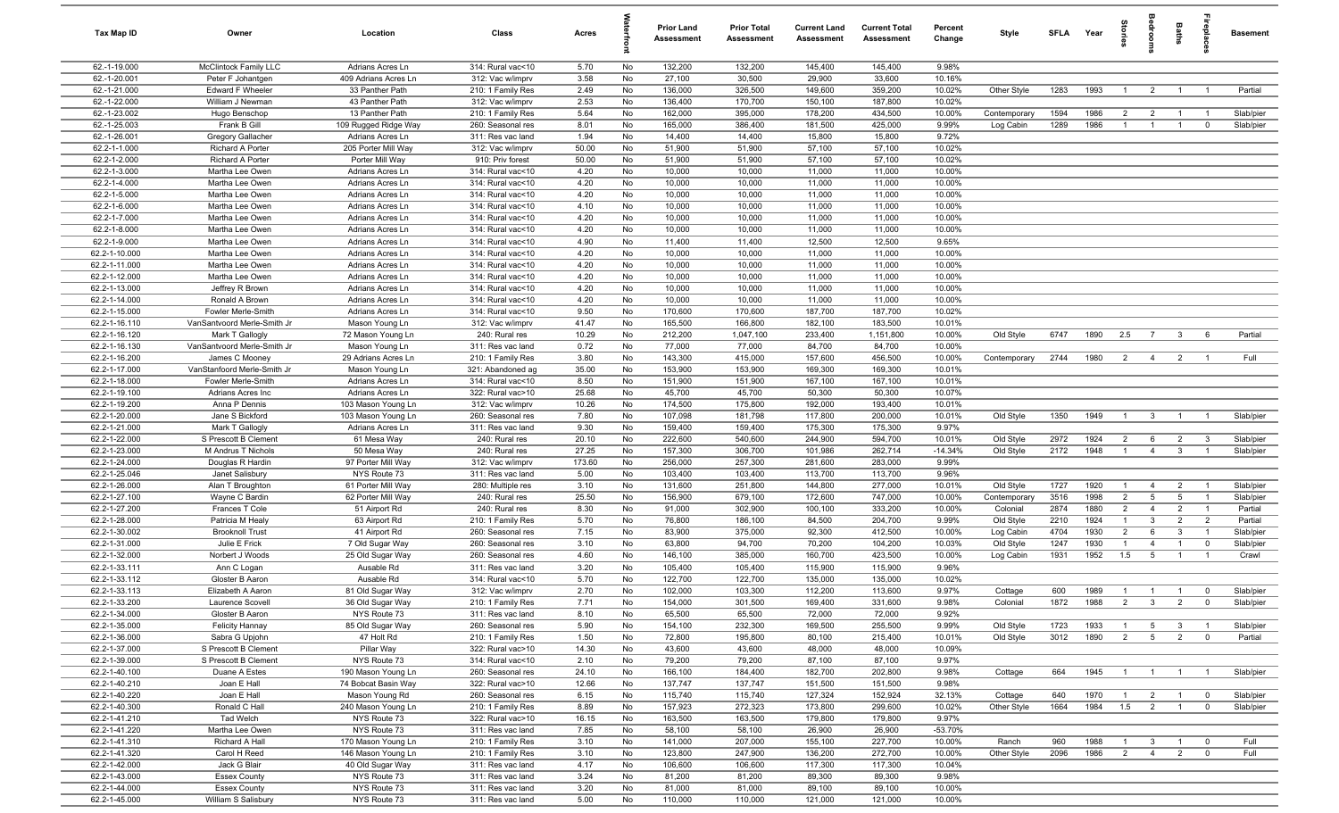| Tax Map ID                     | Owner                                    | Location                                 | Class                                  | Acres         |          | Prior Land<br>Assessment | <b>Prior Total</b><br><b>Assessment</b> | <b>Current Land</b><br>Assessment | <b>Current Total</b><br><b>Assessment</b> | Percent<br>Change | Style                | SFLA        | Year         | $\frac{1}{2}$                    |                                | Baths                            | leb<br>19                 | <b>Basement</b> |
|--------------------------------|------------------------------------------|------------------------------------------|----------------------------------------|---------------|----------|--------------------------|-----------------------------------------|-----------------------------------|-------------------------------------------|-------------------|----------------------|-------------|--------------|----------------------------------|--------------------------------|----------------------------------|---------------------------|-----------------|
| 62.-1-19.000                   | <b>McClintock Family LLC</b>             | Adrians Acres Ln                         | 314: Rural vac<10                      | 5.70          | No       | 132,200                  | 132,200                                 | 145,400                           | 145,400                                   | 9.98%             |                      |             |              |                                  |                                |                                  |                           |                 |
| 62.-1-20.001                   | Peter F Johantgen                        | 409 Adrians Acres Ln                     | 312: Vac w/imprv                       | 3.58          | No       | 27,100                   | 30,500                                  | 29,900                            | 33,600                                    | 10.16%            |                      |             |              |                                  |                                |                                  |                           |                 |
| 62.-1-21.000                   | Edward F Wheeler                         | 33 Panther Path                          | 210: 1 Family Res                      | 2.49          | No       | 136,000                  | 326,500                                 | 149,600                           | 359,200                                   | 10.02%            | Other Style          | 1283        | 1993         | $\overline{1}$                   | $\overline{2}$                 | $\overline{1}$                   | $\overline{1}$            | Partial         |
| 62.-1-22.000                   | William J Newman                         | 43 Panther Path                          | 312: Vac w/imprv                       | 2.53          | No       | 136,400                  | 170,700                                 | 150,100                           | 187,800                                   | 10.02%            |                      |             |              |                                  |                                |                                  |                           |                 |
| 62.-1-23.002                   | Hugo Benschop                            | 13 Panther Path                          | 210: 1 Family Res                      | 5.64          | No       | 162,000                  | 395,000                                 | 178,200                           | 434,500                                   | 10.00%            | Contemporary         | 1594        | 1986<br>1986 | $\overline{2}$<br>$\overline{1}$ | $\overline{2}$                 | $\overline{1}$<br>$\overline{1}$ |                           | Slab/pier       |
| 62.-1-25.003<br>62.-1-26.001   | Frank B Gill<br><b>Gregory Gallacher</b> | 109 Rugged Ridge Way<br>Adrians Acres Ln | 260: Seasonal res<br>311: Res vac land | 8.01<br>1.94  | No<br>No | 165,000<br>14,400        | 386,400<br>14,400                       | 181,500<br>15,800                 | 425,000<br>15,800                         | 9.99%<br>9.72%    | Log Cabin            | 1289        |              |                                  | $\overline{1}$                 |                                  | $\mathbf 0$               | Slab/pier       |
| 62.2-1-1.000                   | Richard A Porter                         | 205 Porter Mill Way                      | 312: Vac w/imprv                       | 50.00         | No       | 51,900                   | 51,900                                  | 57,100                            | 57,100                                    | 10.02%            |                      |             |              |                                  |                                |                                  |                           |                 |
| 62.2-1-2.000                   | Richard A Porter                         | Porter Mill Way                          | 910: Priv forest                       | 50.00         | No       | 51,900                   | 51,900                                  | 57,100                            | 57,100                                    | 10.02%            |                      |             |              |                                  |                                |                                  |                           |                 |
| 62.2-1-3.000                   | Martha Lee Owen                          | Adrians Acres Ln                         | 314: Rural vac<10                      | 4.20          | No       | 10,000                   | 10,000                                  | 11,000                            | 11,000                                    | 10.00%            |                      |             |              |                                  |                                |                                  |                           |                 |
| 62.2-1-4.000                   | Martha Lee Owen                          | Adrians Acres Ln                         | 314: Rural vac<10                      | 4.20          | No       | 10,000                   | 10,000                                  | 11,000                            | 11,000                                    | 10.00%            |                      |             |              |                                  |                                |                                  |                           |                 |
| 62.2-1-5.000                   | Martha Lee Owen                          | Adrians Acres Ln                         | 314: Rural vac<10                      | 4.20          | No       | 10,000                   | 10,000                                  | 11,000                            | 11,000                                    | 10.00%            |                      |             |              |                                  |                                |                                  |                           |                 |
| 62.2-1-6.000                   | Martha Lee Owen                          | Adrians Acres Ln                         | 314: Rural vac<10                      | 4.10          | No       | 10,000                   | 10,000                                  | 11,000                            | 11,000                                    | 10.00%            |                      |             |              |                                  |                                |                                  |                           |                 |
| 62.2-1-7.000                   | Martha Lee Owen                          | Adrians Acres Ln                         | 314: Rural vac<10                      | 4.20          | No       | 10,000                   | 10,000                                  | 11,000                            | 11,000                                    | 10.00%            |                      |             |              |                                  |                                |                                  |                           |                 |
| 62.2-1-8.000                   | Martha Lee Owen                          | Adrians Acres Ln                         | 314: Rural vac<10                      | 4.20          | No       | 10,000                   | 10,000                                  | 11,000                            | 11,000                                    | 10.00%            |                      |             |              |                                  |                                |                                  |                           |                 |
| 62.2-1-9.000                   | Martha Lee Owen                          | Adrians Acres Ln                         | 314: Rural vac<10                      | 4.90          | No       | 11,400                   | 11,400                                  | 12,500                            | 12,500                                    | 9.65%             |                      |             |              |                                  |                                |                                  |                           |                 |
| 62.2-1-10.000                  | Martha Lee Owen                          | Adrians Acres Ln                         | 314: Rural vac<10                      | 4.20          | No       | 10,000                   | 10,000                                  | 11,000                            | 11,000                                    | 10.00%            |                      |             |              |                                  |                                |                                  |                           |                 |
| 62.2-1-11.000                  | Martha Lee Owen                          | Adrians Acres Ln                         | 314: Rural vac<10                      | 4.20          | No       | 10,000                   | 10,000                                  | 11,000                            | 11,000                                    | 10.00%            |                      |             |              |                                  |                                |                                  |                           |                 |
| 62.2-1-12.000<br>62.2-1-13.000 | Martha Lee Owen<br>Jeffrey R Brown       | Adrians Acres Ln<br>Adrians Acres Ln     | 314: Rural vac<10<br>314: Rural vac<10 | 4.20<br>4.20  | No<br>No | 10,000<br>10,000         | 10,000<br>10,000                        | 11,000<br>11,000                  | 11,000<br>11,000                          | 10.00%<br>10.00%  |                      |             |              |                                  |                                |                                  |                           |                 |
| 62.2-1-14.000                  | Ronald A Brown                           | Adrians Acres Ln                         | 314: Rural vac<10                      | 4.20          | No       | 10,000                   | 10,000                                  | 11,000                            | 11,000                                    | 10.00%            |                      |             |              |                                  |                                |                                  |                           |                 |
| 62.2-1-15.000                  | Fowler Merle-Smith                       | Adrians Acres Ln                         | 314: Rural vac<10                      | 9.50          | No       | 170,600                  | 170,600                                 | 187,700                           | 187,700                                   | 10.02%            |                      |             |              |                                  |                                |                                  |                           |                 |
| 62.2-1-16.110                  | VanSantvoord Merle-Smith Jr              | Mason Young Ln                           | 312: Vac w/imprv                       | 41.47         | No       | 165,500                  | 166,800                                 | 182,100                           | 183,500                                   | 10.01%            |                      |             |              |                                  |                                |                                  |                           |                 |
| 62.2-1-16.120                  | Mark T Gallogly                          | 72 Mason Young Ln                        | 240: Rural res                         | 10.29         | No       | 212,200                  | 1,047,100                               | 233,400                           | 1,151,800                                 | 10.00%            | Old Style            | 6747        | 1890         | 2.5                              | $\overline{7}$                 | $\mathbf{3}$                     | 6                         | Partial         |
| 62.2-1-16.130                  | VanSantvoord Merle-Smith Jr              | Mason Young Ln                           | 311: Res vac land                      | 0.72          | No       | 77,000                   | 77,000                                  | 84,700                            | 84,700                                    | 10.00%            |                      |             |              |                                  |                                |                                  |                           |                 |
| 62.2-1-16.200                  | James C Mooney                           | 29 Adrians Acres Ln                      | 210: 1 Family Res                      | 3.80          | No       | 143,300                  | 415,000                                 | 157,600                           | 456,500                                   | 10.00%            | Contemporary         | 2744        | 1980         | $\overline{2}$                   | $\overline{4}$                 | $\overline{2}$                   | - 1                       | Full            |
| 62.2-1-17.000                  | VanStanfoord Merle-Smith Jr              | Mason Young Ln                           | 321: Abandoned ag                      | 35.00         | No       | 153,900                  | 153,900                                 | 169,300                           | 169,300                                   | 10.01%            |                      |             |              |                                  |                                |                                  |                           |                 |
| 62.2-1-18.000                  | Fowler Merle-Smith                       | Adrians Acres Ln                         | 314: Rural vac<10                      | 8.50          | No       | 151,900                  | 151,900                                 | 167,100                           | 167,100                                   | 10.01%            |                      |             |              |                                  |                                |                                  |                           |                 |
| 62.2-1-19.100                  | Adrians Acres Inc                        | Adrians Acres Ln                         | 322: Rural vac>10                      | 25.68         | No       | 45,700                   | 45,700                                  | 50,300                            | 50,300                                    | 10.07%            |                      |             |              |                                  |                                |                                  |                           |                 |
| 62.2-1-19.200                  | Anna P Dennis                            | 103 Mason Young Ln                       | 312: Vac w/imprv                       | 10.26         | No       | 174,500                  | 175,800                                 | 192,000                           | 193,400                                   | 10.01%            |                      |             |              |                                  |                                |                                  |                           |                 |
| 62.2-1-20.000                  | Jane S Bickford                          | 103 Mason Young Ln                       | 260: Seasonal res                      | 7.80          | No       | 107,098                  | 181,798                                 | 117,800                           | 200,000                                   | 10.01%            | Old Style            | 1350        | 1949         | $\overline{1}$                   | $\mathbf{3}$                   | $\overline{1}$                   | $\overline{1}$            | Slab/pier       |
| 62.2-1-21.000<br>62.2-1-22.000 | Mark T Gallogly<br>S Prescott B Clement  | Adrians Acres Ln<br>61 Mesa Way          | 311: Res vac land<br>240: Rural res    | 9.30<br>20.10 | No<br>No | 159,400<br>222,600       | 159,400<br>540,600                      | 175,300<br>244,900                | 175,300<br>594,700                        | 9.97%<br>10.01%   | Old Style            | 2972        | 1924         | $\overline{2}$                   | 6                              | $\overline{2}$                   | $\mathbf{3}$              | Slab/pier       |
| 62.2-1-23.000                  | M Andrus T Nichols                       | 50 Mesa Way                              | 240: Rural res                         | 27.25         | No       | 157,300                  | 306,700                                 | 101,986                           | 262,714                                   | $-14.34%$         | Old Style            | 2172        | 1948         | $\overline{1}$                   | $\overline{4}$                 | $\mathbf{3}$                     | $\overline{1}$            | Slab/pier       |
| 62.2-1-24.000                  | Douglas R Hardin                         | 97 Porter Mill Way                       | 312: Vac w/imprv                       | 173.60        | No       | 256,000                  | 257,300                                 | 281,600                           | 283,000                                   | 9.99%             |                      |             |              |                                  |                                |                                  |                           |                 |
| 62.2-1-25.046                  | Janet Salisbury                          | NYS Route 73                             | 311: Res vac land                      | 5.00          | No       | 103,400                  | 103,400                                 | 113,700                           | 113,700                                   | 9.96%             |                      |             |              |                                  |                                |                                  |                           |                 |
| 62.2-1-26.000                  | Alan T Broughton                         | 61 Porter Mill Way                       | 280: Multiple res                      | 3.10          | No       | 131,600                  | 251,800                                 | 144,800                           | 277,000                                   | 10.01%            | Old Style            | 1727        | 1920         | $\overline{1}$                   | $\overline{4}$                 | $\overline{2}$                   | $\overline{1}$            | Slab/pier       |
| 62.2-1-27.100                  | Wayne C Bardin                           | 62 Porter Mill Way                       | 240: Rural res                         | 25.50         | No       | 156,900                  | 679,100                                 | 172,600                           | 747,000                                   | 10.00%            | Contemporary         | 3516        | 1998         | $\overline{2}$                   | $5\overline{)}$                | $5\overline{6}$                  | $\overline{1}$            | Slab/pier       |
| 62.2-1-27.200                  | Frances T Cole                           | 51 Airport Rd                            | 240: Rural res                         | 8.30          | No       | 91,000                   | 302,900                                 | 100,100                           | 333,200                                   | 10.00%            | Colonial             | 2874        | 1880         | $\overline{2}$                   | $\overline{4}$                 | $\overline{2}$                   | $\overline{1}$            | Partial         |
| 62.2-1-28.000                  | Patricia M Healy                         | 63 Airport Rd                            | 210: 1 Family Res                      | 5.70          | No       | 76,800                   | 186,100                                 | 84,500                            | 204,700                                   | 9.99%             | Old Style            | 2210        | 1924         | $\overline{1}$                   | $\mathbf{3}$                   | $\overline{2}$                   | $\overline{2}$            | Partial         |
| 62.2-1-30.002                  | <b>Brooknoll Trust</b>                   | 41 Airport Rd                            | 260: Seasonal res                      | 7.15          | No       | 83,900                   | 375,000                                 | 92,300                            | 412,500                                   | 10.00%            | Log Cabin            | 4704        | 1930         | $\overline{2}$                   | 6                              | $\mathbf{3}$                     | $\overline{1}$            | Slab/pier       |
| 62.2-1-31.000                  | Julie E Frick                            | 7 Old Sugar Way                          | 260: Seasonal res                      | 3.10          | No       | 63,800                   | 94,700                                  | 70,200                            | 104,200                                   | 10.03%            | Old Style            | 1247        | 1930         | $\overline{1}$                   | $\overline{4}$                 | $\overline{1}$                   | $\mathbf{0}$              | Slab/pier       |
| 62.2-1-32.000                  | Norbert J Woods                          | 25 Old Sugar Way                         | 260: Seasonal res                      | 4.60          | No       | 146,100                  | 385,000                                 | 160,700                           | 423,500                                   | 10.00%            | Log Cabin            | 1931        | 1952         | 1.5                              | $5\overline{5}$                | $\overline{1}$                   | $\overline{1}$            | Crawl           |
| 62.2-1-33.111                  | Ann C Logan                              | Ausable Rd                               | 311: Res vac land                      | 3.20          | No       | 105,400                  | 105,400                                 | 115,900                           | 115,900                                   | 9.96%             |                      |             |              |                                  |                                |                                  |                           |                 |
| 62.2-1-33.112<br>62.2-1-33.113 | Gloster B Aaron                          | Ausable Rd                               | 314: Rural vac<10                      | 5.70<br>2.70  | No<br>No | 122,700<br>102,000       | 122,700<br>103,300                      | 135,000<br>112,200                | 135,000<br>113,600                        | 10.02%<br>9.97%   |                      | 600         | 1989         | $\overline{1}$                   | $\overline{1}$                 | $\overline{1}$                   | $\mathbf 0$               | Slab/pier       |
| 62.2-1-33.200                  | Elizabeth A Aaron<br>Laurence Scovel     | 81 Old Sugar Way<br>36 Old Sugar Way     | 312: Vac w/imprv<br>210: 1 Family Res  | 7.71          | No       | 154,000                  | 301,500                                 | 169,400                           | 331,600                                   | 9.98%             | Cottage<br>Colonial  | 1872        | 1988         | 2                                | 3                              | $\overline{2}$                   |                           | Slab/pier       |
| 62.2-1-34.000                  | Gloster B Aaron                          | NYS Route 73                             | 311: Res vac land                      | 8.10          | No       | 65,500                   | 65,500                                  | 72,000                            | 72,000                                    | 9.92%             |                      |             |              |                                  |                                |                                  |                           |                 |
| 62.2-1-35.000                  | Felicity Hannay                          | 85 Old Sugar Way                         | 260: Seasonal res                      | 5.90          | No       | 154,100                  | 232,300                                 | 169,500                           | 255,500                                   | 9.99%             | Old Style            | 1723        | 1933         | $\overline{1}$                   | 5                              | $\mathbf{3}$                     | $\overline{1}$            | Slab/pier       |
| 62.2-1-36.000                  | Sabra G Upjohn                           | 47 Holt Rd                               | 210: 1 Family Res                      | 1.50          | No       | 72,800                   | 195,800                                 | 80,100                            | 215,400                                   | 10.01%            | Old Style            | 3012        | 1890         | $\overline{2}$                   | 5 <sup>5</sup>                 | $\overline{2}$                   | $\mathbf 0$               | Partial         |
| 62.2-1-37.000                  | S Prescott B Clement                     | Pillar Way                               | 322: Rural vac>10                      | 14.30         | No       | 43,600                   | 43,600                                  | 48,000                            | 48,000                                    | 10.09%            |                      |             |              |                                  |                                |                                  |                           |                 |
| 62.2-1-39.000                  | S Prescott B Clement                     | NYS Route 73                             | 314: Rural vac<10                      | 2.10          | No       | 79,200                   | 79,200                                  | 87,100                            | 87,100                                    | 9.97%             |                      |             |              |                                  |                                |                                  |                           |                 |
| 62.2-1-40.100                  | Duane A Estes                            | 190 Mason Young Ln                       | 260: Seasonal res                      | 24.10         | No       | 166,100                  | 184,400                                 | 182,700                           | 202,800                                   | 9.98%             | Cottage              | 664         | 1945         | $\overline{1}$                   | $\overline{1}$                 | $\overline{1}$                   | $\overline{1}$            | Slab/pier       |
| 62.2-1-40.210                  | Joan E Hall                              | 74 Bobcat Basin Way                      | 322: Rural vac>10                      | 12.66         | No       | 137,747                  | 137,747                                 | 151,500                           | 151,500                                   | 9.98%             |                      |             |              |                                  |                                |                                  |                           |                 |
| 62.2-1-40.220                  | Joan E Hall                              | Mason Young Rd                           | 260: Seasonal res                      | 6.15          | No       | 115,740                  | 115,740                                 | 127,324                           | 152,924                                   | 32.13%            | Cottage              | 640         | 1970         | $\overline{1}$                   | $\overline{2}$                 | $\overline{1}$                   | $\overline{0}$            | Slab/pier       |
| 62.2-1-40.300                  | Ronald C Hall                            | 240 Mason Young Ln                       | 210: 1 Family Res                      | 8.89          | No       | 157,923                  | 272,323                                 | 173,800                           | 299,600                                   | 10.02%            | Other Style          | 1664        | 1984         | 1.5                              | $\overline{2}$                 | $\overline{1}$                   | $\overline{0}$            | Slab/pier       |
| 62.2-1-41.210                  | Tad Welch                                | NYS Route 73                             | 322: Rural vac>10                      | 16.15         | No       | 163,500                  | 163,500                                 | 179,800                           | 179,800                                   | 9.97%             |                      |             |              |                                  |                                |                                  |                           |                 |
| 62.2-1-41.220                  | Martha Lee Owen                          | NYS Route 73                             | 311: Res vac land                      | 7.85          | No       | 58,100                   | 58,100                                  | 26,900                            | 26,900                                    | $-53.70%$         |                      |             |              |                                  |                                |                                  |                           |                 |
| 62.2-1-41.310<br>62.2-1-41.320 | Richard A Hall<br>Carol H Reed           | 170 Mason Young Ln<br>146 Mason Young Ln | 210: 1 Family Res<br>210: 1 Family Res | 3.10<br>3.10  | No<br>No | 141,000<br>123,800       | 207,000<br>247,900                      | 155,100<br>136,200                | 227,700<br>272,700                        | 10.00%<br>10.00%  | Ranch<br>Other Style | 960<br>2096 | 1988<br>1986 | $\overline{1}$<br>$\overline{2}$ | $\mathbf{3}$<br>$\overline{4}$ | $\overline{1}$<br>$\overline{2}$ | $^{\circ}$<br>$\mathbf 0$ | Full<br>Full    |
| 62.2-1-42.000                  | Jack G Blair                             | 40 Old Sugar Way                         | 311: Res vac land                      | 4.17          | No       | 106,600                  | 106,600                                 | 117,300                           | 117,300                                   | 10.04%            |                      |             |              |                                  |                                |                                  |                           |                 |
| 62.2-1-43.000                  | <b>Essex County</b>                      | NYS Route 73                             | 311: Res vac land                      | 3.24          | No       | 81,200                   | 81,200                                  | 89,300                            | 89,300                                    | 9.98%             |                      |             |              |                                  |                                |                                  |                           |                 |
| 62.2-1-44.000                  | <b>Essex County</b>                      | NYS Route 73                             | 311: Res vac land                      | 3.20          | No       | 81,000                   | 81,000                                  | 89,100                            | 89,100                                    | 10.00%            |                      |             |              |                                  |                                |                                  |                           |                 |
| 62.2-1-45.000                  | William S Salisbury                      | NYS Route 73                             | 311: Res vac land                      | 5.00          | No       | 110,000                  | 110,000                                 | 121,000                           | 121,000                                   | 10.00%            |                      |             |              |                                  |                                |                                  |                           |                 |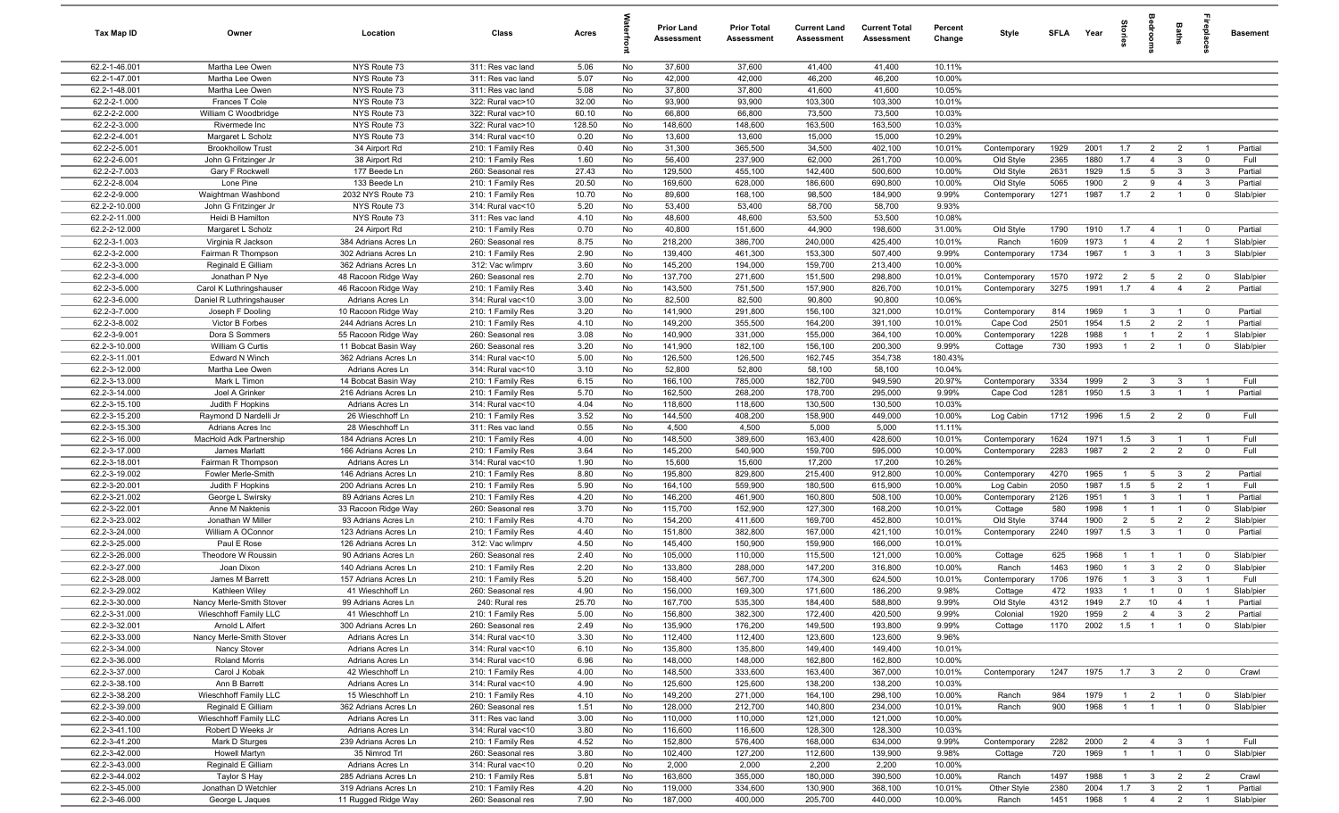| Tax Map ID                     | Owner                                            | Location                                    | Class                                  | Acres        |           | <b>Prior Land</b><br>Assessment | <b>Prior Total</b><br>Assessment | <b>Current Land</b><br>Assessment | <b>Current Total</b><br><b>Assessment</b> | Percent<br>Change | Style                     | <b>SFI A</b> | Year         | 들.                    |                                  | Baths                            |                                           | <b>Basement</b>    |
|--------------------------------|--------------------------------------------------|---------------------------------------------|----------------------------------------|--------------|-----------|---------------------------------|----------------------------------|-----------------------------------|-------------------------------------------|-------------------|---------------------------|--------------|--------------|-----------------------|----------------------------------|----------------------------------|-------------------------------------------|--------------------|
| 62.2-1-46.001                  | Martha Lee Owen                                  | NYS Route 73                                | 311: Res vac land                      | 5.06         | No        | 37,600                          | 37,600                           | 41,400                            | 41,400                                    | 10.11%            |                           |              |              |                       |                                  |                                  |                                           |                    |
| 62.2-1-47.001                  | Martha Lee Owen                                  | NYS Route 73                                | 311: Res vac land                      | 5.07         | No        | 42,000                          | 42,000                           | 46,200                            | 46,200                                    | 10.00%            |                           |              |              |                       |                                  |                                  |                                           |                    |
| 62.2-1-48.001                  | Martha Lee Owen                                  | NYS Route 73                                | 311: Res vac land                      | 5.08         | No        | 37,800                          | 37,800                           | 41,600                            | 41,600                                    | 10.05%            |                           |              |              |                       |                                  |                                  |                                           |                    |
| 62.2-2-1.000                   | Frances T Cole                                   | NYS Route 73                                | 322: Rural vac>10                      | 32.00        | No        | 93,900                          | 93,900                           | 103,300                           | 103,300                                   | 10.01%            |                           |              |              |                       |                                  |                                  |                                           |                    |
| 62.2-2-2.000                   | William C Woodbridge                             | NYS Route 73                                | 322: Rural vac>10                      | 60.10        | No        | 66,800                          | 66,800                           | 73,500                            | 73,500                                    | 10.03%            |                           |              |              |                       |                                  |                                  |                                           |                    |
| 62.2-2-3.000                   | Rivermede Inc                                    | NYS Route 73                                | 322: Rural vac>10                      | 128.50       | No        | 148,600                         | 148,600                          | 163,500                           | 163,500                                   | 10.03%            |                           |              |              |                       |                                  |                                  |                                           |                    |
| 62.2-2-4.001<br>62.2-2-5.001   | Margaret L Scholz                                | NYS Route 73                                | 314: Rural vac<10                      | 0.20<br>0.40 | No<br>No  | 13,600<br>31,300                | 13,600                           | 15,000                            | 15,000<br>402,100                         | 10.29%            |                           | 1929         | 2001         | 1.7                   |                                  |                                  | $\overline{1}$                            | Partial            |
| 62.2-2-6.001                   | <b>Brookhollow Trust</b><br>John G Fritzinger Jr | 34 Airport Rd<br>38 Airport Rd              | 210: 1 Family Res<br>210: 1 Family Res | 1.60         | No        | 56,400                          | 365,500<br>237,900               | 34,500<br>62,000                  | 261,700                                   | 10.01%<br>10.00%  | Contemporary<br>Old Style | 2365         | 1880         | 1.7                   | $\overline{2}$<br>$\overline{4}$ | $\overline{2}$<br>$\mathbf{3}$   | $\overline{0}$                            | Full               |
| 62.2-2-7.003                   | Gary F Rockwell                                  | 177 Beede Ln                                | 260: Seasonal res                      | 27.43        | No        | 129,500                         | 455,100                          | 142,400                           | 500,600                                   | 10.00%            | Old Style                 | 2631         | 1929         | 1.5                   | $5\overline{5}$                  | $\mathbf{3}$                     | $\mathbf{3}$                              | Partial            |
| 62.2-2-8.004                   | Lone Pine                                        | 133 Beede Ln                                | 210: 1 Family Res                      | 20.50        | No        | 169,600                         | 628,000                          | 186,600                           | 690,800                                   | 10.00%            | Old Style                 | 5065         | 1900         | 2                     | 9                                | $\overline{4}$                   | $\overline{\mathbf{3}}$                   | Partial            |
| 62.2-2-9.000                   | Waightman Washbond                               | 2032 NYS Route 73                           | 210: 1 Family Res                      | 10.70        | No        | 89,600                          | 168,100                          | 98,500                            | 184,900                                   | 9.99%             | Contemporary              | 1271         | 1987         | 1.7                   | $\overline{2}$                   | $\overline{1}$                   | $\mathbf 0$                               | Slab/pier          |
| 62.2-2-10.000                  | John G Fritzinger Jr                             | NYS Route 73                                | 314: Rural vac<10                      | 5.20         | No        | 53,400                          | 53,400                           | 58,700                            | 58,700                                    | 9.93%             |                           |              |              |                       |                                  |                                  |                                           |                    |
| 62.2-2-11.000                  | Heidi B Hamilton                                 | NYS Route 73                                | 311: Res vac land                      | 4.10         | <b>No</b> | 48,600                          | 48,600                           | 53,500                            | 53,500                                    | 10.08%            |                           |              |              |                       |                                  |                                  |                                           |                    |
| 62.2-2-12.000                  | Margaret L Scholz                                | 24 Airport Rd                               | 210: 1 Family Res                      | 0.70         | No        | 40,800                          | 151,600                          | 44,900                            | 198,600                                   | 31.00%            | Old Style                 | 1790         | 1910         | 1.7                   | $\overline{4}$                   | $\mathbf{1}$                     | $\overline{0}$                            | Partial            |
| 62.2-3-1.003                   | Virginia R Jackson                               | 384 Adrians Acres Ln                        | 260: Seasonal res                      | 8.75         | No        | 218,200                         | 386,700                          | 240,000                           | 425,400                                   | 10.01%            | Ranch                     | 1609         | 1973         |                       | $\overline{4}$                   | $\overline{2}$                   | $\overline{1}$                            | Slab/pier          |
| 62.2-3-2.000                   | Fairman R Thompson                               | 302 Adrians Acres Ln                        | 210: 1 Family Res                      | 2.90         | No        | 139,400                         | 461,300                          | 153,300                           | 507,400                                   | 9.99%             | Contemporary              | 1734         | 1967         |                       | 3                                |                                  | $\mathbf{3}$                              | Slab/pier          |
| 62.2-3-3.000                   | Reginald E Gilliam                               | 362 Adrians Acres Ln                        | 312: Vac w/imprv                       | 3.60         | No        | 145,200                         | 194,000                          | 159,700                           | 213,400                                   | 10.00%            |                           |              |              |                       |                                  |                                  |                                           |                    |
| 62.2-3-4.000                   | Jonathan P Nye                                   | 48 Racoon Ridge Way                         | 260: Seasonal res                      | 2.70         | No        | 137,700                         | 271,600                          | 151,500                           | 298,800                                   | 10.01%            | Contemporary              | 1570         | 1972         | $\overline{2}$        | 5                                | $\overline{2}$                   | $\overline{\mathbf{0}}$                   | Slab/pier          |
| 62.2-3-5.000                   | Carol K Luthringshauser                          | 46 Racoon Ridge Way                         | 210: 1 Family Res                      | 3.40         | No        | 143,500                         | 751,500                          | 157,900                           | 826,700                                   | 10.01%            | Contemporary              | 3275         | 1991         | 1.7                   | $\overline{4}$                   | $\overline{4}$                   | $\overline{2}$                            | Partial            |
| 62.2-3-6.000                   | Daniel R Luthringshauser                         | Adrians Acres Ln                            | 314: Rural vac<10                      | 3.00         | No        | 82,500                          | 82,500                           | 90,800                            | 90,800                                    | 10.06%            |                           |              |              |                       |                                  |                                  |                                           |                    |
| 62.2-3-7.000<br>62.2-3-8.002   | Joseph F Dooling                                 | 10 Racoon Ridge Way                         | 210: 1 Family Res                      | 3.20         | No        | 141,900<br>149,200              | 291,800                          | 156,100                           | 321,000                                   | 10.01%            | Contemporary              | 814<br>2501  | 1969<br>1954 | $\overline{1}$        | 3                                | $\overline{1}$<br>$\overline{2}$ | $\overline{\mathbf{0}}$<br>$\overline{1}$ | Partial<br>Partial |
| 62.2-3-9.001                   | Victor B Forbes<br>Dora S Sommers                | 244 Adrians Acres Ln<br>55 Racoon Ridge Way | 210: 1 Family Res<br>260: Seasonal res | 4.10<br>3.08 | No<br>No  | 140,900                         | 355,500<br>331,000               | 164,200<br>155,000                | 391,100<br>364,100                        | 10.01%<br>10.00%  | Cape Cod<br>Contemporary  | 1228         | 1988         | 1.5<br>$\overline{1}$ | $\overline{2}$<br>$\mathbf{1}$   | $\overline{2}$                   | $\overline{1}$                            | Slab/pier          |
| 62.2-3-10.000                  | William G Curtis                                 | 11 Bobcat Basin Way                         | 260: Seasonal res                      | 3.20         | No        | 141,900                         | 182,100                          | 156,100                           | 200,300                                   | 9.99%             | Cottage                   | 730          | 1993         | $\overline{1}$        | $\overline{2}$                   | $\overline{1}$                   | $\overline{0}$                            | Slab/pier          |
| 62.2-3-11.001                  | <b>Edward N Winch</b>                            | 362 Adrians Acres Ln                        | 314: Rural vac<10                      | 5.00         | No        | 126,500                         | 126,500                          | 162,745                           | 354,738                                   | 180.43%           |                           |              |              |                       |                                  |                                  |                                           |                    |
| 62.2-3-12.000                  | Martha Lee Owen                                  | Adrians Acres Ln                            | 314: Rural vac<10                      | 3.10         | No        | 52,800                          | 52,800                           | 58,100                            | 58,100                                    | 10.04%            |                           |              |              |                       |                                  |                                  |                                           |                    |
| 62.2-3-13.000                  | Mark L Timon                                     | 14 Bobcat Basin Way                         | 210: 1 Family Res                      | 6.15         | No        | 166,100                         | 785,000                          | 182,700                           | 949,590                                   | 20.97%            | Contemporary              | 3334         | 1999         | $\overline{2}$        | 3                                | $\mathbf{3}$                     | $\overline{1}$                            | Full               |
| 62.2-3-14.000                  | Joel A Grinker                                   | 216 Adrians Acres Ln                        | 210: 1 Family Res                      | 5.70         | No        | 162,500                         | 268,200                          | 178,700                           | 295,000                                   | 9.99%             | Cape Cod                  | 1281         | 1950         | 1.5                   | 3                                |                                  | $\overline{1}$                            | Partial            |
| 62.2-3-15.100                  | Judith F Hopkins                                 | Adrians Acres Ln                            | 314: Rural vac<10                      | 4.04         | No        | 118,600                         | 118,600                          | 130,500                           | 130,500                                   | 10.03%            |                           |              |              |                       |                                  |                                  |                                           |                    |
| 62.2-3-15.200                  | Raymond D Nardelli Jr                            | 26 Wieschhoff Ln                            | 210: 1 Family Res                      | 3.52         | No        | 144,500                         | 408,200                          | 158,900                           | 449,000                                   | 10.00%            | Log Cabin                 | 1712         | 1996         | 1.5                   | $\overline{2}$                   | $\overline{2}$                   | $\overline{\mathbf{0}}$                   | Full               |
| 62.2-3-15.300                  | Adrians Acres Inc                                | 28 Wieschhoff Ln                            | 311: Res vac land                      | 0.55         | No        | 4,500                           | 4,500                            | 5,000                             | 5,000                                     | 11.11%            |                           |              |              |                       |                                  |                                  |                                           |                    |
| 62.2-3-16.000                  | MacHold Adk Partnership                          | 184 Adrians Acres Ln                        | 210: 1 Family Res                      | 4.00         | No        | 148,500                         | 389,600                          | 163,400                           | 428,600                                   | 10.01%            | Contemporary              | 1624         | 1971         | 1.5                   | $\mathbf{3}$                     | $\overline{1}$                   | $\overline{1}$                            | Full               |
| 62.2-3-17.000                  | James Marlatt                                    | 166 Adrians Acres Ln                        | 210: 1 Family Res                      | 3.64         | No        | 145,200                         | 540,900                          | 159,700                           | 595,000                                   | 10.00%            | Contemporary              | 2283         | 1987         | $\overline{2}$        | 2                                | $\overline{2}$                   | $\overline{0}$                            | Full               |
| 62.2-3-18.001                  | Fairman R Thompson                               | Adrians Acres Ln                            | 314: Rural vac<10                      | 1.90         | No        | 15,600                          | 15,600                           | 17,200                            | 17,200                                    | 10.26%            |                           |              |              |                       |                                  |                                  |                                           |                    |
| 62.2-3-19.002                  | Fowler Merle-Smith                               | 146 Adrians Acres Ln                        | 210: 1 Family Res                      | 8.80         | No        | 195,800                         | 829,800                          | 215,400                           | 912,800                                   | 10.00%            | Contemporary              | 4270         | 1965         | $\overline{1}$        | 5                                | $\mathbf{3}$                     | $\overline{2}$                            | Partial            |
| 62.2-3-20.001<br>62.2-3-21.002 | Judith F Hopkins                                 | 200 Adrians Acres Ln<br>89 Adrians Acres Ln | 210: 1 Family Res<br>210: 1 Family Res | 5.90<br>4.20 | No<br>No  | 164,100<br>146,200              | 559,900<br>461,900               | 180,500<br>160,800                | 615,900<br>508,100                        | 10.00%<br>10.00%  | Log Cabin<br>Contemporary | 2050<br>2126 | 1987<br>1951 | 1.5<br>$\overline{1}$ | $5\overline{5}$<br>$\mathbf{3}$  | $\overline{2}$<br>$\overline{1}$ | $\overline{1}$<br>$\overline{1}$          | Full<br>Partial    |
| 62.2-3-22.001                  | George L Swirsky<br>Anne M Naktenis              | 33 Racoon Ridge Way                         | 260: Seasonal res                      | 3.70         | No        | 115,700                         | 152,900                          | 127,300                           | 168,200                                   | 10.01%            | Cottage                   | 580          | 1998         |                       | $\overline{1}$                   | $\mathbf 1$                      | $\mathbf 0$                               | Slab/pier          |
| 62.2-3-23.002                  | Jonathan W Miller                                | 93 Adrians Acres Ln                         | 210: 1 Family Res                      | 4.70         | No        | 154,200                         | 411,600                          | 169,700                           | 452,800                                   | 10.01%            | Old Style                 | 3744         | 1900         | $\overline{2}$        | $5\overline{5}$                  | $\overline{2}$                   | $\overline{2}$                            | Slab/pier          |
| 62.2-3-24.000                  | William A OConnor                                | 123 Adrians Acres Ln                        | 210: 1 Family Res                      | 4.40         | No        | 151,800                         | 382,800                          | 167,000                           | 421,100                                   | 10.01%            | Contemporary              | 2240         | 1997         | 1.5                   | $\mathbf{3}$                     | $\overline{1}$                   | $\overline{0}$                            | Partial            |
| 62.2-3-25.000                  | Paul E Rose                                      | 126 Adrians Acres Ln                        | 312: Vac w/imprv                       | 4.50         | No        | 145,400                         | 150,900                          | 159,900                           | 166,000                                   | 10.01%            |                           |              |              |                       |                                  |                                  |                                           |                    |
| 62.2-3-26.000                  | Theodore W Roussin                               | 90 Adrians Acres Ln                         | 260: Seasonal res                      | 2.40         | No        | 105,000                         | 110,000                          | 115,500                           | 121,000                                   | 10.00%            | Cottage                   | 625          | 1968         |                       |                                  |                                  | $\mathbf 0$                               | Slab/pier          |
| 62.2-3-27.000                  | Joan Dixon                                       | 140 Adrians Acres Ln                        | 210: 1 Family Res                      | 2.20         | No        | 133,800                         | 288,000                          | 147,200                           | 316,800                                   | 10.00%            | Ranch                     | 1463         | 1960         |                       | 3                                | $\overline{2}$                   | $\mathbf 0$                               | Slab/pier          |
| 62.2-3-28.000                  | James M Barrett                                  | 157 Adrians Acres Ln                        | 210: 1 Family Res                      | 5.20         | No        | 158,400                         | 567,700                          | 174,300                           | 624,500                                   | 10.01%            | Contemporary              | 1706         | 1976         |                       | 3                                | -3                               |                                           | Full               |
| 62.2-3-29.002                  | Kathleen Wiley                                   | 41 Wieschhoff Ln                            | 260: Seasonal res                      | 4.90         | No        | 156,000                         | 169,300                          | 171,600                           | 186,200                                   | 9.98%             | Cottage                   | 472          | 1933         | $\overline{1}$        | $\overline{1}$                   | $\mathbf 0$                      | $\overline{1}$                            | Slab/pier          |
| 62.2-3-30.000                  | Nancy Merle-Smith Stover                         | 99 Adrians Acres Ln                         | 240: Rural res                         | 25.70        | No        | 167,700                         | 535,300                          | 184,400                           | 588,800                                   | 9.99%             | Old Style                 | 4312         | 1949         | 2.7                   | 10                               | $\mathbf{A}$                     |                                           | Partial            |
| 62.2-3-31.000                  | Wieschhoff Family LLC                            | 41 Wieschhoff Ln                            | 210: 1 Family Res                      | 5.00         | No        | 156,800                         | 382,300                          | 172,400                           | 420,500                                   | 9.99%             | Colonial                  | 1920         | 1959         | $\overline{2}$        | $\overline{4}$                   | $\mathbf{3}$                     | $\overline{2}$                            | Partial            |
| 62.2-3-32.001                  | Arnold L Alfert                                  | 300 Adrians Acres Ln                        | 260: Seasonal res                      | 2.49         | No        | 135,900                         | 176,200                          | 149,500                           | 193,800                                   | 9.99%             | Cottage                   | 1170         | 2002         | 1.5                   | $\overline{1}$                   | $\overline{1}$                   | $^{\circ}$                                | Slab/pier          |
| 62.2-3-33.000                  | Nancy Merle-Smith Stover                         | Adrians Acres Ln                            | 314: Rural vac<10                      | 3.30         | No        | 112,400                         | 112,400                          | 123,600                           | 123,600                                   | 9.96%             |                           |              |              |                       |                                  |                                  |                                           |                    |
| 62.2-3-34.000<br>62.2-3-36.000 | Nancy Stover<br>Roland Morris                    | Adrians Acres Ln<br>Adrians Acres Ln        | 314: Rural vac<10<br>314: Rural vac<10 | 6.10<br>6.96 | No<br>No  | 135,800<br>148,000              | 135,800<br>148,000               | 149,400<br>162,800                | 149,400<br>162,800                        | 10.01%<br>10.00%  |                           |              |              |                       |                                  |                                  |                                           |                    |
| 62.2-3-37.000                  | Carol J Kobak                                    | 42 Wieschhoff Ln                            | 210: 1 Family Res                      | 4.00         | No        | 148,500                         | 333,600                          | 163,400                           | 367,000                                   | 10.01%            | Contemporary              | 1247         | 1975         |                       | $1.7 \t3$                        | $\overline{2}$                   | $\overline{0}$                            | Crawl              |
| 62.2-3-38.100                  | Ann B Barrett                                    | Adrians Acres Ln                            | 314: Rural vac<10                      | 4.90         | No        | 125,600                         | 125,600                          | 138,200                           | 138,200                                   | 10.03%            |                           |              |              |                       |                                  |                                  |                                           |                    |
| 62.2-3-38.200                  | Wieschhoff Family LLC                            | 15 Wieschhoff Ln                            | 210: 1 Family Res                      | 4.10         | No        | 149,200                         | 271,000                          | 164,100                           | 298,100                                   | 10.00%            | Ranch                     | 984          | 1979         |                       | $\overline{2}$                   | $\overline{1}$                   | $\overline{0}$                            | Slab/pier          |
| 62.2-3-39.000                  | Reginald E Gilliam                               | 362 Adrians Acres Ln                        | 260: Seasonal res                      | 1.51         | No        | 128,000                         | 212,700                          | 140,800                           | 234,000                                   | 10.01%            | Ranch                     | 900          | 1968         |                       | $\overline{1}$                   | $\overline{1}$                   | $\mathbf 0$                               | Slab/pier          |
| 62.2-3-40.000                  | Wieschhoff Family LLC                            | Adrians Acres Ln                            | 311: Res vac land                      | 3.00         | No        | 110,000                         | 110,000                          | 121,000                           | 121,000                                   | 10.00%            |                           |              |              |                       |                                  |                                  |                                           |                    |
| 62.2-3-41.100                  | Robert D Weeks Jr                                | Adrians Acres Ln                            | 314: Rural vac<10                      | 3.80         | No        | 116,600                         | 116,600                          | 128,300                           | 128,300                                   | 10.03%            |                           |              |              |                       |                                  |                                  |                                           |                    |
| 62.2-3-41.200                  | Mark D Sturges                                   | 239 Adrians Acres Ln                        | 210: 1 Family Res                      | 4.52         | No        | 152,800                         | 576,400                          | 168,000                           | 634,000                                   | 9.99%             | Contemporary              | 2282         | 2000         | $\overline{2}$        | $\overline{4}$                   | $\mathbf{3}$                     | $\overline{1}$                            | Full               |
| 62.2-3-42.000                  | Howell Martyn                                    | 35 Nimrod Trl                               | 260: Seasonal res                      | 3.80         | No        | 102,400                         | 127,200                          | 112,600                           | 139,900                                   | 9.98%             | Cottage                   | 720          | 1969         | $\overline{1}$        | $\overline{1}$                   | $\overline{1}$                   | $\mathbf 0$                               | Slab/pier          |
| 62.2-3-43.000                  | Reginald E Gilliam                               | Adrians Acres Ln                            | 314: Rural vac<10                      | 0.20         | No        | 2,000                           | 2,000                            | 2,200                             | 2,200                                     | 10.00%            |                           |              |              |                       |                                  |                                  |                                           |                    |
| 62.2-3-44.002                  | Taylor S Hay                                     | 285 Adrians Acres Ln                        | 210: 1 Family Res                      | 5.81         | No        | 163,600                         | 355,000                          | 180,000                           | 390,500                                   | 10.00%            | Ranch                     | 1497         | 1988         | $\overline{1}$        | $\mathbf{3}$                     | $\overline{2}$                   | $\overline{2}$                            | Crawl              |
| 62.2-3-45.000                  | Jonathan D Wetchler                              | 319 Adrians Acres Ln                        | 210: 1 Family Res                      | 4.20         | No        | 119,000                         | 334,600                          | 130,900                           | 368,100                                   | 10.01%            | Other Style               | 2380         | 2004         | 1.7                   | $\mathbf{3}$                     | $\overline{2}$                   | $\overline{1}$                            | Partial            |
| 62.2-3-46.000                  | George L Jaques                                  | 11 Rugged Ridge Way                         | 260: Seasonal res                      | 7.90         | No        | 187,000                         | 400,000                          | 205,700                           | 440,000                                   | 10.00%            | Ranch                     | 1451         | 1968         | $\overline{1}$        | $\overline{4}$                   | $\overline{2}$                   | $\overline{1}$                            | Slab/pier          |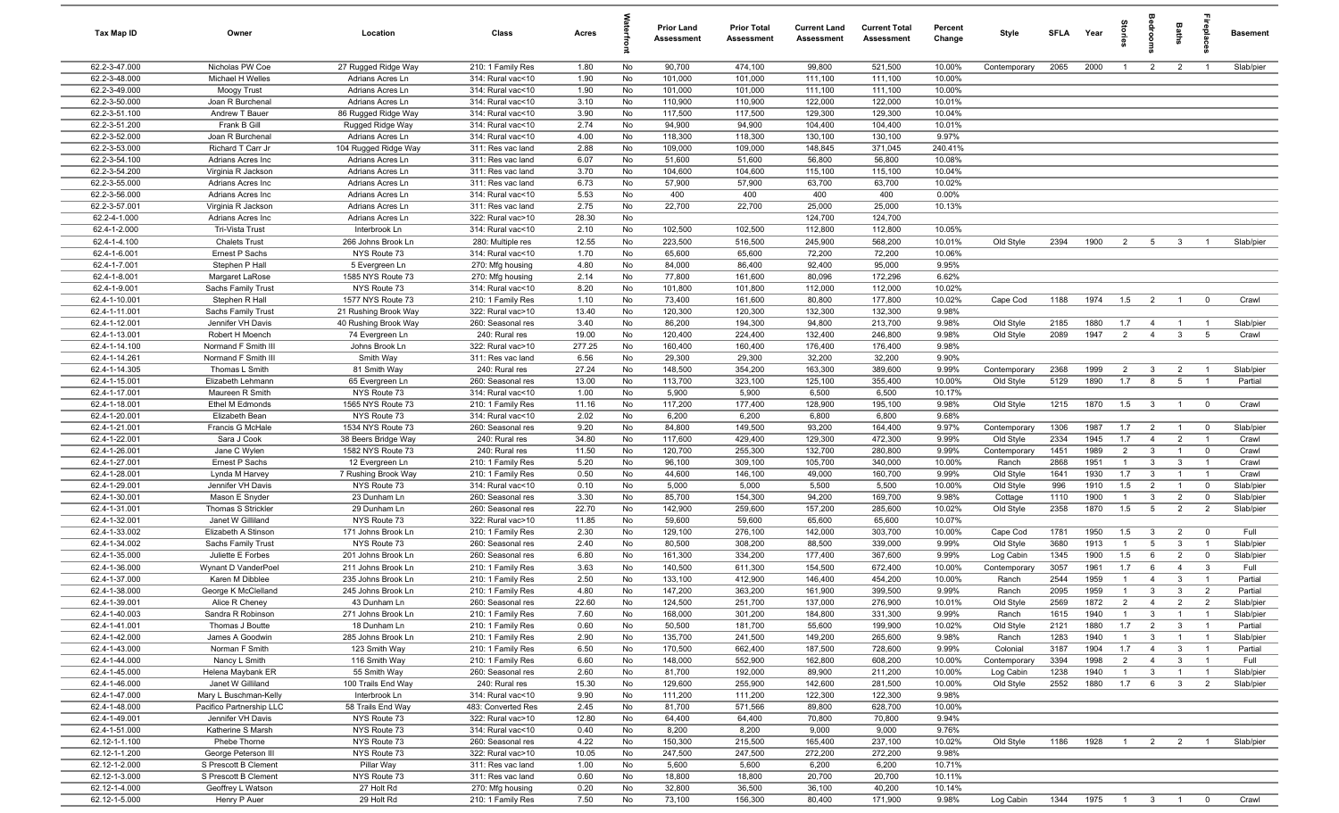| Tax Map ID                     | Owner                                   | Location                                 | Class                                  | Acres         |          | Prior Land<br>Assessment | <b>Prior Total</b><br><b>Assessment</b> | <b>Current Land</b><br>Assessment | <b>Current Total</b><br><b>Assessment</b> | Percent<br>Change | Style                     | <b>SFLA</b>  | Year         | ទ្ទ                              |                                | Baths                            | repia                            | <b>Basement</b>        |
|--------------------------------|-----------------------------------------|------------------------------------------|----------------------------------------|---------------|----------|--------------------------|-----------------------------------------|-----------------------------------|-------------------------------------------|-------------------|---------------------------|--------------|--------------|----------------------------------|--------------------------------|----------------------------------|----------------------------------|------------------------|
| 62.2-3-47.000                  | Nicholas PW Coe                         | 27 Rugged Ridge Way                      | 210: 1 Family Res                      | 1.80          | No       | 90,700                   | 474,100                                 | 99,800                            | 521,500                                   | 10.00%            | Contemporary              | 2065         | 2000         | $\overline{1}$                   | $\overline{2}$                 | $\overline{2}$                   | $\overline{1}$                   | Slab/pier              |
| 62.2-3-48.000                  | Michael H Welles                        | Adrians Acres Ln                         | 314: Rural vac<10                      | 1.90          | No       | 101,000                  | 101,000                                 | 111,100                           | 111,100                                   | 10.00%            |                           |              |              |                                  |                                |                                  |                                  |                        |
| 62.2-3-49.000                  | Moogy Trust                             | Adrians Acres Ln                         | 314: Rural vac<10                      | 1.90          | No       | 101,000                  | 101,000                                 | 111,100                           | 111,100                                   | 10.00%            |                           |              |              |                                  |                                |                                  |                                  |                        |
| 62.2-3-50.000                  | Joan R Burchenal                        | Adrians Acres Ln                         | 314: Rural vac<10                      | 3.10          | No       | 110,900                  | 110,900                                 | 122,000                           | 122,000                                   | 10.01%            |                           |              |              |                                  |                                |                                  |                                  |                        |
| 62.2-3-51.100                  | Andrew T Bauer                          | 86 Rugged Ridge Way                      | 314: Rural vac<10                      | 3.90          | No       | 117,500                  | 117,500                                 | 129,300                           | 129,300                                   | 10.04%            |                           |              |              |                                  |                                |                                  |                                  |                        |
| 62.2-3-51.200                  | Frank B Gill                            | Rugged Ridge Way                         | 314: Rural vac<10                      | 2.74          | No       | 94,900                   | 94,900                                  | 104,400                           | 104,400                                   | 10.01%            |                           |              |              |                                  |                                |                                  |                                  |                        |
| 62.2-3-52.000<br>62.2-3-53.000 | Joan R Burchenal<br>Richard T Carr Jr   | Adrians Acres Ln<br>104 Rugged Ridge Way | 314: Rural vac<10<br>311: Res vac land | 4.00<br>2.88  | No<br>No | 118,300<br>109,000       | 118,300<br>109,000                      | 130,100<br>148,845                | 130,100<br>371,045                        | 9.97%<br>240.41%  |                           |              |              |                                  |                                |                                  |                                  |                        |
| 62.2-3-54.100                  | Adrians Acres Inc                       | Adrians Acres Ln                         | 311: Res vac land                      | 6.07          | No       | 51,600                   | 51,600                                  | 56,800                            | 56,800                                    | 10.08%            |                           |              |              |                                  |                                |                                  |                                  |                        |
| 62.2-3-54.200                  | Virginia R Jackson                      | Adrians Acres Ln                         | 311: Res vac land                      | 3.70          | No       | 104,600                  | 104,600                                 | 115,100                           | 115,100                                   | 10.04%            |                           |              |              |                                  |                                |                                  |                                  |                        |
| 62.2-3-55.000                  | Adrians Acres Inc                       | Adrians Acres Ln                         | 311: Res vac land                      | 6.73          | No       | 57,900                   | 57,900                                  | 63,700                            | 63,700                                    | 10.02%            |                           |              |              |                                  |                                |                                  |                                  |                        |
| 62.2-3-56.000                  | Adrians Acres Inc                       | Adrians Acres Ln                         | 314: Rural vac<10                      | 5.53          | No       | 400                      | 400                                     | 400                               | 400                                       | 0.00%             |                           |              |              |                                  |                                |                                  |                                  |                        |
| 62.2-3-57.001                  | Virginia R Jackson                      | Adrians Acres Ln                         | 311: Res vac land                      | 2.75          | No       | 22,700                   | 22,700                                  | 25,000                            | 25,000                                    | 10.13%            |                           |              |              |                                  |                                |                                  |                                  |                        |
| 62.2-4-1.000                   | Adrians Acres Inc                       | Adrians Acres Ln                         | 322: Rural vac>10                      | 28.30         | No       |                          |                                         | 124,700                           | 124,700                                   |                   |                           |              |              |                                  |                                |                                  |                                  |                        |
| 62.4-1-2.000                   | Tri-Vista Trust                         | Interbrook Ln                            | 314: Rural vac<10                      | 2.10          | No       | 102,500                  | 102,500                                 | 112,800                           | 112,800                                   | 10.05%            |                           |              |              |                                  |                                |                                  |                                  |                        |
| 62.4-1-4.100                   | <b>Chalets Trust</b>                    | 266 Johns Brook Ln                       | 280: Multiple res                      | 12.55         | No       | 223,500                  | 516,500                                 | 245,900                           | 568,200                                   | 10.01%            | Old Style                 | 2394         | 1900         | $\overline{2}$                   | 5                              | $\mathbf{3}$                     |                                  | Slab/pier              |
| 62.4-1-6.001                   | Ernest P Sachs                          | NYS Route 73                             | 314: Rural vac<10                      | 1.70          | No       | 65,600                   | 65,600                                  | 72,200                            | 72,200                                    | 10.06%            |                           |              |              |                                  |                                |                                  |                                  |                        |
| 62.4-1-7.001                   | Stephen P Hall                          | 5 Evergreen Ln                           | 270: Mfg housing                       | 4.80          | No       | 84,000                   | 86,400                                  | 92,400                            | 95,000                                    | 9.95%             |                           |              |              |                                  |                                |                                  |                                  |                        |
| 62.4-1-8.001                   | Margaret LaRose                         | 1585 NYS Route 73                        | 270: Mfg housing                       | 2.14          | No       | 77,800                   | 161,600                                 | 80,096                            | 172,296                                   | 6.62%             |                           |              |              |                                  |                                |                                  |                                  |                        |
| 62.4-1-9.001                   | Sachs Family Trust                      | NYS Route 73                             | 314: Rural vac<10                      | 8.20          | No       | 101,800                  | 101,800                                 | 112,000                           | 112,000                                   | 10.02%            |                           |              |              |                                  |                                |                                  |                                  |                        |
| 62.4-1-10.001                  | Stephen R Hall                          | 1577 NYS Route 73                        | 210: 1 Family Res                      | 1.10          | No       | 73,400                   | 161,600                                 | 80,800                            | 177,800                                   | 10.02%            | Cape Cod                  | 1188         | 1974         | 1.5                              | $\overline{2}$                 | $\overline{1}$                   | $\overline{\mathbf{0}}$          | Crawl                  |
| 62.4-1-11.001<br>62.4-1-12.001 | Sachs Family Trust<br>Jennifer VH Davis | 21 Rushing Brook Way                     | 322: Rural vac>10<br>260: Seasonal res | 13.40<br>3.40 | No<br>No | 120,300<br>86,200        | 120,300<br>194,300                      | 132,300<br>94,800                 | 132,300<br>213,700                        | 9.98%<br>9.98%    | Old Style                 | 2185         | 1880         | 1.7                              | $\overline{4}$                 | $\overline{1}$                   | $\overline{1}$                   | Slab/pier              |
| 62.4-1-13.001                  | Robert H Moench                         | 40 Rushing Brook Way<br>74 Evergreen Ln  | 240: Rural res                         | 19.00         | No       | 120,400                  | 224,400                                 | 132,400                           | 246,800                                   | 9.98%             | Old Style                 | 2089         | 1947         | $\overline{2}$                   | $\overline{4}$                 | $\mathbf{3}$                     | 5                                | Crawl                  |
| 62.4-1-14.100                  | Normand F Smith III                     | Johns Brook Ln                           | 322: Rural vac>10                      | 277.25        | No       | 160,400                  | 160,400                                 | 176,400                           | 176,400                                   | 9.98%             |                           |              |              |                                  |                                |                                  |                                  |                        |
| 62.4-1-14.261                  | Normand F Smith III                     | Smith Way                                | 311: Res vac land                      | 6.56          | No       | 29,300                   | 29,300                                  | 32,200                            | 32,200                                    | 9.90%             |                           |              |              |                                  |                                |                                  |                                  |                        |
| 62.4-1-14.305                  | Thomas L Smith                          | 81 Smith Way                             | 240: Rural res                         | 27.24         | No       | 148,500                  | 354,200                                 | 163,300                           | 389,600                                   | 9.99%             | Contemporary              | 2368         | 1999         | $\overline{2}$                   | $\mathbf{3}$                   | $\overline{2}$                   | $\overline{1}$                   | Slab/pier              |
| 62.4-1-15.001                  | Elizabeth Lehmann                       | 65 Evergreen Ln                          | 260: Seasonal res                      | 13.00         | No       | 113,700                  | 323,100                                 | 125,100                           | 355,400                                   | 10.00%            | Old Style                 | 5129         | 1890         | 1.7                              | 8                              | $5\overline{6}$                  | $\overline{1}$                   | Partial                |
| 62.4-1-17.001                  | Maureen R Smith                         | NYS Route 73                             | 314: Rural vac<10                      | 1.00          | No       | 5,900                    | 5,900                                   | 6,500                             | 6,500                                     | 10.17%            |                           |              |              |                                  |                                |                                  |                                  |                        |
| 62.4-1-18.001                  | <b>Ethel M Edmonds</b>                  | 1565 NYS Route 73                        | 210: 1 Family Res                      | 11.16         | No       | 117,200                  | 177,400                                 | 128,900                           | 195,100                                   | 9.98%             | Old Style                 | 1215         | 1870         | 1.5                              | $\mathbf{3}$                   | $\overline{1}$                   | $\overline{0}$                   | Crawl                  |
| 62.4-1-20.001                  | Elizabeth Bean                          | NYS Route 73                             | 314: Rural vac<10                      | 2.02          | No       | 6,200                    | 6,200                                   | 6,800                             | 6,800                                     | 9.68%             |                           |              |              |                                  |                                |                                  |                                  |                        |
| 62.4-1-21.001                  | Francis G McHale                        | 1534 NYS Route 73                        | 260: Seasonal res                      | 9.20          | No       | 84,800                   | 149,500                                 | 93,200                            | 164,400                                   | 9.97%             | Contemporary              | 1306         | 1987         | 1.7                              | $\overline{2}$                 | $\overline{1}$                   | $\overline{0}$                   | Slab/pier              |
| 62.4-1-22.001                  | Sara J Cook                             | 38 Beers Bridge Way                      | 240: Rural res                         | 34.80         | No       | 117,600                  | 429,400                                 | 129,300                           | 472,300                                   | 9.99%             | Old Style                 | 2334         | 1945         | 1.7                              | $\overline{4}$                 | $\overline{2}$                   | $\overline{1}$                   | Crawl                  |
| 62.4-1-26.001                  | Jane C Wylen                            | 1582 NYS Route 73                        | 240: Rural res                         | 11.50         | No       | 120,700                  | 255,300                                 | 132,700                           | 280,800                                   | 9.99%             | Contemporary              | 1451         | 1989         | $\overline{2}$                   | $\mathbf{3}$                   | $\overline{1}$                   | $\mathbf 0$                      | Crawl                  |
| 62.4-1-27.001                  | Ernest P Sachs                          | 12 Evergreen Ln                          | 210: 1 Family Res                      | 5.20          | No       | 96,100                   | 309,100                                 | 105,700                           | 340,000                                   | 10.00%            | Ranch                     | 2868         | 1951         | $\overline{1}$                   | $\mathbf{3}$                   | $\mathbf{3}$                     | $\overline{1}$                   | Crawl                  |
| 62.4-1-28.001                  | Lynda M Harvey                          | 7 Rushing Brook Way                      | 210: 1 Family Res                      | 0.50          | No       | 44,600                   | 146,100                                 | 49,000                            | 160,700                                   | 9.99%             | Old Style                 | 1641         | 1930         | 1.7                              | $\overline{3}$                 | $\overline{1}$                   | $\overline{1}$                   | Crawl                  |
| 62.4-1-29.001<br>62.4-1-30.001 | Jennifer VH Davis<br>Mason E Snyder     | NYS Route 73<br>23 Dunham Ln             | 314: Rural vac<10<br>260: Seasonal res | 0.10<br>3.30  | No<br>No | 5,000<br>85,700          | 5,000<br>154,300                        | 5,500<br>94,200                   | 5,500<br>169,700                          | 10.00%<br>9.98%   | Old Style<br>Cottage      | 996<br>1110  | 1910<br>1900 | 1.5<br>$\overline{1}$            | $\overline{2}$<br>$\mathbf{3}$ | $\overline{1}$<br>$\overline{2}$ | $\mathbf 0$<br>$\mathbf 0$       | Slab/pier<br>Slab/pier |
| 62.4-1-31.001                  | Thomas S Strickler                      | 29 Dunham Ln                             | 260: Seasonal res                      | 22.70         | No       | 142,900                  | 259,600                                 | 157,200                           | 285,600                                   | 10.02%            | Old Style                 | 2358         | 1870         | 1.5                              | $5\overline{)}$                | $\overline{2}$                   | $\overline{2}$                   | Slab/pier              |
| 62.4-1-32.001                  | Janet W Gilliland                       | NYS Route 73                             | 322: Rural vac>10                      | 11.85         | No       | 59,600                   | 59,600                                  | 65,600                            | 65,600                                    | 10.07%            |                           |              |              |                                  |                                |                                  |                                  |                        |
| 62.4-1-33.002                  | Elizabeth A Stinson                     | 171 Johns Brook Ln                       | 210: 1 Family Res                      | 2.30          | No       | 129,100                  | 276,100                                 | 142,000                           | 303,700                                   | 10.00%            | Cape Cod                  | 1781         | 1950         | 1.5                              | $\mathbf{3}$                   | $\overline{2}$                   | $\overline{0}$                   | Full                   |
| 62.4-1-34.002                  | Sachs Family Trust                      | NYS Route 73                             | 260: Seasonal res                      | 2.40          | No       | 80,500                   | 308,200                                 | 88,500                            | 339,000                                   | 9.99%             | Old Style                 | 3680         | 1913         | $\overline{1}$                   | $5^{\circ}$                    | $\mathbf{3}$                     | $\overline{1}$                   | Slab/pier              |
| 62.4-1-35.000                  | Juliette E Forbes                       | 201 Johns Brook Ln                       | 260: Seasonal res                      | 6.80          | No       | 161,300                  | 334,200                                 | 177,400                           | 367,600                                   | 9.99%             | Log Cabin                 | 1345         | 1900         | 1.5                              | 6                              | $\overline{2}$                   | $\mathbf 0$                      | Slab/pier              |
| 62.4-1-36.000                  | Wynant D VanderPoel                     | 211 Johns Brook Ln                       | 210: 1 Family Res                      | 3.63          | No       | 140,500                  | 611,300                                 | 154,500                           | 672,400                                   | 10.00%            | Contemporary              | 3057         | 1961         | 1.7                              | 6                              | $\overline{4}$                   | $\mathbf{3}$                     | Full                   |
| 62.4-1-37.000                  | Karen M Dibblee                         | 235 Johns Brook Ln                       | 210: 1 Family Res                      | 2.50          | No       | 133,100                  | 412,900                                 | 146,400                           | 454,200                                   | 10.00%            | Ranch                     | 2544         | 1959         | $\overline{1}$                   | $\overline{4}$                 | $\mathbf{3}$                     | $\overline{1}$                   | Partial                |
| 62.4-1-38.000                  | George K McClelland                     | 245 Johns Brook Ln                       | 210: 1 Family Res                      | 4.80          | No       | 147,200                  | 363,200                                 | 161,900                           | 399,500                                   | 9.99%             | Ranch                     | 2095         | 1959         | $\overline{1}$                   | $\mathbf{3}$                   | $\mathbf{3}$                     | $\overline{2}$                   | Partial                |
| 62.4-1-39.001                  | Alice R Cheney                          | 43 Dunham Ln                             | 260: Seasonal res                      | 22.60         | No       | 124,500                  | 251,700                                 | 137,000                           | 276,900                                   | 10.01%            | Old Style                 | 2569         | 1872         | 2                                | $\overline{4}$                 | 2                                | $\mathcal{P}$                    | Slab/pier              |
| 62.4-1-40.003                  | Sandra R Robinson                       | 271 Johns Brook Ln                       | 210: 1 Family Res                      | 7.60          | No       | 168,000                  | 301,200                                 | 184,800                           | 331,300                                   | 9.99%             | Ranch                     | 1615         | 1940         | $\overline{1}$                   | $\mathbf{3}$                   | $\overline{1}$                   | $\overline{1}$                   | Slab/pier              |
| 62.4-1-41.001                  | Thomas J Boutte                         | 18 Dunham Ln                             | 210: 1 Family Res                      | 0.60          | No       | 50,500                   | 181,700                                 | 55,600                            | 199,900                                   | 10.02%            | Old Style                 | 2121         | 1880         | 1.7                              | $\overline{2}$                 | $\mathbf{3}$                     | $\overline{1}$                   | Partial                |
| 62.4-1-42.000                  | James A Goodwin                         | 285 Johns Brook Ln                       | 210: 1 Family Res                      | 2.90          | No       | 135,700                  | 241,500                                 | 149,200                           | 265,600                                   | 9.98%             | Ranch                     | 1283         | 1940         | $\overline{1}$                   | $\mathbf{3}$                   | $\overline{1}$                   | $\overline{1}$                   | Slab/pier              |
| 62.4-1-43.000                  | Norman F Smith                          | 123 Smith Way                            | 210: 1 Family Res                      | 6.50          | No       | 170,500                  | 662,400                                 | 187,500                           | 728,600                                   | 9.99%             | Colonial                  | 3187         | 1904         | 1.7                              | $\overline{4}$                 | $\mathbf{3}$                     | $\overline{1}$                   | Partial                |
| 62.4-1-44.000<br>62.4-1-45.000 | Nancy L Smith<br>Helena Maybank ER      | 116 Smith Way<br>55 Smith Way            | 210: 1 Family Res<br>260: Seasonal res | 6.60<br>2.60  | No<br>No | 148,000<br>81,700        | 552,900<br>192,000                      | 162,800<br>89,900                 | 608,200<br>211,200                        | 10.00%<br>10.00%  | Contemporary<br>Log Cabin | 3394<br>1238 | 1998<br>1940 | $\overline{2}$<br>$\overline{1}$ | $\overline{4}$<br>$\mathbf{3}$ | $\mathbf{3}$<br>$\overline{1}$   | $\overline{1}$<br>$\overline{1}$ | Full<br>Slab/pier      |
| 62.4-1-46.000                  | Janet W Gilliland                       | 100 Trails End Way                       | 240: Rural res                         | 15.30         | No       | 129,600                  | 255,900                                 | 142,600                           | 281,500                                   | 10.00%            | Old Style                 | 2552         | 1880         | 1.7                              | 6                              | $\mathbf{3}$                     | $\overline{2}$                   | Slab/pier              |
| 62.4-1-47.000                  | Mary L Buschman-Kelly                   | Interbrook Ln                            | 314: Rural vac<10                      | 9.90          | No       | 111,200                  | 111,200                                 | 122,300                           | 122,300                                   | 9.98%             |                           |              |              |                                  |                                |                                  |                                  |                        |
| 62.4-1-48.000                  | Pacifico Partnership LLC                | 58 Trails End Way                        | 483: Converted Res                     | 2.45          | No       | 81,700                   | 571,566                                 | 89,800                            | 628,700                                   | 10.00%            |                           |              |              |                                  |                                |                                  |                                  |                        |
| 62.4-1-49.001                  | Jennifer VH Davis                       | NYS Route 73                             | 322: Rural vac>10                      | 12.80         | No       | 64,400                   | 64,400                                  | 70,800                            | 70,800                                    | 9.94%             |                           |              |              |                                  |                                |                                  |                                  |                        |
| 62.4-1-51.000                  | Katherine S Marsh                       | NYS Route 73                             | 314: Rural vac<10                      | 0.40          | No       | 8,200                    | 8,200                                   | 9,000                             | 9,000                                     | 9.76%             |                           |              |              |                                  |                                |                                  |                                  |                        |
| 62.12-1-1.100                  | Phebe Thorne                            | NYS Route 73                             | 260: Seasonal res                      | 4.22          | No       | 150,300                  | 215,500                                 | 165,400                           | 237,100                                   | 10.02%            | Old Style                 | 1186         | 1928         | $\overline{1}$                   | $\overline{2}$                 | $\overline{2}$                   | $\overline{1}$                   | Slab/pier              |
| 62.12-1-1.200                  | George Peterson III                     | NYS Route 73                             | 322: Rural vac>10                      | 10.05         | No       | 247,500                  | 247,500                                 | 272,200                           | 272,200                                   | 9.98%             |                           |              |              |                                  |                                |                                  |                                  |                        |
| 62.12-1-2.000                  | S Prescott B Clement                    | Pillar Way                               | 311: Res vac land                      | 1.00          | No       | 5,600                    | 5,600                                   | 6,200                             | 6,200                                     | 10.71%            |                           |              |              |                                  |                                |                                  |                                  |                        |
| 62.12-1-3.000                  | S Prescott B Clement                    | NYS Route 73                             | 311: Res vac land                      | 0.60          | No       | 18,800                   | 18,800                                  | 20,700                            | 20,700                                    | 10.11%            |                           |              |              |                                  |                                |                                  |                                  |                        |
| 62.12-1-4.000                  | Geoffrey L Watson                       | 27 Holt Rd                               | 270: Mfg housing                       | 0.20          | No       | 32,800                   | 36,500                                  | 36,100                            | 40,200                                    | 10.14%            |                           |              |              |                                  |                                |                                  |                                  |                        |
| 62.12-1-5.000                  | Henry P Auer                            | 29 Holt Rd                               | 210: 1 Family Res                      | 7.50          | No       | 73,100                   | 156,300                                 | 80,400                            | 171,900                                   | 9.98%             | Log Cabin                 | 1344         | 1975 1 3 1 0 |                                  |                                |                                  |                                  | Crawl                  |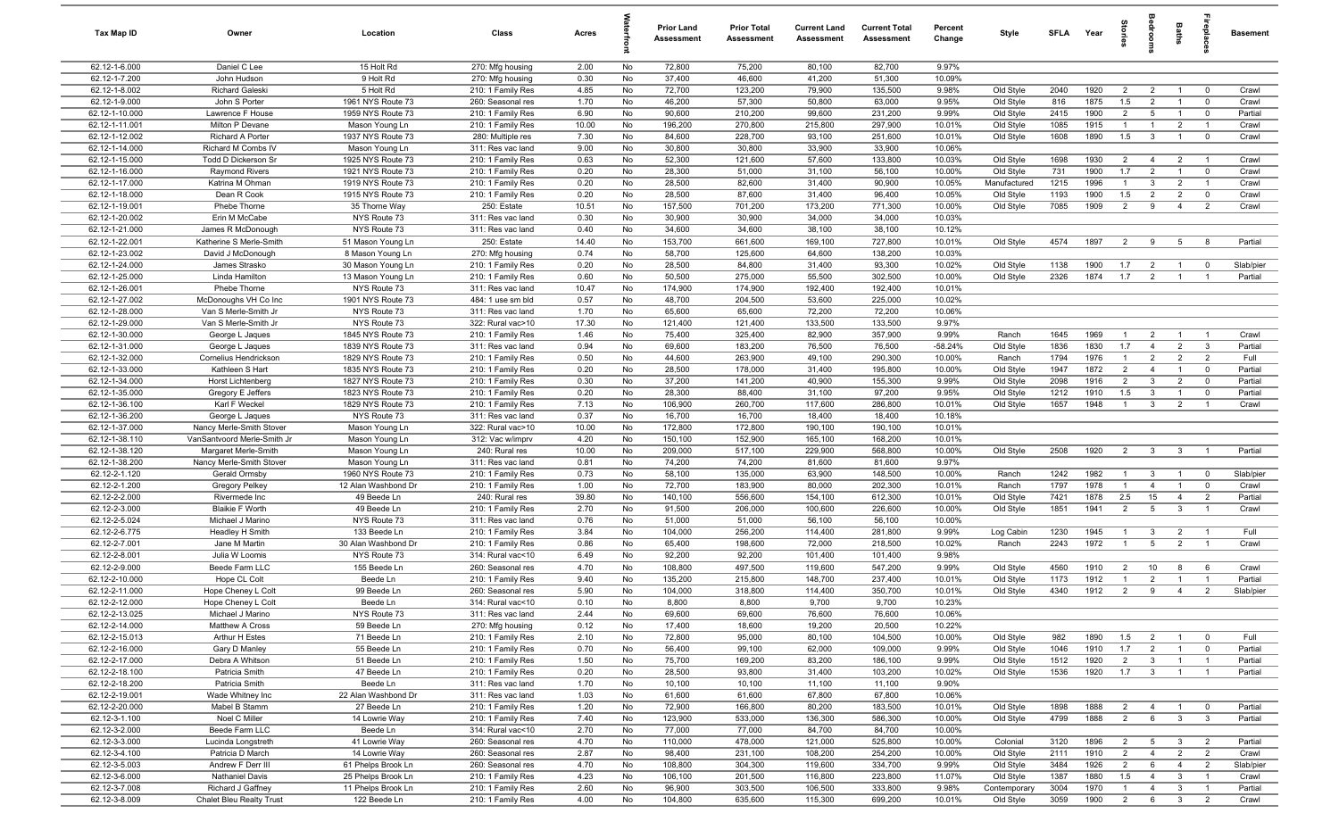| Tax Map ID                       | Owner                                        | Location                                 | Class                                  | Acres         |          | <b>Prior Land</b><br>Assessment | <b>Prior Total</b><br><b>Assessment</b> | <b>Current Land</b><br>Assessment | <b>Current Total</b><br><b>Assessment</b> | Percent<br>Change | Style                  | <b>SFLA</b>  | Year         | parle                            | edroo                          | Baths                            | 융                                | <b>Basement</b>    |
|----------------------------------|----------------------------------------------|------------------------------------------|----------------------------------------|---------------|----------|---------------------------------|-----------------------------------------|-----------------------------------|-------------------------------------------|-------------------|------------------------|--------------|--------------|----------------------------------|--------------------------------|----------------------------------|----------------------------------|--------------------|
| 62.12-1-6.000                    | Daniel C Lee                                 | 15 Holt Rd                               | 270: Mfg housing                       | 2.00          | No       | 72,800                          | 75,200                                  | 80,100                            | 82,700                                    | 9.97%             |                        |              |              |                                  |                                |                                  |                                  |                    |
| 62.12-1-7.200                    | John Hudson                                  | 9 Holt Rd                                | 270: Mfg housing                       | 0.30          | No       | 37,400                          | 46,600                                  | 41,200                            | 51,300                                    | 10.09%            |                        |              |              |                                  |                                |                                  |                                  |                    |
| 62.12-1-8.002                    | Richard Galeski                              | 5 Holt Rd                                | 210: 1 Family Res                      | 4.85          | No       | 72,700                          | 123,200                                 | 79,900                            | 135,500                                   | 9.98%             | Old Style              | 2040         | 1920         | 2                                | $\overline{2}$                 | $\overline{1}$                   | $\overline{0}$                   | Crawl              |
| 62.12-1-9.000                    | John S Porter                                | 1961 NYS Route 73                        | 260: Seasonal res                      | 1.70          | No       | 46,200                          | 57,300                                  | 50,800                            | 63,000                                    | 9.95%             | Old Style              | 816          | 1875         | 1.5                              | $\overline{2}$                 | $\overline{1}$                   | $^{\circ}$                       | Crawl              |
| 62.12-1-10.000                   | Lawrence F House                             | 1959 NYS Route 73                        | 210: 1 Family Res                      | 6.90          | No       | 90,600                          | 210,200                                 | 99,600                            | 231,200                                   | 9.99%             | Old Style              | 2415         | 1900         | $\overline{2}$<br>$\overline{1}$ | $5\overline{5}$                | $\overline{1}$                   | $\overline{0}$                   | Partial            |
| 62.12-1-11.001<br>62.12-1-12.002 | Milton P Devane<br>Richard A Porter          | Mason Young Ln<br>1937 NYS Route 73      | 210: 1 Family Res<br>280: Multiple res | 10.00<br>7.30 | No<br>No | 196,200<br>84,600               | 270,800<br>228,700                      | 215,800<br>93,100                 | 297,900<br>251,600                        | 10.01%<br>10.01%  | Old Style<br>Old Style | 1085<br>1608 | 1915<br>1890 | 1.5                              | $\overline{1}$<br>$\mathbf{3}$ | $\overline{2}$<br>$\overline{1}$ | $\overline{1}$<br>$\overline{0}$ | Crawl<br>Crawl     |
| 62.12-1-14.000                   | Richard M Combs IV                           | Mason Young Ln                           | 311: Res vac land                      | 9.00          | No       | 30,800                          | 30,800                                  | 33,900                            | 33,900                                    | 10.06%            |                        |              |              |                                  |                                |                                  |                                  |                    |
| 62.12-1-15.000                   | Todd D Dickerson Sr                          | 1925 NYS Route 73                        | 210: 1 Family Res                      | 0.63          | No       | 52,300                          | 121,600                                 | 57,600                            | 133,800                                   | 10.03%            | Old Style              | 1698         | 1930         | $\overline{2}$                   | $\overline{4}$                 | $\overline{2}$                   | $\overline{1}$                   | Crawl              |
| 62.12-1-16.000                   | <b>Raymond Rivers</b>                        | 1921 NYS Route 73                        | 210: 1 Family Res                      | 0.20          | No       | 28,300                          | 51,000                                  | 31,100                            | 56,100                                    | 10.00%            | Old Style              | 731          | 1900         | 1.7                              | $\overline{2}$                 | $\overline{1}$                   | $\mathbf 0$                      | Crawl              |
| 62.12-1-17.000                   | Katrina M Ohman                              | 1919 NYS Route 73                        | 210: 1 Family Res                      | 0.20          | No       | 28,500                          | 82,600                                  | 31,400                            | 90,900                                    | 10.05%            | Manufactured           | 1215         | 1996         | $\overline{1}$                   | $\mathbf{3}$                   | $\overline{2}$                   | $\overline{1}$                   | Crawl              |
| 62.12-1-18.000                   | Dean R Cook                                  | 1915 NYS Route 73                        | 210: 1 Family Res                      | 0.20          | No       | 28,500                          | 87,600                                  | 31,400                            | 96,400                                    | 10.05%            | Old Style              | 1193         | 1900         | 1.5                              | $\overline{2}$                 | $\overline{2}$                   | $\mathbf 0$                      | Crawl              |
| 62.12-1-19.001                   | Phebe Thorne                                 | 35 Thorne Way                            | 250: Estate                            | 10.51         | No       | 157,500                         | 701,200                                 | 173,200                           | 771,300                                   | 10.00%            | Old Style              | 7085         | 1909         | 2                                | 9                              | $\overline{4}$                   | $\overline{2}$                   | Crawl              |
| 62.12-1-20.002                   | Erin M McCabe                                | NYS Route 73                             | 311: Res vac land                      | 0.30          | No       | 30,900                          | 30,900                                  | 34,000                            | 34,000                                    | 10.03%            |                        |              |              |                                  |                                |                                  |                                  |                    |
| 62.12-1-21.000                   | James R McDonough                            | NYS Route 73                             | 311: Res vac land                      | 0.40          | No       | 34,600                          | 34,600                                  | 38,100                            | 38,100                                    | 10.12%            |                        |              |              |                                  |                                |                                  |                                  |                    |
| 62.12-1-22.001                   | Katherine S Merle-Smith                      | 51 Mason Young Ln                        | 250: Estate                            | 14.40         | No       | 153,700                         | 661,600                                 | 169,100                           | 727,800                                   | 10.01%            | Old Style              | 4574         | 1897         | $\overline{2}$                   | 9                              | $5\overline{)}$                  | 8                                | Partial            |
| 62.12-1-23.002                   | David J McDonough                            | 8 Mason Young Ln                         | 270: Mfg housing                       | 0.74          | No       | 58,700                          | 125,600                                 | 64,600                            | 138,200                                   | 10.03%            |                        |              |              |                                  |                                |                                  |                                  |                    |
| 62.12-1-24.000                   | James Strasko                                | 30 Mason Young Ln                        | 210: 1 Family Res                      | 0.20          | No       | 28,500                          | 84,800                                  | 31,400                            | 93,300                                    | 10.02%            | Old Style              | 1138         | 1900         | 1.7                              | $\overline{2}$                 | $\overline{1}$                   | $\overline{0}$                   | Slab/pier          |
| 62.12-1-25.000                   | Linda Hamilton                               | 13 Mason Young Ln                        | 210: 1 Family Res                      | 0.60          | No       | 50,500                          | 275,000                                 | 55,500                            | 302,500                                   | 10.00%            | Old Style              | 2326         | 1874         | 1.7                              | $\overline{2}$                 | $\overline{1}$                   | $\overline{1}$                   | Partial            |
| 62.12-1-26.001                   | Phebe Thorne                                 | NYS Route 73                             | 311: Res vac land                      | 10.47         | No       | 174,900                         | 174,900                                 | 192,400                           | 192,400                                   | 10.01%            |                        |              |              |                                  |                                |                                  |                                  |                    |
| 62.12-1-27.002<br>62.12-1-28.000 | McDonoughs VH Co Inc<br>Van S Merle-Smith Jr | 1901 NYS Route 73<br>NYS Route 73        | 484: 1 use sm bld<br>311: Res vac land | 0.57<br>1.70  | No<br>No | 48,700<br>65,600                | 204,500<br>65,600                       | 53,600<br>72,200                  | 225,000<br>72,200                         | 10.02%<br>10.06%  |                        |              |              |                                  |                                |                                  |                                  |                    |
| 62.12-1-29.000                   | Van S Merle-Smith Jr                         | NYS Route 73                             | 322: Rural vac>10                      | 17.30         | No       | 121,400                         | 121,400                                 | 133,500                           | 133,500                                   | 9.97%             |                        |              |              |                                  |                                |                                  |                                  |                    |
| 62.12-1-30.000                   | George L Jaques                              | 1845 NYS Route 73                        | 210: 1 Family Res                      | 1.46          | No       | 75,400                          | 325,400                                 | 82,900                            | 357,900                                   | 9.99%             | Ranch                  | 1645         | 1969         | $\mathbf{1}$                     | $\overline{2}$                 | $\overline{1}$                   | $\overline{1}$                   | Crawl              |
| 62.12-1-31.000                   | George L Jaques                              | 1839 NYS Route 73                        | 311: Res vac land                      | 0.94          | No       | 69,600                          | 183,200                                 | 76,500                            | 76,500                                    | $-58.24%$         | Old Style              | 1836         | 1830         | 1.7                              | $\overline{4}$                 | $\overline{2}$                   | $\mathbf{3}$                     | Partial            |
| 62.12-1-32.000                   | Cornelius Hendrickson                        | 1829 NYS Route 73                        | 210: 1 Family Res                      | 0.50          | No       | 44,600                          | 263,900                                 | 49,100                            | 290,300                                   | 10.00%            | Ranch                  | 1794         | 1976         | $\overline{1}$                   | $\overline{2}$                 | $\overline{2}$                   | $\overline{2}$                   | Full               |
| 62.12-1-33.000                   | Kathleen S Hart                              | 1835 NYS Route 73                        | 210: 1 Family Res                      | 0.20          | No       | 28,500                          | 178,000                                 | 31,400                            | 195,800                                   | 10.00%            | Old Style              | 1947         | 1872         | $\overline{2}$                   | $\overline{4}$                 | $\overline{1}$                   | $\overline{0}$                   | Partial            |
| 62.12-1-34.000                   | Horst Lichtenberg                            | 1827 NYS Route 73                        | 210: 1 Family Res                      | 0.30          | No       | 37,200                          | 141,200                                 | 40,900                            | 155,300                                   | 9.99%             | Old Style              | 2098         | 1916         | $\overline{2}$                   | $\mathbf{3}$                   | $\overline{2}$                   | $\mathbf 0$                      | Partial            |
| 62.12-1-35.000                   | Gregory E Jeffers                            | 1823 NYS Route 73                        | 210: 1 Family Res                      | 0.20          | No       | 28,300                          | 88,400                                  | 31,100                            | 97,200                                    | 9.95%             | Old Style              | 1212         | 1910         | 1.5                              | $\mathbf{3}$                   | $\overline{1}$                   | $\Omega$                         | Partial            |
| 62.12-1-36.100                   | Karl F Weckel                                | 1829 NYS Route 73                        | 210: 1 Family Res                      | 7.13          | No       | 106,900                         | 260,700                                 | 117,600                           | 286,800                                   | 10.01%            | Old Style              | 1657         | 1948         | $\overline{1}$                   | $\mathbf{3}$                   | $\overline{2}$                   |                                  | Crawl              |
| 62.12-1-36.200                   | George L Jaques                              | NYS Route 73                             | 311: Res vac land                      | 0.37          | No       | 16,700                          | 16,700                                  | 18,400                            | 18,400                                    | 10.18%            |                        |              |              |                                  |                                |                                  |                                  |                    |
| 62.12-1-37.000                   | Nancy Merle-Smith Stover                     | Mason Young Ln                           | 322: Rural vac>10                      | 10.00         | No       | 172,800                         | 172,800                                 | 190,100                           | 190,100                                   | 10.01%            |                        |              |              |                                  |                                |                                  |                                  |                    |
| 62.12-1-38.110                   | VanSantvoord Merle-Smith Jr                  | Mason Young Ln                           | 312: Vac w/imprv                       | 4.20          | No       | 150,100                         | 152,900                                 | 165,100                           | 168,200                                   | 10.01%            |                        |              |              |                                  |                                |                                  |                                  |                    |
| 62.12-1-38.120                   | Margaret Merle-Smith                         | Mason Young Ln                           | 240: Rural res                         | 10.00         | No       | 209,000                         | 517,100                                 | 229,900                           | 568,800                                   | 10.00%            | Old Style              | 2508         | 1920         | $\overline{2}$                   | $\mathbf{3}$                   | $\mathbf{3}$                     | $\overline{1}$                   | Partial            |
| 62.12-1-38.200                   | Nancy Merle-Smith Stover                     | Mason Young Ln                           | 311: Res vac land                      | 0.81          | No       | 74,200                          | 74,200                                  | 81,600                            | 81,600                                    | 9.97%             |                        |              |              |                                  |                                |                                  |                                  |                    |
| 62.12-2-1.120<br>62.12-2-1.200   | Gerald Ormsby                                | 1960 NYS Route 73<br>12 Alan Washbond Dr | 210: 1 Family Res<br>210: 1 Family Res | 0.73<br>1.00  | No<br>No | 58,100<br>72,700                | 135,000<br>183,900                      | 63,900<br>80,000                  | 148,500<br>202,300                        | 10.00%<br>10.01%  | Ranch<br>Ranch         | 1242<br>1797 | 1982<br>1978 | $\overline{1}$<br>$\overline{1}$ | $\mathbf{3}$<br>$\overline{4}$ | $\overline{1}$<br>$\overline{1}$ | $\overline{0}$<br>$\mathbf 0$    | Slab/pier<br>Crawl |
| 62.12-2-2.000                    | Gregory Pelkey<br>Rivermede Inc              | 49 Beede Ln                              | 240: Rural res                         | 39.80         | No       | 140,100                         | 556,600                                 | 154,100                           | 612,300                                   | 10.01%            | Old Style              | 7421         | 1878         | 2.5                              | 15                             | $\overline{4}$                   | $\overline{2}$                   | Partial            |
| 62.12-2-3.000                    | <b>Blaikie F Worth</b>                       | 49 Beede Ln                              | 210: 1 Family Res                      | 2.70          | No       | 91,500                          | 206,000                                 | 100,600                           | 226,600                                   | 10.00%            | Old Style              | 1851         | 1941         | $\overline{2}$                   | $5\overline{)}$                | 3                                | $\overline{1}$                   | Crawl              |
| 62.12-2-5.024                    | Michael J Marino                             | NYS Route 73                             | 311: Res vac land                      | 0.76          | No       | 51,000                          | 51,000                                  | 56,100                            | 56,100                                    | 10.00%            |                        |              |              |                                  |                                |                                  |                                  |                    |
| 62.12-2-6.775                    | Headley H Smith                              | 133 Beede Ln                             | 210: 1 Family Res                      | 3.84          | No       | 104,000                         | 256,200                                 | 114,400                           | 281,800                                   | 9.99%             | Log Cabin              | 1230         | 1945         | $\overline{1}$                   | 3                              | $\overline{2}$                   | $\overline{1}$                   | Full               |
| 62.12-2-7.001                    | Jane M Martin                                | 30 Alan Washbond Dr                      | 210: 1 Family Res                      | 0.86          | No       | 65,400                          | 198,600                                 | 72,000                            | 218,500                                   | 10.02%            | Ranch                  | 2243         | 1972         | $\overline{1}$                   | $5^{\circ}$                    | $\overline{2}$                   | $\overline{1}$                   | Crawl              |
| 62.12-2-8.001                    | Julia W Loomis                               | NYS Route 73                             | 314: Rural vac<10                      | 6.49          | No       | 92,200                          | 92,200                                  | 101,400                           | 101,400                                   | 9.98%             |                        |              |              |                                  |                                |                                  |                                  |                    |
| 62.12-2-9.000                    | Beede Farm LLC                               | 155 Beede Ln                             | 260: Seasonal res                      | 4.70          | No       | 108,800                         | 497,500                                 | 119,600                           | 547,200                                   | 9.99%             | Old Style              | 4560         | 1910         | $\overline{2}$                   | 10                             | 8                                | 6                                | Crawl              |
| 62.12-2-10.000                   | Hope CL Colt                                 | Beede Ln                                 | 210: 1 Family Res                      | 9.40          | No       | 135,200                         | 215,800                                 | 148,700                           | 237,400                                   | 10.01%            | Old Style              | 1173         | 1912         | $\overline{1}$                   | $\overline{2}$                 | $\overline{1}$                   | $\overline{1}$                   | Partial            |
| 62.12-2-11.000                   | Hope Cheney L Colt                           | 99 Beede Ln                              | 260: Seasonal res                      | 5.90          | No       | 104,000                         | 318,800                                 | 114,400                           | 350,700                                   | 10.01%            | Old Style              | 4340         | 1912         | $\overline{2}$                   | 9                              | $\overline{4}$                   | $\overline{2}$                   | Slab/pier          |
| 62.12-2-12.000                   | Hope Cheney L Colt                           | Beede Ln                                 | 314: Rural vac<10                      | 0.10          | No       | 8,800                           | 8,800                                   | 9,700                             | 9,700                                     | 10.23%            |                        |              |              |                                  |                                |                                  |                                  |                    |
| 62.12-2-13.025                   | Michael J Marino                             | NYS Route 73                             | 311: Res vac land                      | 2.44          | No       | 69,600                          | 69,600                                  | 76,600                            | 76,600                                    | 10.06%            |                        |              |              |                                  |                                |                                  |                                  |                    |
| 62.12-2-14.000                   | Matthew A Cross                              | 59 Beede Ln                              | 270: Mfg housing                       | 0.12          | No       | 17,400                          | 18,600                                  | 19,200                            | 20,500                                    | 10.22%            |                        |              |              |                                  |                                |                                  |                                  |                    |
| 62.12-2-15.013                   | Arthur H Estes                               | 71 Beede Ln                              | 210: 1 Family Res                      | 2.10          | No       | 72,800                          | 95,000                                  | 80,100                            | 104,500                                   | 10.00%            | Old Style              | 982          | 1890         | 1.5                              | $\overline{2}$                 | $\overline{1}$                   | $\overline{0}$                   | Full               |
| 62.12-2-16.000<br>62.12-2-17.000 | Gary D Manley<br>Debra A Whitson             | 55 Beede Ln<br>51 Beede Ln               | 210: 1 Family Res<br>210: 1 Family Res | 0.70<br>1.50  | No<br>No | 56,400<br>75,700                | 99,100<br>169,200                       | 62,000<br>83,200                  | 109,000<br>186,100                        | 9.99%<br>9.99%    | Old Style<br>Old Style | 1046<br>1512 | 1910<br>1920 | 1.7<br>$\overline{2}$            | $\overline{2}$<br>$\mathbf{3}$ | $\overline{1}$<br>$\overline{1}$ | $\overline{0}$<br>$\overline{1}$ | Partial<br>Partial |
| 62.12-2-18.100                   | Patricia Smith                               | 47 Beede Ln                              | 210: 1 Family Res                      | 0.20          | No       | 28,500                          | 93,800                                  | 31,400                            | 103,200                                   | 10.02%            | Old Style              | 1536         | 1920         | 1.7                              | $\overline{\mathbf{3}}$        | $\overline{1}$                   | $\overline{1}$                   | Partial            |
| 62.12-2-18.200                   | Patricia Smith                               | Beede Ln                                 | 311: Res vac land                      | 1.70          | No       | 10,100                          | 10,100                                  | 11,100                            | 11,100                                    | 9.90%             |                        |              |              |                                  |                                |                                  |                                  |                    |
| 62.12-2-19.001                   | Wade Whitney Inc                             | 22 Alan Washbond Dr                      | 311: Res vac land                      | 1.03          | No       | 61,600                          | 61,600                                  | 67,800                            | 67,800                                    | 10.06%            |                        |              |              |                                  |                                |                                  |                                  |                    |
| 62.12-2-20.000                   | Mabel B Stamm                                | 27 Beede Ln                              | 210: 1 Family Res                      | 1.20          | No       | 72,900                          | 166,800                                 | 80,200                            | 183,500                                   | 10.01%            | Old Style              | 1898         | 1888         | $\overline{2}$                   | $\overline{4}$                 | $\overline{1}$                   | $\overline{0}$                   | Partial            |
| 62.12-3-1.100                    | Noel C Miller                                | 14 Lowrie Way                            | 210: 1 Family Res                      | 7.40          | No       | 123,900                         | 533,000                                 | 136,300                           | 586,300                                   | 10.00%            | Old Style              | 4799         | 1888         | $\overline{2}$                   | 6                              | $\mathbf{3}$                     | $\mathbf{3}$                     | Partial            |
| 62.12-3-2.000                    | Beede Farm LLC                               | Beede Ln                                 | 314: Rural vac<10                      | 2.70          | No       | 77,000                          | 77,000                                  | 84,700                            | 84,700                                    | 10.00%            |                        |              |              |                                  |                                |                                  |                                  |                    |
| 62.12-3-3.000                    | Lucinda Longstreth                           | 41 Lowrie Way                            | 260: Seasonal res                      | 4.70          | No       | 110,000                         | 478,000                                 | 121,000                           | 525,800                                   | 10.00%            | Colonial               | 3120         | 1896         | $\overline{2}$                   | 5                              | $\mathbf{3}$                     | $\overline{2}$                   | Partial            |
| 62.12-3-4.100                    | Patricia D March                             | 14 Lowrie Way                            | 260: Seasonal res                      | 2.87          | No       | 98,400                          | 231,100                                 | 108,200                           | 254,200                                   | 10.00%            | Old Style              | 2111         | 1910         | $\overline{2}$                   | $\overline{4}$                 | $\overline{2}$                   | $\overline{2}$                   | Crawl              |
| 62.12-3-5.003                    | Andrew F Derr III                            | 61 Phelps Brook Ln                       | 260: Seasonal res                      | 4.70          | No       | 108,800                         | 304,300                                 | 119,600                           | 334,700                                   | 9.99%             | Old Style              | 3484         | 1926         | $\overline{2}$                   | 6                              | $\overline{4}$                   | $\overline{2}$                   | Slab/pier          |
| 62.12-3-6.000                    | Nathaniel Davis                              | 25 Phelps Brook Ln                       | 210: 1 Family Res                      | 4.23          | No       | 106,100                         | 201,500                                 | 116,800                           | 223,800                                   | 11.07%            | Old Style              | 1387         | 1880         | 1.5                              | $\overline{4}$                 | $\mathbf{3}$                     | $\overline{1}$                   | Crawl              |
| 62.12-3-7.008                    | Richard J Gaffney                            | 11 Phelps Brook Ln                       | 210: 1 Family Res                      | 2.60          | No       | 96,900                          | 303,500                                 | 106,500                           | 333,800                                   | 9.98%             | Contemporary           | 3004         | 1970         | $\overline{1}$                   | $\overline{4}$                 | $\mathbf{3}$                     | $\overline{1}$                   | Partial            |
| 62.12-3-8.009                    | Chalet Bleu Realty Trust                     | 122 Beede Ln                             | 210: 1 Family Res                      | 4.00          | No       | 104,800                         | 635,600                                 | 115,300                           | 699,200                                   | 10.01%            | Old Style              | 3059         | 1900         | $\overline{2}$                   | 6                              | $\overline{\mathbf{3}}$          | $\overline{2}$                   | Crawl              |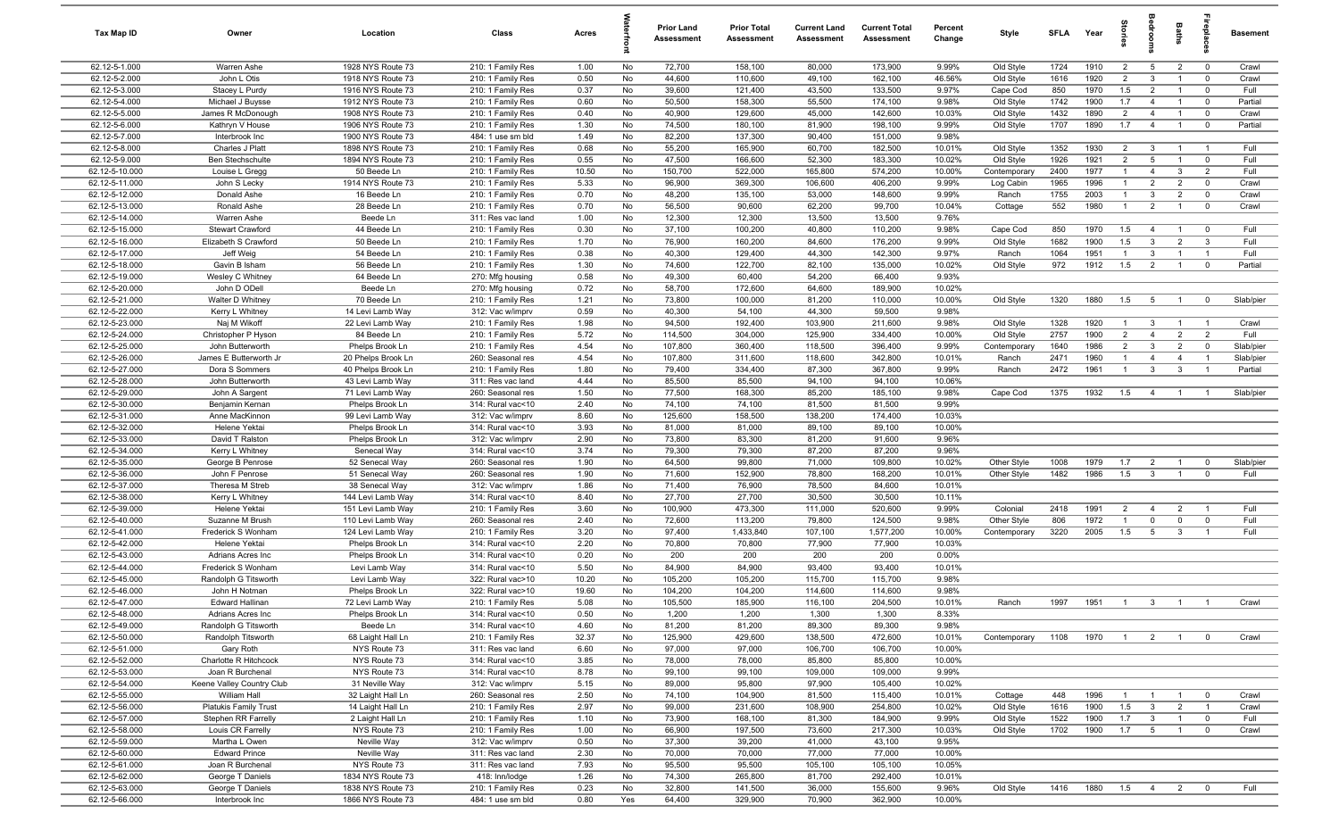| Tax Map ID                       | Owner                                | Location                               | Class                                  | Acres        |          | <b>Prior Land</b><br>Assessment | <b>Prior Total</b><br>Assessment | <b>Current Land</b><br>Assessment | <b>Current Total</b><br>Assessment | Percent<br>Change | Style            | <b>SFLA</b>  | Year         | 흨                                | e<br>So                        | Baths                            | 률                                | <b>Basement</b> |
|----------------------------------|--------------------------------------|----------------------------------------|----------------------------------------|--------------|----------|---------------------------------|----------------------------------|-----------------------------------|------------------------------------|-------------------|------------------|--------------|--------------|----------------------------------|--------------------------------|----------------------------------|----------------------------------|-----------------|
| 62.12-5-1.000                    | Warren Ashe                          | 1928 NYS Route 73                      | 210: 1 Family Res                      | 1.00         | No       | 72,700                          | 158,100                          | 80,000                            | 173,900                            | 9.99%             | Old Style        | 1724         | 1910         | 2                                | $5\overline{5}$                | $\overline{2}$                   | $\overline{0}$                   | Crawl           |
| 62.12-5-2.000                    | John L Otis                          | 1918 NYS Route 73                      | 210: 1 Family Res                      | 0.50         | No       | 44,600                          | 110,600                          | 49,100                            | 162,100                            | 46.56%            | Old Style        | 1616         | 1920         | 2                                | $\mathbf{3}$                   | $\overline{1}$                   | $\mathbf 0$                      | Crawl           |
| 62.12-5-3.000                    | Stacey L Purdy                       | 1916 NYS Route 73                      | 210: 1 Family Res                      | 0.37         | No       | 39,600                          | 121,400                          | 43,500                            | 133,500                            | 9.97%             | Cape Cod         | 850          | 1970         | 1.5                              | $\overline{2}$                 | $\overline{1}$                   | $\mathbf 0$                      | Full            |
| 62.12-5-4.000                    | Michael J Buysse                     | 1912 NYS Route 73                      | 210: 1 Family Res                      | 0.60         | No       | 50,500                          | 158,300                          | 55,500                            | 174,100                            | 9.98%             | Old Style        | 1742         | 1900         | 1.7                              | $\overline{4}$                 | $\overline{1}$                   | $\mathbf 0$                      | Partial         |
| 62.12-5-5.000                    | James R McDonough                    | 1908 NYS Route 73                      | 210: 1 Family Res                      | 0.40         | No       | 40,900                          | 129,600                          | 45,000                            | 142,600                            | 10.03%            | Old Style        | 1432         | 1890         | $\overline{2}$                   | $\overline{4}$                 | $\overline{1}$                   | $\overline{0}$                   | Crawl           |
| 62.12-5-6.000                    | Kathryn V House                      | 1906 NYS Route 73                      | 210: 1 Family Res                      | 1.30         | No       | 74,500                          | 180,100                          | 81,900                            | 198,100                            | 9.99%             | Old Style        | 1707         | 1890         | 1.7                              | $\overline{4}$                 | $\overline{1}$                   | $\mathbf 0$                      | Partial         |
| 62.12-5-7.000                    | Interbrook Inc                       | 1900 NYS Route 73                      | 484: 1 use sm bld                      | 1.49         | No       | 82,200                          | 137,300                          | 90,400                            | 151,000                            | 9.98%             |                  |              |              |                                  |                                |                                  |                                  |                 |
| 62.12-5-8.000                    | Charles J Platt                      | 1898 NYS Route 73                      | 210: 1 Family Res                      | 0.68         | No       | 55,200                          | 165,900                          | 60,700                            | 182,500                            | 10.01%            | Old Style        | 1352         | 1930         | $\overline{2}$                   | $\mathbf{3}$                   | $\overline{1}$                   | $\overline{1}$                   | Full            |
| 62.12-5-9.000                    | <b>Ben Stechschulte</b>              | 1894 NYS Route 73                      | 210: 1 Family Res                      | 0.55         | No       | 47,500                          | 166,600                          | 52,300                            | 183,300                            | 10.02%            | Old Style        | 1926         | 1921         | 2                                | $5\overline{5}$                | $\overline{1}$                   | $\mathbf 0$                      | Full            |
| 62.12-5-10.000                   | Louise L Gregg                       | 50 Beede Ln<br>1914 NYS Route 73       | 210: 1 Family Res                      | 10.50        | No       | 150,700                         | 522,000                          | 165,800                           | 574,200                            | 10.00%            | Contemporary     | 2400         | 1977         | $\overline{1}$                   | $\overline{4}$                 | $\mathbf{3}$                     | $\overline{2}$                   | Full            |
| 62.12-5-11.000<br>62.12-5-12.000 | John S Lecky                         |                                        | 210: 1 Family Res                      | 5.33         | No<br>No | 96,900<br>48,200                | 369,300                          | 106,600                           | 406,200<br>148,600                 | 9.99%<br>9.99%    | Log Cabin        | 1965<br>1755 | 1996<br>2003 | $\overline{1}$<br>$\overline{1}$ | $\overline{2}$<br>$\mathbf{3}$ | $\overline{2}$<br>$\overline{2}$ | $\overline{0}$<br>$\overline{0}$ | Crawl<br>Crawl  |
| 62.12-5-13.000                   | Donald Ashe<br>Ronald Ashe           | 16 Beede Ln<br>28 Beede Ln             | 210: 1 Family Res<br>210: 1 Family Res | 0.70<br>0.70 | No       | 56,500                          | 135,100<br>90,600                | 53,000<br>62,200                  | 99,700                             | 10.04%            | Ranch<br>Cottage | 552          | 1980         | $\overline{1}$                   | $\overline{2}$                 | $\overline{1}$                   | $\overline{0}$                   | Crawl           |
| 62.12-5-14.000                   | Warren Ashe                          | Beede Ln                               | 311: Res vac land                      | 1.00         | No       | 12,300                          | 12,300                           | 13,500                            | 13,500                             | 9.76%             |                  |              |              |                                  |                                |                                  |                                  |                 |
| 62.12-5-15.000                   | <b>Stewart Crawford</b>              | 44 Beede Ln                            | 210: 1 Family Res                      | 0.30         | No       | 37,100                          | 100,200                          | 40,800                            | 110,200                            | 9.98%             | Cape Cod         | 850          | 1970         | 1.5                              | $\overline{4}$                 | $\overline{1}$                   | $^{\circ}$                       | Full            |
| 62.12-5-16.000                   | Elizabeth S Crawford                 | 50 Beede Ln                            | 210: 1 Family Res                      | 1.70         | No       | 76,900                          | 160,200                          | 84,600                            | 176,200                            | 9.99%             | Old Style        | 1682         | 1900         | 1.5                              | $\mathbf{3}$                   | 2                                | $\mathbf{3}$                     | Full            |
| 62.12-5-17.000                   | Jeff Weig                            | 54 Beede Ln                            | 210: 1 Family Res                      | 0.38         | No       | 40,300                          | 129,400                          | 44,300                            | 142,300                            | 9.97%             | Ranch            | 1064         | 1951         | $\overline{1}$                   | $\mathbf{3}$                   | $\overline{1}$                   | $\overline{1}$                   | Full            |
| 62.12-5-18.000                   | Gavin B Isham                        | 56 Beede Ln                            | 210: 1 Family Res                      | 1.30         | No       | 74,600                          | 122,700                          | 82,100                            | 135,000                            | 10.02%            | Old Style        | 972          | 1912         | 1.5                              | $\overline{2}$                 | $\overline{1}$                   | $\mathbf 0$                      | Partial         |
| 62.12-5-19.000                   | Wesley C Whitney                     | 64 Beede Ln                            | 270: Mfg housing                       | 0.58         | No       | 49,300                          | 60,400                           | 54,200                            | 66,400                             | 9.93%             |                  |              |              |                                  |                                |                                  |                                  |                 |
| 62.12-5-20.000                   | John D ODell                         | Beede Ln                               | 270: Mfg housing                       | 0.72         | No       | 58,700                          | 172,600                          | 64,600                            | 189,900                            | 10.02%            |                  |              |              |                                  |                                |                                  |                                  |                 |
| 62.12-5-21.000                   | Walter D Whitney                     | 70 Beede Ln                            | 210: 1 Family Res                      | 1.21         | No       | 73,800                          | 100,000                          | 81,200                            | 110,000                            | 10.00%            | Old Style        | 1320         | 1880         | 1.5                              | 5                              | $\overline{1}$                   | $\overline{0}$                   | Slab/pier       |
| 62.12-5-22.000                   | Kerry L Whitney                      | 14 Levi Lamb Way                       | 312: Vac w/imprv                       | 0.59         | No       | 40,300                          | 54,100                           | 44,300                            | 59,500                             | 9.98%             |                  |              |              |                                  |                                |                                  |                                  |                 |
| 62.12-5-23.000                   | Naj M Wikoff                         | 22 Levi Lamb Way                       | 210: 1 Family Res                      | 1.98         | No       | 94,500                          | 192,400                          | 103,900                           | 211,600                            | 9.98%             | Old Style        | 1328         | 1920         | $\overline{1}$                   | $\mathbf{3}$                   | $\overline{1}$                   | $\overline{1}$                   | Crawl           |
| 62.12-5-24.000                   | Christopher P Hyson                  | 84 Beede Ln                            | 210: 1 Family Res                      | 5.72         | No       | 114,500                         | 304,000                          | 125,900                           | 334,400                            | 10.00%            | Old Style        | 2757         | 1900         | $\overline{2}$                   | $\overline{4}$                 | 2                                | $\overline{2}$                   | Full            |
| 62.12-5-25.000                   | John Butterworth                     | Phelps Brook Ln                        | 210: 1 Family Res                      | 4.54         | No       | 107,800                         | 360,400                          | 118,500                           | 396,400                            | 9.99%             | Contemporary     | 1640         | 1986         | $\overline{2}$                   | $\mathbf{3}$                   | $\overline{2}$                   | $\mathbf 0$                      | Slab/pier       |
| 62.12-5-26.000                   | James E Butterworth Jr               | 20 Phelps Brook Ln                     | 260: Seasonal res                      | 4.54         | No       | 107,800                         | 311,600                          | 118,600                           | 342,800                            | 10.01%            | Ranch            | 2471         | 1960         | $\overline{1}$                   | $\overline{4}$                 | $\overline{4}$                   | $\overline{1}$                   | Slab/pier       |
| 62.12-5-27.000                   | Dora S Sommers                       | 40 Phelps Brook Ln                     | 210: 1 Family Res                      | 1.80         | No       | 79,400                          | 334,400                          | 87,300                            | 367,800                            | 9.99%             | Ranch            | 2472         | 1961         | $\overline{1}$                   | $\mathbf{3}$                   | $\mathbf{3}$                     | $\overline{1}$                   | Partial         |
| 62.12-5-28.000                   | John Butterworth                     | 43 Levi Lamb Way                       | 311: Res vac land                      | 4.44         | No       | 85,500                          | 85,500                           | 94,100                            | 94,100                             | 10.06%            |                  |              |              |                                  |                                |                                  |                                  |                 |
| 62.12-5-29.000                   | John A Sargent                       | 71 Levi Lamb Way                       | 260: Seasonal res                      | 1.50         | No       | 77,500                          | 168,300                          | 85,200                            | 185,100                            | 9.98%             | Cape Cod         | 1375         | 1932         | 1.5                              | $\overline{4}$                 | $\overline{1}$                   | $\overline{1}$                   | Slab/pier       |
| 62.12-5-30.000                   | Benjamin Kernan                      | Phelps Brook Ln                        | 314: Rural vac<10                      | 2.40         | No       | 74,100                          | 74,100                           | 81,500                            | 81,500                             | 9.99%             |                  |              |              |                                  |                                |                                  |                                  |                 |
| 62.12-5-31.000                   | Anne MacKinnon                       | 99 Levi Lamb Way                       | 312: Vac w/imprv                       | 8.60         | No       | 125,600                         | 158,500                          | 138,200                           | 174,400                            | 10.03%            |                  |              |              |                                  |                                |                                  |                                  |                 |
| 62.12-5-32.000                   | Helene Yektai                        | Phelps Brook Ln                        | 314: Rural vac<10                      | 3.93         | No       | 81,000                          | 81,000                           | 89,100                            | 89,100                             | 10.00%            |                  |              |              |                                  |                                |                                  |                                  |                 |
| 62.12-5-33.000                   | David T Ralston                      | Phelps Brook Ln                        | 312: Vac w/imprv                       | 2.90         | No       | 73,800                          | 83,300                           | 81,200                            | 91,600                             | 9.96%             |                  |              |              |                                  |                                |                                  |                                  |                 |
| 62.12-5-34.000                   | Kerry L Whitney                      | Senecal Way                            | 314: Rural vac<10                      | 3.74         | No       | 79,300                          | 79,300                           | 87,200                            | 87,200                             | 9.96%             |                  |              |              |                                  |                                |                                  |                                  |                 |
| 62.12-5-35.000                   | George B Penrose                     | 52 Senecal Way                         | 260: Seasonal res                      | 1.90         | No       | 64,500                          | 99,800                           | 71,000                            | 109,800                            | 10.02%            | Other Style      | 1008         | 1979         | 1.7                              | $\overline{2}$                 | $\overline{1}$                   | $\overline{0}$                   | Slab/pier       |
| 62.12-5-36.000                   | John F Penrose                       | 51 Senecal Way                         | 260: Seasonal res                      | 1.90         | No       | 71,600                          | 152,900                          | 78,800                            | 168,200                            | 10.01%            | Other Style      | 1482         | 1986         | 1.5                              | $\mathbf{3}$                   | $\overline{1}$                   | $\mathbf 0$                      | Full            |
| 62.12-5-37.000<br>62.12-5-38.000 | Theresa M Streb                      | 38 Senecal Way                         | 312: Vac w/imprv<br>314: Rural vac<10  | 1.86         | No<br>No | 71,400<br>27,700                | 76,900                           | 78,500<br>30,500                  | 84,600<br>30,500                   | 10.01%            |                  |              |              |                                  |                                |                                  |                                  |                 |
| 62.12-5-39.000                   | Kerry L Whitney<br>Helene Yektai     | 144 Levi Lamb Way<br>151 Levi Lamb Way | 210: 1 Family Res                      | 8.40<br>3.60 | No       | 100,900                         | 27,700<br>473,300                | 111,000                           | 520,600                            | 10.11%<br>9.99%   | Colonial         | 2418         | 1991         | 2                                | $\overline{4}$                 | $\overline{2}$                   | $\overline{1}$                   | Full            |
| 62.12-5-40.000                   | Suzanne M Brush                      | 110 Levi Lamb Way                      | 260: Seasonal res                      | 2.40         | No       | 72,600                          | 113,200                          | 79,800                            | 124,500                            | 9.98%             | Other Style      | 806          | 1972         | $\overline{1}$                   | $\mathbf 0$                    | $\mathbf 0$                      | $\mathbf 0$                      | Full            |
| 62.12-5-41.000                   | Frederick S Wonham                   | 124 Levi Lamb Way                      | 210: 1 Family Res                      | 3.20         | No       | 97,400                          | 1,433,840                        | 107,100                           | 1,577,200                          | 10.00%            | Contemporary     | 3220         | 2005         | 1.5                              | 5 <sub>5</sub>                 | $\mathbf{3}$                     | $\overline{1}$                   | Full            |
| 62.12-5-42.000                   | Helene Yektai                        | Phelps Brook Ln                        | 314: Rural vac<10                      | 2.20         | No       | 70,800                          | 70,800                           | 77,900                            | 77,900                             | 10.03%            |                  |              |              |                                  |                                |                                  |                                  |                 |
| 62.12-5-43.000                   | Adrians Acres Inc                    | Phelps Brook Ln                        | 314: Rural vac<10                      | 0.20         | No       | 200                             | 200                              | 200                               | 200                                | 0.00%             |                  |              |              |                                  |                                |                                  |                                  |                 |
| 62.12-5-44.000                   | Frederick S Wonham                   | Levi Lamb Way                          | 314: Rural vac<10                      | 5.50         | No       | 84,900                          | 84,900                           | 93,400                            | 93,400                             | 10.01%            |                  |              |              |                                  |                                |                                  |                                  |                 |
| 62.12-5-45.000                   | Randolph G Titsworth                 | Levi Lamb Way                          | 322: Rural vac>10                      | 10.20        | No       | 105,200                         | 105,200                          | 115,700                           | 115,700                            | 9.98%             |                  |              |              |                                  |                                |                                  |                                  |                 |
| 62.12-5-46.000                   | John H Notman                        | Phelps Brook Ln                        | 322: Rural vac>10                      | 19.60        | No       | 104,200                         | 104,200                          | 114,600                           | 114,600                            | 9.98%             |                  |              |              |                                  |                                |                                  |                                  |                 |
| 62.12-5-47.000                   | Edward Hallinan                      | 72 Levi Lamb Way                       | 210: 1 Family Res                      | 5.08         | No       | 105,500                         | 185,900                          | 116,100                           | 204,500                            | 10.01%            | Ranch            | 1997         | 1951         |                                  |                                |                                  |                                  |                 |
| 62.12-5-48.000                   | Adrians Acres Inc                    | Phelps Brook Ln                        | 314: Rural vac<10                      | 0.50         | No       | 1,200                           | 1,200                            | 1,300                             | 1,300                              | 8.33%             |                  |              |              |                                  |                                |                                  |                                  |                 |
| 62.12-5-49.000                   | Randolph G Titsworth                 | Beede Ln                               | 314: Rural vac<10                      | 4.60         | No       | 81,200                          | 81,200                           | 89,300                            | 89,300                             | 9.98%             |                  |              |              |                                  |                                |                                  |                                  |                 |
| 62.12-5-50.000                   | Randolph Titsworth                   | 68 Laight Hall Ln                      | 210: 1 Family Res                      | 32.37        | No       | 125,900                         | 429,600                          | 138,500                           | 472,600                            | 10.01%            | Contemporary     | 1108         | 1970         | $\overline{1}$                   | $\overline{2}$                 | $\overline{1}$                   | $\overline{0}$                   | Crawl           |
| 62.12-5-51.000                   | Gary Roth                            | NYS Route 73                           | 311: Res vac land                      | 6.60         | No       | 97,000                          | 97,000                           | 106,700                           | 106,700                            | 10.00%            |                  |              |              |                                  |                                |                                  |                                  |                 |
| 62.12-5-52.000                   | Charlotte R Hitchcock                | NYS Route 73                           | 314: Rural vac<10                      | 3.85         | No       | 78,000                          | 78,000                           | 85,800                            | 85,800                             | 10.00%            |                  |              |              |                                  |                                |                                  |                                  |                 |
| 62.12-5-53.000                   | Joan R Burchenal                     | NYS Route 73                           | 314: Rural vac<10                      | 8.78         | No       | 99,100                          | 99,100                           | 109,000                           | 109,000                            | 9.99%             |                  |              |              |                                  |                                |                                  |                                  |                 |
| 62.12-5-54.000                   | Keene Valley Country Club            | 31 Neville Way                         | 312: Vac w/imprv                       | 5.15         | No       | 89,000                          | 95,800                           | 97,900                            | 105,400                            | 10.02%            |                  |              |              |                                  |                                |                                  |                                  |                 |
| 62.12-5-55.000                   | William Hall                         | 32 Laight Hall Ln                      | 260: Seasonal res                      | 2.50         | No       | 74,100                          | 104,900                          | 81,500                            | 115,400                            | 10.01%            | Cottage          | 448          | 1996         | $\overline{1}$                   | $\overline{1}$                 | $\overline{1}$                   | $\overline{0}$                   | Crawl           |
| 62.12-5-56.000                   | Platukis Family Trust                | 14 Laight Hall Ln                      | 210: 1 Family Res                      | 2.97         | No       | 99,000                          | 231,600                          | 108,900                           | 254,800                            | 10.02%            | Old Style        | 1616         | 1900         | 1.5                              | $\mathbf{3}$                   | $\overline{2}$                   | $\overline{1}$                   | Crawl           |
| 62.12-5-57.000                   | Stephen RR Farrelly                  | 2 Laight Hall Ln                       | 210: 1 Family Res                      | 1.10         | No       | 73,900                          | 168,100                          | 81,300                            | 184,900                            | 9.99%             | Old Style        | 1522         | 1900         | 1.7                              | $\overline{\mathbf{3}}$        | $\overline{1}$                   | $\overline{0}$                   | Full            |
| 62.12-5-58.000                   | Louis CR Farrelly                    | NYS Route 73                           | 210: 1 Family Res                      | 1.00         | No       | 66,900                          | 197,500                          | 73,600                            | 217,300                            | 10.03%            | Old Style        | 1702         | 1900         | 1.7                              | $5\overline{5}$                | $\overline{1}$                   | $\mathbf 0$                      | Crawl           |
| 62.12-5-59.000                   | Martha L Owen                        | Neville Way                            | 312: Vac w/imprv                       | 0.50         | No       | 37,300                          | 39,200                           | 41,000                            | 43,100                             | 9.95%             |                  |              |              |                                  |                                |                                  |                                  |                 |
| 62.12-5-60.000                   | <b>Edward Prince</b>                 | Neville Way                            | 311: Res vac land                      | 2.30         | No       | 70,000                          | 70,000                           | 77,000                            | 77,000                             | 10.00%            |                  |              |              |                                  |                                |                                  |                                  |                 |
| 62.12-5-61.000<br>62.12-5-62.000 | Joan R Burchenal<br>George T Daniels | NYS Route 73<br>1834 NYS Route 73      | 311: Res vac land<br>418: Inn/lodge    | 7.93<br>1.26 | No<br>No | 95,500<br>74,300                | 95,500<br>265,800                | 105,100<br>81,700                 | 105,100<br>292,400                 | 10.05%<br>10.01%  |                  |              |              |                                  |                                |                                  |                                  |                 |
| 62.12-5-63.000                   | George T Daniels                     | 1838 NYS Route 73                      | 210: 1 Family Res                      | 0.23         | No       | 32,800                          | 141,500                          | 36,000                            | 155,600                            | 9.96%             | Old Style        | 1416         | 1880         | 1.5                              | $\overline{4}$                 | $\overline{2}$                   | $\mathbf 0$                      | Full            |
| 62.12-5-66.000                   | Interbrook Inc                       | 1866 NYS Route 73                      | 484: 1 use sm bld                      | 0.80         | Yes      | 64,400                          | 329,900                          | 70,900                            | 362,900                            | 10.00%            |                  |              |              |                                  |                                |                                  |                                  |                 |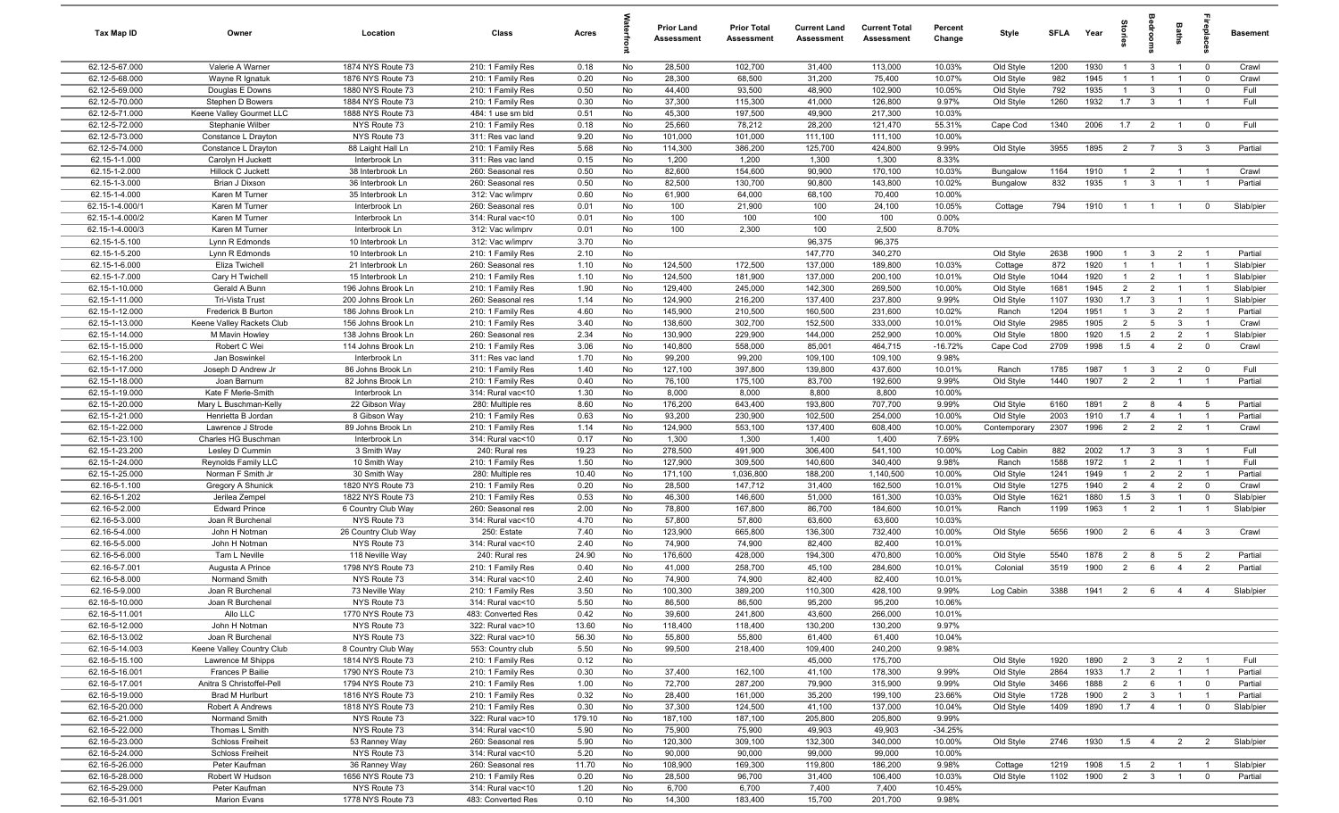| Tax Map ID                       | Owner                                  | Location                               | Class                                  | Acres         |          | Prior Land<br>Assessment | <b>Prior Total</b><br>Assessment | <b>Current Land</b><br>Assessment | <b>Current Total</b><br><b>Assessment</b> | Percent<br>Change | Style              | <b>SFLA</b>  | Year         | $\frac{1}{2}$         |                                | Baths                            |                                  | <b>Basement</b>      |
|----------------------------------|----------------------------------------|----------------------------------------|----------------------------------------|---------------|----------|--------------------------|----------------------------------|-----------------------------------|-------------------------------------------|-------------------|--------------------|--------------|--------------|-----------------------|--------------------------------|----------------------------------|----------------------------------|----------------------|
| 62.12-5-67.000                   | Valerie A Warner                       | 1874 NYS Route 73                      | 210: 1 Family Res                      | 0.18          | No       | 28,500                   | 102,700                          | 31,400                            | 113,000                                   | 10.03%            | Old Style          | 1200         | 1930         | $\overline{1}$        | $\mathbf{3}$                   | $\overline{1}$                   | $\overline{0}$                   | Crawl                |
| 62.12-5-68.000                   | Wayne R Ignatuk                        | 1876 NYS Route 73                      | 210: 1 Family Res                      | 0.20          | No       | 28,300                   | 68,500                           | 31,200                            | 75,400                                    | 10.07%            | Old Style          | 982          | 1945         |                       |                                |                                  | $^{\circ}$                       | Crawl                |
| 62.12-5-69.000                   | Douglas E Downs                        | 1880 NYS Route 73                      | 210: 1 Family Res                      | 0.50          | No       | 44,400                   | 93,500                           | 48,900                            | 102,900                                   | 10.05%            | Old Style          | 792          | 1935         | $\overline{1}$        | $\mathbf{3}$                   | $\overline{1}$                   | $^{\circ}$                       | Full                 |
| 62.12-5-70.000                   | Stephen D Bowers                       | 1884 NYS Route 73                      | 210: 1 Family Res                      | 0.30          | No       | 37,300                   | 115,300                          | 41,000                            | 126,800                                   | 9.97%             | Old Style          | 1260         | 1932         | 1.7                   | $\mathbf{3}$                   |                                  | $\overline{1}$                   | Full                 |
| 62.12-5-71.000                   | Keene Valley Gourmet LLC               | 1888 NYS Route 73                      | 484: 1 use sm bld                      | 0.51          | No       | 45,300                   | 197,500                          | 49,900                            | 217,300                                   | 10.03%            |                    |              |              |                       |                                |                                  |                                  |                      |
| 62.12-5-72.000                   | Stephanie Wilber                       | NYS Route 73                           | 210: 1 Family Res                      | 0.18          | No       | 25,660                   | 78,212                           | 28,200                            | 121,470                                   | 55.31%            | Cape Cod           | 1340         | 2006         | 1.7                   | $\overline{2}$                 | $\overline{1}$                   | $\overline{0}$                   | Full                 |
| 62.12-5-73.000                   | Constance L Drayton                    | NYS Route 73                           | 311: Res vac land                      | 9.20          | No       | 101,000                  | 101,000                          | 111,100                           | 111,100                                   | 10.00%            |                    |              |              |                       |                                |                                  |                                  |                      |
| 62.12-5-74.000                   | Constance L Drayton                    | 88 Laight Hall Ln                      | 210: 1 Family Res                      | 5.68          | No       | 114,300                  | 386,200                          | 125,700                           | 424,800                                   | 9.99%             | Old Style          | 3955         | 1895         | $\overline{2}$        | $\overline{7}$                 | $\mathbf{3}$                     | $\mathbf{3}$                     | Partial              |
| 62.15-1-1.000                    | Carolyn H Juckett                      | Interbrook Ln                          | 311: Res vac land                      | 0.15          | No       | 1,200                    | 1,200                            | 1,300                             | 1,300                                     | 8.33%             |                    |              |              |                       |                                |                                  |                                  |                      |
| 62.15-1-2.000                    | Hillock C Juckett                      | 38 Interbrook Ln                       | 260: Seasonal res                      | 0.50          | No       | 82,600                   | 154,600                          | 90,900                            | 170,100                                   | 10.03%            | Bungalow           | 1164         | 1910         | $\overline{1}$        | $\overline{2}$                 | $\overline{1}$                   | $\overline{1}$                   | Crawl                |
| 62.15-1-3.000                    | Brian J Dixson                         | 36 Interbrook Ln                       | 260: Seasonal res                      | 0.50          | No       | 82,500                   | 130,700                          | 90,800                            | 143,800                                   | 10.02%            | Bungalow           | 832          | 1935         | -1                    | $\mathbf{3}$                   | $\overline{1}$                   | $\overline{1}$                   | Partial              |
| 62.15-1-4.000<br>62.15-1-4.000/1 | Karen M Turner<br>Karen M Turner       | 35 Interbrook Ln                       | 312: Vac w/imprv                       | 0.60          | No       | 61,900<br>100            | 64,000<br>21,900                 | 68,100<br>100                     | 70,400<br>24,100                          | 10.00%<br>10.05%  |                    | 794          | 1910         | $\overline{1}$        | $\overline{1}$                 | $\overline{1}$                   | $^{\circ}$                       | Slab/pier            |
| 62.15-1-4.000/2                  | Karen M Turner                         | Interbrook Ln<br>Interbrook Ln         | 260: Seasonal res<br>314: Rural vac<10 | 0.01<br>0.01  | No<br>No | 100                      | 100                              | 100                               | 100                                       | 0.00%             | Cottage            |              |              |                       |                                |                                  |                                  |                      |
| 62.15-1-4.000/3                  | Karen M Turner                         | Interbrook Ln                          | 312: Vac w/imprv                       | 0.01          | No       | 100                      | 2,300                            | 100                               | 2,500                                     | 8.70%             |                    |              |              |                       |                                |                                  |                                  |                      |
| 62.15-1-5.100                    | Lynn R Edmonds                         | 10 Interbrook Ln                       | 312: Vac w/imprv                       | 3.70          | No       |                          |                                  | 96,375                            | 96,375                                    |                   |                    |              |              |                       |                                |                                  |                                  |                      |
| 62.15-1-5.200                    | Lynn R Edmonds                         | 10 Interbrook Ln                       | 210: 1 Family Res                      | 2.10          | No       |                          |                                  | 147,770                           | 340,270                                   |                   | Old Style          | 2638         | 1900         | $\overline{1}$        | $\mathbf{3}$                   | $\overline{2}$                   | - 1                              | Partial              |
| 62.15-1-6.000                    | Eliza Twichell                         | 21 Interbrook Ln                       | 260: Seasonal res                      | 1.10          | No       | 124,500                  | 172,500                          | 137,000                           | 189,800                                   | 10.03%            | Cottage            | 872          | 1920         | $\overline{1}$        | $\overline{1}$                 | $\overline{1}$                   | $\overline{1}$                   | Slab/pier            |
| 62.15-1-7.000                    | Cary H Twichell                        | 15 Interbrook Ln                       | 210: 1 Family Res                      | 1.10          | No       | 124,500                  | 181,900                          | 137,000                           | 200,100                                   | 10.01%            | Old Style          | 1044         | 1920         | $\overline{1}$        | $\overline{2}$                 | $\overline{1}$                   | $\overline{1}$                   | Slab/pier            |
| 62.15-1-10.000                   | Gerald A Bunn                          | 196 Johns Brook Ln                     | 210: 1 Family Res                      | 1.90          | No       | 129,400                  | 245,000                          | 142,300                           | 269,500                                   | 10.00%            | Old Style          | 1681         | 1945         | $\overline{2}$        | $\overline{2}$                 | $\overline{1}$                   | $\overline{1}$                   | Slab/pier            |
| 62.15-1-11.000                   | Tri-Vista Trust                        | 200 Johns Brook Ln                     | 260: Seasonal res                      | 1.14          | No       | 124,900                  | 216,200                          | 137,400                           | 237,800                                   | 9.99%             | Old Style          | 1107         | 1930         | 1.7                   | $\mathbf{3}$                   | $\overline{1}$                   | $\overline{1}$                   | Slab/pier            |
| 62.15-1-12.000                   | Frederick B Burton                     | 186 Johns Brook Ln                     | 210: 1 Family Res                      | 4.60          | No       | 145,900                  | 210,500                          | 160,500                           | 231,600                                   | 10.02%            | Ranch              | 1204         | 1951         | $\overline{1}$        | $\mathbf{3}$                   | $\overline{2}$                   | $\overline{1}$                   | Partial              |
| 62.15-1-13.000                   | Keene Valley Rackets Club              | 156 Johns Brook Ln                     | 210: 1 Family Res                      | 3.40          | No       | 138,600                  | 302,700                          | 152,500                           | 333,000                                   | 10.01%            | Old Style          | 2985         | 1905         | $\overline{2}$        | 5                              | $\mathbf{3}$                     | $\overline{1}$                   | Crawl                |
| 62.15-1-14.000                   | M Mavin Howley                         | 138 Johns Brook Ln                     | 260: Seasonal res                      | 2.34          | No       | 130,900                  | 229,900                          | 144,000                           | 252,900                                   | 10.00%            | Old Style          | 1800         | 1920         | 1.5                   | $\overline{2}$                 | $\overline{2}$                   | $\overline{1}$                   | Slab/pier            |
| 62.15-1-15.000                   | Robert C Wei                           | 114 Johns Brook Ln                     | 210: 1 Family Res                      | 3.06          | No       | 140,800                  | 558,000                          | 85,001                            | 464,715                                   | $-16.72%$         | Cape Cod           | 2709         | 1998         | 1.5                   | $\overline{4}$                 | 2                                | $\mathbf 0$                      | Crawl                |
| 62.15-1-16.200                   | Jan Boswinkel                          | Interbrook Ln                          | 311: Res vac land                      | 1.70          | No       | 99,200                   | 99,200                           | 109,100                           | 109,100                                   | 9.98%             |                    |              |              |                       |                                |                                  |                                  |                      |
| 62.15-1-17.000                   | Joseph D Andrew Jr                     | 86 Johns Brook Ln                      | 210: 1 Family Res                      | 1.40          | No       | 127,100                  | 397,800                          | 139,800                           | 437,600                                   | 10.01%            | Ranch              | 1785         | 1987         | $\overline{1}$        | $\mathbf{3}$                   | $\overline{2}$                   | $\overline{0}$                   | Full                 |
| 62.15-1-18.000                   | Joan Barnum                            | 82 Johns Brook Ln                      | 210: 1 Family Res                      | 0.40          | No       | 76,100                   | 175,100                          | 83,700                            | 192,600                                   | 9.99%             | Old Style          | 1440         | 1907         | $\overline{2}$        | $\overline{2}$                 | $\mathbf{1}$                     | $\overline{1}$                   | Partial              |
| 62.15-1-19.000                   | Kate F Merle-Smith                     | Interbrook Ln                          | 314: Rural vac<10                      | 1.30          | No       | 8,000                    | 8,000                            | 8,800                             | 8,800                                     | 10.00%            |                    |              |              |                       |                                |                                  |                                  |                      |
| 62.15-1-20.000                   | Mary L Buschman-Kelly                  | 22 Gibson Way                          | 280: Multiple res                      | 8.60          | No       | 176,200                  | 643,400                          | 193,800                           | 707,700                                   | 9.99%             | Old Style          | 6160         | 1891         | $\overline{2}$        | 8                              | $\overline{4}$                   | 5                                | Partial              |
| 62.15-1-21.000                   | Henrietta B Jordan                     | 8 Gibson Way                           | 210: 1 Family Res                      | 0.63          | No       | 93,200                   | 230,900                          | 102,500                           | 254,000                                   | 10.00%            | Old Style          | 2003         | 1910         | 1.7                   | $\overline{4}$                 | $\overline{1}$                   | $\overline{1}$                   | Partial              |
| 62.15-1-22.000                   | Lawrence J Strode                      | 89 Johns Brook Ln                      | 210: 1 Family Res                      | 1.14          | No       | 124,900                  | 553,100                          | 137,400                           | 608,400                                   | 10.00%            | Contemporary       | 2307         | 1996         | $\overline{2}$        | $\overline{2}$                 | $\overline{2}$                   | $\overline{1}$                   | Crawl                |
| 62.15-1-23.100                   | Charles HG Buschman                    | Interbrook Ln                          | 314: Rural vac<10                      | 0.17          | No       | 1,300                    | 1,300                            | 1,400                             | 1,400                                     | 7.69%             |                    |              |              |                       |                                |                                  |                                  |                      |
| 62.15-1-23.200<br>62.15-1-24.000 | Lesley D Cummin<br>Reynolds Family LLC | 3 Smith Way                            | 240: Rural res<br>210: 1 Family Res    | 19.23         | No       | 278,500<br>127,900       | 491,900<br>309,500               | 306,400<br>140,600                | 541,100<br>340,400                        | 10.00%<br>9.98%   | Log Cabin          | 882<br>1588  | 2002<br>1972 | 1.7<br>$\overline{1}$ | $\mathbf{3}$<br>$\overline{2}$ | $\mathbf{3}$<br>$\overline{1}$   | $\overline{1}$<br>$\overline{1}$ | Full<br>Full         |
| 62.15-1-25.000                   | Norman F Smith Jr                      | 10 Smith Way<br>30 Smith Way           | 280: Multiple res                      | 1.50<br>10.40 | No<br>No | 171,100                  | 1,036,800                        | 188,200                           | 1,140,500                                 | 10.00%            | Ranch<br>Old Style | 1241         | 1949         | $\overline{1}$        | $\overline{2}$                 | $\overline{2}$                   | $\overline{1}$                   | Partial              |
| 62.16-5-1.100                    | Gregory A Shunick                      | 1820 NYS Route 73                      | 210: 1 Family Res                      | 0.20          | No       | 28,500                   | 147,712                          | 31,400                            | 162,500                                   | 10.01%            | Old Style          | 1275         | 1940         | $\overline{2}$        | $\overline{4}$                 | $\overline{2}$                   | $\mathbf 0$                      | Crawl                |
| 62.16-5-1.202                    | Jerilea Zempel                         | 1822 NYS Route 73                      | 210: 1 Family Res                      | 0.53          | No       | 46,300                   | 146,600                          | 51,000                            | 161,300                                   | 10.03%            | Old Style          | 1621         | 1880         | 1.5                   | $\mathbf{3}$                   | $\overline{1}$                   | $\mathbf 0$                      | Slab/pier            |
| 62.16-5-2.000                    | <b>Edward Prince</b>                   | 6 Country Club Way                     | 260: Seasonal res                      | 2.00          | No       | 78,800                   | 167,800                          | 86,700                            | 184,600                                   | 10.01%            | Ranch              | 1199         | 1963         | $\overline{1}$        | $\overline{2}$                 | $\overline{1}$                   | - 1                              | Slab/pier            |
| 62.16-5-3.000                    | Joan R Burchenal                       | NYS Route 73                           | 314: Rural vac<10                      | 4.70          | No       | 57,800                   | 57,800                           | 63,600                            | 63,600                                    | 10.03%            |                    |              |              |                       |                                |                                  |                                  |                      |
| 62.16-5-4.000                    | John H Notman                          | 26 Country Club Way                    | 250: Estate                            | 7.40          | No       | 123,900                  | 665,800                          | 136,300                           | 732,400                                   | 10.00%            | Old Style          | 5656         | 1900         | $\overline{2}$        | 6                              | $\overline{4}$                   | $\mathbf{3}$                     | Crawl                |
| 62.16-5-5.000                    | John H Notman                          | NYS Route 73                           | 314: Rural vac<10                      | 2.40          | No       | 74,900                   | 74,900                           | 82,400                            | 82,400                                    | 10.01%            |                    |              |              |                       |                                |                                  |                                  |                      |
| 62.16-5-6.000                    | Tam L Neville                          | 118 Neville Way                        | 240: Rural res                         | 24.90         | No       | 176,600                  | 428,000                          | 194,300                           | 470,800                                   | 10.00%            | Old Style          | 5540         | 1878         | $\overline{2}$        | 8                              | $5\overline{6}$                  | $\overline{2}$                   | Partial              |
| 62.16-5-7.001                    | Augusta A Prince                       | 1798 NYS Route 73                      | 210: 1 Family Res                      | 0.40          | No       | 41,000                   | 258,700                          | 45,100                            | 284,600                                   | 10.01%            | Colonial           | 3519         | 1900         | $\overline{2}$        | 6                              | $\overline{4}$                   | $\overline{2}$                   | Partial              |
| 62.16-5-8.000                    | Normand Smith                          | NYS Route 73                           | 314: Rural vac<10                      | 2.40          | No       | 74,900                   | 74,900                           | 82,400                            | 82,400                                    | 10.01%            |                    |              |              |                       |                                |                                  |                                  |                      |
| 62.16-5-9.000                    | Joan R Burchenal                       | 73 Neville Way                         | 210: 1 Family Res                      | 3.50          | No       | 100,300                  | 389,200                          | 110,300                           | 428,100                                   | 9.99%             | Log Cabin          | 3388         | 1941         | $\overline{2}$        | 6                              | $\overline{4}$                   | $\overline{4}$                   | Slab/pier            |
| 62.16-5-10.000                   | Joan R Burchena                        | NYS Route 73                           | 314: Rural vac<10                      | 5.50          | No       | 86,500                   | 86,500                           | 95,200                            | 95,200                                    | 10.06%            |                    |              |              |                       |                                |                                  |                                  |                      |
| 62.16-5-11.001                   | Allo LLC                               | 1770 NYS Route 73                      | 483: Converted Res                     | 0.42          | No       | 39,600                   | 241,800                          | 43,600                            | 266,000                                   | 10.01%            |                    |              |              |                       |                                |                                  |                                  |                      |
| 62.16-5-12.000                   | John H Notman                          | NYS Route 73                           | 322: Rural vac>10                      | 13.60         | No       | 118,400                  | 118,400                          | 130,200                           | 130,200                                   | 9.97%             |                    |              |              |                       |                                |                                  |                                  |                      |
| 62.16-5-13.002                   | Joan R Burchenal                       | NYS Route 73                           | 322: Rural vac>10                      | 56.30         | No       | 55,800                   | 55,800                           | 61,400                            | 61,400                                    | 10.04%            |                    |              |              |                       |                                |                                  |                                  |                      |
| 62.16-5-14.003                   | Keene Valley Country Club              | 8 Country Club Way                     | 553: Country club                      | 5.50          | No       | 99,500                   | 218,400                          | 109,400                           | 240,200                                   | 9.98%             |                    |              |              |                       |                                |                                  |                                  |                      |
| 62.16-5-15.100                   | Lawrence M Shipps                      | 1814 NYS Route 73                      | 210: 1 Family Res                      | 0.12          | No       |                          |                                  | 45,000                            | 175,700                                   |                   | Old Style          | 1920         | 1890         | $\overline{2}$        | $\mathbf{3}$                   | $\overline{2}$                   | $\overline{1}$                   | Full                 |
| 62.16-5-16.001                   | Frances P Bailie                       | 1790 NYS Route 73                      | 210: 1 Family Res                      | 0.30          | No       | 37,400                   | 162,100                          | 41,100                            | 178,300                                   | 9.99%             | Old Style          | 2864         | 1933         | 1.7                   | $\overline{2}$                 | $\overline{1}$                   | $\overline{1}$                   | Partial              |
| 62.16-5-17.001                   | Anitra S Christoffel-Pell              | 1794 NYS Route 73                      | 210: 1 Family Res                      | 1.00          | No       | 72,700                   | 287,200                          | 79,900                            | 315,900                                   | 9.99%             | Old Style          | 3466         | 1888         | $\overline{2}$        | 6                              | $\overline{1}$                   | $\overline{0}$                   | Partial              |
| 62.16-5-19.000<br>62.16-5-20.000 | Brad M Hurlburt<br>Robert A Andrews    | 1816 NYS Route 73<br>1818 NYS Route 73 | 210: 1 Family Res<br>210: 1 Family Res | 0.32<br>0.30  | No<br>No | 28,400<br>37,300         | 161,000<br>124,500               | 35,200<br>41,100                  | 199,100<br>137,000                        | 23.66%<br>10.04%  | Old Style          | 1728<br>1409 | 1900<br>1890 | $\overline{2}$<br>1.7 | $\mathbf{3}$<br>$\overline{4}$ | $\overline{1}$<br>$\overline{1}$ | $\overline{1}$<br>$\mathbf 0$    | Partial<br>Slab/pier |
| 62.16-5-21.000                   | Normand Smith                          | NYS Route 73                           | 322: Rural vac>10                      | 179.10        | No       | 187,100                  | 187,100                          | 205,800                           | 205,800                                   | 9.99%             | Old Style          |              |              |                       |                                |                                  |                                  |                      |
| 62.16-5-22.000                   | Thomas L Smith                         | NYS Route 73                           | 314: Rural vac<10                      | 5.90          | No       | 75,900                   | 75,900                           | 49,903                            | 49,903                                    | $-34.25%$         |                    |              |              |                       |                                |                                  |                                  |                      |
| 62.16-5-23.000                   | <b>Schloss Freiheit</b>                | 53 Ranney Way                          | 260: Seasonal res                      | 5.90          | No       | 120,300                  | 309,100                          | 132,300                           | 340,000                                   | 10.00%            | Old Style          | 2746         | 1930         | 1.5                   | $\overline{4}$                 | $\overline{2}$                   | $\overline{2}$                   | Slab/pier            |
| 62.16-5-24.000                   | <b>Schloss Freiheit</b>                | NYS Route 73                           | 314: Rural vac<10                      | 5.20          | No       | 90,000                   | 90,000                           | 99,000                            | 99,000                                    | 10.00%            |                    |              |              |                       |                                |                                  |                                  |                      |
| 62.16-5-26.000                   | Peter Kaufman                          | 36 Ranney Way                          | 260: Seasonal res                      | 11.70         | No       | 108,900                  | 169,300                          | 119,800                           | 186,200                                   | 9.98%             | Cottage            | 1219         | 1908         | 1.5                   | $\overline{\mathbf{2}}$        | $\overline{1}$                   | $\overline{1}$                   | Slab/pier            |
| 62.16-5-28.000                   | Robert W Hudson                        | 1656 NYS Route 73                      | 210: 1 Family Res                      | 0.20          | No       | 28,500                   | 96,700                           | 31,400                            | 106,400                                   | 10.03%            | Old Style          | 1102         | 1900         | $\overline{2}$        | $\overline{\mathbf{3}}$        | $\overline{1}$                   | $\mathbf 0$                      | Partial              |
| 62.16-5-29.000                   | Peter Kaufman                          | NYS Route 73                           | 314: Rural vac<10                      | 1.20          | No       | 6,700                    | 6,700                            | 7,400                             | 7,400                                     | 10.45%            |                    |              |              |                       |                                |                                  |                                  |                      |
| 62.16-5-31.001                   | Marion Evans                           | 1778 NYS Route 73                      | 483: Converted Res                     | 0.10          | No       | 14,300                   | 183,400                          | 15,700                            | 201,700                                   | 9.98%             |                    |              |              |                       |                                |                                  |                                  |                      |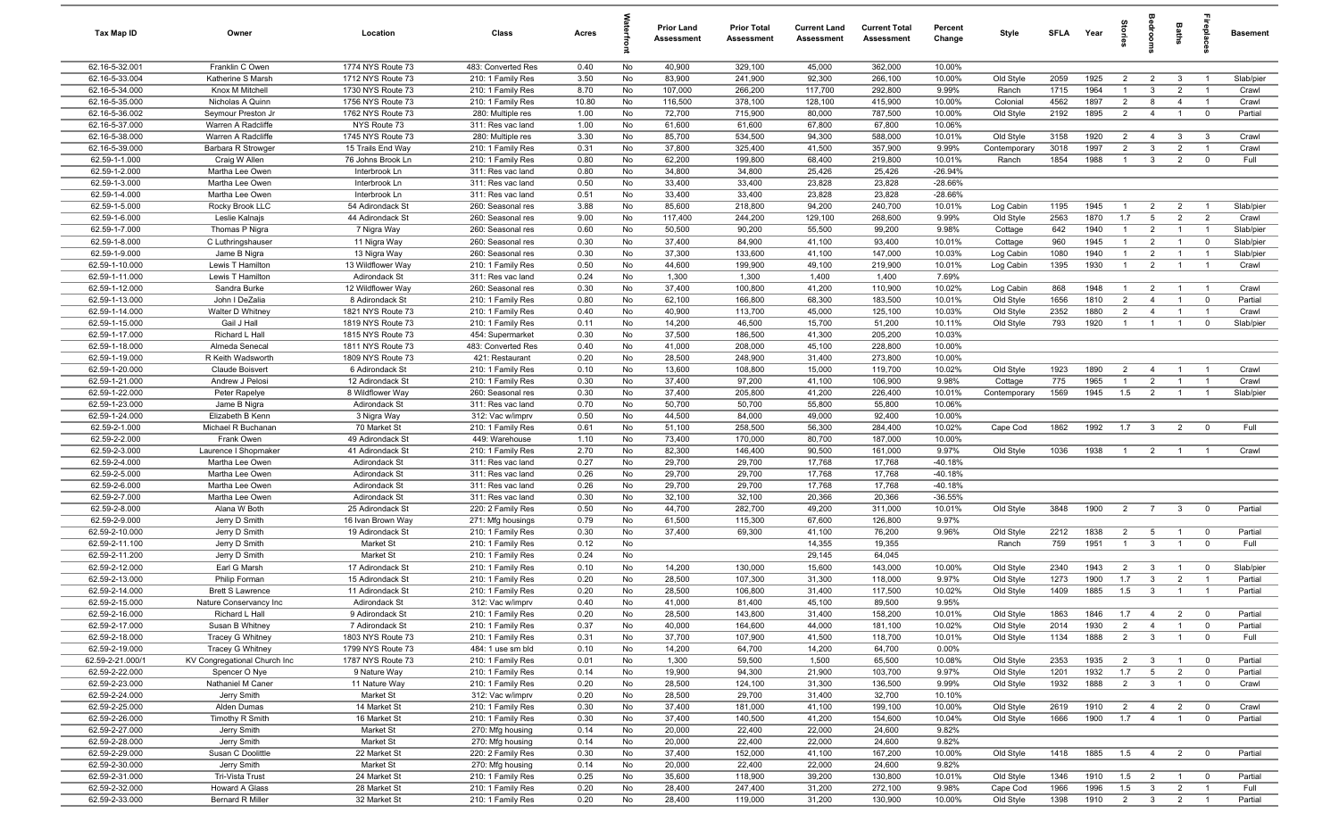| Tax Map ID                         | Owner                                            | Location                               | Class                                  | Acres        |          | <b>Prior Land</b><br><b>Assessment</b> | <b>Prior Total</b><br><b>Assessment</b> | <b>Current Land</b><br>Assessment | <b>Current Total</b><br><b>Assessment</b> | Percent<br>Change      | Style                  | <b>SFLA</b>  | Year         | iories         | <b>B</b>                         | Baths                            |                               | <b>Basement</b>    |
|------------------------------------|--------------------------------------------------|----------------------------------------|----------------------------------------|--------------|----------|----------------------------------------|-----------------------------------------|-----------------------------------|-------------------------------------------|------------------------|------------------------|--------------|--------------|----------------|----------------------------------|----------------------------------|-------------------------------|--------------------|
| 62.16-5-32.001                     | Franklin C Owen                                  | 1774 NYS Route 73                      | 483: Converted Res                     | 0.40         | No       | 40,900                                 | 329,100                                 | 45,000                            | 362,000                                   | 10.00%                 |                        |              |              |                |                                  |                                  |                               |                    |
| 62.16-5-33.004                     | Katherine S Marsh                                | 1712 NYS Route 73                      | 210: 1 Family Res                      | 3.50         | No       | 83,900                                 | 241,900                                 | 92,300                            | 266,100                                   | 10.00%                 | Old Style              | 2059         | 1925         | 2              | $\overline{2}$                   | $\mathbf{3}$                     | $\overline{1}$                | Slab/pier          |
| 62.16-5-34.000                     | Knox M Mitchell                                  | 1730 NYS Route 73                      | 210: 1 Family Res                      | 8.70         | No       | 107,000                                | 266,200                                 | 117,700                           | 292,800                                   | 9.99%                  | Ranch                  | 1715         | 1964         |                | $\mathbf{3}$                     | $\overline{2}$                   | $\overline{1}$                | Crawl              |
| 62.16-5-35.000                     | Nicholas A Quinn                                 | 1756 NYS Route 73                      | 210: 1 Family Res                      | 10.80        | No       | 116,500                                | 378,100                                 | 128,100                           | 415,900                                   | 10.00%                 | Colonial               | 4562         | 1897         | 2              | 8                                | $\overline{4}$                   | $\overline{1}$                | Crawl              |
| 62.16-5-36.002                     | Seymour Preston Jr                               | 1762 NYS Route 73                      | 280: Multiple res                      | 1.00         | No       | 72,700                                 | 715,900                                 | 80,000                            | 787,500                                   | 10.00%                 | Old Style              | 2192         | 1895         | $\overline{2}$ | $\overline{4}$                   | $\overline{1}$                   | $\overline{0}$                | Partial            |
| 62.16-5-37.000<br>62.16-5-38.000   | Warren A Radcliffe                               | NYS Route 73<br>1745 NYS Route 73      | 311: Res vac land<br>280: Multiple res | 1.00<br>3.30 | No<br>No | 61,600<br>85,700                       | 61,600<br>534,500                       | 67,800<br>94,300                  | 67,800<br>588,000                         | 10.06%<br>10.01%       | Old Style              | 3158         | 1920         | $\overline{2}$ | $\overline{4}$                   | $\mathbf{3}$                     | $\mathbf{3}$                  | Crawl              |
| 62.16-5-39.000                     | Warren A Radcliffe<br>Barbara R Strowger         | 15 Trails End Way                      | 210: 1 Family Res                      | 0.31         | No       | 37,800                                 | 325,400                                 | 41,500                            | 357,900                                   | 9.99%                  | Contemporary           | 3018         | 1997         | 2              | $\mathbf{3}$                     | $\overline{2}$                   | $\overline{1}$                | Crawl              |
| 62.59-1-1.000                      | Craig W Allen                                    | 76 Johns Brook Ln                      | 210: 1 Family Res                      | 0.80         | No       | 62,200                                 | 199,800                                 | 68,400                            | 219,800                                   | 10.01%                 | Ranch                  | 1854         | 1988         | $\overline{1}$ | $\mathbf{3}$                     | $\overline{2}$                   | $\mathbf 0$                   | Full               |
| 62.59-1-2.000                      | Martha Lee Owen                                  | Interbrook Ln                          | 311: Res vac land                      | 0.80         | No       | 34,800                                 | 34,800                                  | 25,426                            | 25,426                                    | $-26.94%$              |                        |              |              |                |                                  |                                  |                               |                    |
| 62.59-1-3.000                      | Martha Lee Owen                                  | Interbrook Ln                          | 311: Res vac land                      | 0.50         | No       | 33,400                                 | 33,400                                  | 23,828                            | 23,828                                    | $-28.66%$              |                        |              |              |                |                                  |                                  |                               |                    |
| 62.59-1-4.000                      | Martha Lee Owen                                  | Interbrook Ln                          | 311: Res vac land                      | 0.51         | No       | 33,400                                 | 33,400                                  | 23,828                            | 23,828                                    | $-28.66%$              |                        |              |              |                |                                  |                                  |                               |                    |
| 62.59-1-5.000                      | Rocky Brook LLC                                  | 54 Adirondack St                       | 260: Seasonal res                      | 3.88         | No       | 85,600                                 | 218,800                                 | 94,200                            | 240,700                                   | 10.01%                 | Log Cabin              | 1195         | 1945         | $\overline{1}$ | $\overline{2}$                   | $\overline{2}$                   | $\overline{1}$                | Slab/pier          |
| 62.59-1-6.000                      | Leslie Kalnajs                                   | 44 Adirondack St                       | 260: Seasonal res                      | 9.00         | No       | 117,400                                | 244,200                                 | 129,100                           | 268,600                                   | 9.99%                  | Old Style              | 2563         | 1870         | 1.7            | $5\overline{)}$                  | $\overline{2}$                   | $\overline{2}$                | Crawl              |
| 62.59-1-7.000                      | Thomas P Nigra                                   | 7 Nigra Way                            | 260: Seasonal res                      | 0.60         | No       | 50,500                                 | 90,200                                  | 55,500                            | 99,200                                    | 9.98%                  | Cottage                | 642          | 1940         | $\overline{1}$ | $\overline{2}$                   | $\overline{1}$                   | $\overline{1}$                | Slab/pier          |
| 62.59-1-8.000                      | C Luthringshauser                                | 11 Nigra Way                           | 260: Seasonal res                      | 0.30         | No       | 37,400                                 | 84,900                                  | 41,100                            | 93,400                                    | 10.01%                 | Cottage                | 960          | 1945         | $\overline{1}$ | $\overline{2}$                   | $\overline{1}$                   | $\mathbf 0$                   | Slab/pier          |
| 62.59-1-9.000                      | Jame B Nigra                                     | 13 Nigra Way                           | 260: Seasonal res                      | 0.30         | No       | 37,300                                 | 133,600                                 | 41,100                            | 147,000                                   | 10.03%                 | Log Cabin              | 1080         | 1940         | $\overline{1}$ | $\overline{2}$                   | $\overline{1}$                   | $\overline{1}$                | Slab/pier          |
| 62.59-1-10.000                     | Lewis T Hamilton                                 | 13 Wildflower Way                      | 210: 1 Family Res                      | 0.50         | No       | 44,600                                 | 199,900                                 | 49,100                            | 219,900                                   | 10.01%                 | Log Cabin              | 1395         | 1930         | $\overline{1}$ | $\overline{2}$                   | $\overline{1}$                   | $\overline{1}$                | Crawl              |
| 62.59-1-11.000                     | Lewis T Hamilton                                 | Adirondack St                          | 311: Res vac land                      | 0.24         | No       | 1,300                                  | 1,300                                   | 1,400                             | 1,400                                     | 7.69%                  |                        |              |              |                |                                  |                                  |                               |                    |
| 62.59-1-12.000                     | Sandra Burke                                     | 12 Wildflower Way                      | 260: Seasonal res                      | 0.30         | No       | 37,400                                 | 100,800                                 | 41,200                            | 110,900                                   | 10.02%                 | Log Cabin              | 868          | 1948         | $\overline{1}$ | $\overline{2}$                   | $\overline{1}$                   | $\overline{1}$                | Crawl              |
| 62.59-1-13.000<br>62.59-1-14.000   | John I DeZalia                                   | 8 Adirondack St                        | 210: 1 Family Res                      | 0.80         | No       | 62,100<br>40,900                       | 166,800                                 | 68,300                            | 183,500                                   | 10.01%<br>10.03%       | Old Style<br>Old Style | 1656<br>2352 | 1810<br>1880 | 2<br>2         | $\overline{4}$<br>$\overline{4}$ | $\overline{1}$<br>$\overline{1}$ | $\mathbf 0$<br>$\overline{1}$ | Partial            |
| 62.59-1-15.000                     | Walter D Whitney<br>Gail J Hall                  | 1821 NYS Route 73<br>1819 NYS Route 73 | 210: 1 Family Res<br>210: 1 Family Res | 0.40<br>0.11 | No<br>No | 14,200                                 | 113,700<br>46,500                       | 45,000<br>15,700                  | 125,100<br>51,200                         | 10.11%                 | Old Style              | 793          | 1920         | $\overline{1}$ | $\overline{1}$                   | $\overline{1}$                   | $\mathbf 0$                   | Crawl<br>Slab/pier |
| 62.59-1-17.000                     | Richard L Hall                                   | 1815 NYS Route 73                      | 454: Supermarket                       | 0.30         | No       | 37,500                                 | 186,500                                 | 41,300                            | 205,200                                   | 10.03%                 |                        |              |              |                |                                  |                                  |                               |                    |
| 62.59-1-18.000                     | Almeda Senecal                                   | 1811 NYS Route 73                      | 483: Converted Res                     | 0.40         | No       | 41,000                                 | 208,000                                 | 45,100                            | 228,800                                   | 10.00%                 |                        |              |              |                |                                  |                                  |                               |                    |
| 62.59-1-19.000                     | R Keith Wadsworth                                | 1809 NYS Route 73                      | 421: Restaurant                        | 0.20         | No       | 28,500                                 | 248,900                                 | 31,400                            | 273,800                                   | 10.00%                 |                        |              |              |                |                                  |                                  |                               |                    |
| 62.59-1-20.000                     | Claude Boisvert                                  | 6 Adirondack St                        | 210: 1 Family Res                      | 0.10         | No       | 13,600                                 | 108,800                                 | 15,000                            | 119,700                                   | 10.02%                 | Old Style              | 1923         | 1890         | $\overline{2}$ | $\overline{4}$                   | $\overline{1}$                   | $\overline{1}$                | Crawl              |
| 62.59-1-21.000                     | Andrew J Pelosi                                  | 12 Adirondack St                       | 210: 1 Family Res                      | 0.30         | No       | 37,400                                 | 97,200                                  | 41,100                            | 106,900                                   | 9.98%                  | Cottage                | 775          | 1965         | $\mathbf{1}$   | $\overline{2}$                   | $\overline{1}$                   | $\overline{1}$                | Crawl              |
| 62.59-1-22.000                     | Peter Rapelye                                    | 8 Wildflower Way                       | 260: Seasonal res                      | 0.30         | No       | 37,400                                 | 205,800                                 | 41,200                            | 226,400                                   | 10.01%                 | Contemporary           | 1569         | 1945         | 1.5            | $\overline{2}$                   | $\overline{1}$                   | $\overline{1}$                | Slab/pier          |
| 62.59-1-23.000                     | Jame B Nigra                                     | Adirondack St                          | 311: Res vac land                      | 0.70         | No       | 50,700                                 | 50,700                                  | 55,800                            | 55,800                                    | 10.06%                 |                        |              |              |                |                                  |                                  |                               |                    |
| 62.59-1-24.000                     | Elizabeth B Kenn                                 | 3 Nigra Way                            | 312: Vac w/imprv                       | 0.50         | No       | 44,500                                 | 84,000                                  | 49,000                            | 92,400                                    | 10.00%                 |                        |              |              |                |                                  |                                  |                               |                    |
| 62.59-2-1.000                      | Michael R Buchanan                               | 70 Market St                           | 210: 1 Family Res                      | 0.61         | No       | 51,100                                 | 258,500                                 | 56,300                            | 284,400                                   | 10.02%                 | Cape Cod               | 1862         | 1992         | 1.7            | $\overline{\mathbf{3}}$          | $\overline{2}$                   | $\overline{0}$                | Full               |
| 62.59-2-2.000                      | Frank Owen                                       | 49 Adirondack St                       | 449: Warehouse                         | 1.10         | No       | 73,400                                 | 170,000                                 | 80,700                            | 187,000                                   | 10.00%                 |                        |              |              |                |                                  |                                  |                               |                    |
| 62.59-2-3.000                      | Laurence I Shopmaker                             | 41 Adirondack St                       | 210: 1 Family Res                      | 2.70         | No       | 82,300                                 | 146,400                                 | 90,500                            | 161,000                                   | 9.97%                  | Old Style              | 1036         | 1938         | $\overline{1}$ | $\overline{2}$                   | $\overline{1}$                   | $\overline{1}$                | Crawl              |
| 62.59-2-4.000                      | Martha Lee Owen                                  | Adirondack St                          | 311: Res vac land                      | 0.27         | No       | 29,700                                 | 29,700                                  | 17,768                            | 17,768                                    | $-40.18%$              |                        |              |              |                |                                  |                                  |                               |                    |
| 62.59-2-5.000<br>62.59-2-6.000     | Martha Lee Owen<br>Martha Lee Owen               | Adirondack St<br>Adirondack St         | 311: Res vac land<br>311: Res vac land | 0.26<br>0.26 | No<br>No | 29,700<br>29,700                       | 29,700<br>29,700                        | 17,768<br>17,768                  | 17,768<br>17,768                          | $-40.18%$<br>$-40.18%$ |                        |              |              |                |                                  |                                  |                               |                    |
| 62.59-2-7.000                      | Martha Lee Owen                                  | Adirondack St                          | 311: Res vac land                      | 0.30         | No       | 32,100                                 | 32,100                                  | 20,366                            | 20,366                                    | $-36.55%$              |                        |              |              |                |                                  |                                  |                               |                    |
| 62.59-2-8.000                      | Alana W Both                                     | 25 Adirondack St                       | 220: 2 Family Res                      | 0.50         | No       | 44,700                                 | 282,700                                 | 49,200                            | 311,000                                   | 10.01%                 | Old Style              | 3848         | 1900         | $\overline{2}$ | $\overline{7}$                   | $\mathbf{3}$                     | $\overline{0}$                | Partial            |
| 62.59-2-9.000                      | Jerry D Smith                                    | 16 Ivan Brown Way                      | 271: Mfg housings                      | 0.79         | No       | 61,500                                 | 115,300                                 | 67,600                            | 126,800                                   | 9.97%                  |                        |              |              |                |                                  |                                  |                               |                    |
| 62.59-2-10.000                     | Jerry D Smith                                    | 19 Adirondack St                       | 210: 1 Family Res                      | 0.30         | No       | 37,400                                 | 69,300                                  | 41,100                            | 76,200                                    | 9.96%                  | Old Style              | 2212         | 1838         | $\overline{2}$ | $5\overline{5}$                  | $\overline{1}$                   | $\mathbf 0$                   | Partial            |
| 62.59-2-11.100                     | Jerry D Smith                                    | Market St                              | 210: 1 Family Res                      | 0.12         | No       |                                        |                                         | 14,355                            | 19,355                                    |                        | Ranch                  | 759          | 1951         | $\overline{1}$ | $\mathbf{3}$                     | $\overline{1}$                   | $\overline{0}$                | Full               |
| 62.59-2-11.200                     | Jerry D Smith                                    | Market St                              | 210: 1 Family Res                      | 0.24         | No       |                                        |                                         | 29,145                            | 64,045                                    |                        |                        |              |              |                |                                  |                                  |                               |                    |
| 62.59-2-12.000                     | Earl G Marsh                                     | 17 Adirondack St                       | 210: 1 Family Res                      | 0.10         | No       | 14,200                                 | 130,000                                 | 15,600                            | 143,000                                   | 10.00%                 | Old Style              | 2340         | 1943         | $\overline{2}$ | $\mathbf{3}$                     | $\overline{1}$                   | $\mathbf 0$                   | Slab/pier          |
| 62.59-2-13.000                     | Philip Forman                                    | 15 Adirondack St                       | 210: 1 Family Res                      | 0.20         | No       | 28,500                                 | 107,300                                 | 31,300                            | 118,000                                   | 9.97%                  | Old Style              | 1273         | 1900         | 1.7            | $\mathbf{3}$                     | $\overline{2}$                   | $\overline{1}$                | Partial            |
| 62.59-2-14.000                     | <b>Brett S Lawrence</b>                          | 11 Adirondack St                       | 210: 1 Family Res                      | 0.20         | No       | 28,500                                 | 106,800                                 | 31,400                            | 117,500                                   | 10.02%                 | Old Style              | 1409         | 1885         | 1.5            | $\mathbf{3}$                     | $\overline{1}$                   | $\overline{1}$                | Partial            |
| 62.59-2-15.000                     | Nature Conservancy Inc                           | Adirondack St                          | 312: Vac w/imprv                       | 0.40         | No       | 41,000                                 | 81,400                                  | 45,100                            | 89,500                                    | 9.95%                  |                        |              |              |                |                                  |                                  |                               |                    |
| 62.59-2-16.000                     | Richard L Hall                                   | 9 Adirondack St                        | 210: 1 Family Res                      | 0.20         | No       | 28,500                                 | 143,800                                 | 31,400                            | 158,200                                   | 10.01%                 | Old Style              | 1863         | 1846         | 1.7            | $\overline{4}$                   | $\overline{2}$                   | $\overline{0}$                | Partial            |
| 62.59-2-17.000                     | Susan B Whitney                                  | 7 Adirondack St                        | 210: 1 Family Res                      | 0.37         | No       | 40,000                                 | 164,600                                 | 44,000                            | 181,100                                   | 10.02%                 | Old Style              | 2014         | 1930         | $\overline{2}$ | $\overline{4}$                   | $\overline{1}$                   | $\mathbf 0$                   | Partial            |
| 62.59-2-18.000                     | <b>Tracey G Whitney</b>                          | 1803 NYS Route 73<br>1799 NYS Route 73 | 210: 1 Family Res                      | 0.31         | No       | 37,700                                 | 107,900                                 | 41,500                            | 118,700                                   | 10.01%                 | Old Style              | 1134         | 1888         | $\overline{2}$ | $\mathbf{3}$                     | $\overline{1}$                   | $\overline{0}$                | Full               |
| 62.59-2-19.000<br>62.59-2-21.000/1 | Tracey G Whitney<br>KV Congregational Church Inc | 1787 NYS Route 73                      | 484: 1 use sm bld<br>210: 1 Family Res | 0.10<br>0.01 | No<br>No | 14,200<br>1,300                        | 64,700<br>59,500                        | 14,200<br>1,500                   | 64,700<br>65,500                          | $0.00\%$<br>10.08%     | Old Style              | 2353         | 1935         | $\overline{2}$ | $\mathbf{3}$                     | $\overline{1}$                   | $\overline{0}$                | Partial            |
| 62.59-2-22.000                     | Spencer O Nye                                    | 9 Nature Way                           | 210: 1 Family Res                      | 0.14         | No       | 19,900                                 | 94,300                                  | 21,900                            | 103,700                                   | 9.97%                  | Old Style              | 1201         | 1932         | 1.7            | $5\overline{)}$                  | $\overline{2}$                   | $\overline{0}$                | Partial            |
| 62.59-2-23.000                     | Nathaniel M Caner                                | 11 Nature Way                          | 210: 1 Family Res                      | 0.20         | No       | 28,500                                 | 124,100                                 | 31,300                            | 136,500                                   | 9.99%                  | Old Style              | 1932         | 1888         | $\overline{2}$ | $\mathbf{3}$                     | $\overline{1}$                   | $\mathbf 0$                   | Crawl              |
| 62.59-2-24.000                     | Jerry Smith                                      | Market St                              | 312: Vac w/imprv                       | 0.20         | No       | 28,500                                 | 29,700                                  | 31,400                            | 32,700                                    | 10.10%                 |                        |              |              |                |                                  |                                  |                               |                    |
| 62.59-2-25.000                     | Alden Dumas                                      | 14 Market St                           | 210: 1 Family Res                      | 0.30         | No       | 37,400                                 | 181,000                                 | 41,100                            | 199,100                                   | 10.00%                 | Old Style              | 2619         | 1910         | $\overline{2}$ | $\overline{4}$                   | $\overline{2}$                   | $\overline{\mathbf{0}}$       | Crawl              |
| 62.59-2-26.000                     | Timothy R Smith                                  | 16 Market St                           | 210: 1 Family Res                      | 0.30         | No       | 37,400                                 | 140,500                                 | 41,200                            | 154,600                                   | 10.04%                 | Old Style              | 1666         | 1900         | 1.7            | $\overline{4}$                   | $\overline{1}$                   | $\overline{0}$                | Partial            |
| 62.59-2-27.000                     | Jerry Smith                                      | Market St                              | 270: Mfg housing                       | 0.14         | No       | 20,000                                 | 22,400                                  | 22,000                            | 24,600                                    | 9.82%                  |                        |              |              |                |                                  |                                  |                               |                    |
| 62.59-2-28.000                     | Jerry Smith                                      | Market St                              | 270: Mfg housing                       | 0.14         | No       | 20,000                                 | 22,400                                  | 22,000                            | 24,600                                    | 9.82%                  |                        |              |              |                |                                  |                                  |                               |                    |
| 62.59-2-29.000                     | Susan C Doolittle                                | 22 Market St                           | 220: 2 Family Res                      | 0.30         | No       | 37,400                                 | 152,000                                 | 41,100                            | 167,200                                   | 10.00%                 | Old Style              | 1418         | 1885         | 1.5            | $\overline{4}$                   | $\overline{2}$                   | $\mathbf 0$                   | Partial            |
| 62.59-2-30.000                     | Jerry Smith                                      | Market St                              | 270: Mfg housing                       | 0.14         | No       | 20,000                                 | 22,400                                  | 22,000                            | 24,600                                    | 9.82%                  |                        |              |              |                |                                  |                                  |                               |                    |
| 62.59-2-31.000                     | Tri-Vista Trust                                  | 24 Market St                           | 210: 1 Family Res                      | 0.25         | No       | 35,600                                 | 118,900                                 | 39,200                            | 130,800                                   | 10.01%                 | Old Style              | 1346         | 1910         | 1.5            | $\overline{2}$                   | $-1$                             | $\overline{\mathbf{0}}$       | Partial            |
| 62.59-2-32.000                     | Howard A Glass                                   | 28 Market St                           | 210: 1 Family Res                      | 0.20         | No       | 28,400                                 | 247,400                                 | 31,200                            | 272,100                                   | 9.98%                  | Cape Cod               | 1966         | 1996         | 1.5            | $\overline{\mathbf{3}}$          | $\overline{2}$                   | $\overline{1}$                | Full               |
| 62.59-2-33.000                     | Bernard R Miller                                 | 32 Market St                           | 210: 1 Family Res                      | 0.20         | No       | 28,400                                 | 119,000                                 | 31,200                            | 130,900                                   | 10.00%                 | Old Style              | 1398         | 1910         |                | $2 \t 3 \t 2$                    |                                  | $\overline{1}$                | Partial            |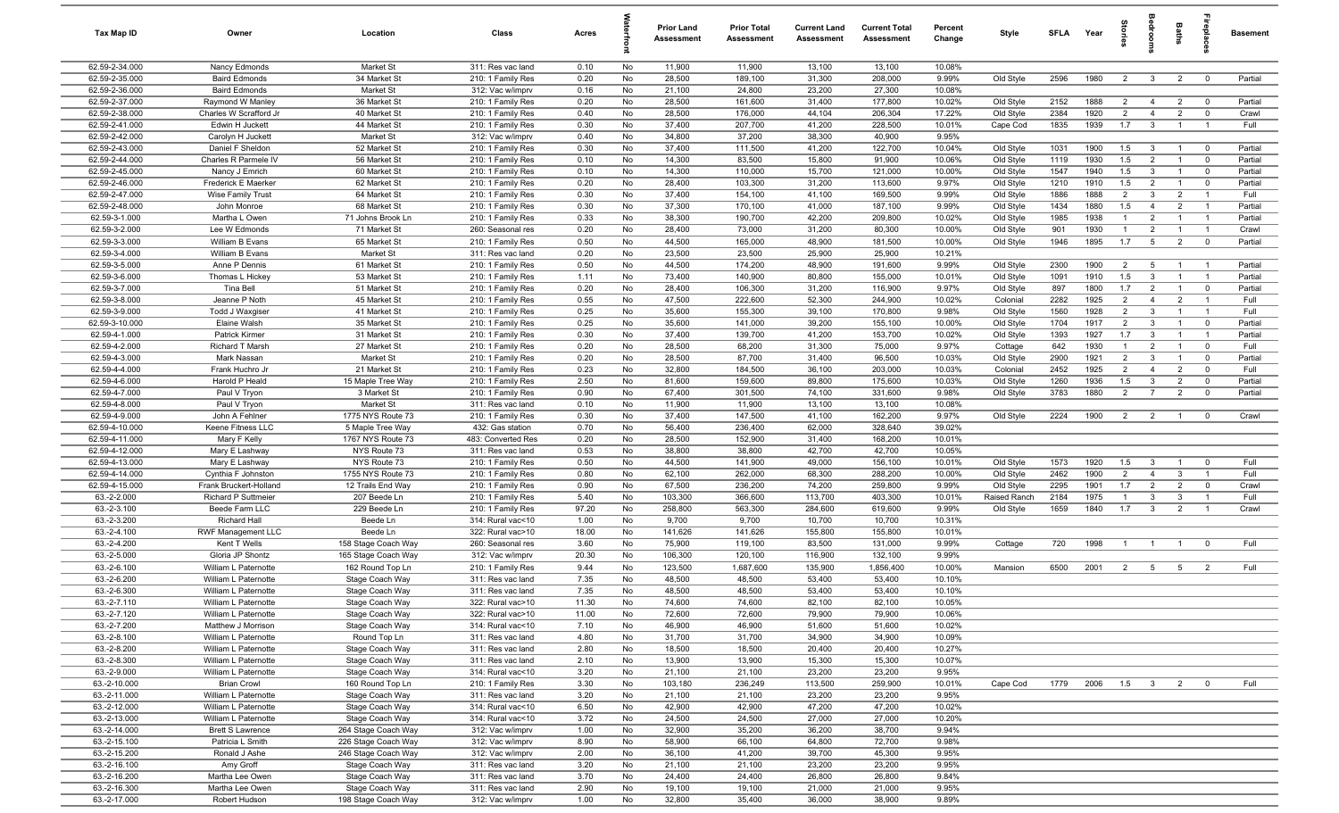| Tax Map ID                       | Owner                                      | Location                            | Class                                  | Acres         |          | <b>Prior Land</b><br>Assessment | <b>Prior Total</b><br><b>Assessment</b> | <b>Current Land</b><br>Assessment | <b>Current Total</b><br>Assessment | Percent<br>Change | Style                     | <b>SFLA</b>  | Year         | iories                | bedrooms                       | Baths                            |                                           | <b>Basement</b>    |
|----------------------------------|--------------------------------------------|-------------------------------------|----------------------------------------|---------------|----------|---------------------------------|-----------------------------------------|-----------------------------------|------------------------------------|-------------------|---------------------------|--------------|--------------|-----------------------|--------------------------------|----------------------------------|-------------------------------------------|--------------------|
| 62.59-2-34.000                   | Nancy Edmonds                              | Market St                           | 311: Res vac land                      | 0.10          | No       | 11,900                          | 11,900                                  | 13,100                            | 13,100                             | 10.08%            |                           |              |              |                       |                                |                                  |                                           |                    |
| 62.59-2-35.000                   | <b>Baird Edmonds</b>                       | 34 Market St                        | 210: 1 Family Res                      | 0.20          | No       | 28,500                          | 189,100                                 | 31,300                            | 208,000                            | 9.99%             | Old Style                 | 2596         | 1980         | $\overline{2}$        | $\mathbf{3}$                   | $\overline{2}$                   | $\overline{0}$                            | Partial            |
| 62.59-2-36.000                   | <b>Baird Edmonds</b>                       | Market St                           | 312: Vac w/imprv                       | 0.16          | No       | 21,100                          | 24,800                                  | 23,200                            | 27,300                             | 10.08%            |                           |              |              |                       |                                |                                  |                                           |                    |
| 62.59-2-37.000                   | Raymond W Manley                           | 36 Market St                        | 210: 1 Family Res                      | 0.20          | No       | 28,500                          | 161,600                                 | 31,400                            | 177,800                            | 10.02%            | Old Style                 | 2152         | 1888         | $\overline{2}$        | $\overline{4}$                 | $\overline{2}$                   | $\overline{0}$                            | Partial            |
| 62.59-2-38.000                   | Charles W Scrafford Jr                     | 40 Market St                        | 210: 1 Family Res                      | 0.40          | No       | 28,500                          | 176,000                                 | 44,104                            | 206,304                            | 17.22%            | Old Style                 | 2384         | 1920         | $\overline{2}$        | $\overline{4}$                 | $\overline{2}$                   | $\overline{0}$                            | Crawl              |
| 62.59-2-41.000                   | Edwin H Juckett                            | 44 Market St                        | 210: 1 Family Res                      | 0.30          | No       | 37,400                          | 207,700                                 | 41,200                            | 228,500                            | 10.01%            | Cape Cod                  | 1835         | 1939         | 1.7                   | $\mathbf{3}$                   |                                  |                                           | Full               |
| 62.59-2-42.000                   | Carolyn H Juckett<br>Daniel F Sheldon      | Market St<br>52 Market St           | 312: Vac w/imprv                       | 0.40          | No       | 34,800                          | 37,200                                  | 38,300<br>41,200                  | 40,900                             | 9.95%<br>10.04%   |                           | 1031         | 1900         | 1.5                   |                                |                                  |                                           |                    |
| 62.59-2-43.000<br>62.59-2-44.000 | Charles R Parmele IV                       | 56 Market St                        | 210: 1 Family Res<br>210: 1 Family Res | 0.30<br>0.10  | No<br>No | 37,400<br>14,300                | 111,500<br>83,500                       | 15,800                            | 122,700<br>91,900                  | 10.06%            | Old Style<br>Old Style    | 1119         | 1930         | 1.5                   | $\mathbf{3}$<br>$\overline{2}$ | - 1<br>$\overline{1}$            | $\overline{\mathbf{0}}$<br>$\overline{0}$ | Partial<br>Partial |
| 62.59-2-45.000                   | Nancy J Emrich                             | 60 Market St                        | 210: 1 Family Res                      | 0.10          | No       | 14,300                          | 110,000                                 | 15,700                            | 121,000                            | 10.00%            | Old Style                 | 1547         | 1940         | 1.5                   | $\mathbf{3}$                   | $\overline{1}$                   | $\overline{\mathbf{0}}$                   | Partial            |
| 62.59-2-46.000                   | Frederick E Maerker                        | 62 Market St                        | 210: 1 Family Res                      | 0.20          | No       | 28,400                          | 103,300                                 | 31,200                            | 113,600                            | 9.97%             | Old Style                 | 1210         | 1910         | 1.5                   | $\overline{2}$                 | $\overline{1}$                   | $\overline{0}$                            | Partial            |
| 62.59-2-47.000                   | Wise Family Trust                          | 64 Market St                        | 210: 1 Family Res                      | 0.30          | No       | 37,400                          | 154,100                                 | 41,100                            | 169,500                            | 9.99%             | Old Style                 | 1886         | 1888         | $\overline{2}$        | $\mathbf{3}$                   | $\overline{2}$                   | $\overline{1}$                            | Full               |
| 62.59-2-48.000                   | John Monroe                                | 68 Market St                        | 210: 1 Family Res                      | 0.30          | No       | 37,300                          | 170,100                                 | 41,000                            | 187,100                            | 9.99%             | Old Style                 | 1434         | 1880         | 1.5                   | $\overline{4}$                 | $\overline{2}$                   | $\overline{1}$                            | Partial            |
| 62.59-3-1.000                    | Martha L Owen                              | 71 Johns Brook Ln                   | 210: 1 Family Res                      | 0.33          | No       | 38,300                          | 190,700                                 | 42,200                            | 209,800                            | 10.02%            | Old Style                 | 1985         | 1938         | $\overline{1}$        | $\overline{2}$                 | $\overline{1}$                   | $\overline{1}$                            | Partial            |
| 62.59-3-2.000                    | Lee W Edmonds                              | 71 Market St                        | 260: Seasonal res                      | 0.20          | No       | 28,400                          | 73,000                                  | 31,200                            | 80,300                             | 10.00%            | Old Style                 | 901          | 1930         | $\overline{1}$        | $\overline{2}$                 | $\overline{1}$                   | $\overline{1}$                            | Crawl              |
| 62.59-3-3.000                    | William B Evans                            | 65 Market St                        | 210: 1 Family Res                      | 0.50          | No       | 44,500                          | 165,000                                 | 48,900                            | 181,500                            | 10.00%            | Old Style                 | 1946         | 1895         | 1.7                   | $5\overline{5}$                | $\overline{2}$                   | $\overline{0}$                            | Partial            |
| 62.59-3-4.000                    | William B Evans                            | Market St                           | 311: Res vac land                      | 0.20          | No       | 23,500                          | 23,500                                  | 25,900                            | 25,900                             | 10.21%            |                           |              |              |                       |                                |                                  |                                           |                    |
| 62.59-3-5.000                    | Anne P Dennis                              | 61 Market St                        | 210: 1 Family Res                      | 0.50          | No       | 44,500                          | 174,200                                 | 48,900                            | 191,600                            | 9.99%             | Old Style                 | 2300         | 1900         | $\overline{2}$        | 5                              | $\overline{1}$                   | - 1                                       | Partial            |
| 62.59-3-6.000                    | Thomas L Hickey                            | 53 Market St                        | 210: 1 Family Res                      | 1.11          | No       | 73,400                          | 140,900                                 | 80,800                            | 155,000                            | 10.01%            | Old Style                 | 1091         | 1910         | 1.5                   | 3                              |                                  | - 1                                       | Partial            |
| 62.59-3-7.000                    | <b>Tina Bell</b>                           | 51 Market St                        | 210: 1 Family Res                      | 0.20          | No       | 28,400                          | 106,300                                 | 31,200                            | 116,900                            | 9.97%             | Old Style                 | 897          | 1800         | 1.7                   | $\overline{2}$                 | $\overline{1}$                   | $\overline{\mathbf{0}}$                   | Partial            |
| 62.59-3-8.000                    | Jeanne P Noth                              | 45 Market St                        | 210: 1 Family Res                      | 0.55          | No       | 47,500                          | 222,600                                 | 52,300                            | 244,900                            | 10.02%            | Colonial                  | 2282         | 1925         | $\overline{2}$        | $\overline{4}$                 | $\overline{2}$                   | $\overline{\phantom{0}}$                  | Full               |
| 62.59-3-9.000                    | <b>Todd J Waxgiser</b>                     | 41 Market St                        | 210: 1 Family Res                      | 0.25          | No       | 35,600                          | 155,300                                 | 39,100                            | 170,800                            | 9.98%             | Old Style                 | 1560         | 1928         | $\overline{2}$        | $\mathbf{3}$                   | $\overline{1}$                   | $\overline{1}$                            | Full               |
| 62.59-3-10.000                   | Elaine Walsh                               | 35 Market St                        | 210: 1 Family Res                      | 0.25          | No       | 35,600                          | 141,000                                 | 39,200                            | 155,100                            | 10.00%            | Old Style                 | 1704         | 1917<br>1927 | $\overline{2}$<br>1.7 | $\mathbf{3}$                   | $\overline{1}$<br>$\overline{1}$ | $\overline{0}$                            | Partial            |
| 62.59-4-1.000<br>62.59-4-2.000   | Patrick Kirmer<br>Richard T Marsh          | 31 Market St<br>27 Market St        | 210: 1 Family Res<br>210: 1 Family Res | 0.30<br>0.20  | No<br>No | 37,400<br>28,500                | 139,700<br>68,200                       | 41,200<br>31,300                  | 153,700<br>75,000                  | 10.02%<br>9.97%   | Old Style<br>Cottage      | 1393<br>642  | 1930         | $\overline{1}$        | $\mathbf{3}$<br>$\overline{2}$ | $\overline{1}$                   | $\overline{1}$<br>$\mathbf 0$             | Partial<br>Full    |
| 62.59-4-3.000                    | Mark Nassan                                | Market St                           | 210: 1 Family Res                      | 0.20          | No       | 28,500                          | 87,700                                  | 31,400                            | 96,500                             | 10.03%            | Old Style                 | 2900         | 1921         | $\overline{2}$        | $\mathbf{3}$                   | $\overline{1}$                   | $^{\circ}$                                | Partial            |
| 62.59-4-4.000                    | Frank Huchro Jr                            | 21 Market St                        | 210: 1 Family Res                      | 0.23          | No       | 32,800                          | 184,500                                 | 36,100                            | 203,000                            | 10.03%            | Colonial                  | 2452         | 1925         | $\overline{2}$        | $\overline{4}$                 | $\overline{2}$                   | $\overline{0}$                            | Full               |
| 62.59-4-6.000                    | Harold P Heald                             | 15 Maple Tree Way                   | 210: 1 Family Res                      | 2.50          | No       | 81,600                          | 159,600                                 | 89,800                            | 175,600                            | 10.03%            | Old Style                 | 1260         | 1936         | 1.5                   | 3                              | $\overline{2}$                   | $\overline{0}$                            | Partial            |
| 62.59-4-7.000                    | Paul V Tryon                               | 3 Market St                         | 210: 1 Family Res                      | 0.90          | No       | 67,400                          | 301,500                                 | 74,100                            | 331,600                            | 9.98%             | Old Style                 | 3783         | 1880         | $\overline{2}$        | $\overline{7}$                 | 2                                | $\overline{0}$                            | Partial            |
| 62.59-4-8.000                    | Paul V Tryon                               | Market St                           | 311: Res vac land                      | 0.10          | No       | 11,900                          | 11,900                                  | 13,100                            | 13,100                             | 10.08%            |                           |              |              |                       |                                |                                  |                                           |                    |
| 62.59-4-9.000                    | John A Fehlner                             | 1775 NYS Route 73                   | 210: 1 Family Res                      | 0.30          | No       | 37,400                          | 147,500                                 | 41,100                            | 162,200                            | 9.97%             | Old Style                 | 2224         | 1900         | $\overline{2}$        | $\overline{2}$                 | $\overline{1}$                   | $\overline{\mathbf{0}}$                   | Crawl              |
| 62.59-4-10.000                   | Keene Fitness LLC                          | 5 Maple Tree Way                    | 432: Gas station                       | 0.70          | No       | 56,400                          | 236,400                                 | 62,000                            | 328,640                            | 39.02%            |                           |              |              |                       |                                |                                  |                                           |                    |
| 62.59-4-11.000                   | Mary F Kelly                               | 1767 NYS Route 73                   | 483: Converted Res                     | 0.20          | No       | 28,500                          | 152,900                                 | 31,400                            | 168,200                            | 10.01%            |                           |              |              |                       |                                |                                  |                                           |                    |
| 62.59-4-12.000                   | Mary E Lashway                             | NYS Route 73                        | 311: Res vac land                      | 0.53          | No       | 38,800                          | 38,800                                  | 42,700                            | 42,700                             | 10.05%            |                           |              |              |                       |                                |                                  |                                           |                    |
| 62.59-4-13.000                   | Mary E Lashway                             | NYS Route 73                        | 210: 1 Family Res                      | 0.50          | No       | 44,500                          | 141,900                                 | 49,000                            | 156,100                            | 10.01%            | Old Style                 | 1573         | 1920         | 1.5                   | $\mathbf{3}$                   | $\overline{1}$                   | $\overline{0}$                            | Full               |
| 62.59-4-14.000                   | Cynthia F Johnston                         | 1755 NYS Route 73                   | 210: 1 Family Res                      | 0.80          | No       | 62,100                          | 262,000                                 | 68,300                            | 288,200                            | 10.00%            | Old Style                 | 2462         | 1900         | $\overline{2}$        | $\overline{4}$                 | $\mathbf{3}$                     | $\overline{1}$                            | Full               |
| 62.59-4-15.000                   | Frank Bruckert-Holland                     | 12 Trails End Way                   | 210: 1 Family Res                      | 0.90          | No       | 67,500                          | 236,200                                 | 74,200                            | 259,800                            | 9.99%             | Old Style                 | 2295         | 1901         | 1.7                   | $\overline{2}$                 | $\overline{2}$                   | $\overline{0}$                            | Crawl              |
| 63.-2-2.000<br>63.-2-3.100       | Richard P Suttmeier<br>Beede Farm LLC      | 207 Beede Ln<br>229 Beede Ln        | 210: 1 Family Res<br>210: 1 Family Res | 5.40<br>97.20 | No<br>No | 103,300<br>258,800              | 366,600<br>563,300                      | 113,700<br>284,600                | 403,300<br>619,600                 | 10.01%<br>9.99%   | Raised Ranch<br>Old Style | 2184<br>1659 | 1975<br>1840 | $\overline{1}$<br>1.7 | 3<br>$\mathbf{3}$              | $\mathbf{3}$<br>$\overline{2}$   | $\overline{1}$<br>$\overline{1}$          | Full<br>Crawl      |
| 63.-2-3.200                      | Richard Hall                               | Beede Ln                            | 314: Rural vac<10                      | 1.00          | No       | 9,700                           | 9,700                                   | 10,700                            | 10,700                             | 10.31%            |                           |              |              |                       |                                |                                  |                                           |                    |
| 63.-2-4.100                      | <b>RWF Management LLC</b>                  | Beede Ln                            | 322: Rural vac>10                      | 18.00         | No       | 141,626                         | 141,626                                 | 155,800                           | 155,800                            | 10.01%            |                           |              |              |                       |                                |                                  |                                           |                    |
| 63.-2-4.200                      | Kent T Wells                               | 158 Stage Coach Way                 | 260: Seasonal res                      | 3.60          | No       | 75,900                          | 119,100                                 | 83,500                            | 131,000                            | 9.99%             | Cottage                   | 720          | 1998         | $\overline{1}$        | $\overline{1}$                 | - 1                              | $^{\circ}$                                | Full               |
| 63.-2-5.000                      | Gloria JP Shontz                           | 165 Stage Coach Way                 | 312: Vac w/imprv                       | 20.30         | No       | 106,300                         | 120,100                                 | 116,900                           | 132,100                            | 9.99%             |                           |              |              |                       |                                |                                  |                                           |                    |
| 63.-2-6.100                      | William L Paternotte                       | 162 Round Top Ln                    | 210: 1 Family Res                      | 9.44          | No       | 123,500                         | 1,687,600                               | 135,900                           | 1,856,400                          | 10.00%            | Mansion                   | 6500         | 2001         | $\overline{2}$        | $5^{\circ}$                    | 5                                | $\overline{2}$                            | Full               |
| 63.-2-6.200                      | William L Paternotte                       | Stage Coach Way                     | 311: Res vac land                      | 7.35          | No       | 48,500                          | 48,500                                  | 53,400                            | 53,400                             | 10.10%            |                           |              |              |                       |                                |                                  |                                           |                    |
| 63.-2-6.300                      | William L Paternotte                       | Stage Coach Way                     | 311: Res vac land                      | 7.35          | No       | 48,500                          | 48,500                                  | 53,400                            | 53,400                             | 10.10%            |                           |              |              |                       |                                |                                  |                                           |                    |
| 63.-2-7.110                      | William L Paternotte                       | Stage Coach Way                     | 322: Rural vac>10                      | 11.30         | No       | 74,600                          | 74,600                                  | 82,100                            | 82,100                             | 10.05%            |                           |              |              |                       |                                |                                  |                                           |                    |
| 63.-2-7.120                      | William L Paternotte                       | Stage Coach Way                     | 322: Rural vac>10                      | 11.00         | No       | 72,600                          | 72,600                                  | 79,900                            | 79,900                             | 10.06%            |                           |              |              |                       |                                |                                  |                                           |                    |
| 63.-2-7.200                      | Matthew J Morrison                         | Stage Coach Way                     | 314: Rural vac<10                      | 7.10          | No       | 46,900                          | 46,900                                  | 51,600                            | 51,600                             | 10.02%            |                           |              |              |                       |                                |                                  |                                           |                    |
| 63.-2-8.100                      | William L Paternotte                       | Round Top Ln                        | 311: Res vac land                      | 4.80          | No       | 31,700                          | 31,700                                  | 34,900                            | 34,900                             | 10.09%            |                           |              |              |                       |                                |                                  |                                           |                    |
| 63.-2-8.200                      | William L Paternotte                       | Stage Coach Way                     | 311: Res vac land                      | 2.80          | No       | 18,500                          | 18,500                                  | 20,400                            | 20,400                             | 10.27%            |                           |              |              |                       |                                |                                  |                                           |                    |
| 63.-2-8.300                      | William L Paternotte                       | Stage Coach Way                     | 311: Res vac land                      | 2.10          | No       | 13,900                          | 13,900                                  | 15,300                            | 15,300                             | 10.07%            |                           |              |              |                       |                                |                                  |                                           |                    |
| 63.-2-9.000                      | William L Paternotte                       | Stage Coach Way                     | 314: Rural vac<10                      | 3.20          | No       | 21,100                          | 21,100                                  | 23,200                            | 23,200                             | 9.95%             |                           |              |              |                       |                                |                                  |                                           | Full               |
| 63.-2-10.000<br>63.-2-11.000     | <b>Brian Crowl</b><br>William L Paternotte | 160 Round Top Ln<br>Stage Coach Way | 210: 1 Family Res<br>311: Res vac land | 3.30<br>3.20  | No<br>No | 103,180<br>21,100               | 236,249<br>21,100                       | 113,500<br>23,200                 | 259,900<br>23,200                  | 10.01%<br>9.95%   | Cape Cod                  | 1779         |              | 2006 1.5 3            |                                | $\overline{2}$                   | $\overline{0}$                            |                    |
| 63.-2-12.000                     | William L Paternotte                       | Stage Coach Way                     | 314: Rural vac<10                      | 6.50          | No       | 42,900                          | 42,900                                  | 47,200                            | 47,200                             | 10.02%            |                           |              |              |                       |                                |                                  |                                           |                    |
| 63.-2-13.000                     | William L Paternotte                       | Stage Coach Way                     | 314: Rural vac<10                      | 3.72          | No       | 24,500                          | 24,500                                  | 27,000                            | 27,000                             | 10.20%            |                           |              |              |                       |                                |                                  |                                           |                    |
| 63.-2-14.000                     | <b>Brett S Lawrence</b>                    | 264 Stage Coach Way                 | 312: Vac w/imprv                       | 1.00          | No       | 32,900                          | 35,200                                  | 36,200                            | 38,700                             | 9.94%             |                           |              |              |                       |                                |                                  |                                           |                    |
| 63.-2-15.100                     | Patricia L Smith                           | 226 Stage Coach Way                 | 312: Vac w/imprv                       | 8.90          | No       | 58,900                          | 66,100                                  | 64,800                            | 72,700                             | 9.98%             |                           |              |              |                       |                                |                                  |                                           |                    |
| 63.-2-15.200                     | Ronald J Ashe                              | 246 Stage Coach Way                 | 312: Vac w/imprv                       | 2.00          | No       | 36,100                          | 41,200                                  | 39,700                            | 45,300                             | 9.95%             |                           |              |              |                       |                                |                                  |                                           |                    |
| 63.-2-16.100                     | Amy Groff                                  | Stage Coach Way                     | 311: Res vac land                      | 3.20          | No       | 21,100                          | 21,100                                  | 23,200                            | 23,200                             | 9.95%             |                           |              |              |                       |                                |                                  |                                           |                    |
| 63.-2-16.200                     | Martha Lee Owen                            | Stage Coach Way                     | 311: Res vac land                      | 3.70          | No       | 24,400                          | 24,400                                  | 26,800                            | 26,800                             | 9.84%             |                           |              |              |                       |                                |                                  |                                           |                    |
| 63.-2-16.300                     | Martha Lee Owen                            | Stage Coach Way                     | 311: Res vac land                      | 2.90          | No       | 19,100                          | 19,100                                  | 21,000                            | 21,000                             | 9.95%             |                           |              |              |                       |                                |                                  |                                           |                    |
| 63.-2-17.000                     | Robert Hudson                              | 198 Stage Coach Way                 | 312: Vac w/imprv                       | 1.00          | No       | 32,800                          | 35,400                                  | 36,000                            | 38,900                             | 9.89%             |                           |              |              |                       |                                |                                  |                                           |                    |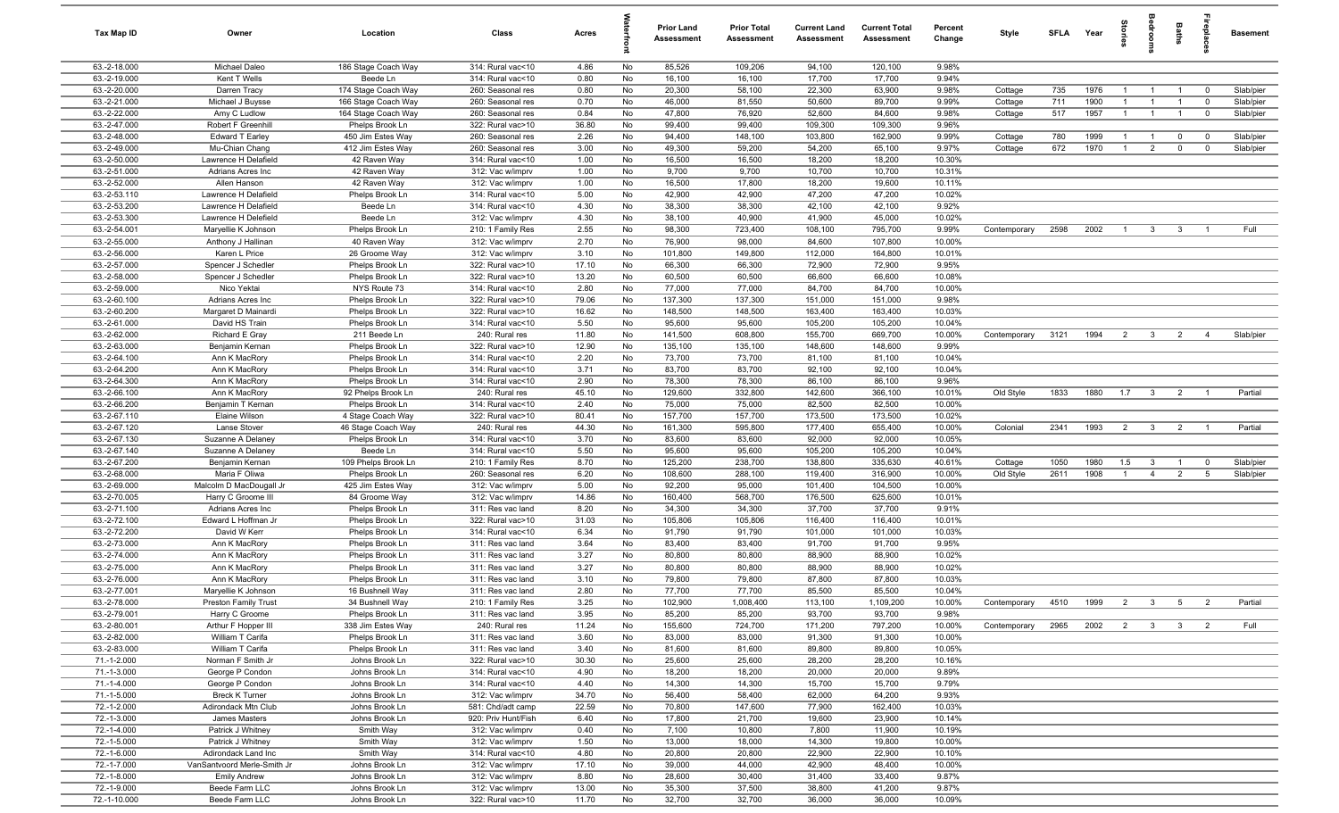| Tax Map ID                   | Owner                                         | Location                               | Class                                  | Acres         |          | <b>Prior Land</b><br>Assessment | <b>Prior Total</b><br><b>Assessment</b> | <b>Current Land</b><br>Assessment | <b>Current Total</b><br>Assessment | Percent<br>Change | Style              | SFLA       | Year         | $\frac{1}{2}$  |                                  | Baths                      | repla                      | <b>Basement</b>        |
|------------------------------|-----------------------------------------------|----------------------------------------|----------------------------------------|---------------|----------|---------------------------------|-----------------------------------------|-----------------------------------|------------------------------------|-------------------|--------------------|------------|--------------|----------------|----------------------------------|----------------------------|----------------------------|------------------------|
| 63.-2-18.000                 | Michael Daleo                                 | 186 Stage Coach Way                    | 314: Rural vac<10                      | 4.86          | No       | 85,526                          | 109,206                                 | 94,100                            | 120,100                            | 9.98%             |                    |            |              |                |                                  |                            |                            |                        |
| 63.-2-19.000                 | Kent T Wells                                  | Beede Ln                               | 314: Rural vac<10                      | 0.80          | No       | 16,100                          | 16,100                                  | 17,700                            | 17,700                             | 9.94%             |                    |            |              |                |                                  |                            |                            |                        |
| 63.-2-20.000                 | Darren Tracy                                  | 174 Stage Coach Way                    | 260: Seasonal res                      | 0.80          | No       | 20,300                          | 58,100                                  | 22,300                            | 63,900                             | 9.98%             | Cottage            | 735        | 1976         |                | - 1                              | $\overline{1}$             | $\overline{0}$             | Slab/pier              |
| 63.-2-21.000                 | Michael J Buysse                              | 166 Stage Coach Way                    | 260: Seasonal res                      | 0.70          | No       | 46,000                          | 81,550                                  | 50,600                            | 89,700                             | 9.99%             | Cottage            | 711        | 1900         |                | $\overline{1}$                   |                            | $\mathbf 0$                | Slab/pier              |
| 63.-2-22.000                 | Amy C Ludlow                                  | 164 Stage Coach Way                    | 260: Seasonal res                      | 0.84          | No       | 47,800                          | 76,920                                  | 52,600                            | 84,600                             | 9.98%             | Cottage            | 517        | 1957         | $\overline{1}$ | $\overline{1}$                   | $\overline{1}$             | $\overline{0}$             | Slab/pier              |
| 63.-2-47.000                 | Robert F Greenhill                            | Phelps Brook Ln                        | 322: Rural vac>10                      | 36.80         | No       | 99,400                          | 99,400                                  | 109,300                           | 109,300                            | 9.96%             |                    |            |              | $\overline{1}$ |                                  |                            |                            |                        |
| 63.-2-48.000<br>63.-2-49.000 | Edward T Earley<br>Mu-Chian Chang             | 450 Jim Estes Way<br>412 Jim Estes Way | 260: Seasonal res<br>260: Seasonal res | 2.26<br>3.00  | No<br>No | 94,400<br>49,300                | 148,100<br>59,200                       | 103,800<br>54,200                 | 162,900<br>65,100                  | 9.99%<br>9.97%    | Cottage<br>Cottage | 780<br>672 | 1999<br>1970 | $\overline{1}$ | $\overline{1}$<br>$\overline{2}$ | $\mathbf 0$<br>$\mathbf 0$ | $\mathbf 0$<br>$\mathbf 0$ | Slab/pier<br>Slab/pier |
| 63.-2-50.000                 | Lawrence H Delafield                          | 42 Raven Way                           | 314: Rural vac<10                      | 1.00          | No       | 16,500                          | 16,500                                  | 18,200                            | 18,200                             | 10.30%            |                    |            |              |                |                                  |                            |                            |                        |
| 63.-2-51.000                 | Adrians Acres Inc                             | 42 Raven Way                           | 312: Vac w/imprv                       | 1.00          | No       | 9,700                           | 9,700                                   | 10,700                            | 10,700                             | 10.31%            |                    |            |              |                |                                  |                            |                            |                        |
| 63.-2-52.000                 | Allen Hanson                                  | 42 Raven Way                           | 312: Vac w/imprv                       | 1.00          | No       | 16,500                          | 17,800                                  | 18,200                            | 19,600                             | 10.11%            |                    |            |              |                |                                  |                            |                            |                        |
| 63.-2-53.110                 | Lawrence H Delafield                          | Phelps Brook Ln                        | 314: Rural vac<10                      | 5.00          | No       | 42,900                          | 42,900                                  | 47,200                            | 47,200                             | 10.02%            |                    |            |              |                |                                  |                            |                            |                        |
| 63.-2-53.200                 | Lawrence H Delafield                          | Beede Ln                               | 314: Rural vac<10                      | 4.30          | No       | 38,300                          | 38,300                                  | 42,100                            | 42,100                             | 9.92%             |                    |            |              |                |                                  |                            |                            |                        |
| 63.-2-53.300                 | Lawrence H Delefield                          | Beede Ln                               | 312: Vac w/imprv                       | 4.30          | No       | 38,100                          | 40,900                                  | 41,900                            | 45,000                             | 10.02%            |                    |            |              |                |                                  |                            |                            |                        |
| 63.-2-54.001                 | Maryellie K Johnson                           | Phelps Brook Ln                        | 210: 1 Family Res                      | 2.55          | No       | 98,300                          | 723,400                                 | 108,100                           | 795,700                            | 9.99%             | Contemporary       | 2598       | 2002         | $\overline{1}$ | $\mathbf{3}$                     | $\mathbf{3}$               |                            | Full                   |
| 63.-2-55.000                 | Anthony J Hallinan                            | 40 Raven Way                           | 312: Vac w/imprv                       | 2.70          | No       | 76,900                          | 98,000                                  | 84,600                            | 107,800                            | 10.00%            |                    |            |              |                |                                  |                            |                            |                        |
| 63.-2-56.000                 | Karen L Price                                 | 26 Groome Way                          | 312: Vac w/imprv                       | 3.10          | No       | 101,800                         | 149,800                                 | 112,000                           | 164,800                            | 10.01%            |                    |            |              |                |                                  |                            |                            |                        |
| 63.-2-57.000                 | Spencer J Schedler                            | Phelps Brook Ln                        | 322: Rural vac>10                      | 17.10         | No       | 66,300                          | 66,300                                  | 72,900                            | 72,900                             | 9.95%             |                    |            |              |                |                                  |                            |                            |                        |
| 63.-2-58.000                 | Spencer J Schedler                            | Phelps Brook Ln                        | 322: Rural vac>10                      | 13.20         | No       | 60,500                          | 60,500                                  | 66,600                            | 66,600                             | 10.08%            |                    |            |              |                |                                  |                            |                            |                        |
| 63.-2-59.000                 | Nico Yektai                                   | NYS Route 73                           | 314: Rural vac<10                      | 2.80          | No       | 77,000                          | 77,000                                  | 84,700                            | 84,700                             | 10.00%            |                    |            |              |                |                                  |                            |                            |                        |
| 63.-2-60.100                 | Adrians Acres Inc                             | Phelps Brook Ln                        | 322: Rural vac>10                      | 79.06         | No       | 137,300                         | 137,300                                 | 151,000                           | 151,000                            | 9.98%             |                    |            |              |                |                                  |                            |                            |                        |
| 63.-2-60.200                 | Margaret D Mainardi                           | Phelps Brook Ln                        | 322: Rural vac>10                      | 16.62         | No<br>No | 148,500                         | 148,500                                 | 163,400                           | 163,400                            | 10.03%            |                    |            |              |                |                                  |                            |                            |                        |
| 63.-2-61.000<br>63.-2-62.000 | David HS Train<br>Richard E Gray              | Phelps Brook Ln<br>211 Beede Ln        | 314: Rural vac<10<br>240: Rural res    | 5.50<br>11.80 | No       | 95,600<br>141,500               | 95,600<br>608,800                       | 105,200<br>155,700                | 105,200<br>669,700                 | 10.04%<br>10.00%  | Contemporary       | 3121       | 1994         | $\overline{2}$ | $\mathbf{3}$                     | $\overline{2}$             | $\overline{4}$             | Slab/pier              |
| 63.-2-63.000                 | Benjamin Kernan                               | Phelps Brook Ln                        | 322: Rural vac>10                      | 12.90         | No       | 135,100                         | 135,100                                 | 148,600                           | 148,600                            | 9.99%             |                    |            |              |                |                                  |                            |                            |                        |
| 63.-2-64.100                 | Ann K MacRory                                 | Phelps Brook Ln                        | 314: Rural vac<10                      | 2.20          | No       | 73,700                          | 73,700                                  | 81,100                            | 81,100                             | 10.04%            |                    |            |              |                |                                  |                            |                            |                        |
| 63.-2-64.200                 | Ann K MacRory                                 | Phelps Brook Ln                        | 314: Rural vac<10                      | 3.71          | No       | 83,700                          | 83,700                                  | 92,100                            | 92,100                             | 10.04%            |                    |            |              |                |                                  |                            |                            |                        |
| 63.-2-64.300                 | Ann K MacRory                                 | Phelps Brook Ln                        | 314: Rural vac<10                      | 2.90          | No       | 78,300                          | 78,300                                  | 86,100                            | 86,100                             | 9.96%             |                    |            |              |                |                                  |                            |                            |                        |
| 63.-2-66.100                 | Ann K MacRory                                 | 92 Phelps Brook Ln                     | 240: Rural res                         | 45.10         | No       | 129,600                         | 332,800                                 | 142,600                           | 366,100                            | 10.01%            | Old Style          | 1833       | 1880         | 1.7            | $\mathbf{3}$                     | $\overline{2}$             | $\overline{1}$             | Partial                |
| 63.-2-66.200                 | Benjamin T Kernan                             | Phelps Brook Ln                        | 314: Rural vac<10                      | 2.40          | No       | 75,000                          | 75,000                                  | 82,500                            | 82,500                             | 10.00%            |                    |            |              |                |                                  |                            |                            |                        |
| 63.-2-67.110                 | Elaine Wilson                                 | 4 Stage Coach Way                      | 322: Rural vac>10                      | 80.41         | No       | 157,700                         | 157,700                                 | 173,500                           | 173,500                            | 10.02%            |                    |            |              |                |                                  |                            |                            |                        |
| 63.-2-67.120                 | Lanse Stover                                  | 46 Stage Coach Way                     | 240: Rural res                         | 44.30         | No       | 161,300                         | 595,800                                 | 177,400                           | 655,400                            | 10.00%            | Colonial           | 2341       | 1993         | $\overline{2}$ | $\overline{\mathbf{3}}$          | $\overline{2}$             | $\overline{1}$             | Partial                |
| 63.-2-67.130                 | Suzanne A Delaney                             | Phelps Brook Ln                        | 314: Rural vac<10                      | 3.70          | No       | 83,600                          | 83,600                                  | 92,000                            | 92,000                             | 10.05%            |                    |            |              |                |                                  |                            |                            |                        |
| 63.-2-67.140                 | Suzanne A Delaney                             | Beede Ln                               | 314: Rural vac<10                      | 5.50          | No       | 95,600                          | 95,600                                  | 105,200                           | 105,200                            | 10.04%            |                    |            |              |                |                                  |                            |                            |                        |
| 63.-2-67.200                 | Benjamin Kernan                               | 109 Phelps Brook Ln                    | 210: 1 Family Res                      | 8.70          | No       | 125,200                         | 238,700                                 | 138,800                           | 335,630                            | 40.61%            | Cottage            | 1050       | 1980         | 1.5            | $\mathbf{3}$                     | $\overline{1}$             | $^{\circ}$                 | Slab/pier              |
| 63.-2-68.000                 | Maria F Oliwa                                 | Phelps Brook Ln                        | 260: Seasonal res                      | 6.20          | No       | 108,600                         | 288,100                                 | 119,400                           | 316,900                            | 10.00%            | Old Style          | 2611       | 1908         | $\overline{1}$ | $\overline{4}$                   | $\overline{2}$             | 5                          | Slab/pier              |
| 63.-2-69.000<br>63.-2-70.005 | Malcolm D MacDougall Jr<br>Harry C Groome III | 425 Jim Estes Way<br>84 Groome Way     | 312: Vac w/imprv<br>312: Vac w/imprv   | 5.00<br>14.86 | No<br>No | 92,200<br>160,400               | 95,000<br>568,700                       | 101,400<br>176,500                | 104,500<br>625,600                 | 10.00%<br>10.01%  |                    |            |              |                |                                  |                            |                            |                        |
| 63.-2-71.100                 | Adrians Acres Inc                             | Phelps Brook Ln                        | 311: Res vac land                      | 8.20          | No       | 34,300                          | 34,300                                  | 37,700                            | 37,700                             | 9.91%             |                    |            |              |                |                                  |                            |                            |                        |
| 63.-2-72.100                 | Edward L Hoffman Jr                           | Phelps Brook Ln                        | 322: Rural vac>10                      | 31.03         | No       | 105,806                         | 105,806                                 | 116,400                           | 116,400                            | 10.01%            |                    |            |              |                |                                  |                            |                            |                        |
| 63.-2-72.200                 | David W Kerr                                  | Phelps Brook Ln                        | 314: Rural vac<10                      | 6.34          | No       | 91,790                          | 91,790                                  | 101,000                           | 101,000                            | 10.03%            |                    |            |              |                |                                  |                            |                            |                        |
| 63.-2-73.000                 | Ann K MacRory                                 | Phelps Brook Ln                        | 311: Res vac land                      | 3.64          | No       | 83,400                          | 83,400                                  | 91,700                            | 91,700                             | 9.95%             |                    |            |              |                |                                  |                            |                            |                        |
| 63.-2-74.000                 | Ann K MacRory                                 | Phelps Brook Ln                        | 311: Res vac land                      | 3.27          | No       | 80,800                          | 80,800                                  | 88,900                            | 88,900                             | 10.02%            |                    |            |              |                |                                  |                            |                            |                        |
| 63.-2-75.000                 | Ann K MacRory                                 | Phelps Brook Ln                        | 311: Res vac land                      | 3.27          | No       | 80,800                          | 80,800                                  | 88,900                            | 88,900                             | 10.02%            |                    |            |              |                |                                  |                            |                            |                        |
| 63.-2-76.000                 | Ann K MacRory                                 | Phelps Brook Ln                        | 311: Res vac land                      | 3.10          | No       | 79,800                          | 79,800                                  | 87,800                            | 87,800                             | 10.03%            |                    |            |              |                |                                  |                            |                            |                        |
| 63.-2-77.001                 | Maryellie K Johnson                           | 16 Bushnell Way                        | 311: Res vac land                      | 2.80          | No       | 77,700                          | 77,700                                  | 85,500                            | 85,500                             | 10.04%            |                    |            |              |                |                                  |                            |                            |                        |
| 63.-2-78.000                 | Preston Family Trust                          | 34 Bushnell Way                        | 210: 1 Family Res                      | 3.25          | No       | 102,900                         | 1,008,400                               | 113,100                           | 1,109,200                          | 10.00%            | Contemporary       | 4510       | 1999         | 2              | $\mathbf{3}$                     | 5                          | 2                          | Partial                |
| 63.-2-79.001                 | Harry C Groome                                | Phelps Brook Ln                        | 311: Res vac land                      | 3.95          | No       | 85,200                          | 85,200                                  | 93,700                            | 93,700                             | 9.98%             |                    |            |              |                |                                  |                            |                            |                        |
| 63.-2-80.001                 | Arthur F Hopper III                           | 338 Jim Estes Way                      | 240: Rural res                         | 11.24         | No       | 155,600                         | 724,700                                 | 171,200                           | 797,200                            | 10.00%            | Contemporary       | 2965       | 2002 2 3 3 2 |                |                                  |                            |                            | Full                   |
| 63.-2-82.000                 | William T Carifa                              | Phelps Brook Ln                        | 311: Res vac land                      | 3.60          | No       | 83,000                          | 83,000                                  | 91,300                            | 91,300                             | 10.00%            |                    |            |              |                |                                  |                            |                            |                        |
| 63.-2-83.000                 | William T Carifa                              | Phelps Brook Ln                        | 311: Res vac land                      | 3.40          | No       | 81,600                          | 81,600                                  | 89,800                            | 89,800                             | 10.05%            |                    |            |              |                |                                  |                            |                            |                        |
| 71.-1-2.000<br>71.-1-3.000   | Norman F Smith Jr<br>George P Condon          | Johns Brook Ln<br>Johns Brook Ln       | 322: Rural vac>10<br>314: Rural vac<10 | 30.30<br>4.90 | No<br>No | 25,600<br>18,200                | 25,600<br>18,200                        | 28,200<br>20,000                  | 28,200<br>20,000                   | 10.16%<br>9.89%   |                    |            |              |                |                                  |                            |                            |                        |
| 71.-1-4.000                  | George P Condon                               | Johns Brook Ln                         | 314: Rural vac<10                      | 4.40          | No       | 14,300                          | 14,300                                  | 15,700                            | 15,700                             | 9.79%             |                    |            |              |                |                                  |                            |                            |                        |
| 71.-1-5.000                  | <b>Breck K Turner</b>                         | Johns Brook Ln                         | 312: Vac w/imprv                       | 34.70         | No       | 56,400                          | 58,400                                  | 62,000                            | 64,200                             | 9.93%             |                    |            |              |                |                                  |                            |                            |                        |
| 72.-1-2.000                  | Adirondack Mtn Club                           | Johns Brook Ln                         | 581: Chd/adt camp                      | 22.59         | No       | 70,800                          | 147,600                                 | 77,900                            | 162,400                            | 10.03%            |                    |            |              |                |                                  |                            |                            |                        |
| 72.-1-3.000                  | James Masters                                 | Johns Brook Ln                         | 920: Priv Hunt/Fish                    | 6.40          | No       | 17,800                          | 21,700                                  | 19,600                            | 23,900                             | 10.14%            |                    |            |              |                |                                  |                            |                            |                        |
| 72.-1-4.000                  | Patrick J Whitney                             | Smith Way                              | 312: Vac w/imprv                       | 0.40          | No       | 7,100                           | 10,800                                  | 7,800                             | 11,900                             | 10.19%            |                    |            |              |                |                                  |                            |                            |                        |
| 72.-1-5.000                  | Patrick J Whitney                             | Smith Way                              | 312: Vac w/imprv                       | 1.50          | No       | 13,000                          | 18,000                                  | 14,300                            | 19,800                             | 10.00%            |                    |            |              |                |                                  |                            |                            |                        |
| 72.-1-6.000                  | Adirondack Land Inc                           | Smith Way                              | 314: Rural vac<10                      | 4.80          | No       | 20,800                          | 20,800                                  | 22,900                            | 22,900                             | 10.10%            |                    |            |              |                |                                  |                            |                            |                        |
| 72.-1-7.000                  | VanSantvoord Merle-Smith Jr                   | Johns Brook Ln                         | 312: Vac w/imprv                       | 17.10         | No       | 39,000                          | 44,000                                  | 42,900                            | 48,400                             | 10.00%            |                    |            |              |                |                                  |                            |                            |                        |
| 72.-1-8.000                  | <b>Emily Andrew</b>                           | Johns Brook Ln                         | 312: Vac w/imprv                       | 8.80          | No       | 28,600                          | 30,400                                  | 31,400                            | 33,400                             | 9.87%             |                    |            |              |                |                                  |                            |                            |                        |
| 72.-1-9.000                  | Beede Farm LLC                                | Johns Brook Ln                         | 312: Vac w/imprv                       | 13.00         | No       | 35,300                          | 37,500                                  | 38,800                            | 41,200                             | 9.87%             |                    |            |              |                |                                  |                            |                            |                        |
| 72.-1-10.000                 | Beede Farm LLC                                | Johns Brook Ln                         | 322: Rural vac>10                      | 11.70         | No       | 32,700                          | 32,700                                  | 36,000                            | 36,000                             | 10.09%            |                    |            |              |                |                                  |                            |                            |                        |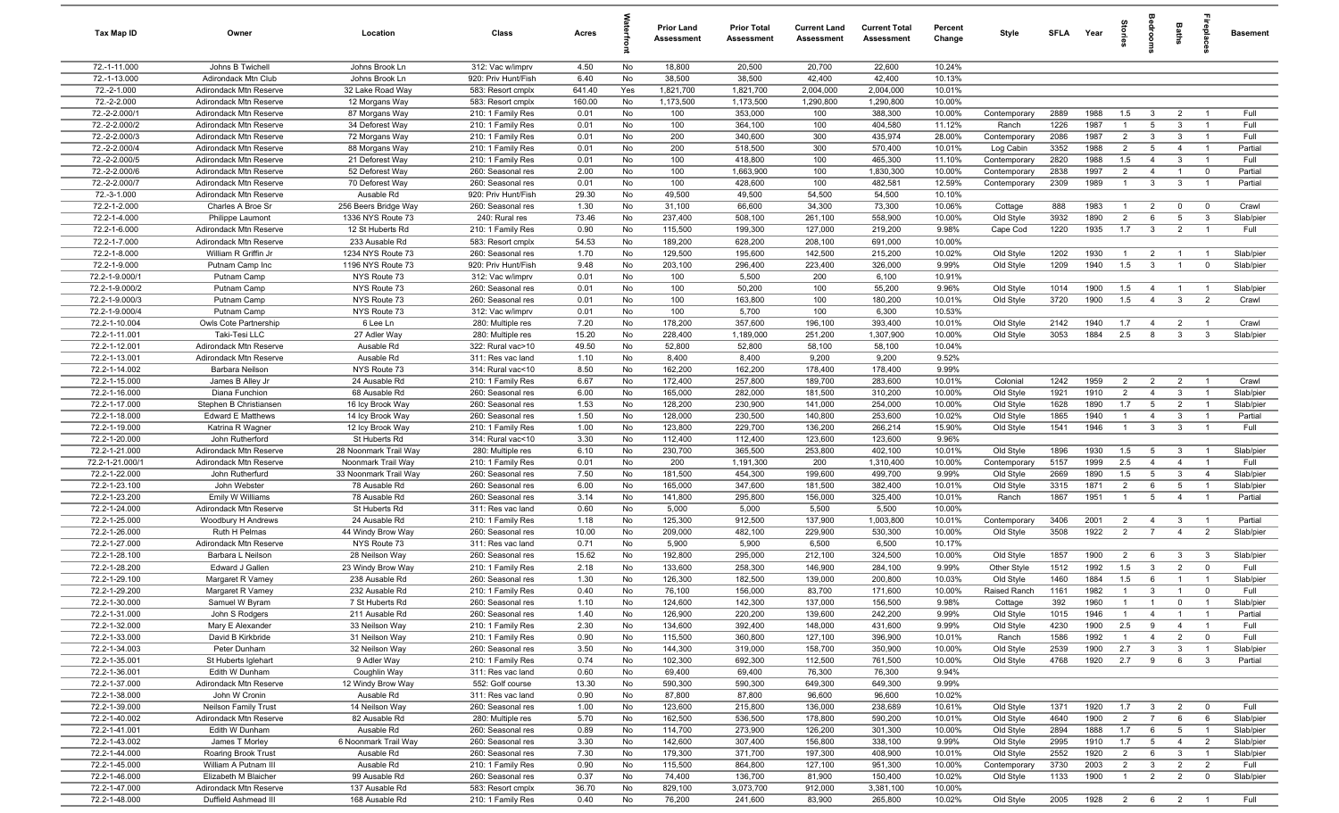| Tax Map ID                       | Owner                                            | Location                                    | Class                                  | Acres        |          | Prior Land<br><b>Assessment</b> | <b>Prior Total</b><br>Assessment | <b>Current Land</b><br>Assessment | <b>Current Total</b><br><b>Assessment</b> | Percent<br>Change | Style                     | SFLA         | Year         |                                  | edrooms                          | Baths                          | epla                             | <b>Basement</b>        |
|----------------------------------|--------------------------------------------------|---------------------------------------------|----------------------------------------|--------------|----------|---------------------------------|----------------------------------|-----------------------------------|-------------------------------------------|-------------------|---------------------------|--------------|--------------|----------------------------------|----------------------------------|--------------------------------|----------------------------------|------------------------|
| 72.-1-11.000                     | Johns B Twichell                                 | Johns Brook Ln                              | 312: Vac w/imprv                       | 4.50         | No       | 18,800                          | 20,500                           | 20,700                            | 22,600                                    | 10.24%            |                           |              |              |                                  |                                  |                                |                                  |                        |
| 72.-1-13.000                     | Adirondack Mtn Club                              | Johns Brook Ln                              | 920: Priv Hunt/Fish                    | 6.40         | No       | 38,500                          | 38,500                           | 42,400                            | 42,400                                    | 10.13%            |                           |              |              |                                  |                                  |                                |                                  |                        |
| 72.-2-1.000                      | Adirondack Mtn Reserve                           | 32 Lake Road Way                            | 583: Resort cmplx                      | 641.40       | Yes      | 1,821,700                       | 1,821,700                        | 2,004,000                         | 2,004,000                                 | 10.01%            |                           |              |              |                                  |                                  |                                |                                  |                        |
| 72.-2-2.000                      | Adirondack Mtn Reserve                           | 12 Morgans Way                              | 583: Resort cmplx                      | 160.00       | No       | 1,173,500                       | 1,173,500                        | 1,290,800                         | 1,290,800                                 | 10.00%            |                           |              |              |                                  |                                  |                                |                                  |                        |
| 72.-2-2.000/1                    | Adirondack Mtn Reserve                           | 87 Morgans Way                              | 210: 1 Family Res                      | 0.01         | No       | 100                             | 353,000                          | 100                               | 388,300                                   | 10.00%            | Contemporary              | 2889         | 1988         | 1.5                              | $\mathbf{3}$                     | $\overline{2}$                 |                                  | Full                   |
| 72.-2-2.000/2                    | Adirondack Mtn Reserve                           | 34 Deforest Way                             | 210: 1 Family Res                      | 0.01         | No       | 100                             | 364,100                          | 100                               | 404,580                                   | 11.12%            | Ranch                     | 1226         | 1987         |                                  | 5                                | $\mathbf{3}$                   | $\overline{1}$                   | Full                   |
| 72.-2-2.000/3<br>72.-2-2.000/4   | Adirondack Mtn Reserve                           | 72 Morgans Way                              | 210: 1 Family Res                      | 0.01         | No<br>No | 200<br>200                      | 340,600                          | 300                               | 435,974                                   | 28.00%            | Contemporary              | 2086<br>3352 | 1987<br>1988 | $\overline{2}$<br>$\overline{2}$ | $\mathbf{3}$<br>5                | $\mathbf{3}$<br>$\overline{4}$ | $\overline{\phantom{0}}$         | Full<br>Partial        |
| 72.-2-2.000/5                    | Adirondack Mtn Reserve<br>Adirondack Mtn Reserve | 88 Morgans Way<br>21 Deforest Way           | 210: 1 Family Res<br>210: 1 Family Res | 0.01<br>0.01 | No       | 100                             | 518,500<br>418,800               | 300<br>100                        | 570,400<br>465,300                        | 10.01%<br>11.10%  | Log Cabin<br>Contemporary | 2820         | 1988         | 1.5                              | $\overline{4}$                   | $\mathbf{3}$                   | $\overline{1}$<br>$\overline{1}$ | Full                   |
| 72.-2-2.000/6                    | Adirondack Mtn Reserve                           | 52 Deforest Way                             | 260: Seasonal res                      | 2.00         | No       | 100                             | 1,663,900                        | 100                               | 1,830,300                                 | 10.00%            | Contemporary              | 2838         | 1997         | $\overline{2}$                   | $\overline{4}$                   | $\overline{1}$                 | $\mathbf 0$                      | Partial                |
| 72.-2-2.000/7                    | Adirondack Mtn Reserve                           | 70 Deforest Way                             | 260: Seasonal res                      | 0.01         | No       | 100                             | 428,600                          | 100                               | 482,581                                   | 12.59%            | Contemporary              | 2309         | 1989         | $\overline{1}$                   | 3                                | $\mathbf{3}$                   | $\overline{1}$                   | Partial                |
| 72.-3-1.000                      | Adirondack Mtn Reserve                           | Ausable Rd                                  | 920: Priv Hunt/Fish                    | 29.30        | No       | 49,500                          | 49,500                           | 54,500                            | 54,500                                    | 10.10%            |                           |              |              |                                  |                                  |                                |                                  |                        |
| 72.2-1-2.000                     | Charles A Broe Sr                                | 256 Beers Bridge Way                        | 260: Seasonal res                      | 1.30         | No       | 31,100                          | 66,600                           | 34,300                            | 73,300                                    | 10.06%            | Cottage                   | 888          | 1983         | $\overline{1}$                   | $\overline{2}$                   | $\mathbf 0$                    | $\overline{0}$                   | Crawl                  |
| 72.2-1-4.000                     | Philippe Laumont                                 | 1336 NYS Route 73                           | 240: Rural res                         | 73.46        | No       | 237,400                         | 508,100                          | 261,100                           | 558,900                                   | 10.00%            | Old Style                 | 3932         | 1890         | $\overline{2}$                   | 6                                | $5\overline{5}$                | $\overline{\mathbf{3}}$          | Slab/pier              |
| 72.2-1-6.000                     | Adirondack Mtn Reserve                           | 12 St Huberts Rd                            | 210: 1 Family Res                      | 0.90         | No       | 115,500                         | 199,300                          | 127,000                           | 219,200                                   | 9.98%             | Cape Cod                  | 1220         | 1935         | 1.7                              | $\mathbf{3}$                     | $\overline{2}$                 | -1                               | Full                   |
| 72.2-1-7.000                     | Adirondack Mtn Reserve                           | 233 Ausable Rd                              | 583: Resort cmplx                      | 54.53        | No       | 189,200                         | 628,200                          | 208,100                           | 691,000                                   | 10.00%            |                           |              |              |                                  |                                  |                                |                                  |                        |
| 72.2-1-8.000                     | William R Griffin Jr                             | 1234 NYS Route 73                           | 260: Seasonal res                      | 1.70         | No       | 129,500                         | 195,600                          | 142,500                           | 215,200                                   | 10.02%            | Old Style                 | 1202         | 1930         |                                  | $\overline{2}$                   | - 1                            |                                  | Slab/pier              |
| 72.2-1-9.000                     | Putnam Camp Inc                                  | 1196 NYS Route 73                           | 920: Priv Hunt/Fish                    | 9.48         | No       | 203,100                         | 296,400                          | 223,400                           | 326,000                                   | 9.99%             | Old Style                 | 1209         | 1940         | 1.5                              | $\mathbf{3}$                     | $\overline{1}$                 | $\overline{0}$                   | Slab/pier              |
| 72.2-1-9.000/1                   | Putnam Camp                                      | NYS Route 73                                | 312: Vac w/imprv                       | 0.01         | No       | 100                             | 5,500                            | 200                               | 6,100                                     | 10.91%            |                           |              |              |                                  |                                  |                                |                                  |                        |
| 72.2-1-9.000/2                   | Putnam Camp                                      | NYS Route 73                                | 260: Seasonal res                      | 0.01         | No<br>No | 100<br>100                      | 50,200                           | 100<br>100                        | 55,200                                    | 9.96%             | Old Style                 | 1014<br>3720 | 1900<br>1900 | 1.5<br>1.5                       | $\overline{4}$<br>$\overline{4}$ | $\overline{1}$                 | $\overline{2}$                   | Slab/pier<br>Crawl     |
| 72.2-1-9.000/3<br>72.2-1-9.000/4 | Putnam Camp<br>Putnam Camp                       | NYS Route 73<br>NYS Route 73                | 260: Seasonal res<br>312: Vac w/imprv  | 0.01<br>0.01 | No       | 100                             | 163,800<br>5,700                 | 100                               | 180,200<br>6,300                          | 10.01%<br>10.53%  | Old Style                 |              |              |                                  |                                  | $\mathbf{3}$                   |                                  |                        |
| 72.2-1-10.004                    | Owls Cote Partnership                            | 6 Lee Ln                                    | 280: Multiple res                      | 7.20         | No       | 178,200                         | 357,600                          | 196,100                           | 393,400                                   | 10.01%            | Old Style                 | 2142         | 1940         | 1.7                              | $\overline{4}$                   | $\overline{2}$                 | $\overline{1}$                   | Crawl                  |
| 72.2-1-11.001                    | Taki-Tesi LLC                                    | 27 Adler Way                                | 280: Multiple res                      | 15.20        | No       | 228,400                         | 1,189,000                        | 251,200                           | 1,307,900                                 | 10.00%            | Old Style                 | 3053         | 1884         | 2.5                              | 8                                | $\mathbf{3}$                   | $\overline{3}$                   | Slab/pier              |
| 72.2-1-12.001                    | Adirondack Mtn Reserve                           | Ausable Rd                                  | 322: Rural vac>10                      | 49.50        | No       | 52,800                          | 52,800                           | 58,100                            | 58,100                                    | 10.04%            |                           |              |              |                                  |                                  |                                |                                  |                        |
| 72.2-1-13.001                    | Adirondack Mtn Reserve                           | Ausable Rd                                  | 311: Res vac land                      | 1.10         | No       | 8,400                           | 8,400                            | 9,200                             | 9,200                                     | 9.52%             |                           |              |              |                                  |                                  |                                |                                  |                        |
| 72.2-1-14.002                    | Barbara Neilson                                  | NYS Route 73                                | 314: Rural vac<10                      | 8.50         | No       | 162,200                         | 162,200                          | 178,400                           | 178,400                                   | 9.99%             |                           |              |              |                                  |                                  |                                |                                  |                        |
| 72.2-1-15.000                    | James B Alley Jr                                 | 24 Ausable Rd                               | 210: 1 Family Res                      | 6.67         | No       | 172,400                         | 257,800                          | 189,700                           | 283,600                                   | 10.01%            | Colonial                  | 1242         | 1959         | $\overline{2}$                   | 2                                | $\overline{2}$                 | $\overline{\phantom{0}}$         | Crawl                  |
| 72.2-1-16.000                    | Diana Funchion                                   | 68 Ausable Rd                               | 260: Seasonal res                      | 6.00         | No       | 165,000                         | 282,000                          | 181,500                           | 310,200                                   | 10.00%            | Old Style                 | 1921         | 1910         | $\overline{2}$                   | $\overline{4}$                   | 3                              | $\overline{\phantom{0}}$         | Slab/pier              |
| 72.2-1-17.000                    | Stephen B Christiansen                           | 16 Icy Brook Way                            | 260: Seasonal res                      | 1.53         | No       | 128,200                         | 230,900                          | 141,000                           | 254,000                                   | 10.00%            | Old Style                 | 1628         | 1890         | 1.7                              | 5                                | $\overline{2}$                 |                                  | Slab/pier              |
| 72.2-1-18.000                    | <b>Edward E Matthews</b>                         | 14 Icy Brook Way                            | 260: Seasonal res                      | 1.50         | No       | 128,000                         | 230,500                          | 140,800                           | 253,600                                   | 10.02%            | Old Style                 | 1865         | 1940         |                                  | $\overline{4}$                   | $\mathbf{3}$                   |                                  | Partial                |
| 72.2-1-19.000                    | Katrina R Wagner                                 | 12 Icy Brook Way                            | 210: 1 Family Res                      | 1.00         | No       | 123,800                         | 229,700                          | 136,200                           | 266,214                                   | 15.90%            | Old Style                 | 1541         | 1946         | $\overline{1}$                   | $\mathbf{3}$                     | $\mathbf{3}$                   | $\overline{1}$                   | Full                   |
| 72.2-1-20.000<br>72.2-1-21.000   | John Rutherford                                  | St Huberts Rd                               | 314: Rural vac<10                      | 3.30         | No<br>No | 112,400<br>230,700              | 112,400                          | 123,600<br>253,800                | 123,600<br>402,100                        | 9.96%<br>10.01%   |                           | 1896         | 1930         | 1.5                              | 5                                |                                |                                  |                        |
| 72.2-1-21.000/1                  | Adirondack Mtn Reserve<br>Adirondack Mtn Reserve | 28 Noonmark Trail Way<br>Noonmark Trail Way | 280: Multiple res<br>210: 1 Family Res | 6.10<br>0.01 | No       | 200                             | 365,500<br>1,191,300             | 200                               | 1,310,400                                 | 10.00%            | Old Style<br>Contemporary | 5157         | 1999         | 2.5                              | $\overline{4}$                   | $\mathbf{3}$<br>$\overline{4}$ | $\overline{1}$<br>$\overline{1}$ | Slab/pier<br>Full      |
| 72.2-1-22.000                    | John Rutherfurd                                  | 33 Noonmark Trail Way                       | 260: Seasonal res                      | 7.50         | No       | 181,500                         | 454,300                          | 199,600                           | 499,700                                   | 9.99%             | Old Style                 | 2669         | 1890         | 1.5                              | 5                                | $\mathbf{3}$                   | $\overline{4}$                   | Slab/pier              |
| 72.2-1-23.100                    | John Webster                                     | 78 Ausable Rd                               | 260: Seasonal res                      | 6.00         | No       | 165,000                         | 347,600                          | 181,500                           | 382,400                                   | 10.01%            | Old Style                 | 3315         | 1871         | 2                                | 6                                | 5                              | $\overline{1}$                   | Slab/pier              |
| 72.2-1-23.200                    | Emily W Williams                                 | 78 Ausable Rd                               | 260: Seasonal res                      | 3.14         | No       | 141,800                         | 295,800                          | 156,000                           | 325,400                                   | 10.01%            | Ranch                     | 1867         | 1951         | $\overline{1}$                   | 5                                | $\overline{4}$                 | $\overline{1}$                   | Partial                |
| 72.2-1-24.000                    | Adirondack Mtn Reserve                           | St Huberts Rd                               | 311: Res vac land                      | 0.60         | No       | 5,000                           | 5,000                            | 5,500                             | 5,500                                     | 10.00%            |                           |              |              |                                  |                                  |                                |                                  |                        |
| 72.2-1-25.000                    | Woodbury H Andrews                               | 24 Ausable Rd                               | 210: 1 Family Res                      | 1.18         | No       | 125,300                         | 912,500                          | 137,900                           | 1,003,800                                 | 10.01%            | Contemporary              | 3406         | 2001         | 2                                | $\overline{4}$                   | $\mathbf{3}$                   | $\overline{1}$                   | Partial                |
| 72.2-1-26.000                    | Ruth H Pelmas                                    | 44 Windy Brow Way                           | 260: Seasonal res                      | 10.00        | No       | 209,000                         | 482,100                          | 229,900                           | 530,300                                   | 10.00%            | Old Style                 | 3508         | 1922         | $\overline{2}$                   | $\overline{7}$                   | $\overline{4}$                 | $\overline{2}$                   | Slab/pier              |
| 72.2-1-27.000                    | Adirondack Mtn Reserve                           | NYS Route 73                                | 311: Res vac land                      | 0.71         | No       | 5,900                           | 5,900                            | 6,500                             | 6,500                                     | 10.17%            |                           |              |              |                                  |                                  |                                |                                  |                        |
| 72.2-1-28.100                    | Barbara L Neilson                                | 28 Neilson Way                              | 260: Seasonal res                      | 15.62        | No       | 192,800                         | 295,000                          | 212,100                           | 324,500                                   | 10.00%            | Old Style                 | 1857         | 1900         | $\overline{2}$                   | - 6                              | $\mathbf{3}$                   | $\mathbf{3}$                     | Slab/pier              |
| 72.2-1-28.200                    | Edward J Gallen                                  | 23 Windy Brow Way                           | 210: 1 Family Res                      | 2.18         | No       | 133,600                         | 258,300                          | 146,900                           | 284,100                                   | 9.99%             | Other Style               | 1512         | 1992         | 1.5                              | 3                                | $\overline{2}$                 | $\Omega$                         | Full                   |
| 72.2-1-29.100<br>72.2-1-29.200   | Margaret R Varney                                | 238 Ausable Rd<br>232 Ausable Rd            | 260: Seasonal res                      | 1.30<br>0.40 | No<br>No | 126,300<br>76,100               | 182,500<br>156,000               | 139,000<br>83,700                 | 200,800<br>171,600                        | 10.03%<br>10.00%  | Old Style<br>Raised Ranch | 1460<br>1161 | 1884<br>1982 | 1.5<br>$\overline{1}$            | 6<br>$\mathbf{3}$                | $\overline{1}$                 | $\overline{\mathbf{0}}$          | Slab/pier<br>Full      |
| 72.2-1-30.000                    | Margaret R Varney<br>Samuel W Byram              | 7 St Huberts Rd                             | 210: 1 Family Res<br>260: Seasonal res | 1.10         | No       | 124,600                         | 142,300                          | 137,000                           | 156,500                                   | 9.98%             | Cottage                   | 392          | 1960         | $\overline{1}$                   | $\overline{1}$                   | $\Omega$                       |                                  | Slab/pier              |
| 72.2-1-31.000                    | John S Rodgers                                   | 211 Ausable Rd                              | 260: Seasonal res                      | 1.40         | No       | 126,900                         | 220,200                          | 139,600                           | 242,200                                   | 9.99%             | Old Style                 | 1015         | 1946         | $\overline{1}$                   | $\overline{4}$                   | $\overline{1}$                 | $\overline{1}$                   | Partial                |
| 72.2-1-32.000                    | Mary E Alexander                                 | 33 Neilson Way                              | 210: 1 Family Res                      | 2.30         | No       | 134,600                         | 392,400                          | 148,000                           | 431,600                                   | 9.99%             | Old Style                 | 4230         | 1900         | 2.5                              | 9                                | $\overline{4}$                 | $\overline{1}$                   | Full                   |
| 72.2-1-33.000                    | David B Kirkbride                                | 31 Neilson Way                              | 210: 1 Family Res                      | 0.90         | No       | 115,500                         | 360,800                          | 127,100                           | 396,900                                   | 10.01%            | Ranch                     | 1586         | 1992         | $\overline{1}$                   | $\overline{4}$                   | $\overline{2}$                 | $\overline{0}$                   | Full                   |
| 72.2-1-34.003                    | Peter Dunham                                     | 32 Neilson Way                              | 260: Seasonal res                      | 3.50         | No       | 144,300                         | 319,000                          | 158,700                           | 350,900                                   | 10.00%            | Old Style                 | 2539         | 1900         | 2.7                              | $\mathbf{3}$                     | $\mathbf{3}$                   | $\overline{1}$                   | Slab/pier              |
| 72.2-1-35.001                    | St Huberts Iglehart                              | 9 Adler Way                                 | 210: 1 Family Res                      | 0.74         | No       | 102,300                         | 692,300                          | 112,500                           | 761,500                                   | 10.00%            | Old Style                 | 4768         | 1920         | 2.7                              | 9                                | 6                              | $\overline{3}$                   | Partial                |
| 72.2-1-36.001                    | Edith W Dunham                                   | Coughlin Way                                | 311: Res vac land                      | 0.60         | No       | 69,400                          | 69,400                           | 76,300                            | 76,300                                    | 9.94%             |                           |              |              |                                  |                                  |                                |                                  |                        |
| 72.2-1-37.000                    | Adirondack Mtn Reserve                           | 12 Windy Brow Way                           | 552: Golf course                       | 13.30        | No       | 590,300                         | 590,300                          | 649,300                           | 649,300                                   | 9.99%             |                           |              |              |                                  |                                  |                                |                                  |                        |
| 72.2-1-38.000                    | John W Cronin                                    | Ausable Rd                                  | 311: Res vac land                      | 0.90         | No       | 87,800                          | 87,800                           | 96,600                            | 96,600                                    | 10.02%            |                           |              |              |                                  |                                  |                                |                                  |                        |
| 72.2-1-39.000                    | Neilson Family Trust                             | 14 Neilson Way                              | 260: Seasonal res                      | 1.00         | No       | 123,600                         | 215,800                          | 136,000                           | 238,689                                   | 10.61%            | Old Style                 | 1371         | 1920         | 1.7                              | $\mathbf{3}$                     | $\overline{2}$                 | $\overline{\mathbf{0}}$          | Full                   |
| 72.2-1-40.002                    | Adirondack Mtn Reserve                           | 82 Ausable Rd                               | 280: Multiple res                      | 5.70         | No       | 162,500                         | 536,500                          | 178,800                           | 590,200                                   | 10.01%            | Old Style                 | 4640         | 1900         | $\overline{2}$                   | $\overline{7}$                   | 6                              | 6                                | Slab/pier              |
| 72.2-1-41.001<br>72.2-1-43.002   | Edith W Dunham                                   | Ausable Rd                                  | 260: Seasonal res<br>260: Seasonal res | 0.89<br>3.30 | No<br>No | 114,700                         | 273,900                          | 126,200                           | 301,300                                   | 10.00%<br>9.99%   | Old Style                 | 2894<br>2995 | 1888         | 1.7                              | 6<br>$5\overline{)}$             | $5\overline{6}$                | $\overline{1}$                   | Slab/pier              |
| 72.2-1-44.000                    | James T Morley<br>Roaring Brook Trust            | 6 Noonmark Trail Way<br>Ausable Rd          | 260: Seasonal res                      | 7.30         | No       | 142,600<br>179,300              | 307,400<br>371,700               | 156,800<br>197,300                | 338,100<br>408,900                        | 10.01%            | Old Style<br>Old Style    | 2552         | 1910<br>1920 | 1.7<br>$\overline{2}$            | 6                                | $\overline{4}$<br>$\mathbf{3}$ | $\overline{2}$<br>$\overline{1}$ | Slab/pier<br>Slab/pier |
| 72.2-1-45.000                    | William A Putnam III                             | Ausable Rd                                  | 210: 1 Family Res                      | 0.90         | No       | 115,500                         | 864,800                          | 127,100                           | 951,300                                   | 10.00%            | Contemporary              | 3730         | 2003         | $\overline{2}$                   | $\mathbf{3}$                     | $\overline{2}$                 | $\overline{2}$                   | Full                   |
| 72.2-1-46.000                    | Elizabeth M Blaicher                             | 99 Ausable Rd                               | 260: Seasonal res                      | 0.37         | No       | 74,400                          | 136,700                          | 81,900                            | 150,400                                   | 10.02%            | Old Style                 | 1133         | 1900         | $\overline{1}$                   | $\overline{2}$                   | $\overline{2}$                 | $\overline{0}$                   | Slab/pier              |
| 72.2-1-47.000                    | Adirondack Mtn Reserve                           | 137 Ausable Rd                              | 583: Resort cmplx                      | 36.70        | No       | 829,100                         | 3,073,700                        | 912,000                           | 3,381,100                                 | 10.00%            |                           |              |              |                                  |                                  |                                |                                  |                        |
| 72.2-1-48.000                    | Duffield Ashmead III                             | 168 Ausable Rd                              | 210: 1 Family Res                      | 0.40         | No       | 76,200                          | 241,600                          | 83,900                            | 265,800                                   | 10.02%            | Old Style                 | 2005         | 1928 2 6 2   |                                  |                                  |                                | $\overline{1}$                   | Full                   |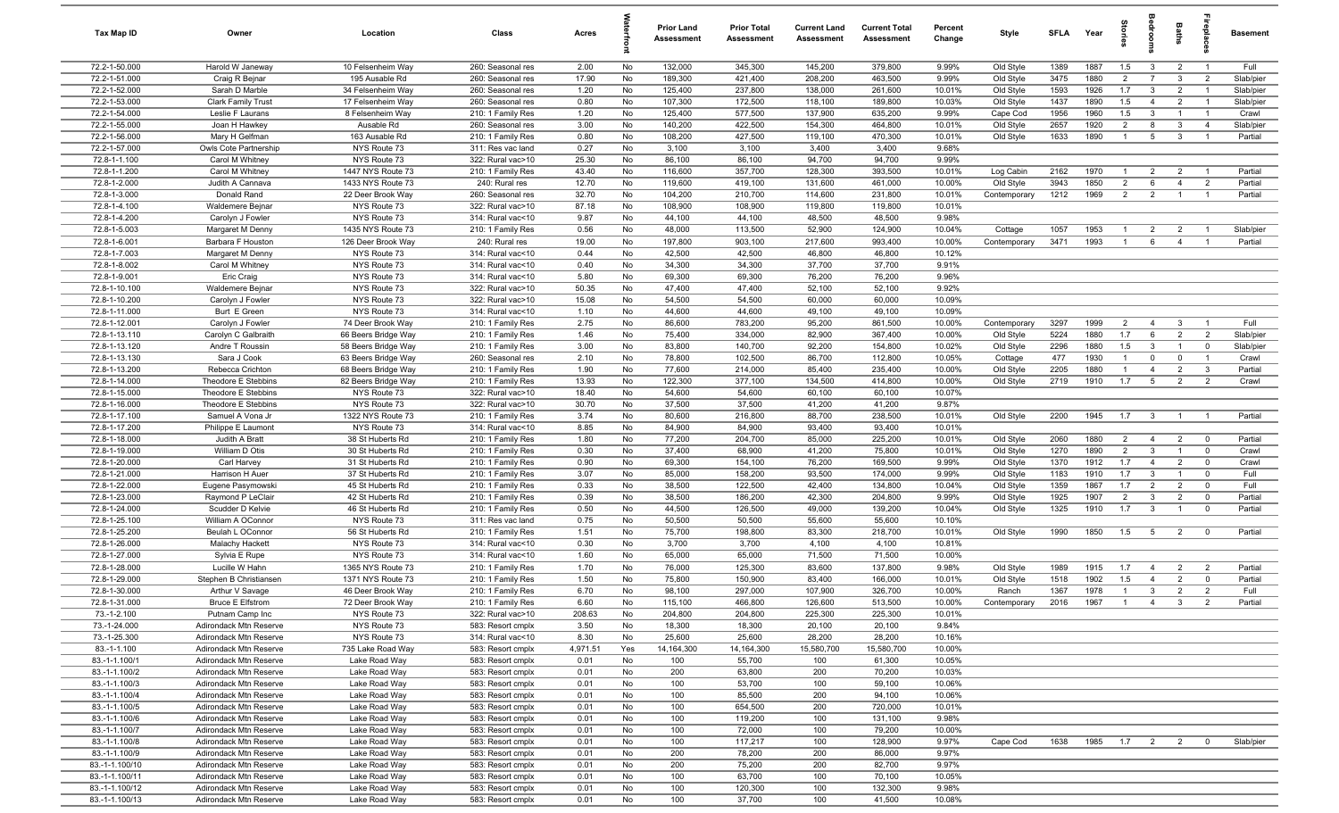| Tax Map ID                       | Owner                                            | Location                             | Class                                  | Acres          |          | <b>Prior Land</b><br>Assessment | <b>Prior Total</b><br><b>Assessment</b> | <b>Current Land</b><br>Assessment | <b>Current Total</b><br><b>Assessment</b> | Percent<br>Change | Style                  | <b>SFLA</b>  | Year         | $rac{1}{2}$                      | ā                              | Baths                            | ne<br>Dia                     | <b>Basement</b>    |
|----------------------------------|--------------------------------------------------|--------------------------------------|----------------------------------------|----------------|----------|---------------------------------|-----------------------------------------|-----------------------------------|-------------------------------------------|-------------------|------------------------|--------------|--------------|----------------------------------|--------------------------------|----------------------------------|-------------------------------|--------------------|
| 72.2-1-50.000                    | Harold W Janeway                                 | 10 Felsenheim Way                    | 260: Seasonal res                      | 2.00           | No       | 132,000                         | 345,300                                 | 145,200                           | 379,800                                   | 9.99%             | Old Style              | 1389         | 1887         | 1.5                              | $\overline{\mathbf{3}}$        | $\overline{2}$                   | $\overline{1}$                | Full               |
| 72.2-1-51.000                    | Craig R Bejnar                                   | 195 Ausable Rd                       | 260: Seasonal res                      | 17.90          | No       | 189,300                         | 421,400                                 | 208,200                           | 463,500                                   | 9.99%             | Old Style              | 3475         | 1880         | $\overline{2}$                   | $\overline{7}$                 | $\mathbf{3}$                     | $\overline{2}$                | Slab/pier          |
| 72.2-1-52.000                    | Sarah D Marble                                   | 34 Felsenheim Way                    | 260: Seasonal res                      | 1.20           | No       | 125,400                         | 237,800                                 | 138,000                           | 261,600                                   | 10.01%            | Old Style              | 1593         | 1926         | 1.7                              | $\overline{\mathbf{3}}$        | $\overline{2}$                   |                               | Slab/pier          |
| 72.2-1-53.000                    | <b>Clark Family Trust</b>                        | 17 Felsenheim Way                    | 260: Seasonal res                      | 0.80           | No       | 107,300                         | 172,500                                 | 118,100                           | 189,800                                   | 10.03%<br>9.99%   | Old Style              | 1437         | 1890<br>1960 | 1.5<br>1.5                       | $\overline{4}$                 | $\overline{2}$<br>$\overline{1}$ | $\overline{1}$                | Slab/pier          |
| 72.2-1-54.000<br>72.2-1-55.000   | Leslie F Laurans<br>Joan H Hawkey                | 8 Felsenheim Way<br>Ausable Rd       | 210: 1 Family Res<br>260: Seasonal res | 1.20<br>3.00   | No<br>No | 125,400<br>140,200              | 577,500<br>422,500                      | 137,900<br>154,300                | 635,200<br>464,800                        | 10.01%            | Cape Cod<br>Old Style  | 1956<br>2657 | 1920         | $\overline{2}$                   | $\mathbf{3}$<br>8              | $\mathbf{3}$                     | $\overline{4}$                | Crawl<br>Slab/pier |
| 72.2-1-56.000                    | Mary H Gelfman                                   | 163 Ausable Rd                       | 210: 1 Family Res                      | 0.80           | No       | 108,200                         | 427,500                                 | 119,100                           | 470,300                                   | 10.01%            | Old Style              | 1633         | 1890         | $\overline{1}$                   | $5\overline{5}$                | $\mathbf{3}$                     | $\overline{1}$                | Partial            |
| 72.2-1-57.000                    | Owls Cote Partnership                            | NYS Route 73                         | 311: Res vac land                      | 0.27           | No       | 3,100                           | 3,100                                   | 3,400                             | 3,400                                     | 9.68%             |                        |              |              |                                  |                                |                                  |                               |                    |
| 72.8-1-1.100                     | Carol M Whitney                                  | NYS Route 73                         | 322: Rural vac>10                      | 25.30          | No       | 86,100                          | 86,100                                  | 94,700                            | 94,700                                    | 9.99%             |                        |              |              |                                  |                                |                                  |                               |                    |
| 72.8-1-1.200                     | Carol M Whitney                                  | 1447 NYS Route 73                    | 210: 1 Family Res                      | 43.40          | No       | 116,600                         | 357,700                                 | 128,300                           | 393,500                                   | 10.01%            | Log Cabin              | 2162         | 1970         | $\overline{1}$                   | $\overline{2}$                 | $\overline{2}$                   | $\overline{1}$                | Partial            |
| 72.8-1-2.000                     | Judith A Cannava                                 | 1433 NYS Route 73                    | 240: Rural res                         | 12.70          | No       | 119,600                         | 419,100                                 | 131,600                           | 461,000                                   | 10.00%            | Old Style              | 3943         | 1850         | $\overline{2}$                   | 6                              | $\overline{4}$                   | $\overline{2}$                | Partial            |
| 72.8-1-3.000                     | Donald Rand                                      | 22 Deer Brook Way                    | 260: Seasonal res                      | 32.70          | No       | 104,200                         | 210,700                                 | 114,600                           | 231,800                                   | 10.01%            | Contemporary           | 1212         | 1969         | $\overline{2}$                   | $\overline{2}$                 | $\overline{1}$                   |                               | Partial            |
| 72.8-1-4.100                     | Waldemere Bejnar                                 | NYS Route 73                         | 322: Rural vac>10                      | 87.18          | No       | 108,900                         | 108,900                                 | 119,800                           | 119,800                                   | 10.01%            |                        |              |              |                                  |                                |                                  |                               |                    |
| 72.8-1-4.200                     | Carolyn J Fowler                                 | NYS Route 73                         | 314: Rural vac<10                      | 9.87           | No       | 44,100                          | 44,100                                  | 48,500                            | 48,500                                    | 9.98%             |                        |              |              |                                  |                                |                                  |                               |                    |
| 72.8-1-5.003                     | Margaret M Denny                                 | 1435 NYS Route 73                    | 210: 1 Family Res                      | 0.56           | No       | 48,000                          | 113,500                                 | 52,900                            | 124,900                                   | 10.04%            | Cottage                | 1057         | 1953         | $\overline{1}$                   | $\overline{2}$                 | $\overline{2}$                   |                               | Slab/pier          |
| 72.8-1-6.001                     | Barbara F Houston                                | 126 Deer Brook Way                   | 240: Rural res                         | 19.00          | No       | 197,800                         | 903,100                                 | 217,600                           | 993,400                                   | 10.00%            | Contemporary           | 3471         | 1993         | $\overline{1}$                   | 6                              | $\overline{4}$                   |                               | Partial            |
| 72.8-1-7.003                     | Margaret M Denny                                 | NYS Route 73                         | 314: Rural vac<10                      | 0.44           | No       | 42,500                          | 42,500                                  | 46,800                            | 46,800                                    | 10.12%            |                        |              |              |                                  |                                |                                  |                               |                    |
| 72.8-1-8.002<br>72.8-1-9.001     | Carol M Whitney                                  | NYS Route 73<br>NYS Route 73         | 314: Rural vac<10<br>314: Rural vac<10 | 0.40<br>5.80   | No<br>No | 34,300<br>69,300                | 34,300<br>69,300                        | 37,700<br>76,200                  | 37,700<br>76,200                          | 9.91%<br>9.96%    |                        |              |              |                                  |                                |                                  |                               |                    |
| 72.8-1-10.100                    | <b>Eric Craig</b><br>Waldemere Bejnar            | NYS Route 73                         | 322: Rural vac>10                      | 50.35          | No       | 47,400                          | 47,400                                  | 52,100                            | 52,100                                    | 9.92%             |                        |              |              |                                  |                                |                                  |                               |                    |
| 72.8-1-10.200                    | Carolyn J Fowler                                 | NYS Route 73                         | 322: Rural vac>10                      | 15.08          | No       | 54,500                          | 54,500                                  | 60,000                            | 60,000                                    | 10.09%            |                        |              |              |                                  |                                |                                  |                               |                    |
| 72.8-1-11.000                    | Burt E Green                                     | NYS Route 73                         | 314: Rural vac<10                      | 1.10           | No       | 44,600                          | 44,600                                  | 49,100                            | 49,100                                    | 10.09%            |                        |              |              |                                  |                                |                                  |                               |                    |
| 72.8-1-12.001                    | Carolyn J Fowler                                 | 74 Deer Brook Way                    | 210: 1 Family Res                      | 2.75           | No       | 86,600                          | 783,200                                 | 95,200                            | 861,500                                   | 10.00%            | Contemporary           | 3297         | 1999         | $\overline{2}$                   | $\overline{4}$                 | $\mathbf{3}$                     | $\overline{1}$                | Full               |
| 72.8-1-13.110                    | Carolyn C Galbraith                              | 66 Beers Bridge Way                  | 210: 1 Family Res                      | 1.46           | No       | 75,400                          | 334,000                                 | 82,900                            | 367,400                                   | 10.00%            | Old Style              | 5224         | 1880         | 1.7                              | 6                              | 2                                | $\overline{2}$                | Slab/pier          |
| 72.8-1-13.120                    | Andre T Roussin                                  | 58 Beers Bridge Way                  | 210: 1 Family Res                      | 3.00           | No       | 83,800                          | 140,700                                 | 92,200                            | 154,800                                   | 10.02%            | Old Style              | 2296         | 1880         | 1.5                              | $\mathbf{3}$                   | $\overline{1}$                   | $\mathbf 0$                   | Slab/pier          |
| 72.8-1-13.130                    | Sara J Cook                                      | 63 Beers Bridge Way                  | 260: Seasonal res                      | 2.10           | No       | 78,800                          | 102,500                                 | 86,700                            | 112,800                                   | 10.05%            | Cottage                | 477          | 1930         | $\overline{1}$                   | $\mathbf{0}$                   | $\mathbf 0$                      | $\overline{1}$                | Crawl              |
| 72.8-1-13.200                    | Rebecca Crichton                                 | 68 Beers Bridge Way                  | 210: 1 Family Res                      | 1.90           | No       | 77,600                          | 214,000                                 | 85,400                            | 235,400                                   | 10.00%            | Old Style              | 2205         | 1880         | $\overline{1}$                   | $\overline{4}$                 | $\overline{2}$                   | $\mathbf{3}$                  | Partial            |
| 72.8-1-14.000                    | Theodore E Stebbins                              | 82 Beers Bridge Way                  | 210: 1 Family Res                      | 13.93          | No       | 122,300                         | 377,100                                 | 134,500                           | 414,800                                   | 10.00%            | Old Style              | 2719         | 1910         | 1.7                              | $5\overline{)}$                | $\overline{2}$                   | $\overline{2}$                | Crawl              |
| 72.8-1-15.000                    | Theodore E Stebbins                              | NYS Route 73                         | 322: Rural vac>10                      | 18.40          | No       | 54,600                          | 54,600                                  | 60,100                            | 60,100                                    | 10.07%            |                        |              |              |                                  |                                |                                  |                               |                    |
| 72.8-1-16.000                    | Theodore E Stebbins                              | NYS Route 73                         | 322: Rural vac>10                      | 30.70          | No       | 37,500                          | 37,500                                  | 41,200                            | 41,200                                    | 9.87%             |                        |              |              |                                  |                                |                                  |                               |                    |
| 72.8-1-17.100                    | Samuel A Vona Jr                                 | 1322 NYS Route 73                    | 210: 1 Family Res                      | 3.74           | No       | 80,600                          | 216,800                                 | 88,700                            | 238,500                                   | 10.01%            | Old Style              | 2200         | 1945         | 1.7                              | $\mathbf{3}$                   | $\overline{1}$                   |                               | Partial            |
| 72.8-1-17.200                    | Philippe E Laumont                               | NYS Route 73                         | 314: Rural vac<10                      | 8.85           | No       | 84,900                          | 84,900                                  | 93,400                            | 93,400                                    | 10.01%            |                        |              |              |                                  |                                |                                  |                               |                    |
| 72.8-1-18.000<br>72.8-1-19.000   | Judith A Bratt<br>William D Otis                 | 38 St Huberts Rd<br>30 St Huberts Rd | 210: 1 Family Res<br>210: 1 Family Res | 1.80<br>0.30   | No<br>No | 77,200<br>37,400                | 204,700<br>68,900                       | 85,000<br>41,200                  | 225,200<br>75,800                         | 10.01%<br>10.01%  | Old Style<br>Old Style | 2060<br>1270 | 1880<br>1890 | $\overline{2}$<br>$\overline{2}$ | $\overline{4}$<br>$\mathbf{3}$ | $\overline{2}$<br>$\overline{1}$ | $\mathbf 0$<br>$\overline{0}$ | Partial<br>Crawl   |
| 72.8-1-20.000                    | Carl Harvey                                      | 31 St Huberts Rd                     | 210: 1 Family Res                      | 0.90           | No       | 69,300                          | 154,100                                 | 76,200                            | 169,500                                   | 9.99%             | Old Style              | 1370         | 1912         | 1.7                              | $\overline{4}$                 | $\overline{2}$                   | $\mathbf 0$                   | Crawl              |
| 72.8-1-21.000                    | Harrison H Auer                                  | 37 St Huberts Rd                     | 210: 1 Family Res                      | 3.07           | No       | 85,000                          | 158,200                                 | 93,500                            | 174,000                                   | 9.99%             | Old Style              | 1183         | 1910         | 1.7                              | $\overline{\mathbf{3}}$        | $\overline{1}$                   | $\mathbf 0$                   | Full               |
| 72.8-1-22.000                    | Eugene Pasymowski                                | 45 St Huberts Rd                     | 210: 1 Family Res                      | 0.33           | No       | 38,500                          | 122,500                                 | 42,400                            | 134,800                                   | 10.04%            | Old Style              | 1359         | 1867         | 1.7                              | 2                              | $\overline{2}$                   | $\overline{0}$                | Full               |
| 72.8-1-23.000                    | Raymond P LeClair                                | 42 St Huberts Rd                     | 210: 1 Family Res                      | 0.39           | No       | 38,500                          | 186,200                                 | 42,300                            | 204,800                                   | 9.99%             | Old Style              | 1925         | 1907         | $\overline{2}$                   | $\mathbf{3}$                   | $\overline{2}$                   | $\mathbf 0$                   | Partial            |
| 72.8-1-24.000                    | Scudder D Kelvie                                 | 46 St Huberts Rd                     | 210: 1 Family Res                      | 0.50           | No       | 44,500                          | 126,500                                 | 49,000                            | 139,200                                   | 10.04%            | Old Style              | 1325         | 1910         | 1.7                              | $\mathbf{3}$                   | $\mathbf 1$                      | $\mathbf 0$                   | Partial            |
| 72.8-1-25.100                    | William A OConnor                                | NYS Route 73                         | 311: Res vac land                      | 0.75           | No       | 50,500                          | 50,500                                  | 55,600                            | 55,600                                    | 10.10%            |                        |              |              |                                  |                                |                                  |                               |                    |
| 72.8-1-25.200                    | Beulah L OConnor                                 | 56 St Huberts Rd                     | 210: 1 Family Res                      | 1.51           | No       | 75,700                          | 198,800                                 | 83,300                            | 218,700                                   | 10.01%            | Old Style              | 1990         | 1850         | 1.5                              | 5                              | $\overline{2}$                   | $\overline{0}$                | Partial            |
| 72.8-1-26.000                    | Malachy Hackett                                  | NYS Route 73                         | 314: Rural vac<10                      | 0.30           | No       | 3,700                           | 3,700                                   | 4,100                             | 4,100                                     | 10.81%            |                        |              |              |                                  |                                |                                  |                               |                    |
| 72.8-1-27.000                    | Sylvia E Rupe                                    | NYS Route 73                         | 314: Rural vac<10                      | 1.60           | No       | 65,000                          | 65,000                                  | 71,500                            | 71,500                                    | 10.00%            |                        |              |              |                                  |                                |                                  |                               |                    |
| 72.8-1-28.000                    | Lucille W Hahn                                   | 1365 NYS Route 73                    | 210: 1 Family Res                      | 1.70           | No       | 76,000                          | 125,300                                 | 83,600                            | 137,800                                   | 9.98%             | Old Style              | 1989         | 1915         | 1.7                              | $\overline{4}$                 | $\overline{2}$                   | $\overline{2}$                | Partial            |
| 72.8-1-29.000                    | Stephen B Christiansen                           | 1371 NYS Route 73                    | 210: 1 Family Res                      | 1.50           | No       | 75,800                          | 150,900                                 | 83,400                            | 166,000                                   | 10.01%            | Old Style              | 1518         | 1902         | 1.5                              | $\overline{4}$                 | $\overline{2}$                   | $\mathbf{0}$                  | Partial            |
| 72.8-1-30.000                    | Arthur V Savage                                  | 46 Deer Brook Way                    | 210: 1 Family Res                      | 6.70           | No       | 98,100                          | 297,000                                 | 107,900                           | 326,700                                   | 10.00%            | Ranch                  | 1367         | 1978         | $\overline{1}$                   | $\mathbf{3}$                   | $\overline{2}$                   | $\overline{2}$                | Full               |
| 72.8-1-31.000                    | <b>Bruce E Elfstrom</b>                          | 72 Deer Brook Way                    | 210: 1 Family Res                      | 6.60           | No.      | 115,100                         | 466,800                                 | 126,600                           | 513,500                                   | 10.00%            | Contemporary           | 2016         | 1967         | $\overline{1}$                   | $\overline{4}$                 | -3                               | $\overline{2}$                | Partial            |
| 73.-1-2.100<br>73.-1-24.000      | Putnam Camp Inc<br>Adirondack Mtn Reserve        | NYS Route 73<br>NYS Route 73         | 322: Rural vac>10<br>583: Resort cmplx | 208.63<br>3.50 | No<br>No | 204,800<br>18,300               | 204,800<br>18,300                       | 225,300<br>20,100                 | 225,300<br>20,100                         | 10.01%<br>9.84%   |                        |              |              |                                  |                                |                                  |                               |                    |
| 73.-1-25.300                     | Adirondack Mtn Reserve                           | NYS Route 73                         | 314: Rural vac<10                      | 8.30           | No       | 25,600                          | 25,600                                  | 28,200                            | 28,200                                    | 10.16%            |                        |              |              |                                  |                                |                                  |                               |                    |
| 83.-1-1.100                      | Adirondack Mtn Reserve                           | 735 Lake Road Way                    | 583: Resort cmplx                      | 4,971.51       | Yes      | 14, 164, 300                    | 14,164,300                              | 15,580,700                        | 15,580,700                                | 10.00%            |                        |              |              |                                  |                                |                                  |                               |                    |
| 83.-1-1.100/1                    | Adirondack Mtn Reserve                           | Lake Road Way                        | 583: Resort cmplx                      | 0.01           | No       | 100                             | 55,700                                  | 100                               | 61,300                                    | 10.05%            |                        |              |              |                                  |                                |                                  |                               |                    |
| 83.-1-1.100/2                    | Adirondack Mtn Reserve                           | Lake Road Way                        | 583: Resort cmplx                      | 0.01           | No       | 200                             | 63,800                                  | 200                               | 70,200                                    | 10.03%            |                        |              |              |                                  |                                |                                  |                               |                    |
| 83.-1-1.100/3                    | Adirondack Mtn Reserve                           | Lake Road Way                        | 583: Resort cmplx                      | 0.01           | No       | 100                             | 53,700                                  | 100                               | 59,100                                    | 10.06%            |                        |              |              |                                  |                                |                                  |                               |                    |
| 83.-1-1.100/4                    | Adirondack Mtn Reserve                           | Lake Road Way                        | 583: Resort cmplx                      | 0.01           | No       | 100                             | 85,500                                  | 200                               | 94,100                                    | 10.06%            |                        |              |              |                                  |                                |                                  |                               |                    |
| 83.-1-1.100/5                    | Adirondack Mtn Reserve                           | Lake Road Way                        | 583: Resort cmplx                      | 0.01           | No       | 100                             | 654,500                                 | 200                               | 720,000                                   | 10.01%            |                        |              |              |                                  |                                |                                  |                               |                    |
| 83.-1-1.100/6                    | Adirondack Mtn Reserve                           | Lake Road Way                        | 583: Resort cmplx                      | 0.01           | No       | 100                             | 119,200                                 | 100                               | 131,100                                   | 9.98%             |                        |              |              |                                  |                                |                                  |                               |                    |
| 83.-1-1.100/7                    | Adirondack Mtn Reserve                           | Lake Road Way                        | 583: Resort cmplx                      | 0.01           | No       | 100                             | 72,000                                  | 100                               | 79,200                                    | 10.00%            |                        |              |              |                                  |                                |                                  |                               |                    |
| 83.-1-1.100/8                    | Adirondack Mtn Reserve                           | Lake Road Way                        | 583: Resort cmplx                      | 0.01           | No       | 100                             | 117,217                                 | 100                               | 128,900                                   | 9.97%             | Cape Cod               | 1638         | 1985         | 1.7                              | $\overline{\mathbf{2}}$        | $\overline{2}$                   | $\overline{\mathbf{0}}$       | Slab/pier          |
| 83.-1-1.100/9                    | Adirondack Mtn Reserve                           | Lake Road Way                        | 583: Resort cmplx                      | 0.01           | No       | 200                             | 78,200                                  | 200                               | 86,000                                    | 9.97%             |                        |              |              |                                  |                                |                                  |                               |                    |
| 83.-1-1.100/10                   | Adirondack Mtn Reserve                           | Lake Road Way                        | 583: Resort cmplx                      | 0.01           | No       | 200                             | 75,200                                  | 200                               | 82,700                                    | 9.97%             |                        |              |              |                                  |                                |                                  |                               |                    |
| 83.-1-1.100/11<br>83.-1-1.100/12 | Adirondack Mtn Reserve<br>Adirondack Mtn Reserve | Lake Road Way<br>Lake Road Way       | 583: Resort cmplx<br>583: Resort cmplx | 0.01           | No<br>No | 100<br>100                      | 63,700<br>120,300                       | 100<br>100                        | 70,100<br>132,300                         | 10.05%<br>9.98%   |                        |              |              |                                  |                                |                                  |                               |                    |
| 83.-1-1.100/13                   | Adirondack Mtn Reserve                           | Lake Road Way                        | 583: Resort cmplx                      | 0.01<br>0.01   | No       | 100                             | 37,700                                  | 100                               | 41,500                                    | 10.08%            |                        |              |              |                                  |                                |                                  |                               |                    |
|                                  |                                                  |                                      |                                        |                |          |                                 |                                         |                                   |                                           |                   |                        |              |              |                                  |                                |                                  |                               |                    |